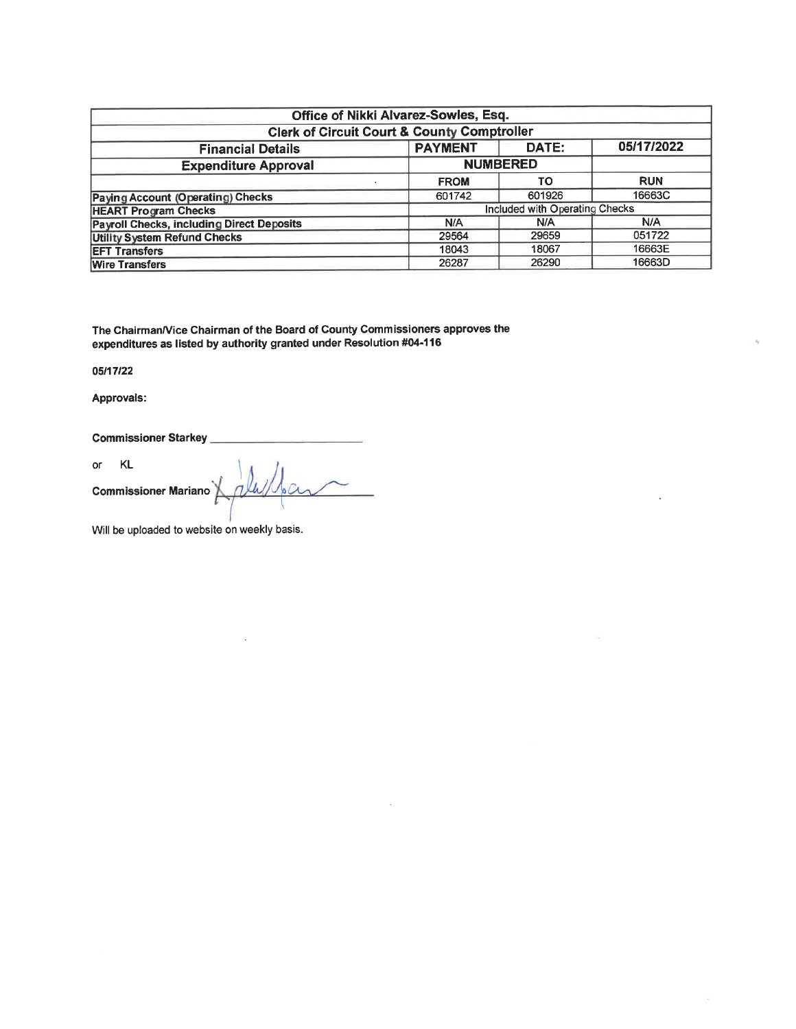| Office of Nikki Alvarez-Sowles, Esq.                              |             |                                |            |  |  |  |  |
|-------------------------------------------------------------------|-------------|--------------------------------|------------|--|--|--|--|
| <b>Clerk of Circuit Court &amp; County Comptroller</b>            |             |                                |            |  |  |  |  |
| 05/17/2022<br><b>PAYMENT</b><br>DATE:<br><b>Financial Details</b> |             |                                |            |  |  |  |  |
| <b>NUMBERED</b><br><b>Expenditure Approval</b>                    |             |                                |            |  |  |  |  |
|                                                                   | <b>FROM</b> | <b>TO</b>                      | <b>RUN</b> |  |  |  |  |
| Paying Account (Operating) Checks                                 | 601742      | 601926                         | 16663C     |  |  |  |  |
| <b>HEART Program Checks</b>                                       |             | Included with Operating Checks |            |  |  |  |  |
| <b>Payroll Checks, including Direct Deposits</b>                  | N/A         | N/A                            | N/A        |  |  |  |  |
| <b>Utility System Refund Checks</b>                               | 29564       | 29659                          | 051722     |  |  |  |  |
| <b>EFT Transfers</b>                                              | 18043       | 18067                          | 16663E     |  |  |  |  |
| 16663D<br>26290<br>26287<br><b>Wire Transfers</b>                 |             |                                |            |  |  |  |  |

The Chairman/Vice Chairman of the Board of County Commissioners approves the expenditures as listed by authority granted under Resolution #04-116

05/17/22

Approvals:

Commissioner Starkey

 $\overline{\text{or}}$ KL. Commissioner Mariano ally

Will be uploaded to website on weekly basis.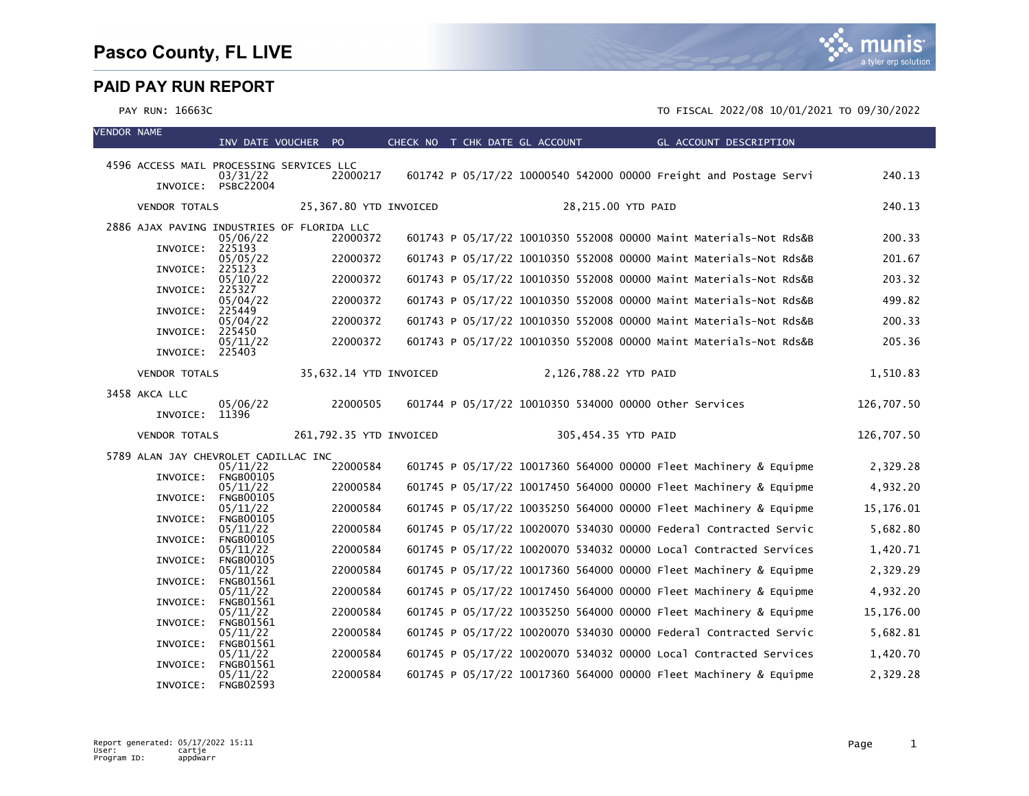VENDOR NAME

#### PAY RUN: 16663C TO FISCAL 2022/08 10/01/2021 TO 09/30/2022

| 4596 ACCESS MAIL PROCESSING SERVICES LLC   | 03/31/22                                 | 22000217                |  | 601742 P 05/17/22 10000540 542000 00000 Freight and Postage Servi                                                                      | 240.13               |
|--------------------------------------------|------------------------------------------|-------------------------|--|----------------------------------------------------------------------------------------------------------------------------------------|----------------------|
|                                            | INVOICE: PSBC22004                       |                         |  |                                                                                                                                        |                      |
| <b>VENDOR TOTALS</b>                       |                                          | 25,367.80 YTD INVOICED  |  | 28,215.00 YTD PAID                                                                                                                     | 240.13               |
| 2886 AJAX PAVING INDUSTRIES OF FLORIDA LLC | 05/06/22                                 | 22000372                |  | 601743 P 05/17/22 10010350 552008 00000 Maint Materials-Not Rds&B                                                                      | 200.33               |
| INVOICE: 225193                            | 05/05/22                                 | 22000372                |  | 601743 P 05/17/22 10010350 552008 00000 Maint Materials-Not Rds&B                                                                      | 201.67               |
| INVOICE:                                   | 225123<br>05/10/22                       | 22000372                |  | 601743 P 05/17/22 10010350 552008 00000 Maint Materials-Not Rds&B                                                                      | 203.32               |
| INVOICE:                                   | 225327                                   |                         |  |                                                                                                                                        |                      |
| INVOICE:                                   | 05/04/22<br>225449                       | 22000372                |  | 601743 P 05/17/22 10010350 552008 00000 Maint Materials-Not Rds&B                                                                      | 499.82               |
| INVOICE:                                   | 05/04/22<br>225450                       | 22000372                |  | 601743 P 05/17/22 10010350 552008 00000 Maint Materials-Not Rds&B                                                                      | 200.33               |
| INVOICE:                                   | 05/11/22<br>225403                       | 22000372                |  | 601743 P 05/17/22 10010350 552008 00000 Maint Materials-Not Rds&B                                                                      | 205.36               |
| <b>VENDOR TOTALS</b>                       |                                          | 35,632.14 YTD INVOICED  |  | 2,126,788.22 YTD PAID                                                                                                                  | 1,510.83             |
| 3458 AKCA LLC                              |                                          |                         |  |                                                                                                                                        |                      |
| INVOICE: 11396                             | 05/06/22                                 | 22000505                |  | 601744 P 05/17/22 10010350 534000 00000 other Services                                                                                 | 126,707.50           |
|                                            |                                          |                         |  |                                                                                                                                        |                      |
| <b>VENDOR TOTALS</b>                       |                                          | 261,792.35 YTD INVOICED |  | 305,454.35 YTD PAID                                                                                                                    | 126,707.50           |
| 5789 ALAN JAY CHEVROLET CADILLAC INC       |                                          |                         |  |                                                                                                                                        |                      |
| INVOICE:                                   | 05/11/22<br><b>FNGB00105</b>             | 22000584                |  | 601745 P 05/17/22 10017360 564000 00000 Fleet Machinery & Equipme                                                                      | 2,329.28             |
|                                            | 05/11/22                                 | 22000584                |  | 601745 P 05/17/22 10017450 564000 00000 Fleet Machinery & Equipme                                                                      | 4,932.20             |
| INVOICE:                                   | <b>FNGB00105</b><br>05/11/22             | 22000584                |  | 601745 P 05/17/22 10035250 564000 00000 Fleet Machinery & Equipme                                                                      | 15,176.01            |
| INVOICE:                                   | <b>FNGB00105</b><br>05/11/22             | 22000584                |  | 601745 P 05/17/22 10020070 534030 00000 Federal Contracted Servic                                                                      | 5,682.80             |
| INVOICE:                                   | <b>FNGB00105</b>                         |                         |  |                                                                                                                                        |                      |
| INVOICE:                                   | 05/11/22<br><b>FNGB00105</b>             | 22000584                |  | 601745 P 05/17/22 10020070 534032 00000 Local Contracted Services                                                                      | 1,420.71             |
| INVOICE:                                   | 05/11/22<br><b>FNGB01561</b>             | 22000584                |  | 601745 P 05/17/22 10017360 564000 00000 Fleet Machinery & Equipme                                                                      | 2,329.29             |
|                                            | 05/11/22                                 | 22000584                |  | 601745 P 05/17/22 10017450 564000 00000 Fleet Machinery & Equipme                                                                      | 4,932.20             |
| INVOICE:                                   | <b>FNGB01561</b><br>05/11/22             | 22000584                |  | 601745 P 05/17/22 10035250 564000 00000 Fleet Machinery & Equipme                                                                      | 15,176.00            |
| INVOICE:                                   | <b>FNGB01561</b><br>05/11/22             | 22000584                |  | 601745 P 05/17/22 10020070 534030 00000 Federal Contracted Servic                                                                      | 5,682.81             |
| INVOICE:                                   | <b>FNGB01561</b>                         |                         |  |                                                                                                                                        |                      |
| INVOICE:                                   | 05/11/22<br><b>FNGB01561</b><br>05/11/22 | 22000584<br>22000584    |  | 601745 P 05/17/22 10020070 534032 00000 Local Contracted Services<br>601745 P 05/17/22 10017360 564000 00000 Fleet Machinery & Equipme | 1,420.70<br>2,329.28 |

INV DATE VOUCHER PO CHECK NO T CHK DATE GL ACCOUNT GL ACCOUNT DESCRIPTION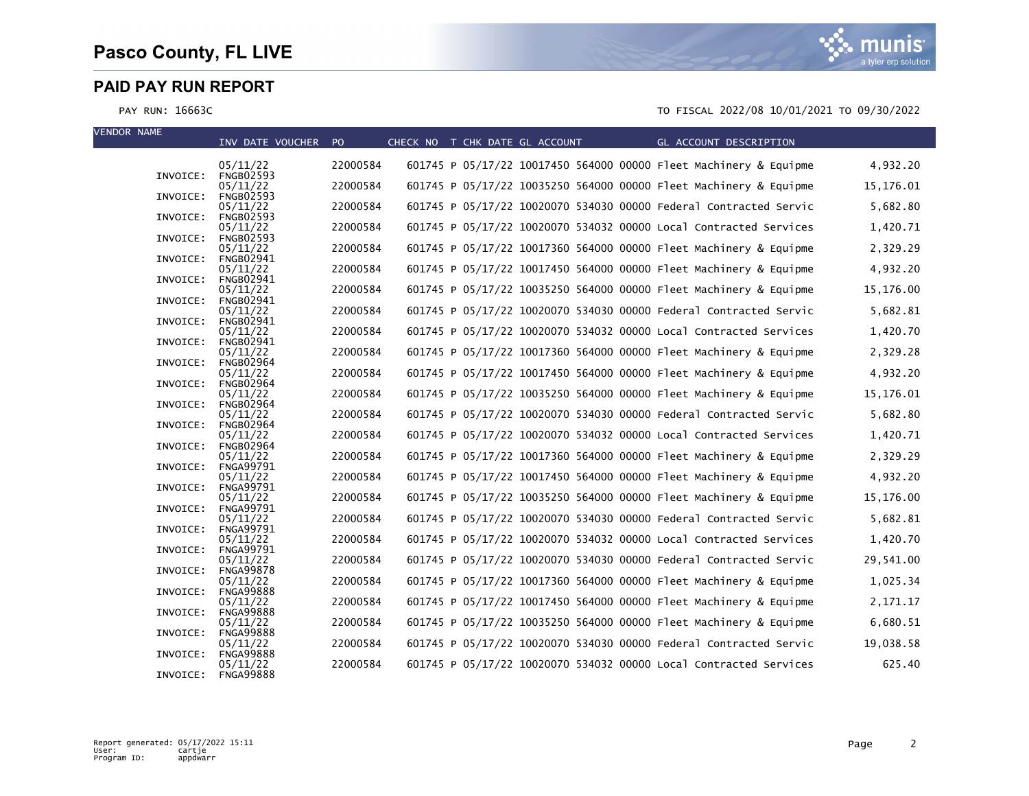| <b>VENDOR NAME</b> |          | INV DATE VOUCHER PO          |          | CHECK NO T CHK DATE GL ACCOUNT |  |  | GL ACCOUNT DESCRIPTION                                            |            |
|--------------------|----------|------------------------------|----------|--------------------------------|--|--|-------------------------------------------------------------------|------------|
|                    |          |                              |          |                                |  |  |                                                                   |            |
|                    | INVOICE: | 05/11/22<br><b>FNGB02593</b> | 22000584 |                                |  |  | 601745 P 05/17/22 10017450 564000 00000 Fleet Machinery & Equipme | 4,932.20   |
|                    | INVOICE: | 05/11/22<br><b>FNGB02593</b> | 22000584 |                                |  |  | 601745 P 05/17/22 10035250 564000 00000 Fleet Machinery & Equipme | 15, 176.01 |
|                    |          | 05/11/22                     | 22000584 |                                |  |  | 601745 P 05/17/22 10020070 534030 00000 Federal Contracted Servic | 5,682.80   |
|                    | INVOICE: | <b>FNGB02593</b><br>05/11/22 | 22000584 |                                |  |  | 601745 P 05/17/22 10020070 534032 00000 Local Contracted Services | 1,420.71   |
|                    | INVOICE: | <b>FNGB02593</b><br>05/11/22 | 22000584 |                                |  |  | 601745 P 05/17/22 10017360 564000 00000 Fleet Machinery & Equipme | 2,329.29   |
|                    | INVOICE: | <b>FNGB02941</b><br>05/11/22 | 22000584 |                                |  |  | 601745 P 05/17/22 10017450 564000 00000 Fleet Machinery & Equipme | 4,932.20   |
|                    | INVOICE: | <b>FNGB02941</b><br>05/11/22 | 22000584 |                                |  |  | 601745 P 05/17/22 10035250 564000 00000 Fleet Machinery & Equipme | 15,176.00  |
|                    | INVOICE: | <b>FNGB02941</b><br>05/11/22 | 22000584 |                                |  |  | 601745 P 05/17/22 10020070 534030 00000 Federal Contracted Servic | 5,682.81   |
|                    | INVOICE: | <b>FNGB02941</b><br>05/11/22 | 22000584 |                                |  |  | 601745 P 05/17/22 10020070 534032 00000 Local Contracted Services | 1,420.70   |
|                    | INVOICE: | <b>FNGB02941</b><br>05/11/22 | 22000584 |                                |  |  | 601745 P 05/17/22 10017360 564000 00000 Fleet Machinery & Equipme | 2,329.28   |
|                    | INVOICE: | <b>FNGB02964</b><br>05/11/22 | 22000584 |                                |  |  | 601745 P 05/17/22 10017450 564000 00000 Fleet Machinery & Equipme | 4,932.20   |
|                    | INVOICE: | <b>FNGB02964</b><br>05/11/22 | 22000584 |                                |  |  | 601745 P 05/17/22 10035250 564000 00000 Fleet Machinery & Equipme | 15, 176.01 |
|                    | INVOICE: | <b>FNGB02964</b><br>05/11/22 | 22000584 |                                |  |  | 601745 P 05/17/22 10020070 534030 00000 Federal Contracted Servic | 5,682.80   |
|                    | INVOICE: | <b>FNGB02964</b><br>05/11/22 | 22000584 |                                |  |  | 601745 P 05/17/22 10020070 534032 00000 Local Contracted Services | 1,420.71   |
|                    | INVOICE: | <b>FNGB02964</b>             |          |                                |  |  |                                                                   |            |
|                    | INVOICE: | 05/11/22<br><b>FNGA99791</b> | 22000584 |                                |  |  | 601745 P 05/17/22 10017360 564000 00000 Fleet Machinery & Equipme | 2,329.29   |
|                    | INVOICE: | 05/11/22<br><b>FNGA99791</b> | 22000584 |                                |  |  | 601745 P 05/17/22 10017450 564000 00000 Fleet Machinery & Equipme | 4,932.20   |
|                    | INVOICE: | 05/11/22<br><b>FNGA99791</b> | 22000584 |                                |  |  | 601745 P 05/17/22 10035250 564000 00000 Fleet Machinery & Equipme | 15,176.00  |
|                    | INVOICE: | 05/11/22<br><b>FNGA99791</b> | 22000584 |                                |  |  | 601745 P 05/17/22 10020070 534030 00000 Federal Contracted Servic | 5,682.81   |
|                    | INVOICE: | 05/11/22<br><b>FNGA99791</b> | 22000584 |                                |  |  | 601745 P 05/17/22 10020070 534032 00000 Local Contracted Services | 1,420.70   |
|                    | INVOICE: | 05/11/22<br><b>FNGA99878</b> | 22000584 |                                |  |  | 601745 P 05/17/22 10020070 534030 00000 Federal Contracted Servic | 29,541.00  |
|                    | INVOICE: | 05/11/22<br><b>FNGA99888</b> | 22000584 |                                |  |  | 601745 P 05/17/22 10017360 564000 00000 Fleet Machinery & Equipme | 1,025.34   |
|                    | INVOICE: | 05/11/22<br><b>FNGA99888</b> | 22000584 |                                |  |  | 601745 P 05/17/22 10017450 564000 00000 Fleet Machinery & Equipme | 2,171.17   |
|                    | INVOICE: | 05/11/22<br><b>FNGA99888</b> | 22000584 |                                |  |  | 601745 P 05/17/22 10035250 564000 00000 Fleet Machinery & Equipme | 6,680.51   |
|                    | INVOICE: | 05/11/22<br><b>FNGA99888</b> | 22000584 |                                |  |  | 601745 P 05/17/22 10020070 534030 00000 Federal Contracted Servic | 19,038.58  |
|                    | INVOICE: | 05/11/22<br><b>FNGA99888</b> | 22000584 |                                |  |  | 601745 P 05/17/22 10020070 534032 00000 Local Contracted Services | 625.40     |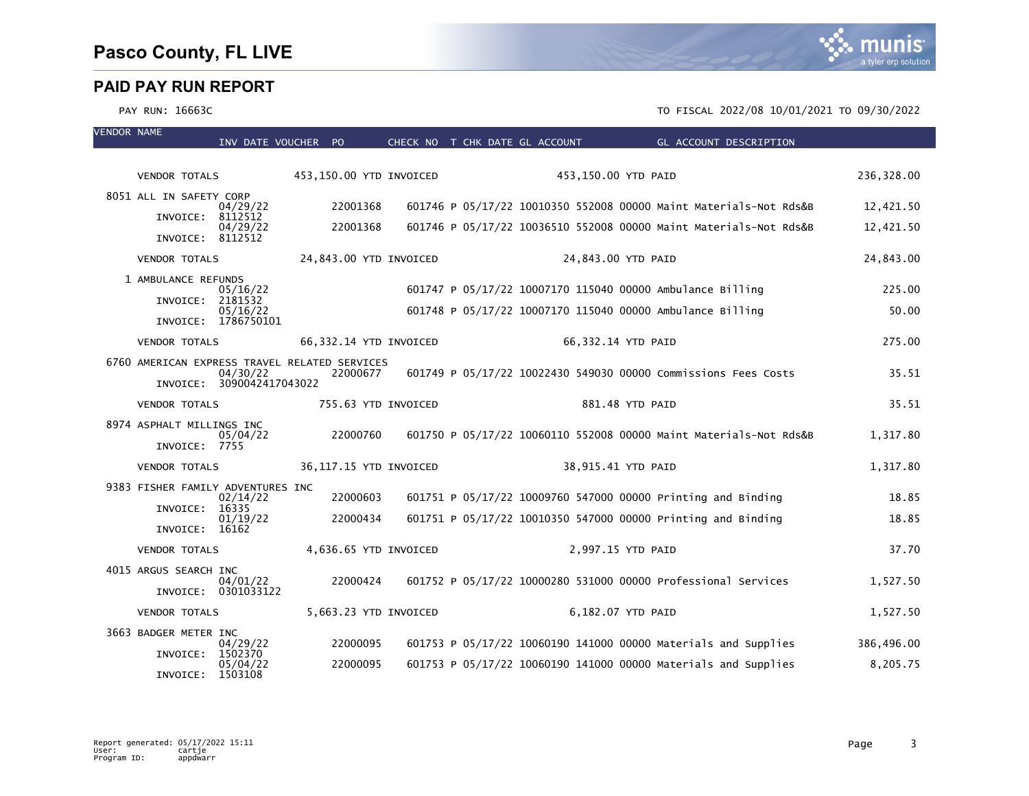VENDOR NAME

|                                               | INV DATE VOUCHER PO     |                        | CHECK NO T CHK DATE GL ACCOUNT | GL ACCOUNT DESCRIPTION                                            |            |
|-----------------------------------------------|-------------------------|------------------------|--------------------------------|-------------------------------------------------------------------|------------|
|                                               |                         |                        |                                |                                                                   |            |
| <b>VENDOR TOTALS</b>                          | 453,150.00 YTD INVOICED |                        |                                | 453,150.00 YTD PAID                                               | 236,328.00 |
| 8051 ALL IN SAFETY CORP<br>04/29/22           | 22001368                |                        |                                | 601746 P 05/17/22 10010350 552008 00000 Maint Materials-Not Rds&B | 12,421.50  |
| INVOICE: 8112512<br>04/29/22                  | 22001368                |                        |                                | 601746 P 05/17/22 10036510 552008 00000 Maint Materials-Not Rds&B | 12,421.50  |
| INVOICE: 8112512                              |                         |                        |                                |                                                                   |            |
| <b>VENDOR TOTALS</b>                          |                         | 24,843.00 YTD INVOICED |                                | 24,843.00 YTD PAID                                                | 24,843.00  |
| 1 AMBULANCE REFUNDS                           |                         |                        |                                |                                                                   |            |
| 05/16/22<br>INVOICE: 2181532                  |                         |                        |                                | 601747 P 05/17/22 10007170 115040 00000 Ambulance Billing         | 225.00     |
| 05/16/22<br>INVOICE: 1786750101               |                         |                        |                                | 601748 P 05/17/22 10007170 115040 00000 Ambulance Billing         | 50.00      |
| <b>VENDOR TOTALS</b>                          |                         | 66,332.14 YTD INVOICED |                                | 66,332.14 YTD PAID                                                | 275.00     |
| 6760 AMERICAN EXPRESS TRAVEL RELATED SERVICES |                         |                        |                                |                                                                   |            |
| 04/30/22<br>INVOICE: 3090042417043022         | 22000677                |                        |                                | 601749 P 05/17/22 10022430 549030 00000 Commissions Fees Costs    | 35.51      |
| <b>VENDOR TOTALS</b>                          |                         | 755.63 YTD INVOICED    |                                | 881.48 YTD PAID                                                   | 35.51      |
| 8974 ASPHALT MILLINGS INC                     |                         |                        |                                |                                                                   |            |
| 05/04/22<br>INVOICE: 7755                     | 22000760                |                        |                                | 601750 P 05/17/22 10060110 552008 00000 Maint Materials-Not Rds&B | 1,317.80   |
| <b>VENDOR TOTALS</b>                          |                         | 36,117.15 YTD INVOICED |                                | 38,915.41 YTD PAID                                                | 1,317.80   |
| 9383 FISHER FAMILY ADVENTURES INC             |                         |                        |                                |                                                                   |            |
| 02/14/22<br>INVOICE: 16335                    | 22000603                |                        |                                | 601751 P 05/17/22 10009760 547000 00000 Printing and Binding      | 18.85      |
| 01/19/22<br>INVOICE: 16162                    | 22000434                |                        |                                | 601751 P 05/17/22 10010350 547000 00000 Printing and Binding      | 18.85      |
|                                               |                         |                        |                                |                                                                   |            |
| <b>VENDOR TOTALS</b>                          |                         | 4,636.65 YTD INVOICED  |                                | 2,997.15 YTD PAID                                                 | 37.70      |
| 4015 ARGUS SEARCH INC<br>04/01/22             | 22000424                |                        |                                | 601752 P 05/17/22 10000280 531000 00000 Professional Services     | 1,527.50   |
| INVOICE: 0301033122                           |                         |                        |                                |                                                                   |            |
| <b>VENDOR TOTALS</b>                          |                         | 5,663.23 YTD INVOICED  |                                | 6,182.07 YTD PAID                                                 | 1,527.50   |
| 3663 BADGER METER INC                         |                         |                        |                                |                                                                   |            |
| 04/29/22<br>INVOICE: 1502370                  | 22000095                |                        |                                | 601753 P 05/17/22 10060190 141000 00000 Materials and Supplies    | 386,496.00 |
| 05/04/22<br>INVOICE: 1503108                  | 22000095                |                        |                                | 601753 P 05/17/22 10060190 141000 00000 Materials and Supplies    | 8,205.75   |

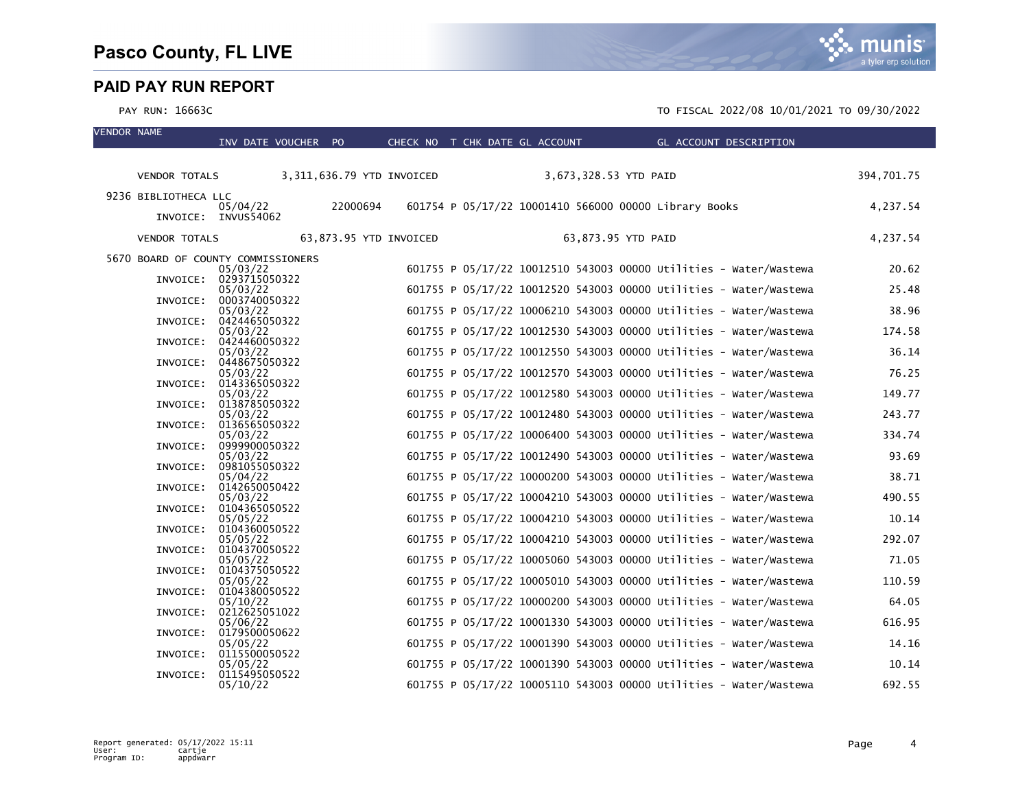VENDOR NAME

|                      | INV DATE VOUCHER PO                |                        |  | CHECK NO T CHK DATE GL ACCOUNT | GL ACCOUNT DESCRIPTION                                            |            |
|----------------------|------------------------------------|------------------------|--|--------------------------------|-------------------------------------------------------------------|------------|
| <b>VENDOR TOTALS</b> | 3,311,636.79 YTD INVOICED          |                        |  |                                | 3,673,328.53 YTD PAID                                             | 394,701.75 |
| 9236 BIBLIOTHECA LLC |                                    |                        |  |                                |                                                                   |            |
|                      | 05/04/22                           | 22000694               |  |                                | 601754 P 05/17/22 10001410 566000 00000 Library Books             | 4,237.54   |
|                      | INVOICE: INVUS54062                |                        |  |                                |                                                                   |            |
| <b>VENDOR TOTALS</b> |                                    | 63,873.95 YTD INVOICED |  |                                | 63,873.95 YTD PAID                                                | 4,237.54   |
|                      | 5670 BOARD OF COUNTY COMMISSIONERS |                        |  |                                |                                                                   |            |
|                      | 05/03/22<br>INVOICE: 0293715050322 |                        |  |                                | 601755 P 05/17/22 10012510 543003 00000 Utilities - Water/Wastewa | 20.62      |
|                      | 05/03/22                           |                        |  |                                | 601755 P 05/17/22 10012520 543003 00000 Utilities - Water/Wastewa | 25.48      |
| INVOICE:             | 0003740050322                      |                        |  |                                |                                                                   |            |
|                      | 05/03/22<br>INVOICE: 0424465050322 |                        |  |                                | 601755 P 05/17/22 10006210 543003 00000 Utilities - Water/Wastewa | 38.96      |
|                      | 05/03/22                           |                        |  |                                | 601755 P 05/17/22 10012530 543003 00000 Utilities - Water/Wastewa | 174.58     |
|                      | INVOICE: 0424460050322             |                        |  |                                |                                                                   |            |
| INVOICE:             | 05/03/22<br>0448675050322          |                        |  |                                | 601755 P 05/17/22 10012550 543003 00000 Utilities - Water/Wastewa | 36.14      |
|                      | 05/03/22                           |                        |  |                                | 601755 P 05/17/22 10012570 543003 00000 Utilities - Water/Wastewa | 76.25      |
|                      | INVOICE: 0143365050322             |                        |  |                                |                                                                   |            |
| INVOICE:             | 05/03/22<br>0138785050322          |                        |  |                                | 601755 P 05/17/22 10012580 543003 00000 Utilities - Water/Wastewa | 149.77     |
|                      | 05/03/22                           |                        |  |                                | 601755 P 05/17/22 10012480 543003 00000 Utilities - Water/Wastewa | 243.77     |
|                      | INVOICE: 0136565050322             |                        |  |                                |                                                                   |            |
|                      | 05/03/22<br>INVOICE: 0999900050322 |                        |  |                                | 601755 P 05/17/22 10006400 543003 00000 Utilities - Water/Wastewa | 334.74     |
|                      | 05/03/22                           |                        |  |                                | 601755 P 05/17/22 10012490 543003 00000 Utilities - Water/Wastewa | 93.69      |
| INVOICE:             | 0981055050322                      |                        |  |                                |                                                                   |            |
| INVOICE:             | 05/04/22<br>0142650050422          |                        |  |                                | 601755 P 05/17/22 10000200 543003 00000 Utilities - Water/Wastewa | 38.71      |
|                      | 05/03/22                           |                        |  |                                | 601755 P 05/17/22 10004210 543003 00000 Utilities - Water/Wastewa | 490.55     |
| INVOICE:             | 0104365050522                      |                        |  |                                |                                                                   |            |
| INVOICE:             | 05/05/22<br>0104360050522          |                        |  |                                | 601755 P 05/17/22 10004210 543003 00000 Utilities - Water/Wastewa | 10.14      |
|                      | 05/05/22                           |                        |  |                                | 601755 P 05/17/22 10004210 543003 00000 Utilities - Water/Wastewa | 292.07     |
|                      | INVOICE: 0104370050522             |                        |  |                                |                                                                   |            |
|                      | 05/05/22<br>INVOICE: 0104375050522 |                        |  |                                | 601755 P 05/17/22 10005060 543003 00000 Utilities - Water/Wastewa | 71.05      |
|                      | 05/05/22                           |                        |  |                                | 601755 P 05/17/22 10005010 543003 00000 Utilities - Water/Wastewa | 110.59     |
| INVOICE:             | 0104380050522                      |                        |  |                                |                                                                   |            |
| INVOICE:             | 05/10/22<br>0212625051022          |                        |  |                                | 601755 P 05/17/22 10000200 543003 00000 Utilities - Water/Wastewa | 64.05      |
|                      | 05/06/22                           |                        |  |                                | 601755 P 05/17/22 10001330 543003 00000 Utilities - Water/Wastewa | 616.95     |
|                      | INVOICE: 0179500050622             |                        |  |                                |                                                                   |            |
|                      | 05/05/22<br>INVOICE: 0115500050522 |                        |  |                                | 601755 P 05/17/22 10001390 543003 00000 Utilities - Water/Wastewa | 14.16      |
|                      | 05/05/22                           |                        |  |                                | 601755 P 05/17/22 10001390 543003 00000 Utilities - Water/Wastewa | 10.14      |
| INVOICE:             | 0115495050522                      |                        |  |                                |                                                                   |            |
|                      | 05/10/22                           |                        |  |                                | 601755 P 05/17/22 10005110 543003 00000 Utilities - Water/Wastewa | 692.55     |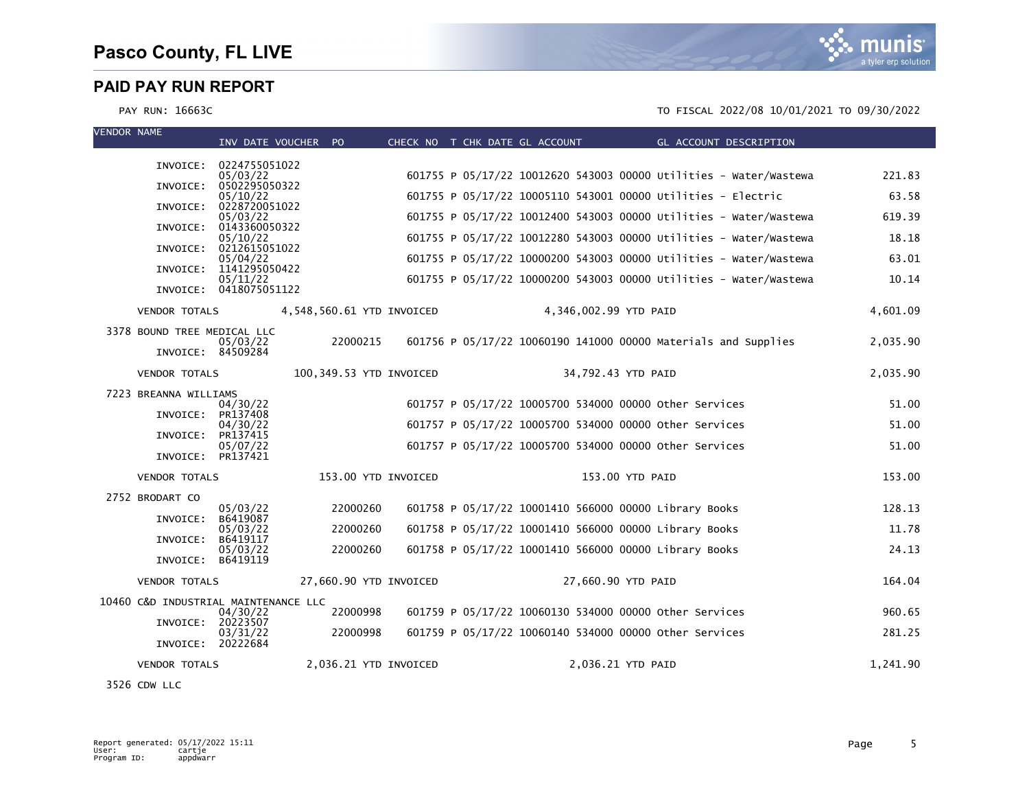

PAY RUN: 16663C TO FISCAL 2022/08 10/01/2021 TO 09/30/2022

| <b>VENDOR NAME</b> |                                      | INV DATE VOUCHER PO                |          |                           |  | CHECK NO T CHK DATE GL ACCOUNT |                       | GL ACCOUNT DESCRIPTION                                       |                                                                   |          |
|--------------------|--------------------------------------|------------------------------------|----------|---------------------------|--|--------------------------------|-----------------------|--------------------------------------------------------------|-------------------------------------------------------------------|----------|
|                    |                                      |                                    |          |                           |  |                                |                       |                                                              |                                                                   |          |
|                    | INVOICE:                             | 0224755051022<br>05/03/22          |          |                           |  |                                |                       |                                                              | 601755 P 05/17/22 10012620 543003 00000 Utilities - Water/Wastewa | 221.83   |
|                    | INVOICE:                             | 0502295050322<br>05/10/22          |          |                           |  |                                |                       | 601755 P 05/17/22 10005110 543001 00000 Utilities - Electric |                                                                   | 63.58    |
|                    | INVOICE:                             | 0228720051022<br>05/03/22          |          |                           |  |                                |                       |                                                              | 601755 P 05/17/22 10012400 543003 00000 Utilities - Water/Wastewa | 619.39   |
|                    | INVOICE:                             | 0143360050322                      |          |                           |  |                                |                       |                                                              |                                                                   |          |
|                    | INVOICE:                             | 05/10/22<br>0212615051022          |          |                           |  |                                |                       |                                                              | 601755 P 05/17/22 10012280 543003 00000 Utilities - Water/Wastewa | 18.18    |
|                    | INVOICE:                             | 05/04/22<br>1141295050422          |          |                           |  |                                |                       |                                                              | 601755 P 05/17/22 10000200 543003 00000 Utilities - Water/Wastewa | 63.01    |
|                    |                                      | 05/11/22<br>INVOICE: 0418075051122 |          |                           |  |                                |                       |                                                              | 601755 P 05/17/22 10000200 543003 00000 Utilities - Water/Wastewa | 10.14    |
|                    | <b>VENDOR TOTALS</b>                 |                                    |          | 4,548,560.61 YTD INVOICED |  |                                | 4,346,002.99 YTD PAID |                                                              |                                                                   | 4,601.09 |
|                    | 3378 BOUND TREE MEDICAL LLC          | 05/03/22                           | 22000215 |                           |  |                                |                       |                                                              | 601756 P 05/17/22 10060190 141000 00000 Materials and Supplies    | 2,035.90 |
|                    | INVOICE: 84509284                    |                                    |          |                           |  |                                |                       |                                                              |                                                                   |          |
|                    | <b>VENDOR TOTALS</b>                 |                                    |          | 100,349.53 YTD INVOICED   |  |                                | 34,792.43 YTD PAID    |                                                              |                                                                   | 2,035.90 |
|                    | 7223 BREANNA WILLIAMS                |                                    |          |                           |  |                                |                       |                                                              |                                                                   |          |
|                    | INVOICE:                             | 04/30/22<br>PR137408               |          |                           |  |                                |                       | 601757 P 05/17/22 10005700 534000 00000 other Services       |                                                                   | 51.00    |
|                    | INVOICE:                             | 04/30/22<br>PR137415               |          |                           |  |                                |                       | 601757 P 05/17/22 10005700 534000 00000 other Services       |                                                                   | 51.00    |
|                    | INVOICE:                             | 05/07/22<br>PR137421               |          |                           |  |                                |                       | 601757 P 05/17/22 10005700 534000 00000 Other Services       |                                                                   | 51.00    |
|                    | <b>VENDOR TOTALS</b>                 |                                    |          | 153.00 YTD INVOICED       |  |                                | 153.00 YTD PAID       |                                                              |                                                                   | 153.00   |
|                    | 2752 BRODART CO                      |                                    |          |                           |  |                                |                       |                                                              |                                                                   |          |
|                    | INVOICE:                             | 05/03/22<br>B6419087               | 22000260 |                           |  |                                |                       | 601758 P 05/17/22 10001410 566000 00000 Library Books        |                                                                   | 128.13   |
|                    | INVOICE:                             | 05/03/22<br>B6419117               | 22000260 |                           |  |                                |                       | 601758 P 05/17/22 10001410 566000 00000 Library Books        |                                                                   | 11.78    |
|                    | INVOICE: B6419119                    | 05/03/22                           | 22000260 |                           |  |                                |                       | 601758 P 05/17/22 10001410 566000 00000 Library Books        |                                                                   | 24.13    |
|                    | <b>VENDOR TOTALS</b>                 |                                    |          | 27,660.90 YTD INVOICED    |  |                                | 27,660.90 YTD PAID    |                                                              |                                                                   | 164.04   |
|                    | 10460 C&D INDUSTRIAL MAINTENANCE LLC |                                    |          |                           |  |                                |                       |                                                              |                                                                   |          |
|                    | INVOICE: 20223507                    | 04/30/22                           | 22000998 |                           |  |                                |                       | 601759 P 05/17/22 10060130 534000 00000 other Services       |                                                                   | 960.65   |
|                    | INVOICE: 20222684                    | 03/31/22                           | 22000998 |                           |  |                                |                       | 601759 P 05/17/22 10060140 534000 00000 other Services       |                                                                   | 281.25   |
|                    | <b>VENDOR TOTALS</b>                 |                                    |          | 2,036.21 YTD INVOICED     |  |                                | 2,036.21 YTD PAID     |                                                              |                                                                   | 1,241.90 |

3526 CDW LLC

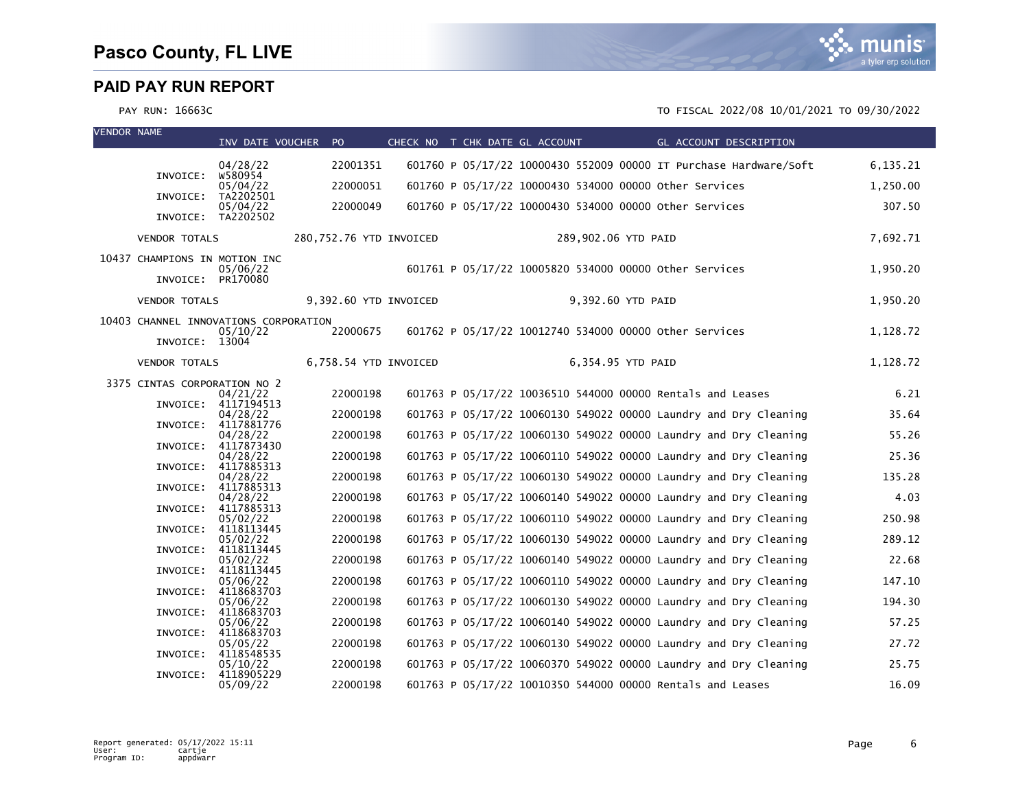

| <b>VENDOR NAME</b> |                               | INV DATE VOUCHER PO                               |                         |  | CHECK NO T CHK DATE GL ACCOUNT | GL ACCOUNT DESCRIPTION                                            |          |
|--------------------|-------------------------------|---------------------------------------------------|-------------------------|--|--------------------------------|-------------------------------------------------------------------|----------|
|                    |                               | 04/28/22                                          | 22001351                |  |                                | 601760 P 05/17/22 10000430 552009 00000 IT Purchase Hardware/Soft | 6,135.21 |
|                    | INVOICE:                      | w580954<br>05/04/22                               | 22000051                |  |                                | 601760 P 05/17/22 10000430 534000 00000 Other Services            | 1,250.00 |
|                    | INVOICE:                      | TA2202501                                         |                         |  |                                |                                                                   |          |
|                    |                               | 05/04/22<br>INVOICE: TA2202502                    | 22000049                |  |                                | 601760 P 05/17/22 10000430 534000 00000 other Services            | 307.50   |
|                    | <b>VENDOR TOTALS</b>          |                                                   | 280,752.76 YTD INVOICED |  |                                | 289,902.06 YTD PAID                                               | 7,692.71 |
|                    | 10437 CHAMPIONS IN MOTION INC |                                                   |                         |  |                                |                                                                   |          |
|                    | INVOICE: PR170080             | 05/06/22                                          |                         |  |                                | 601761 P 05/17/22 10005820 534000 00000 other Services            | 1,950.20 |
|                    | <b>VENDOR TOTALS</b>          |                                                   | 9,392.60 YTD INVOICED   |  |                                | 9,392.60 YTD PAID                                                 | 1,950.20 |
|                    |                               | 10403 CHANNEL INNOVATIONS CORPORATION<br>05/10/22 | 22000675                |  |                                | 601762 P 05/17/22 10012740 534000 00000 other Services            | 1,128.72 |
|                    | INVOICE: 13004                |                                                   |                         |  |                                |                                                                   |          |
|                    | <b>VENDOR TOTALS</b>          |                                                   | 6,758.54 YTD INVOICED   |  |                                | 6,354.95 YTD PAID                                                 | 1,128.72 |
|                    | 3375 CINTAS CORPORATION NO 2  | 04/21/22                                          | 22000198                |  |                                | 601763 P 05/17/22 10036510 544000 00000 Rentals and Leases        | 6.21     |
|                    | INVOICE:                      | 4117194513                                        |                         |  |                                |                                                                   |          |
|                    |                               | 04/28/22<br>INVOICE: 4117881776                   | 22000198                |  |                                | 601763 P 05/17/22 10060130 549022 00000 Laundry and Dry Cleaning  | 35.64    |
|                    | INVOICE:                      | 04/28/22<br>4117873430                            | 22000198                |  |                                | 601763 P 05/17/22 10060130 549022 00000 Laundry and Dry Cleaning  | 55.26    |
|                    | INVOICE:                      | 04/28/22<br>4117885313                            | 22000198                |  |                                | 601763 P 05/17/22 10060110 549022 00000 Laundry and Dry Cleaning  | 25.36    |
|                    |                               | 04/28/22                                          | 22000198                |  |                                | 601763 P 05/17/22 10060130 549022 00000 Laundry and Dry Cleaning  | 135.28   |
|                    | INVOICE:                      | 4117885313<br>04/28/22                            | 22000198                |  |                                | 601763 P 05/17/22 10060140 549022 00000 Laundry and Dry Cleaning  | 4.03     |
|                    |                               | INVOICE: 4117885313<br>05/02/22                   | 22000198                |  |                                | 601763 P 05/17/22 10060110 549022 00000 Laundry and Dry Cleaning  | 250.98   |
|                    | INVOICE:                      | 4118113445<br>05/02/22                            | 22000198                |  |                                | 601763 P 05/17/22 10060130 549022 00000 Laundry and Dry Cleaning  | 289.12   |
|                    | INVOICE:                      | 4118113445                                        |                         |  |                                | 601763 P 05/17/22 10060140 549022 00000 Laundry and Dry Cleaning  |          |
|                    | INVOICE:                      | 05/02/22<br>4118113445                            | 22000198                |  |                                |                                                                   | 22.68    |
|                    | INVOICE:                      | 05/06/22<br>4118683703                            | 22000198                |  |                                | 601763 P 05/17/22 10060110 549022 00000 Laundry and Dry Cleaning  | 147.10   |
|                    | INVOICE:                      | 05/06/22<br>4118683703                            | 22000198                |  |                                | 601763 P 05/17/22 10060130 549022 00000 Laundry and Dry Cleaning  | 194.30   |
|                    |                               | 05/06/22                                          | 22000198                |  |                                | 601763 P 05/17/22 10060140 549022 00000 Laundry and Dry Cleaning  | 57.25    |
|                    | INVOICE:                      | 4118683703<br>05/05/22                            | 22000198                |  |                                | 601763 P 05/17/22 10060130 549022 00000 Laundry and Dry Cleaning  | 27.72    |
|                    | INVOICE:                      | 4118548535<br>05/10/22                            | 22000198                |  |                                | 601763 P 05/17/22 10060370 549022 00000 Laundry and Dry Cleaning  | 25.75    |
|                    | INVOICE:                      | 4118905229<br>05/09/22                            | 22000198                |  |                                | 601763 P 05/17/22 10010350 544000 00000 Rentals and Leases        | 16.09    |

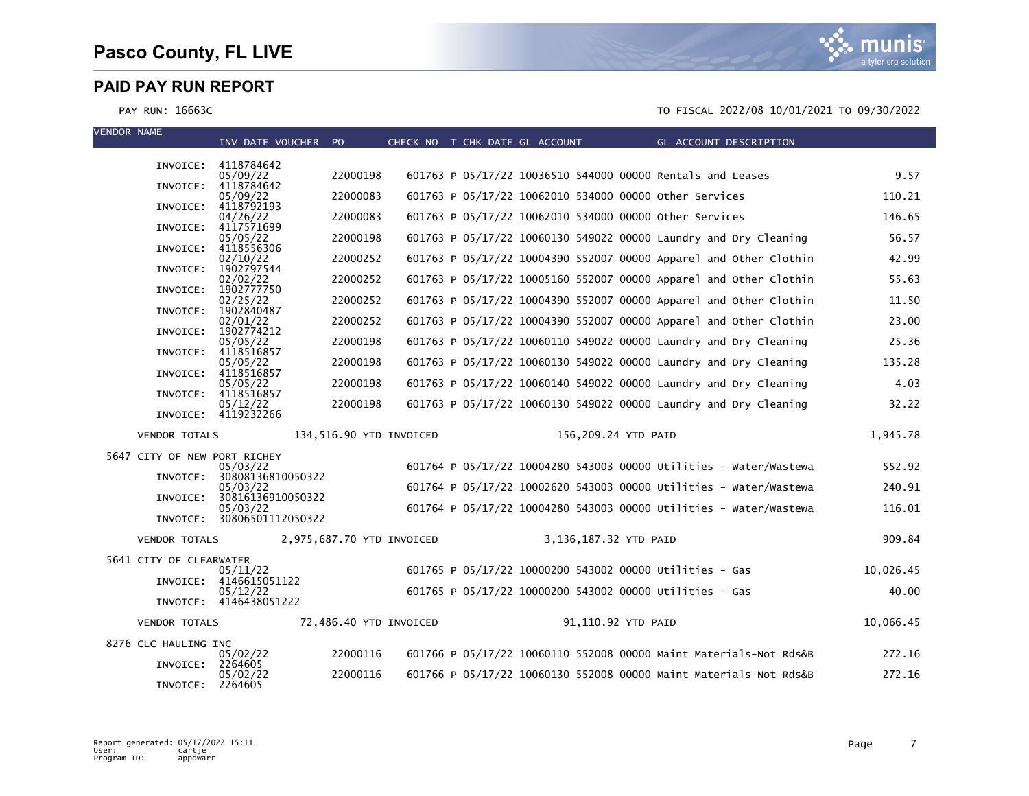| <b>VENDOR NAME</b> |                              | INV DATE VOUCHER PO                    |                         | CHECK NO T CHK DATE GL ACCOUNT |  |                       | GL ACCOUNT DESCRIPTION                                            |           |
|--------------------|------------------------------|----------------------------------------|-------------------------|--------------------------------|--|-----------------------|-------------------------------------------------------------------|-----------|
|                    |                              | INVOICE: 4118784642                    |                         |                                |  |                       |                                                                   |           |
|                    | INVOICE:                     | 05/09/22<br>4118784642                 | 22000198                |                                |  |                       | 601763 P 05/17/22 10036510 544000 00000 Rentals and Leases        | 9.57      |
|                    | INVOICE:                     | 05/09/22<br>4118792193                 | 22000083                |                                |  |                       | 601763 P 05/17/22 10062010 534000 00000 other Services            | 110.21    |
|                    | INVOICE:                     | 04/26/22<br>4117571699                 | 22000083                |                                |  |                       | 601763 P 05/17/22 10062010 534000 00000 other Services            | 146.65    |
|                    | INVOICE:                     | 05/05/22<br>4118556306                 | 22000198                |                                |  |                       | 601763 P 05/17/22 10060130 549022 00000 Laundry and Dry Cleaning  | 56.57     |
|                    | INVOICE:                     | 02/10/22<br>1902797544                 | 22000252                |                                |  |                       | 601763 P 05/17/22 10004390 552007 00000 Apparel and Other Clothin | 42.99     |
|                    |                              | 02/02/22                               | 22000252                |                                |  |                       | 601763 P 05/17/22 10005160 552007 00000 Apparel and Other Clothin | 55.63     |
|                    | INVOICE:                     | 1902777750<br>02/25/22                 | 22000252                |                                |  |                       | 601763 P 05/17/22 10004390 552007 00000 Apparel and Other Clothin | 11.50     |
|                    | INVOICE:                     | 1902840487<br>02/01/22                 | 22000252                |                                |  |                       | 601763 P 05/17/22 10004390 552007 00000 Apparel and Other Clothin | 23.00     |
|                    | INVOICE:                     | 1902774212<br>05/05/22                 | 22000198                |                                |  |                       | 601763 P 05/17/22 10060110 549022 00000 Laundry and Dry Cleaning  | 25.36     |
|                    | INVOICE:                     | 4118516857<br>05/05/22                 | 22000198                |                                |  |                       | 601763 P 05/17/22 10060130 549022 00000 Laundry and Dry Cleaning  | 135.28    |
|                    | INVOICE:                     | 4118516857<br>05/05/22                 | 22000198                |                                |  |                       | 601763 P 05/17/22 10060140 549022 00000 Laundry and Dry Cleaning  | 4.03      |
|                    |                              | INVOICE: 4118516857<br>05/12/22        | 22000198                |                                |  |                       | 601763 P 05/17/22 10060130 549022 00000 Laundry and Dry Cleaning  | 32.22     |
|                    |                              | INVOICE: 4119232266                    |                         |                                |  |                       |                                                                   |           |
|                    | <b>VENDOR TOTALS</b>         |                                        | 134.516.90 YTD INVOICED |                                |  | 156,209.24 YTD PAID   |                                                                   | 1.945.78  |
|                    | 5647 CITY OF NEW PORT RICHEY |                                        |                         |                                |  |                       |                                                                   |           |
|                    | INVOICE:                     | 05/03/22<br>30808136810050322          |                         |                                |  |                       | 601764 P 05/17/22 10004280 543003 00000 Utilities - Water/Wastewa | 552.92    |
|                    | INVOICE:                     | 05/03/22<br>30816136910050322          |                         |                                |  |                       | 601764 P 05/17/22 10002620 543003 00000 Utilities - Water/Wastewa | 240.91    |
|                    |                              | 05/03/22<br>INVOICE: 30806501112050322 |                         |                                |  |                       | 601764 P 05/17/22 10004280 543003 00000 Utilities - Water/Wastewa | 116.01    |
|                    | <b>VENDOR TOTALS</b>         | 2,975,687.70 YTD INVOICED              |                         |                                |  | 3,136,187.32 YTD PAID |                                                                   | 909.84    |
|                    | 5641 CITY OF CLEARWATER      |                                        |                         |                                |  |                       |                                                                   |           |
|                    |                              | 05/11/22<br>INVOICE: 4146615051122     |                         |                                |  |                       | 601765 P 05/17/22 10000200 543002 00000 Utilities - Gas           | 10,026.45 |
|                    |                              | 05/12/22<br>INVOICE: 4146438051222     |                         |                                |  |                       | 601765 P 05/17/22 10000200 543002 00000 Utilities - Gas           | 40.00     |
|                    | <b>VENDOR TOTALS</b>         |                                        | 72,486.40 YTD INVOICED  |                                |  | 91,110.92 YTD PAID    |                                                                   | 10,066.45 |
|                    | 8276 CLC HAULING INC         |                                        |                         |                                |  |                       |                                                                   |           |
|                    | INVOICE:                     | 05/02/22<br>2264605                    | 22000116                |                                |  |                       | 601766 P 05/17/22 10060110 552008 00000 Maint Materials-Not Rds&B | 272.16    |
|                    | INVOICE:                     | 05/02/22<br>2264605                    | 22000116                |                                |  |                       | 601766 P 05/17/22 10060130 552008 00000 Maint Materials-Not Rds&B | 272.16    |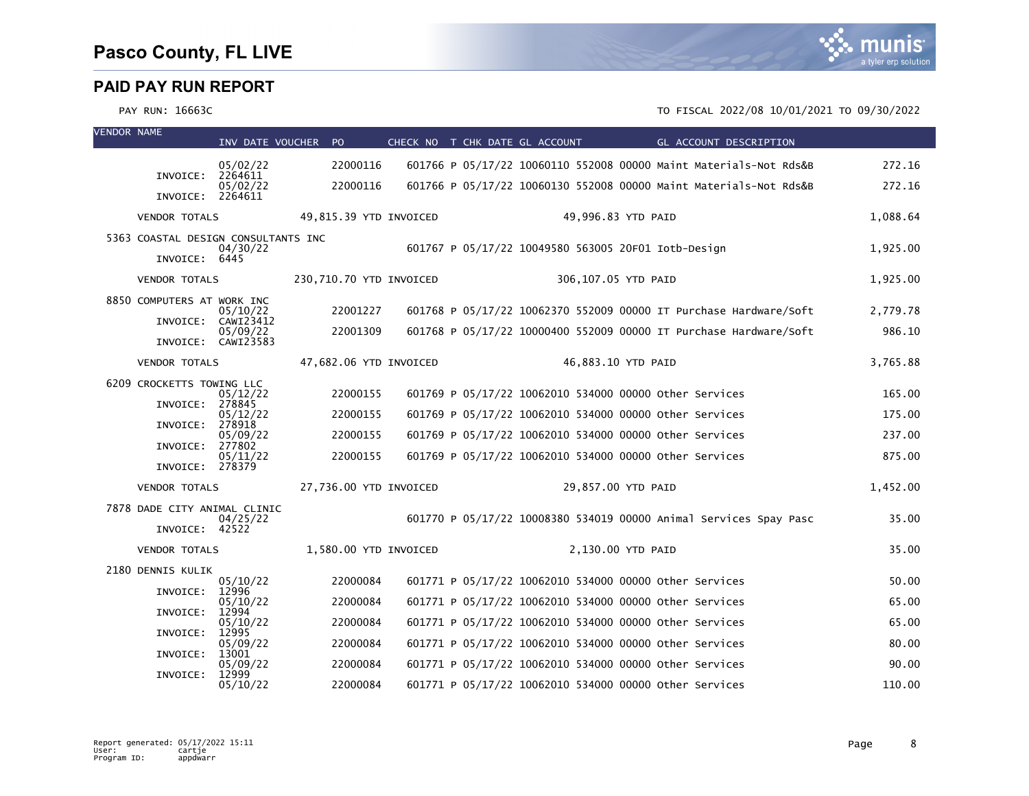

| <b>VENDOR NAME</b> |                                                      |                     | INV DATE VOUCHER PO     | CHECK NO T CHK DATE GL ACCOUNT | <b>Example 2018 GL ACCOUNT DESCRIPTION</b>                        |          |
|--------------------|------------------------------------------------------|---------------------|-------------------------|--------------------------------|-------------------------------------------------------------------|----------|
|                    |                                                      | 05/02/22            | 22000116                |                                | 601766 P 05/17/22 10060110 552008 00000 Maint Materials-Not Rds&B | 272.16   |
|                    | INVOICE:<br>INVOICE: 2264611                         | 2264611<br>05/02/22 | 22000116                |                                | 601766 P 05/17/22 10060130 552008 00000 Maint Materials-Not Rds&B | 272.16   |
|                    | <b>VENDOR TOTALS</b>                                 |                     | 49,815.39 YTD INVOICED  |                                | 49,996.83 YTD PAID                                                | 1,088.64 |
|                    | 5363 COASTAL DESIGN CONSULTANTS INC<br>INVOICE: 6445 | 04/30/22            |                         |                                | 601767 P 05/17/22 10049580 563005 20F01 Iotb-Design               | 1,925.00 |
|                    | <b>VENDOR TOTALS</b>                                 |                     | 230,710.70 YTD INVOICED |                                | 306,107.05 YTD PAID                                               | 1,925.00 |
|                    | 8850 COMPUTERS AT WORK INC<br>INVOICE: CAWI23412     | 05/10/22            | 22001227                |                                | 601768 P 05/17/22 10062370 552009 00000 IT Purchase Hardware/Soft | 2,779.78 |
|                    | INVOICE: CAWI23583                                   | 05/09/22            | 22001309                |                                | 601768 P 05/17/22 10000400 552009 00000 IT Purchase Hardware/Soft | 986.10   |
|                    | <b>VENDOR TOTALS</b>                                 |                     | 47,682.06 YTD INVOICED  |                                | 46,883.10 YTD PAID                                                | 3,765.88 |
|                    | 6209 CROCKETTS TOWING LLC                            | 05/12/22            | 22000155                |                                | 601769 P 05/17/22 10062010 534000 00000 other Services            | 165.00   |
|                    | INVOICE:                                             | 278845<br>05/12/22  | 22000155                |                                | 601769 P 05/17/22 10062010 534000 00000 other Services            | 175.00   |
|                    | INVOICE: 278918                                      | 05/09/22            | 22000155                |                                | 601769 P 05/17/22 10062010 534000 00000 other Services            | 237.00   |
|                    | INVOICE:<br>INVOICE: 278379                          | 277802<br>05/11/22  | 22000155                |                                | 601769 P 05/17/22 10062010 534000 00000 other Services            | 875.00   |
|                    | <b>VENDOR TOTALS</b>                                 |                     | 27,736.00 YTD INVOICED  |                                | 29,857.00 YTD PAID                                                | 1,452.00 |
|                    | 7878 DADE CITY ANIMAL CLINIC<br>INVOICE: 42522       | 04/25/22            |                         |                                | 601770 P 05/17/22 10008380 534019 00000 Animal Services Spay Pasc | 35.00    |
|                    | <b>VENDOR TOTALS</b>                                 |                     | 1,580.00 YTD INVOICED   |                                | 2,130.00 YTD PAID                                                 | 35.00    |
|                    | 2180 DENNIS KULIK                                    | 05/10/22            | 22000084                |                                | 601771 P 05/17/22 10062010 534000 00000 Other Services            | 50.00    |
|                    | INVOICE:                                             | 12996<br>05/10/22   | 22000084                |                                | 601771 P 05/17/22 10062010 534000 00000 other Services            | 65.00    |
|                    | INVOICE:                                             | 12994<br>05/10/22   | 22000084                |                                | 601771 P 05/17/22 10062010 534000 00000 other Services            | 65.00    |
|                    | INVOICE:                                             | 12995<br>05/09/22   | 22000084                |                                | 601771 P 05/17/22 10062010 534000 00000 other Services            | 80.00    |
|                    | INVOICE:                                             | 13001<br>05/09/22   | 22000084                |                                | 601771 P 05/17/22 10062010 534000 00000 other Services            | 90.00    |
|                    | INVOICE:                                             | 12999<br>05/10/22   | 22000084                |                                | 601771 P 05/17/22 10062010 534000 00000 Other Services            | 110.00   |

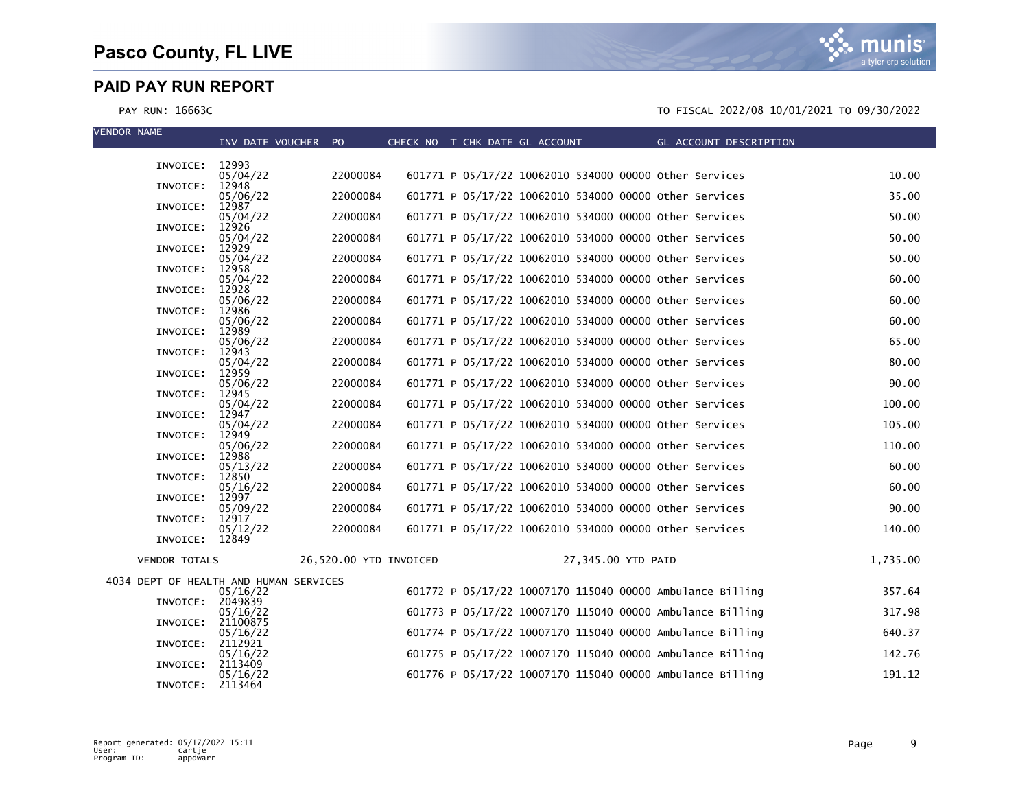| <b>VENDOR NAME</b>   | INV DATE VOUCHER PO                                |                        |  | CHECK NO T CHK DATE GL ACCOUNT                            |                    | GL ACCOUNT DESCRIPTION |          |
|----------------------|----------------------------------------------------|------------------------|--|-----------------------------------------------------------|--------------------|------------------------|----------|
| INVOICE:             | 12993                                              |                        |  |                                                           |                    |                        |          |
|                      | 05/04/22                                           | 22000084               |  | 601771 P 05/17/22 10062010 534000 00000 other Services    |                    |                        | 10.00    |
| INVOICE:             | 12948<br>05/06/22                                  | 22000084               |  | 601771 P 05/17/22 10062010 534000 00000 other Services    |                    |                        | 35.00    |
| INVOICE:             | 12987<br>05/04/22                                  | 22000084               |  | 601771 P 05/17/22 10062010 534000 00000 other Services    |                    |                        | 50.00    |
| INVOICE:             | 12926<br>05/04/22                                  | 22000084               |  | 601771 P 05/17/22 10062010 534000 00000 other Services    |                    |                        | 50.00    |
| INVOICE:             | 12929<br>05/04/22                                  | 22000084               |  | 601771 P 05/17/22 10062010 534000 00000 other Services    |                    |                        | 50.00    |
| INVOICE:             | 12958                                              |                        |  |                                                           |                    |                        |          |
| INVOICE:             | 05/04/22<br>12928                                  | 22000084               |  | 601771 P 05/17/22 10062010 534000 00000 other Services    |                    |                        | 60.00    |
| INVOICE:             | 05/06/22<br>12986                                  | 22000084               |  | 601771 P 05/17/22 10062010 534000 00000 other Services    |                    |                        | 60.00    |
| INVOICE:             | 05/06/22<br>12989                                  | 22000084               |  | 601771 P 05/17/22 10062010 534000 00000 other Services    |                    |                        | 60.00    |
| INVOICE:             | 05/06/22<br>12943                                  | 22000084               |  | 601771 P 05/17/22 10062010 534000 00000 other Services    |                    |                        | 65.00    |
|                      | 05/04/22                                           | 22000084               |  | 601771 P 05/17/22 10062010 534000 00000 other Services    |                    |                        | 80.00    |
| INVOICE:             | 12959<br>05/06/22                                  | 22000084               |  | 601771 P 05/17/22 10062010 534000 00000 Other Services    |                    |                        | 90.00    |
| INVOICE:             | 12945<br>05/04/22                                  | 22000084               |  | 601771 P 05/17/22 10062010 534000 00000 other Services    |                    |                        | 100.00   |
| INVOICE:             | 12947<br>05/04/22                                  | 22000084               |  | 601771 P 05/17/22 10062010 534000 00000 other Services    |                    |                        | 105.00   |
| INVOICE:             | 12949                                              | 22000084               |  | 601771 P 05/17/22 10062010 534000 00000 other Services    |                    |                        | 110.00   |
| INVOICE:             | 05/06/22<br>12988                                  |                        |  |                                                           |                    |                        |          |
| INVOICE:             | 05/13/22<br>12850                                  | 22000084               |  | 601771 P 05/17/22 10062010 534000 00000 other Services    |                    |                        | 60.00    |
| INVOICE:             | 05/16/22<br>12997                                  | 22000084               |  | 601771 P 05/17/22 10062010 534000 00000 other Services    |                    |                        | 60.00    |
| INVOICE:             | 05/09/22<br>12917                                  | 22000084               |  | 601771 P 05/17/22 10062010 534000 00000 other Services    |                    |                        | 90.00    |
|                      | 05/12/22                                           | 22000084               |  | 601771 P 05/17/22 10062010 534000 00000 other Services    |                    |                        | 140.00   |
| INVOICE:             | 12849                                              |                        |  |                                                           |                    |                        |          |
| <b>VENDOR TOTALS</b> |                                                    | 26,520.00 YTD INVOICED |  |                                                           | 27,345.00 YTD PAID |                        | 1,735.00 |
|                      | 4034 DEPT OF HEALTH AND HUMAN SERVICES<br>05/16/22 |                        |  | 601772 P 05/17/22 10007170 115040 00000 Ambulance Billing |                    |                        | 357.64   |
| INVOICE:             | 2049839                                            |                        |  | 601773 P 05/17/22 10007170 115040 00000 Ambulance Billing |                    |                        |          |
| INVOICE:             | 05/16/22<br>21100875                               |                        |  |                                                           |                    |                        | 317.98   |
| INVOICE:             | 05/16/22<br>2112921                                |                        |  | 601774 P 05/17/22 10007170 115040 00000 Ambulance Billing |                    |                        | 640.37   |
| INVOICE:             | 05/16/22<br>2113409                                |                        |  | 601775 P 05/17/22 10007170 115040 00000 Ambulance Billing |                    |                        | 142.76   |
| INVOICE:             | 05/16/22<br>2113464                                |                        |  | 601776 P 05/17/22 10007170 115040 00000 Ambulance Billing |                    |                        | 191.12   |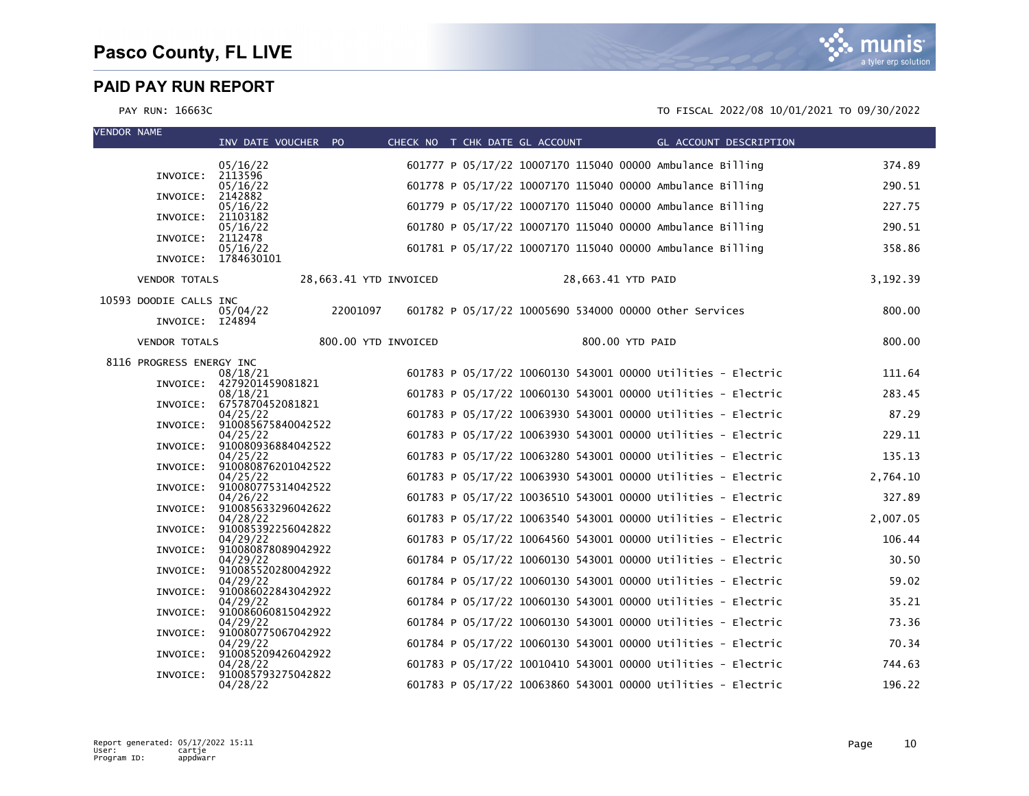

| <b>VENDOR NAME</b> |                          | INV DATE VOUCHER PO                     |          |                        |  | CHECK NO T CHK DATE GL ACCOUNT THE GL ACCOUNT DESCRIPTION    |          |
|--------------------|--------------------------|-----------------------------------------|----------|------------------------|--|--------------------------------------------------------------|----------|
|                    |                          | 05/16/22                                |          |                        |  | 601777 P 05/17/22 10007170 115040 00000 Ambulance Billing    | 374.89   |
|                    | INVOICE:                 | 2113596<br>05/16/22                     |          |                        |  | 601778 P 05/17/22 10007170 115040 00000 Ambulance Billing    | 290.51   |
|                    | INVOICE:                 | 2142882<br>05/16/22                     |          |                        |  | 601779 P 05/17/22 10007170 115040 00000 Ambulance Billing    | 227.75   |
|                    | INVOICE:                 | 21103182<br>05/16/22                    |          |                        |  | 601780 P 05/17/22 10007170 115040 00000 Ambulance Billing    | 290.51   |
|                    | INVOICE: 2112478         | 05/16/22                                |          |                        |  | 601781 P 05/17/22 10007170 115040 00000 Ambulance Billing    | 358.86   |
|                    |                          | INVOICE: 1784630101                     |          |                        |  |                                                              |          |
|                    | <b>VENDOR TOTALS</b>     |                                         |          | 28,663.41 YTD INVOICED |  | 28,663.41 YTD PAID                                           | 3,192.39 |
|                    | 10593 DOODIE CALLS INC   | 05/04/22                                | 22001097 |                        |  | 601782 P 05/17/22 10005690 534000 00000 Other Services       | 800.00   |
|                    | INVOICE: I24894          |                                         |          |                        |  |                                                              |          |
|                    | <b>VENDOR TOTALS</b>     |                                         |          | 800.00 YTD INVOICED    |  | 800.00 YTD PAID                                              | 800.00   |
|                    | 8116 PROGRESS ENERGY INC | 08/18/21                                |          |                        |  | 601783 P 05/17/22 10060130 543001 00000 Utilities - Electric | 111.64   |
|                    |                          | INVOICE: 4279201459081821<br>08/18/21   |          |                        |  | 601783 P 05/17/22 10060130 543001 00000 Utilities - Electric | 283.45   |
|                    |                          | INVOICE: 6757870452081821<br>04/25/22   |          |                        |  | 601783 P 05/17/22 10063930 543001 00000 Utilities - Electric | 87.29    |
|                    |                          | INVOICE: 910085675840042522             |          |                        |  | 601783 P 05/17/22 10063930 543001 00000 Utilities - Electric |          |
|                    |                          | 04/25/22<br>INVOICE: 910080936884042522 |          |                        |  |                                                              | 229.11   |
|                    |                          | 04/25/22<br>INVOICE: 910080876201042522 |          |                        |  | 601783 P 05/17/22 10063280 543001 00000 Utilities - Electric | 135.13   |
|                    |                          | 04/25/22<br>INVOICE: 910080775314042522 |          |                        |  | 601783 P 05/17/22 10063930 543001 00000 Utilities - Electric | 2,764.10 |
|                    |                          | 04/26/22<br>INVOICE: 910085633296042622 |          |                        |  | 601783 P 05/17/22 10036510 543001 00000 Utilities - Electric | 327.89   |
|                    | INVOICE:                 | 04/28/22<br>910085392256042822          |          |                        |  | 601783 P 05/17/22 10063540 543001 00000 Utilities - Electric | 2,007.05 |
|                    | INVOICE:                 | 04/29/22<br>910080878089042922          |          |                        |  | 601783 P 05/17/22 10064560 543001 00000 Utilities - Electric | 106.44   |
|                    |                          | 04/29/22<br>INVOICE: 910085520280042922 |          |                        |  | 601784 P 05/17/22 10060130 543001 00000 Utilities - Electric | 30.50    |
|                    |                          | 04/29/22<br>INVOICE: 910086022843042922 |          |                        |  | 601784 P 05/17/22 10060130 543001 00000 Utilities - Electric | 59.02    |
|                    | INVOICE:                 | 04/29/22<br>910086060815042922          |          |                        |  | 601784 P 05/17/22 10060130 543001 00000 Utilities - Electric | 35.21    |
|                    | INVOICE:                 | 04/29/22<br>910080775067042922          |          |                        |  | 601784 P 05/17/22 10060130 543001 00000 Utilities - Electric | 73.36    |
|                    | INVOICE:                 | 04/29/22<br>910085209426042922          |          |                        |  | 601784 P 05/17/22 10060130 543001 00000 Utilities - Electric | 70.34    |
|                    | INVOICE:                 | 04/28/22<br>910085793275042822          |          |                        |  | 601783 P 05/17/22 10010410 543001 00000 Utilities - Electric | 744.63   |
|                    |                          | 04/28/22                                |          |                        |  | 601783 P 05/17/22 10063860 543001 00000 Utilities - Electric | 196.22   |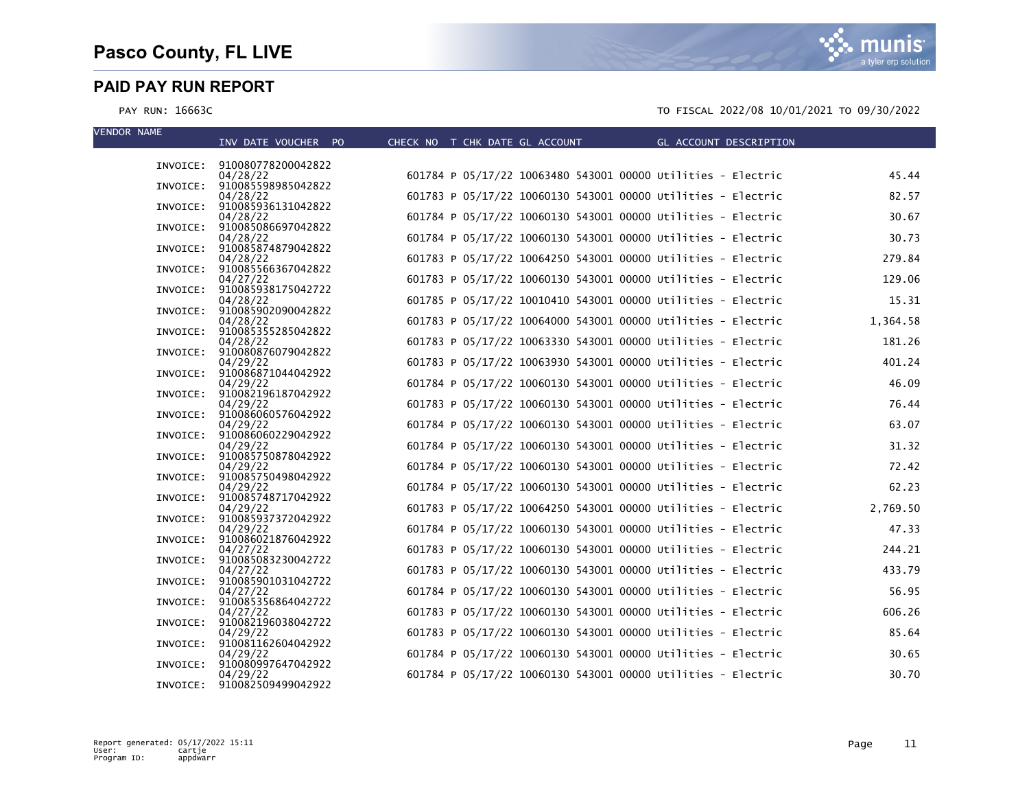munis a tyler erp solution

| <b>VENDOR NAME</b> | INV DATE VOUCHER PO                     | CHECK NO T CHK DATE GL ACCOUNT                               | GL ACCOUNT DESCRIPTION |
|--------------------|-----------------------------------------|--------------------------------------------------------------|------------------------|
|                    |                                         |                                                              |                        |
|                    | INVOICE: 910080778200042822<br>04/28/22 | 601784 P 05/17/22 10063480 543001 00000 Utilities - Electric | 45.44                  |
|                    | INVOICE: 910085598985042822             |                                                              |                        |
|                    | 04/28/22<br>INVOICE: 910085936131042822 | 601783 P 05/17/22 10060130 543001 00000 Utilities - Electric | 82.57                  |
|                    | 04/28/22                                | 601784 P 05/17/22 10060130 543001 00000 Utilities - Electric | 30.67                  |
|                    | INVOICE: 910085086697042822<br>04/28/22 | 601784 P 05/17/22 10060130 543001 00000 Utilities - Electric | 30.73                  |
|                    | INVOICE: 910085874879042822             |                                                              |                        |
|                    | 04/28/22<br>INVOICE: 910085566367042822 | 601783 P 05/17/22 10064250 543001 00000 Utilities - Electric | 279.84                 |
|                    | 04/27/22                                | 601783 P 05/17/22 10060130 543001 00000 Utilities - Electric | 129.06                 |
|                    | INVOICE: 910085938175042722<br>04/28/22 | 601785 P 05/17/22 10010410 543001 00000 Utilities - Electric | 15.31                  |
|                    | INVOICE: 910085902090042822             |                                                              |                        |
|                    | 04/28/22<br>INVOICE: 910085355285042822 | 601783 P 05/17/22 10064000 543001 00000 Utilities - Electric | 1,364.58               |
|                    | 04/28/22                                | 601783 P 05/17/22 10063330 543001 00000 Utilities - Electric | 181.26                 |
|                    | INVOICE: 910080876079042822<br>04/29/22 | 601783 P 05/17/22 10063930 543001 00000 Utilities - Electric | 401.24                 |
| INVOICE:           | 910086871044042922                      |                                                              |                        |
|                    | 04/29/22                                | 601784 P 05/17/22 10060130 543001 00000 Utilities - Electric | 46.09                  |
|                    | INVOICE: 910082196187042922<br>04/29/22 | 601783 P 05/17/22 10060130 543001 00000 Utilities - Electric | 76.44                  |
|                    | INVOICE: 910086060576042922             |                                                              |                        |
| INVOICE:           | 04/29/22<br>910086060229042922          | 601784 P 05/17/22 10060130 543001 00000 Utilities - Electric | 63.07                  |
|                    | 04/29/22                                | 601784 P 05/17/22 10060130 543001 00000 Utilities - Electric | 31.32                  |
|                    | INVOICE: 910085750878042922<br>04/29/22 | 601784 P 05/17/22 10060130 543001 00000 Utilities - Electric | 72.42                  |
|                    | INVOICE: 910085750498042922             |                                                              |                        |
| INVOICE:           | 04/29/22<br>910085748717042922          | 601784 P 05/17/22 10060130 543001 00000 Utilities - Electric | 62.23                  |
|                    | 04/29/22                                | 601783 P 05/17/22 10064250 543001 00000 Utilities - Electric | 2,769.50               |
|                    | INVOICE: 910085937372042922<br>04/29/22 | 601784 P 05/17/22 10060130 543001 00000 Utilities - Electric | 47.33                  |
|                    | INVOICE: 910086021876042922             |                                                              |                        |
|                    | 04/27/22<br>INVOICE: 910085083230042722 | 601783 P 05/17/22 10060130 543001 00000 Utilities - Electric | 244.21                 |
|                    | 04/27/22                                | 601783 P 05/17/22 10060130 543001 00000 Utilities - Electric | 433.79                 |
| INVOICE:           | 910085901031042722<br>04/27/22          | 601784 P 05/17/22 10060130 543001 00000 Utilities - Electric | 56.95                  |
|                    | INVOICE: 910085356864042722             |                                                              |                        |
|                    | 04/27/22<br>910082196038042722          | 601783 P 05/17/22 10060130 543001 00000 Utilities - Electric | 606.26                 |
| INVOICE:           | 04/29/22                                | 601783 P 05/17/22 10060130 543001 00000 Utilities - Electric | 85.64                  |
|                    | INVOICE: 910081162604042922             |                                                              |                        |
| INVOICE:           | 04/29/22<br>910080997647042922          | 601784 P 05/17/22 10060130 543001 00000 Utilities - Electric | 30.65                  |
|                    | 04/29/22                                | 601784 P 05/17/22 10060130 543001 00000 Utilities - Electric | 30.70                  |
|                    | INVOICE: 910082509499042922             |                                                              |                        |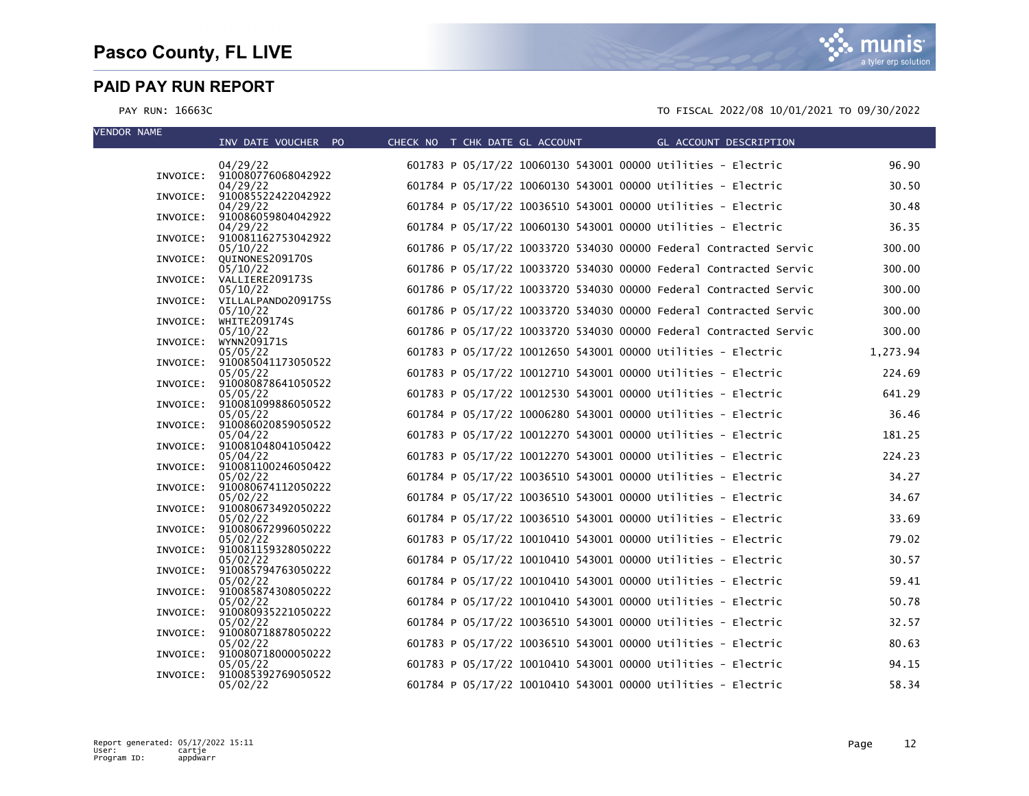| <b>VENDOR NAME</b> | INV DATE VOUCHER PO                     | CHECK NO T CHK DATE GL ACCOUNT | GL ACCOUNT DESCRIPTION                                                                                                       |                |
|--------------------|-----------------------------------------|--------------------------------|------------------------------------------------------------------------------------------------------------------------------|----------------|
|                    | 04/29/22                                |                                | 601783 P 05/17/22 10060130 543001 00000 Utilities - Electric                                                                 | 96.90          |
|                    | INVOICE: 910080776068042922<br>04/29/22 |                                | 601784 P 05/17/22 10060130 543001 00000 Utilities - Electric                                                                 | 30.50          |
| INVOICE:           | 910085522422042922<br>04/29/22          |                                | 601784 P 05/17/22 10036510 543001 00000 Utilities - Electric                                                                 | 30.48          |
|                    | INVOICE: 910086059804042922<br>04/29/22 |                                | 601784 P 05/17/22 10060130 543001 00000 Utilities - Electric                                                                 | 36.35          |
|                    | INVOICE: 910081162753042922<br>05/10/22 |                                | 601786 P 05/17/22 10033720 534030 00000 Federal Contracted Servic                                                            | 300.00         |
|                    | INVOICE: QUINONES209170S<br>05/10/22    |                                | 601786 P 05/17/22 10033720 534030 00000 Federal Contracted Servic                                                            | 300.00         |
|                    | INVOICE: VALLIERE209173S<br>05/10/22    |                                | 601786 P 05/17/22 10033720 534030 00000 Federal Contracted Servic                                                            | 300.00         |
|                    | INVOICE: VILLALPAND0209175S<br>05/10/22 |                                | 601786 P 05/17/22 10033720 534030 00000 Federal Contracted Servic                                                            | 300.00         |
|                    | INVOICE: WHITE209174S<br>05/10/22       |                                | 601786 P 05/17/22 10033720 534030 00000 Federal Contracted Servic                                                            | 300.00         |
| INVOICE:           | WYNN209171S<br>05/05/22                 |                                | 601783 P 05/17/22 10012650 543001 00000 Utilities - Electric                                                                 | 1,273.94       |
|                    | INVOICE: 910085041173050522<br>05/05/22 |                                | 601783 P 05/17/22 10012710 543001 00000 Utilities - Electric                                                                 | 224.69         |
|                    | INVOICE: 910080878641050522<br>05/05/22 |                                | 601783 P 05/17/22 10012530 543001 00000 Utilities - Electric                                                                 | 641.29         |
|                    | INVOICE: 910081099886050522<br>05/05/22 |                                | 601784 P 05/17/22 10006280 543001 00000 Utilities - Electric                                                                 | 36.46          |
|                    | INVOICE: 910086020859050522<br>05/04/22 |                                | 601783 P 05/17/22 10012270 543001 00000 Utilities - Electric                                                                 | 181.25         |
|                    | INVOICE: 910081048041050422<br>05/04/22 |                                | 601783 P 05/17/22 10012270 543001 00000 Utilities - Electric                                                                 | 224.23         |
|                    | INVOICE: 910081100246050422<br>05/02/22 |                                | 601784 P 05/17/22 10036510 543001 00000 Utilities - Electric                                                                 | 34.27          |
| INVOICE:           | 910080674112050222<br>05/02/22          |                                | 601784 P 05/17/22 10036510 543001 00000 Utilities - Electric                                                                 | 34.67          |
|                    | INVOICE: 910080673492050222             |                                |                                                                                                                              |                |
| INVOICE:           | 05/02/22<br>910080672996050222          |                                | 601784 P 05/17/22 10036510 543001 00000 Utilities - Electric                                                                 | 33.69<br>79.02 |
|                    | 05/02/22<br>INVOICE: 910081159328050222 |                                | 601783 P 05/17/22 10010410 543001 00000 Utilities - Electric<br>601784 P 05/17/22 10010410 543001 00000 Utilities - Electric | 30.57          |
|                    | 05/02/22<br>INVOICE: 910085794763050222 |                                |                                                                                                                              |                |
|                    | 05/02/22<br>INVOICE: 910085874308050222 |                                | 601784 P 05/17/22 10010410 543001 00000 Utilities - Electric                                                                 | 59.41          |
|                    | 05/02/22<br>INVOICE: 910080935221050222 |                                | 601784 P 05/17/22 10010410 543001 00000 Utilities - Electric                                                                 | 50.78          |
|                    | 05/02/22<br>INVOICE: 910080718878050222 |                                | 601784 P 05/17/22 10036510 543001 00000 Utilities - Electric                                                                 | 32.57          |
|                    | 05/02/22<br>INVOICE: 910080718000050222 |                                | 601783 P 05/17/22 10036510 543001 00000 Utilities - Electric                                                                 | 80.63          |
| INVOICE:           | 05/05/22<br>910085392769050522          |                                | 601783 P 05/17/22 10010410 543001 00000 Utilities - Electric                                                                 | 94.15          |
|                    | 05/02/22                                |                                | 601784 P 05/17/22 10010410 543001 00000 Utilities - Electric                                                                 | 58.34          |

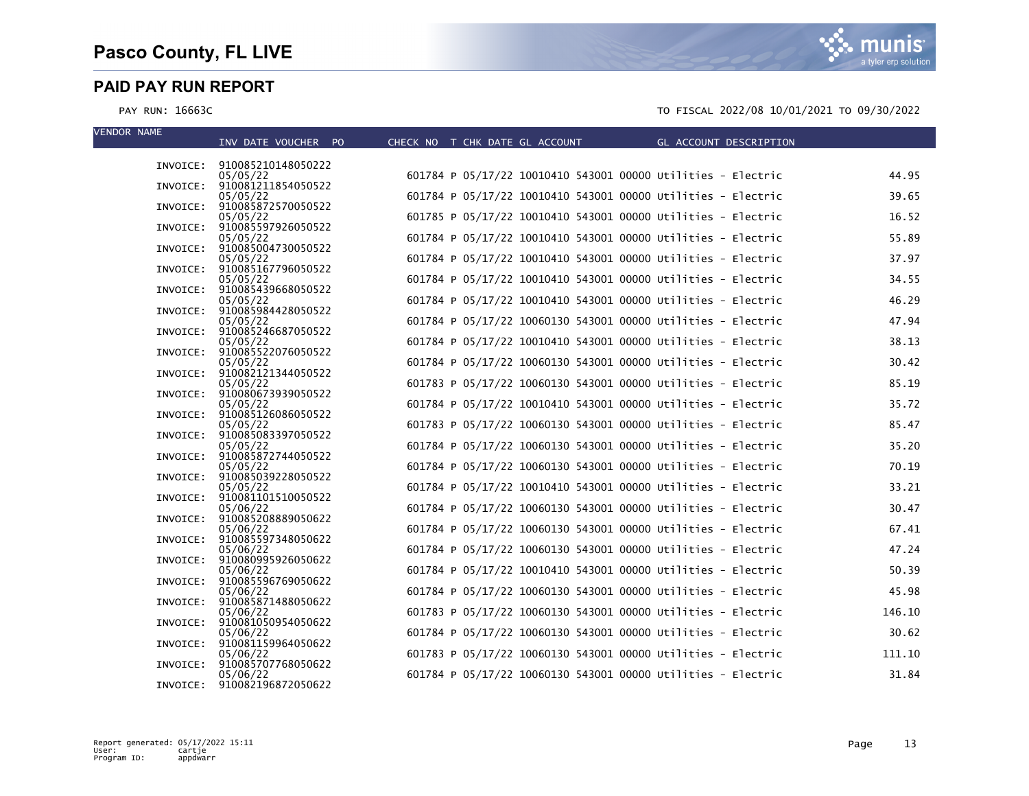munis a tyler erp solution

| <b>VENDOR NAME</b> | INV DATE VOUCHER PO                     | CHECK NO T CHK DATE GL ACCOUNT THE GL ACCOUNT DESCRIPTION    |        |
|--------------------|-----------------------------------------|--------------------------------------------------------------|--------|
|                    |                                         |                                                              |        |
|                    | INVOICE: 910085210148050222<br>05/05/22 | 601784 P 05/17/22 10010410 543001 00000 Utilities - Electric | 44.95  |
|                    | INVOICE: 910081211854050522             |                                                              |        |
|                    | 05/05/22<br>INVOICE: 910085872570050522 | 601784 P 05/17/22 10010410 543001 00000 Utilities - Electric | 39.65  |
|                    | 05/05/22                                | 601785 P 05/17/22 10010410 543001 00000 Utilities - Electric | 16.52  |
|                    | INVOICE: 910085597926050522<br>05/05/22 | 601784 P 05/17/22 10010410 543001 00000 Utilities - Electric | 55.89  |
|                    | INVOICE: 910085004730050522             |                                                              |        |
|                    | 05/05/22<br>INVOICE: 910085167796050522 | 601784 P 05/17/22 10010410 543001 00000 Utilities - Electric | 37.97  |
|                    | 05/05/22                                | 601784 P 05/17/22 10010410 543001 00000 Utilities - Electric | 34.55  |
|                    | INVOICE: 910085439668050522<br>05/05/22 | 601784 P 05/17/22 10010410 543001 00000 Utilities - Electric | 46.29  |
|                    | INVOICE: 910085984428050522             |                                                              |        |
|                    | 05/05/22<br>INVOICE: 910085246687050522 | 601784 P 05/17/22 10060130 543001 00000 Utilities - Electric | 47.94  |
|                    | 05/05/22                                | 601784 P 05/17/22 10010410 543001 00000 Utilities - Electric | 38.13  |
|                    | INVOICE: 910085522076050522<br>05/05/22 | 601784 P 05/17/22 10060130 543001 00000 Utilities - Electric | 30.42  |
|                    | INVOICE: 910082121344050522             |                                                              |        |
|                    | 05/05/22<br>INVOICE: 910080673939050522 | 601783 P 05/17/22 10060130 543001 00000 Utilities - Electric | 85.19  |
|                    | 05/05/22                                | 601784 P 05/17/22 10010410 543001 00000 Utilities - Electric | 35.72  |
|                    | INVOICE: 910085126086050522<br>05/05/22 | 601783 P 05/17/22 10060130 543001 00000 Utilities - Electric | 85.47  |
| INVOICE:           | 910085083397050522                      |                                                              |        |
|                    | 05/05/22<br>INVOICE: 910085872744050522 | 601784 P 05/17/22 10060130 543001 00000 Utilities - Electric | 35.20  |
|                    | 05/05/22                                | 601784 P 05/17/22 10060130 543001 00000 Utilities - Electric | 70.19  |
|                    | INVOICE: 910085039228050522<br>05/05/22 | 601784 P 05/17/22 10010410 543001 00000 Utilities - Electric | 33.21  |
| INVOICE:           | 910081101510050522                      |                                                              |        |
|                    | 05/06/22<br>INVOICE: 910085208889050622 | 601784 P 05/17/22 10060130 543001 00000 Utilities - Electric | 30.47  |
|                    | 05/06/22                                | 601784 P 05/17/22 10060130 543001 00000 Utilities - Electric | 67.41  |
|                    | INVOICE: 910085597348050622<br>05/06/22 | 601784 P 05/17/22 10060130 543001 00000 Utilities - Electric | 47.24  |
|                    | INVOICE: 910080995926050622             |                                                              |        |
|                    | 05/06/22<br>INVOICE: 910085596769050622 | 601784 P 05/17/22 10010410 543001 00000 Utilities - Electric | 50.39  |
|                    | 05/06/22                                | 601784 P 05/17/22 10060130 543001 00000 Utilities - Electric | 45.98  |
|                    | INVOICE: 910085871488050622<br>05/06/22 | 601783 P 05/17/22 10060130 543001 00000 Utilities - Electric | 146.10 |
| INVOICE:           | 910081050954050622                      |                                                              |        |
|                    | 05/06/22                                | 601784 P 05/17/22 10060130 543001 00000 Utilities - Electric | 30.62  |
|                    | INVOICE: 910081159964050622<br>05/06/22 | 601783 P 05/17/22 10060130 543001 00000 Utilities - Electric | 111.10 |
| INVOICE:           | 910085707768050622<br>05/06/22          | 601784 P 05/17/22 10060130 543001 00000 Utilities - Electric | 31.84  |
|                    | INVOICE: 910082196872050622             |                                                              |        |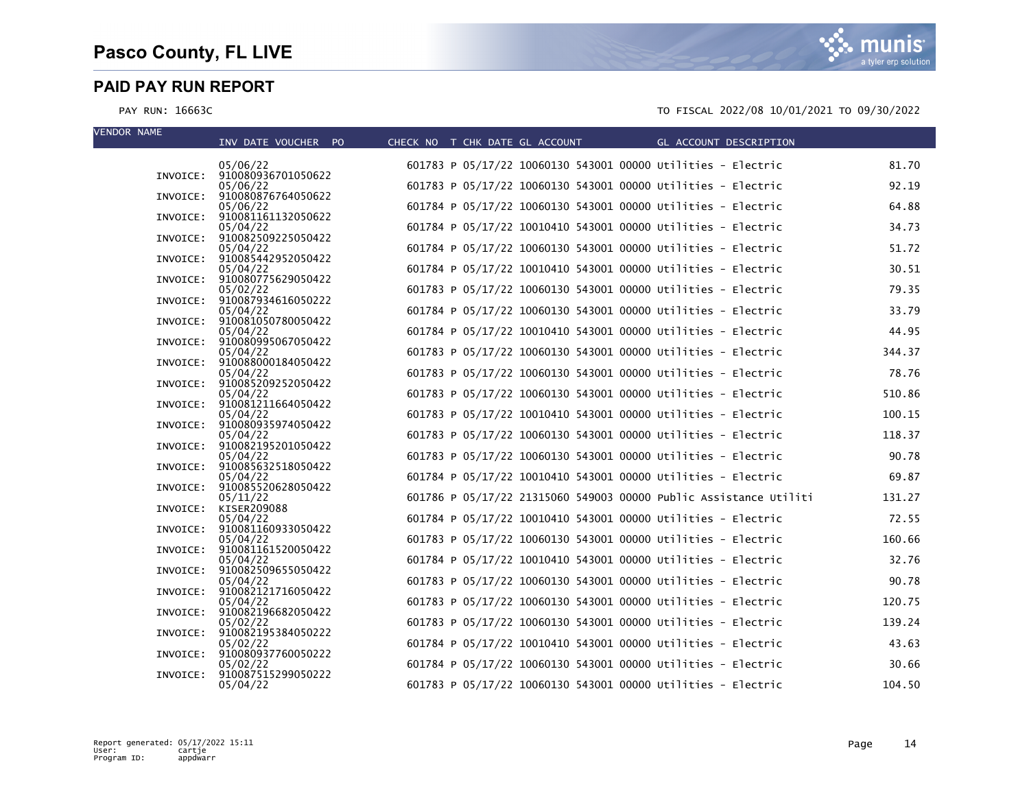| <b>VENDOR NAME</b> |          | INV DATE VOUCHER PO                     | CHECK NO T CHK DATE GL ACCOUNT |                                                                   | GL ACCOUNT DESCRIPTION |        |
|--------------------|----------|-----------------------------------------|--------------------------------|-------------------------------------------------------------------|------------------------|--------|
|                    |          | 05/06/22                                |                                | 601783 P 05/17/22 10060130 543001 00000 Utilities - Electric      |                        | 81.70  |
|                    |          | INVOICE: 910080936701050622<br>05/06/22 |                                | 601783 P 05/17/22 10060130 543001 00000 Utilities - Electric      |                        | 92.19  |
|                    | INVOICE: | 910080876764050622<br>05/06/22          |                                | 601784 P 05/17/22 10060130 543001 00000 Utilities - Electric      |                        | 64.88  |
|                    |          | INVOICE: 910081161132050622<br>05/04/22 |                                | 601784 P 05/17/22 10010410 543001 00000 Utilities - Electric      |                        | 34.73  |
|                    | INVOICE: | 910082509225050422                      |                                |                                                                   |                        |        |
|                    |          | 05/04/22<br>INVOICE: 910085442952050422 |                                | 601784 P 05/17/22 10060130 543001 00000 Utilities - Electric      |                        | 51.72  |
|                    |          | 05/04/22<br>INVOICE: 910080775629050422 |                                | 601784 P 05/17/22 10010410 543001 00000 Utilities - Electric      |                        | 30.51  |
|                    |          | 05/02/22<br>INVOICE: 910087934616050222 |                                | 601783 P 05/17/22 10060130 543001 00000 Utilities - Electric      |                        | 79.35  |
|                    |          | 05/04/22<br>INVOICE: 910081050780050422 |                                | 601784 P 05/17/22 10060130 543001 00000 Utilities - Electric      |                        | 33.79  |
|                    |          | 05/04/22                                |                                | 601784 P 05/17/22 10010410 543001 00000 Utilities - Electric      |                        | 44.95  |
|                    | INVOICE: | 910080995067050422<br>05/04/22          |                                | 601783 P 05/17/22 10060130 543001 00000 Utilities - Electric      |                        | 344.37 |
|                    |          | INVOICE: 910088000184050422<br>05/04/22 |                                | 601783 P 05/17/22 10060130 543001 00000 Utilities - Electric      |                        | 78.76  |
|                    |          | INVOICE: 910085209252050422<br>05/04/22 |                                | 601783 P 05/17/22 10060130 543001 00000 Utilities - Electric      |                        | 510.86 |
|                    |          | INVOICE: 910081211664050422<br>05/04/22 |                                | 601783 P 05/17/22 10010410 543001 00000 Utilities - Electric      |                        | 100.15 |
|                    |          | INVOICE: 910080935974050422             |                                |                                                                   |                        |        |
|                    |          | 05/04/22<br>INVOICE: 910082195201050422 |                                | 601783 P 05/17/22 10060130 543001 00000 Utilities - Electric      |                        | 118.37 |
|                    |          | 05/04/22<br>INVOICE: 910085632518050422 |                                | 601783 P 05/17/22 10060130 543001 00000 Utilities - Electric      |                        | 90.78  |
|                    |          | 05/04/22<br>INVOICE: 910085520628050422 |                                | 601784 P 05/17/22 10010410 543001 00000 Utilities - Electric      |                        | 69.87  |
|                    |          | 05/11/22<br>INVOICE: KISER209088        |                                | 601786 P 05/17/22 21315060 549003 00000 Public Assistance Utiliti |                        | 131.27 |
|                    |          | 05/04/22                                |                                | 601784 P 05/17/22 10010410 543001 00000 Utilities - Electric      |                        | 72.55  |
|                    | INVOICE: | 910081160933050422<br>05/04/22          |                                | 601783 P 05/17/22 10060130 543001 00000 Utilities - Electric      |                        | 160.66 |
|                    |          | INVOICE: 910081161520050422<br>05/04/22 |                                | 601784 P 05/17/22 10010410 543001 00000 Utilities - Electric      |                        | 32.76  |
|                    |          | INVOICE: 910082509655050422<br>05/04/22 |                                | 601783 P 05/17/22 10060130 543001 00000 Utilities - Electric      |                        | 90.78  |
|                    |          | INVOICE: 910082121716050422<br>05/04/22 |                                | 601783 P 05/17/22 10060130 543001 00000 Utilities - Electric      |                        | 120.75 |
|                    |          | INVOICE: 910082196682050422             |                                |                                                                   |                        |        |
|                    |          | 05/02/22<br>INVOICE: 910082195384050222 |                                | 601783 P 05/17/22 10060130 543001 00000 Utilities - Electric      |                        | 139.24 |
|                    |          | 05/02/22<br>INVOICE: 910080937760050222 |                                | 601784 P 05/17/22 10010410 543001 00000 Utilities - Electric      |                        | 43.63  |
|                    | INVOICE: | 05/02/22<br>910087515299050222          |                                | 601784 P 05/17/22 10060130 543001 00000 Utilities - Electric      |                        | 30.66  |
|                    |          | 05/04/22                                |                                | 601783 P 05/17/22 10060130 543001 00000 Utilities - Electric      |                        | 104.50 |

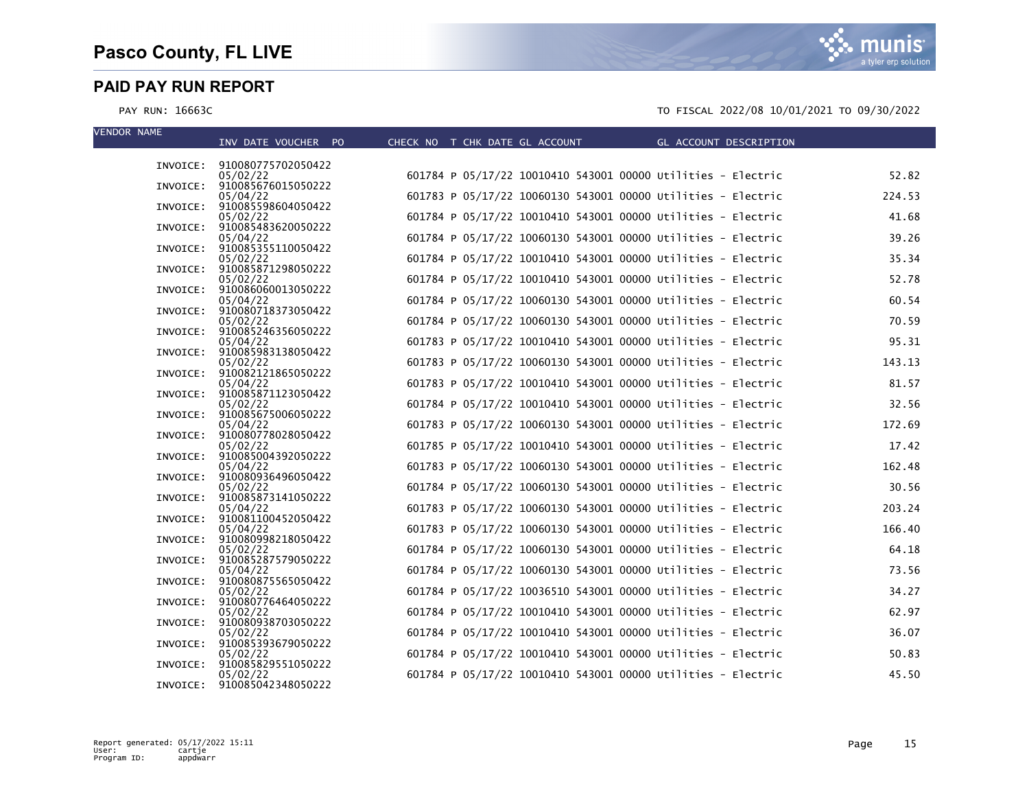munis a tyler erp solution

| <b>VENDOR NAME</b> | INV DATE VOUCHER PO                     | CHECK NO T CHK DATE GL ACCOUNT THE GL ACCOUNT DESCRIPTION    |        |
|--------------------|-----------------------------------------|--------------------------------------------------------------|--------|
|                    |                                         |                                                              |        |
|                    | INVOICE: 910080775702050422<br>05/02/22 | 601784 P 05/17/22 10010410 543001 00000 Utilities - Electric | 52.82  |
|                    | INVOICE: 910085676015050222             |                                                              |        |
|                    | 05/04/22<br>INVOICE: 910085598604050422 | 601783 P 05/17/22 10060130 543001 00000 Utilities - Electric | 224.53 |
|                    | 05/02/22                                | 601784 P 05/17/22 10010410 543001 00000 Utilities - Electric | 41.68  |
|                    | INVOICE: 910085483620050222<br>05/04/22 | 601784 P 05/17/22 10060130 543001 00000 Utilities - Electric | 39.26  |
|                    | INVOICE: 910085355110050422             |                                                              |        |
|                    | 05/02/22<br>INVOICE: 910085871298050222 | 601784 P 05/17/22 10010410 543001 00000 Utilities - Electric | 35.34  |
|                    | 05/02/22                                | 601784 P 05/17/22 10010410 543001 00000 Utilities - Electric | 52.78  |
|                    | INVOICE: 910086060013050222<br>05/04/22 | 601784 P 05/17/22 10060130 543001 00000 Utilities - Electric | 60.54  |
|                    | INVOICE: 910080718373050422             |                                                              |        |
|                    | 05/02/22<br>INVOICE: 910085246356050222 | 601784 P 05/17/22 10060130 543001 00000 Utilities - Electric | 70.59  |
|                    | 05/04/22                                | 601783 P 05/17/22 10010410 543001 00000 Utilities - Electric | 95.31  |
|                    | INVOICE: 910085983138050422             |                                                              |        |
|                    | 05/02/22<br>INVOICE: 910082121865050222 | 601783 P 05/17/22 10060130 543001 00000 Utilities - Electric | 143.13 |
|                    | 05/04/22                                | 601783 P 05/17/22 10010410 543001 00000 Utilities - Electric | 81.57  |
|                    | INVOICE: 910085871123050422<br>05/02/22 | 601784 P 05/17/22 10010410 543001 00000 Utilities - Electric | 32.56  |
|                    | INVOICE: 910085675006050222             |                                                              |        |
|                    | 05/04/22<br>INVOICE: 910080778028050422 | 601783 P 05/17/22 10060130 543001 00000 Utilities - Electric | 172.69 |
|                    | 05/02/22                                | 601785 P 05/17/22 10010410 543001 00000 Utilities - Electric | 17.42  |
|                    | INVOICE: 910085004392050222<br>05/04/22 | 601783 P 05/17/22 10060130 543001 00000 Utilities - Electric | 162.48 |
|                    | INVOICE: 910080936496050422             |                                                              |        |
|                    | 05/02/22<br>INVOICE: 910085873141050222 | 601784 P 05/17/22 10060130 543001 00000 Utilities - Electric | 30.56  |
|                    | 05/04/22                                | 601783 P 05/17/22 10060130 543001 00000 Utilities - Electric | 203.24 |
|                    | INVOICE: 910081100452050422<br>05/04/22 | 601783 P 05/17/22 10060130 543001 00000 Utilities - Electric | 166.40 |
|                    | INVOICE: 910080998218050422             |                                                              |        |
|                    | 05/02/22<br>INVOICE: 910085287579050222 | 601784 P 05/17/22 10060130 543001 00000 Utilities - Electric | 64.18  |
|                    | 05/04/22                                | 601784 P 05/17/22 10060130 543001 00000 Utilities - Electric | 73.56  |
|                    | INVOICE: 910080875565050422<br>05/02/22 | 601784 P 05/17/22 10036510 543001 00000 Utilities - Electric | 34.27  |
|                    | INVOICE: 910080776464050222             |                                                              |        |
|                    | 05/02/22<br>INVOICE: 910080938703050222 | 601784 P 05/17/22 10010410 543001 00000 Utilities - Electric | 62.97  |
|                    | 05/02/22                                | 601784 P 05/17/22 10010410 543001 00000 Utilities - Electric | 36.07  |
|                    | INVOICE: 910085393679050222             |                                                              |        |
|                    | 05/02/22<br>INVOICE: 910085829551050222 | 601784 P 05/17/22 10010410 543001 00000 Utilities - Electric | 50.83  |
|                    | 05/02/22<br>INVOICE: 910085042348050222 | 601784 P 05/17/22 10010410 543001 00000 Utilities - Electric | 45.50  |
|                    |                                         |                                                              |        |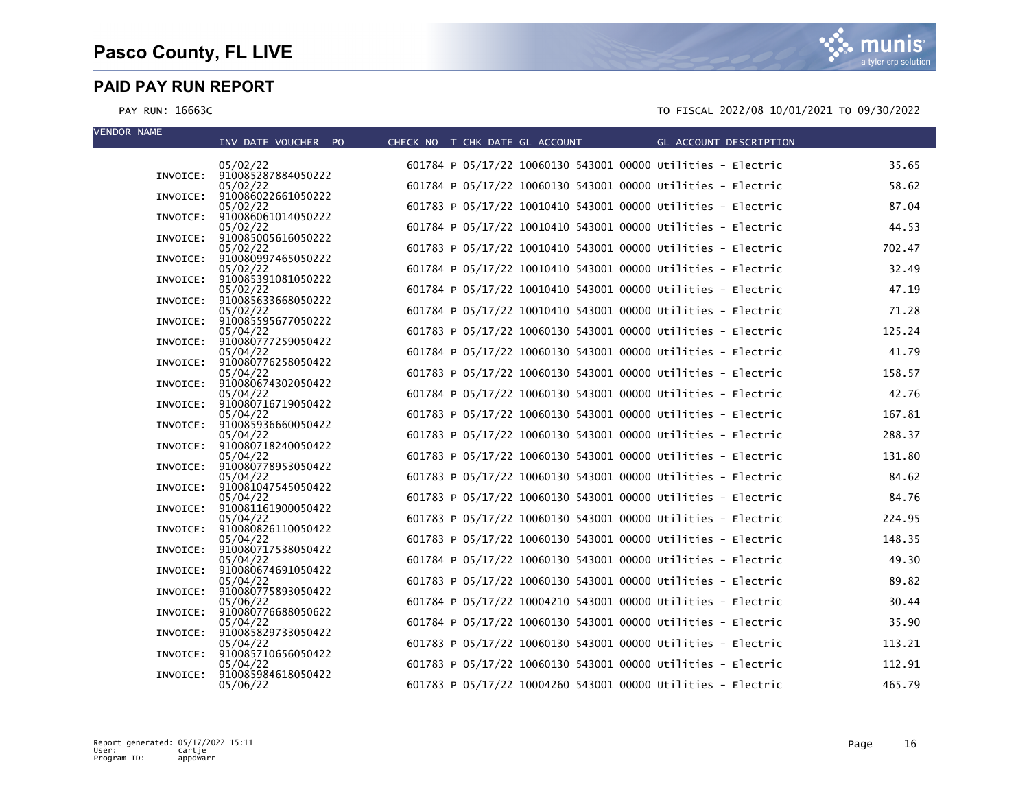| <b>VENDOR NAME</b> | INV DATE VOUCHER PO                     | CHECK NO T CHK DATE GL ACCOUNT | GL ACCOUNT DESCRIPTION                                       |        |
|--------------------|-----------------------------------------|--------------------------------|--------------------------------------------------------------|--------|
|                    | 05/02/22                                |                                | 601784 P 05/17/22 10060130 543001 00000 Utilities - Electric | 35.65  |
|                    | INVOICE: 910085287884050222<br>05/02/22 |                                | 601784 P 05/17/22 10060130 543001 00000 Utilities - Electric | 58.62  |
| INVOICE:           | 910086022661050222<br>05/02/22          |                                | 601783 P 05/17/22 10010410 543001 00000 Utilities - Electric | 87.04  |
|                    | INVOICE: 910086061014050222<br>05/02/22 |                                | 601784 P 05/17/22 10010410 543001 00000 Utilities - Electric | 44.53  |
|                    | INVOICE: 910085005616050222<br>05/02/22 |                                | 601783 P 05/17/22 10010410 543001 00000 Utilities - Electric | 702.47 |
|                    | INVOICE: 910080997465050222<br>05/02/22 |                                | 601784 P 05/17/22 10010410 543001 00000 Utilities - Electric | 32.49  |
|                    | INVOICE: 910085391081050222             |                                |                                                              |        |
|                    | 05/02/22<br>INVOICE: 910085633668050222 |                                | 601784 P 05/17/22 10010410 543001 00000 Utilities - Electric | 47.19  |
|                    | 05/02/22<br>INVOICE: 910085595677050222 |                                | 601784 P 05/17/22 10010410 543001 00000 Utilities - Electric | 71.28  |
| INVOICE:           | 05/04/22<br>910080777259050422          |                                | 601783 P 05/17/22 10060130 543001 00000 Utilities - Electric | 125.24 |
|                    | 05/04/22<br>INVOICE: 910080776258050422 |                                | 601784 P 05/17/22 10060130 543001 00000 Utilities - Electric | 41.79  |
|                    | 05/04/22<br>INVOICE: 910080674302050422 |                                | 601783 P 05/17/22 10060130 543001 00000 Utilities - Electric | 158.57 |
|                    | 05/04/22<br>INVOICE: 910080716719050422 |                                | 601784 P 05/17/22 10060130 543001 00000 Utilities - Electric | 42.76  |
|                    | 05/04/22<br>INVOICE: 910085936660050422 |                                | 601783 P 05/17/22 10060130 543001 00000 Utilities - Electric | 167.81 |
|                    | 05/04/22                                |                                | 601783 P 05/17/22 10060130 543001 00000 Utilities - Electric | 288.37 |
|                    | INVOICE: 910080718240050422<br>05/04/22 |                                | 601783 P 05/17/22 10060130 543001 00000 Utilities - Electric | 131.80 |
|                    | INVOICE: 910080778953050422<br>05/04/22 |                                | 601783 P 05/17/22 10060130 543001 00000 Utilities - Electric | 84.62  |
|                    | INVOICE: 910081047545050422<br>05/04/22 |                                | 601783 P 05/17/22 10060130 543001 00000 Utilities - Electric | 84.76  |
|                    | INVOICE: 910081161900050422<br>05/04/22 |                                | 601783 P 05/17/22 10060130 543001 00000 Utilities - Electric | 224.95 |
|                    | INVOICE: 910080826110050422<br>05/04/22 |                                | 601783 P 05/17/22 10060130 543001 00000 Utilities - Electric | 148.35 |
|                    | INVOICE: 910080717538050422<br>05/04/22 |                                | 601784 P 05/17/22 10060130 543001 00000 Utilities - Electric | 49.30  |
|                    | INVOICE: 910080674691050422<br>05/04/22 |                                | 601783 P 05/17/22 10060130 543001 00000 Utilities - Electric | 89.82  |
|                    | INVOICE: 910080775893050422             |                                |                                                              | 30.44  |
|                    | 05/06/22<br>INVOICE: 910080776688050622 |                                | 601784 P 05/17/22 10004210 543001 00000 Utilities - Electric |        |
|                    | 05/04/22<br>INVOICE: 910085829733050422 |                                | 601784 P 05/17/22 10060130 543001 00000 Utilities - Electric | 35.90  |
|                    | 05/04/22<br>INVOICE: 910085710656050422 |                                | 601783 P 05/17/22 10060130 543001 00000 Utilities - Electric | 113.21 |
| INVOICE:           | 05/04/22<br>910085984618050422          |                                | 601783 P 05/17/22 10060130 543001 00000 Utilities - Electric | 112.91 |
|                    | 05/06/22                                |                                | 601783 P 05/17/22 10004260 543001 00000 Utilities - Electric | 465.79 |

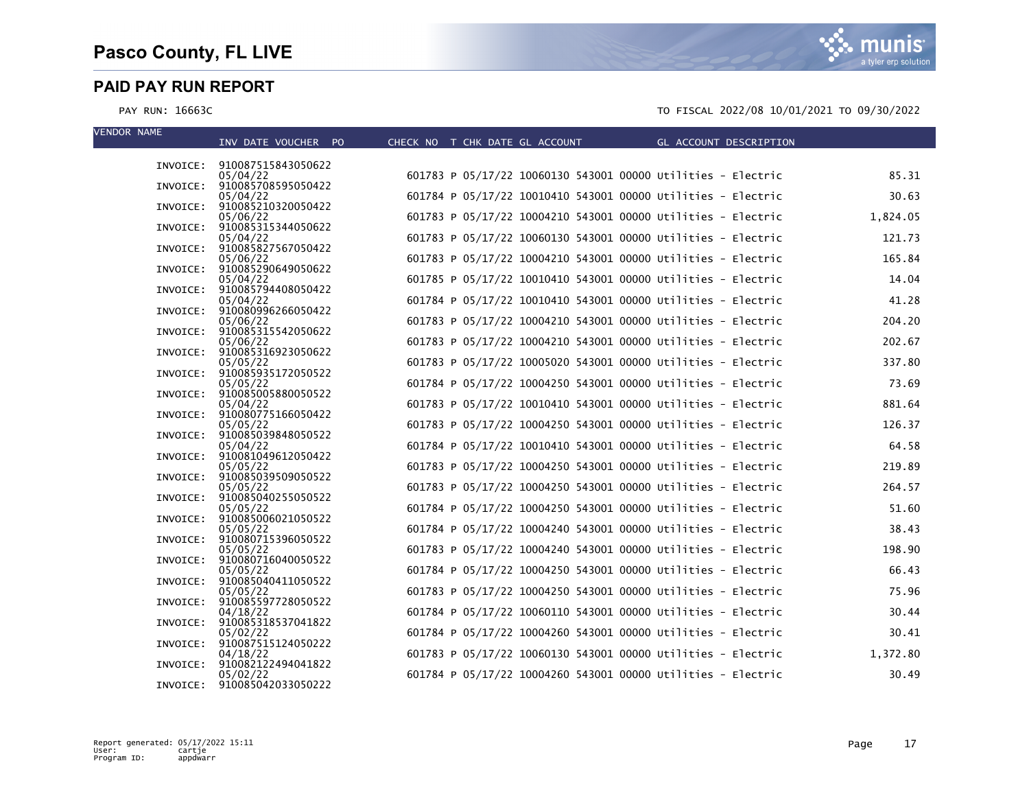munis a tyler erp solution

| INVOICE: 910087515843050622<br>601783 P 05/17/22 10060130 543001 00000 Utilities - Electric<br>85.31<br>05/04/22<br>INVOICE: 910085708595050422<br>601784 P 05/17/22 10010410 543001 00000 Utilities - Electric<br>30.63<br>05/04/22<br>INVOICE: 910085210320050422<br>601783 P 05/17/22 10004210 543001 00000 Utilities - Electric<br>1,824.05<br>05/06/22<br>INVOICE: 910085315344050622<br>601783 P 05/17/22 10060130 543001 00000 Utilities - Electric<br>121.73<br>05/04/22<br>INVOICE: 910085827567050422<br>165.84<br>601783 P 05/17/22 10004210 543001 00000 Utilities - Electric<br>05/06/22<br>INVOICE: 910085290649050622<br>601785 P 05/17/22 10010410 543001 00000 Utilities - Electric<br>14.04<br>05/04/22<br>INVOICE: 910085794408050422<br>601784 P 05/17/22 10010410 543001 00000 Utilities - Electric<br>41.28<br>05/04/22<br>INVOICE: 910080996266050422<br>601783 P 05/17/22 10004210 543001 00000 Utilities - Electric<br>204.20<br>05/06/22<br>INVOICE: 910085315542050622<br>601783 P 05/17/22 10004210 543001 00000 Utilities - Electric<br>202.67<br>05/06/22<br>INVOICE: 910085316923050622<br>601783 P 05/17/22 10005020 543001 00000 Utilities - Electric<br>337.80<br>05/05/22<br>INVOICE: 910085935172050522<br>601784 P 05/17/22 10004250 543001 00000 Utilities - Electric<br>73.69<br>05/05/22<br>INVOICE: 910085005880050522<br>601783 P 05/17/22 10010410 543001 00000 Utilities - Electric<br>881.64<br>05/04/22<br>INVOICE: 910080775166050422<br>601783 P 05/17/22 10004250 543001 00000 Utilities - Electric<br>126.37<br>05/05/22<br>INVOICE: 910085039848050522<br>601784 P 05/17/22 10010410 543001 00000 Utilities - Electric<br>64.58<br>05/04/22<br>INVOICE: 910081049612050422<br>601783 P 05/17/22 10004250 543001 00000 Utilities - Electric<br>219.89<br>05/05/22<br>INVOICE: 910085039509050522<br>264.57<br>601783 P 05/17/22 10004250 543001 00000 Utilities - Electric<br>05/05/22<br>INVOICE: 910085040255050522<br>601784 P 05/17/22 10004250 543001 00000 Utilities - Electric<br>51.60<br>05/05/22<br>INVOICE: 910085006021050522<br>601784 P 05/17/22 10004240 543001 00000 Utilities - Electric<br>05/05/22<br>38.43<br>INVOICE: 910080715396050522<br>601783 P 05/17/22 10004240 543001 00000 Utilities - Electric<br>198.90<br>05/05/22<br>INVOICE: 910080716040050522<br>601784 P 05/17/22 10004250 543001 00000 Utilities - Electric<br>66.43<br>05/05/22<br>INVOICE: 910085040411050522<br>601783 P 05/17/22 10004250 543001 00000 Utilities - Electric<br>75.96<br>05/05/22<br>INVOICE: 910085597728050522<br>601784 P 05/17/22 10060110 543001 00000 Utilities - Electric<br>30.44<br>04/18/22<br>INVOICE: 910085318537041822<br>601784 P 05/17/22 10004260 543001 00000 Utilities - Electric<br>30.41<br>05/02/22<br>INVOICE: 910087515124050222<br>601783 P 05/17/22 10060130 543001 00000 Utilities - Electric<br>1,372.80<br>04/18/22<br>INVOICE: 910082122494041822<br>601784 P 05/17/22 10004260 543001 00000 Utilities - Electric<br>30.49<br>05/02/22<br>INVOICE: 910085042033050222 | <b>VENDOR NAME</b> | INV DATE VOUCHER PO | CHECK NO T CHK DATE GL ACCOUNT THE GL ACCOUNT DESCRIPTION |  |
|-----------------------------------------------------------------------------------------------------------------------------------------------------------------------------------------------------------------------------------------------------------------------------------------------------------------------------------------------------------------------------------------------------------------------------------------------------------------------------------------------------------------------------------------------------------------------------------------------------------------------------------------------------------------------------------------------------------------------------------------------------------------------------------------------------------------------------------------------------------------------------------------------------------------------------------------------------------------------------------------------------------------------------------------------------------------------------------------------------------------------------------------------------------------------------------------------------------------------------------------------------------------------------------------------------------------------------------------------------------------------------------------------------------------------------------------------------------------------------------------------------------------------------------------------------------------------------------------------------------------------------------------------------------------------------------------------------------------------------------------------------------------------------------------------------------------------------------------------------------------------------------------------------------------------------------------------------------------------------------------------------------------------------------------------------------------------------------------------------------------------------------------------------------------------------------------------------------------------------------------------------------------------------------------------------------------------------------------------------------------------------------------------------------------------------------------------------------------------------------------------------------------------------------------------------------------------------------------------------------------------------------------------------------------------------------------------------------------------------------------------------------------------------------------------------------------------------------------------------------------------------------------------------------------------------------------------------------------------------------------------------------------------------------------------------------------|--------------------|---------------------|-----------------------------------------------------------|--|
|                                                                                                                                                                                                                                                                                                                                                                                                                                                                                                                                                                                                                                                                                                                                                                                                                                                                                                                                                                                                                                                                                                                                                                                                                                                                                                                                                                                                                                                                                                                                                                                                                                                                                                                                                                                                                                                                                                                                                                                                                                                                                                                                                                                                                                                                                                                                                                                                                                                                                                                                                                                                                                                                                                                                                                                                                                                                                                                                                                                                                                                                 |                    |                     |                                                           |  |
|                                                                                                                                                                                                                                                                                                                                                                                                                                                                                                                                                                                                                                                                                                                                                                                                                                                                                                                                                                                                                                                                                                                                                                                                                                                                                                                                                                                                                                                                                                                                                                                                                                                                                                                                                                                                                                                                                                                                                                                                                                                                                                                                                                                                                                                                                                                                                                                                                                                                                                                                                                                                                                                                                                                                                                                                                                                                                                                                                                                                                                                                 |                    |                     |                                                           |  |
|                                                                                                                                                                                                                                                                                                                                                                                                                                                                                                                                                                                                                                                                                                                                                                                                                                                                                                                                                                                                                                                                                                                                                                                                                                                                                                                                                                                                                                                                                                                                                                                                                                                                                                                                                                                                                                                                                                                                                                                                                                                                                                                                                                                                                                                                                                                                                                                                                                                                                                                                                                                                                                                                                                                                                                                                                                                                                                                                                                                                                                                                 |                    |                     |                                                           |  |
|                                                                                                                                                                                                                                                                                                                                                                                                                                                                                                                                                                                                                                                                                                                                                                                                                                                                                                                                                                                                                                                                                                                                                                                                                                                                                                                                                                                                                                                                                                                                                                                                                                                                                                                                                                                                                                                                                                                                                                                                                                                                                                                                                                                                                                                                                                                                                                                                                                                                                                                                                                                                                                                                                                                                                                                                                                                                                                                                                                                                                                                                 |                    |                     |                                                           |  |
|                                                                                                                                                                                                                                                                                                                                                                                                                                                                                                                                                                                                                                                                                                                                                                                                                                                                                                                                                                                                                                                                                                                                                                                                                                                                                                                                                                                                                                                                                                                                                                                                                                                                                                                                                                                                                                                                                                                                                                                                                                                                                                                                                                                                                                                                                                                                                                                                                                                                                                                                                                                                                                                                                                                                                                                                                                                                                                                                                                                                                                                                 |                    |                     |                                                           |  |
|                                                                                                                                                                                                                                                                                                                                                                                                                                                                                                                                                                                                                                                                                                                                                                                                                                                                                                                                                                                                                                                                                                                                                                                                                                                                                                                                                                                                                                                                                                                                                                                                                                                                                                                                                                                                                                                                                                                                                                                                                                                                                                                                                                                                                                                                                                                                                                                                                                                                                                                                                                                                                                                                                                                                                                                                                                                                                                                                                                                                                                                                 |                    |                     |                                                           |  |
|                                                                                                                                                                                                                                                                                                                                                                                                                                                                                                                                                                                                                                                                                                                                                                                                                                                                                                                                                                                                                                                                                                                                                                                                                                                                                                                                                                                                                                                                                                                                                                                                                                                                                                                                                                                                                                                                                                                                                                                                                                                                                                                                                                                                                                                                                                                                                                                                                                                                                                                                                                                                                                                                                                                                                                                                                                                                                                                                                                                                                                                                 |                    |                     |                                                           |  |
|                                                                                                                                                                                                                                                                                                                                                                                                                                                                                                                                                                                                                                                                                                                                                                                                                                                                                                                                                                                                                                                                                                                                                                                                                                                                                                                                                                                                                                                                                                                                                                                                                                                                                                                                                                                                                                                                                                                                                                                                                                                                                                                                                                                                                                                                                                                                                                                                                                                                                                                                                                                                                                                                                                                                                                                                                                                                                                                                                                                                                                                                 |                    |                     |                                                           |  |
|                                                                                                                                                                                                                                                                                                                                                                                                                                                                                                                                                                                                                                                                                                                                                                                                                                                                                                                                                                                                                                                                                                                                                                                                                                                                                                                                                                                                                                                                                                                                                                                                                                                                                                                                                                                                                                                                                                                                                                                                                                                                                                                                                                                                                                                                                                                                                                                                                                                                                                                                                                                                                                                                                                                                                                                                                                                                                                                                                                                                                                                                 |                    |                     |                                                           |  |
|                                                                                                                                                                                                                                                                                                                                                                                                                                                                                                                                                                                                                                                                                                                                                                                                                                                                                                                                                                                                                                                                                                                                                                                                                                                                                                                                                                                                                                                                                                                                                                                                                                                                                                                                                                                                                                                                                                                                                                                                                                                                                                                                                                                                                                                                                                                                                                                                                                                                                                                                                                                                                                                                                                                                                                                                                                                                                                                                                                                                                                                                 |                    |                     |                                                           |  |
|                                                                                                                                                                                                                                                                                                                                                                                                                                                                                                                                                                                                                                                                                                                                                                                                                                                                                                                                                                                                                                                                                                                                                                                                                                                                                                                                                                                                                                                                                                                                                                                                                                                                                                                                                                                                                                                                                                                                                                                                                                                                                                                                                                                                                                                                                                                                                                                                                                                                                                                                                                                                                                                                                                                                                                                                                                                                                                                                                                                                                                                                 |                    |                     |                                                           |  |
|                                                                                                                                                                                                                                                                                                                                                                                                                                                                                                                                                                                                                                                                                                                                                                                                                                                                                                                                                                                                                                                                                                                                                                                                                                                                                                                                                                                                                                                                                                                                                                                                                                                                                                                                                                                                                                                                                                                                                                                                                                                                                                                                                                                                                                                                                                                                                                                                                                                                                                                                                                                                                                                                                                                                                                                                                                                                                                                                                                                                                                                                 |                    |                     |                                                           |  |
|                                                                                                                                                                                                                                                                                                                                                                                                                                                                                                                                                                                                                                                                                                                                                                                                                                                                                                                                                                                                                                                                                                                                                                                                                                                                                                                                                                                                                                                                                                                                                                                                                                                                                                                                                                                                                                                                                                                                                                                                                                                                                                                                                                                                                                                                                                                                                                                                                                                                                                                                                                                                                                                                                                                                                                                                                                                                                                                                                                                                                                                                 |                    |                     |                                                           |  |
|                                                                                                                                                                                                                                                                                                                                                                                                                                                                                                                                                                                                                                                                                                                                                                                                                                                                                                                                                                                                                                                                                                                                                                                                                                                                                                                                                                                                                                                                                                                                                                                                                                                                                                                                                                                                                                                                                                                                                                                                                                                                                                                                                                                                                                                                                                                                                                                                                                                                                                                                                                                                                                                                                                                                                                                                                                                                                                                                                                                                                                                                 |                    |                     |                                                           |  |
|                                                                                                                                                                                                                                                                                                                                                                                                                                                                                                                                                                                                                                                                                                                                                                                                                                                                                                                                                                                                                                                                                                                                                                                                                                                                                                                                                                                                                                                                                                                                                                                                                                                                                                                                                                                                                                                                                                                                                                                                                                                                                                                                                                                                                                                                                                                                                                                                                                                                                                                                                                                                                                                                                                                                                                                                                                                                                                                                                                                                                                                                 |                    |                     |                                                           |  |
|                                                                                                                                                                                                                                                                                                                                                                                                                                                                                                                                                                                                                                                                                                                                                                                                                                                                                                                                                                                                                                                                                                                                                                                                                                                                                                                                                                                                                                                                                                                                                                                                                                                                                                                                                                                                                                                                                                                                                                                                                                                                                                                                                                                                                                                                                                                                                                                                                                                                                                                                                                                                                                                                                                                                                                                                                                                                                                                                                                                                                                                                 |                    |                     |                                                           |  |
|                                                                                                                                                                                                                                                                                                                                                                                                                                                                                                                                                                                                                                                                                                                                                                                                                                                                                                                                                                                                                                                                                                                                                                                                                                                                                                                                                                                                                                                                                                                                                                                                                                                                                                                                                                                                                                                                                                                                                                                                                                                                                                                                                                                                                                                                                                                                                                                                                                                                                                                                                                                                                                                                                                                                                                                                                                                                                                                                                                                                                                                                 |                    |                     |                                                           |  |
|                                                                                                                                                                                                                                                                                                                                                                                                                                                                                                                                                                                                                                                                                                                                                                                                                                                                                                                                                                                                                                                                                                                                                                                                                                                                                                                                                                                                                                                                                                                                                                                                                                                                                                                                                                                                                                                                                                                                                                                                                                                                                                                                                                                                                                                                                                                                                                                                                                                                                                                                                                                                                                                                                                                                                                                                                                                                                                                                                                                                                                                                 |                    |                     |                                                           |  |
|                                                                                                                                                                                                                                                                                                                                                                                                                                                                                                                                                                                                                                                                                                                                                                                                                                                                                                                                                                                                                                                                                                                                                                                                                                                                                                                                                                                                                                                                                                                                                                                                                                                                                                                                                                                                                                                                                                                                                                                                                                                                                                                                                                                                                                                                                                                                                                                                                                                                                                                                                                                                                                                                                                                                                                                                                                                                                                                                                                                                                                                                 |                    |                     |                                                           |  |
|                                                                                                                                                                                                                                                                                                                                                                                                                                                                                                                                                                                                                                                                                                                                                                                                                                                                                                                                                                                                                                                                                                                                                                                                                                                                                                                                                                                                                                                                                                                                                                                                                                                                                                                                                                                                                                                                                                                                                                                                                                                                                                                                                                                                                                                                                                                                                                                                                                                                                                                                                                                                                                                                                                                                                                                                                                                                                                                                                                                                                                                                 |                    |                     |                                                           |  |
|                                                                                                                                                                                                                                                                                                                                                                                                                                                                                                                                                                                                                                                                                                                                                                                                                                                                                                                                                                                                                                                                                                                                                                                                                                                                                                                                                                                                                                                                                                                                                                                                                                                                                                                                                                                                                                                                                                                                                                                                                                                                                                                                                                                                                                                                                                                                                                                                                                                                                                                                                                                                                                                                                                                                                                                                                                                                                                                                                                                                                                                                 |                    |                     |                                                           |  |
|                                                                                                                                                                                                                                                                                                                                                                                                                                                                                                                                                                                                                                                                                                                                                                                                                                                                                                                                                                                                                                                                                                                                                                                                                                                                                                                                                                                                                                                                                                                                                                                                                                                                                                                                                                                                                                                                                                                                                                                                                                                                                                                                                                                                                                                                                                                                                                                                                                                                                                                                                                                                                                                                                                                                                                                                                                                                                                                                                                                                                                                                 |                    |                     |                                                           |  |
|                                                                                                                                                                                                                                                                                                                                                                                                                                                                                                                                                                                                                                                                                                                                                                                                                                                                                                                                                                                                                                                                                                                                                                                                                                                                                                                                                                                                                                                                                                                                                                                                                                                                                                                                                                                                                                                                                                                                                                                                                                                                                                                                                                                                                                                                                                                                                                                                                                                                                                                                                                                                                                                                                                                                                                                                                                                                                                                                                                                                                                                                 |                    |                     |                                                           |  |
|                                                                                                                                                                                                                                                                                                                                                                                                                                                                                                                                                                                                                                                                                                                                                                                                                                                                                                                                                                                                                                                                                                                                                                                                                                                                                                                                                                                                                                                                                                                                                                                                                                                                                                                                                                                                                                                                                                                                                                                                                                                                                                                                                                                                                                                                                                                                                                                                                                                                                                                                                                                                                                                                                                                                                                                                                                                                                                                                                                                                                                                                 |                    |                     |                                                           |  |
|                                                                                                                                                                                                                                                                                                                                                                                                                                                                                                                                                                                                                                                                                                                                                                                                                                                                                                                                                                                                                                                                                                                                                                                                                                                                                                                                                                                                                                                                                                                                                                                                                                                                                                                                                                                                                                                                                                                                                                                                                                                                                                                                                                                                                                                                                                                                                                                                                                                                                                                                                                                                                                                                                                                                                                                                                                                                                                                                                                                                                                                                 |                    |                     |                                                           |  |
|                                                                                                                                                                                                                                                                                                                                                                                                                                                                                                                                                                                                                                                                                                                                                                                                                                                                                                                                                                                                                                                                                                                                                                                                                                                                                                                                                                                                                                                                                                                                                                                                                                                                                                                                                                                                                                                                                                                                                                                                                                                                                                                                                                                                                                                                                                                                                                                                                                                                                                                                                                                                                                                                                                                                                                                                                                                                                                                                                                                                                                                                 |                    |                     |                                                           |  |
|                                                                                                                                                                                                                                                                                                                                                                                                                                                                                                                                                                                                                                                                                                                                                                                                                                                                                                                                                                                                                                                                                                                                                                                                                                                                                                                                                                                                                                                                                                                                                                                                                                                                                                                                                                                                                                                                                                                                                                                                                                                                                                                                                                                                                                                                                                                                                                                                                                                                                                                                                                                                                                                                                                                                                                                                                                                                                                                                                                                                                                                                 |                    |                     |                                                           |  |
|                                                                                                                                                                                                                                                                                                                                                                                                                                                                                                                                                                                                                                                                                                                                                                                                                                                                                                                                                                                                                                                                                                                                                                                                                                                                                                                                                                                                                                                                                                                                                                                                                                                                                                                                                                                                                                                                                                                                                                                                                                                                                                                                                                                                                                                                                                                                                                                                                                                                                                                                                                                                                                                                                                                                                                                                                                                                                                                                                                                                                                                                 |                    |                     |                                                           |  |
|                                                                                                                                                                                                                                                                                                                                                                                                                                                                                                                                                                                                                                                                                                                                                                                                                                                                                                                                                                                                                                                                                                                                                                                                                                                                                                                                                                                                                                                                                                                                                                                                                                                                                                                                                                                                                                                                                                                                                                                                                                                                                                                                                                                                                                                                                                                                                                                                                                                                                                                                                                                                                                                                                                                                                                                                                                                                                                                                                                                                                                                                 |                    |                     |                                                           |  |
|                                                                                                                                                                                                                                                                                                                                                                                                                                                                                                                                                                                                                                                                                                                                                                                                                                                                                                                                                                                                                                                                                                                                                                                                                                                                                                                                                                                                                                                                                                                                                                                                                                                                                                                                                                                                                                                                                                                                                                                                                                                                                                                                                                                                                                                                                                                                                                                                                                                                                                                                                                                                                                                                                                                                                                                                                                                                                                                                                                                                                                                                 |                    |                     |                                                           |  |
|                                                                                                                                                                                                                                                                                                                                                                                                                                                                                                                                                                                                                                                                                                                                                                                                                                                                                                                                                                                                                                                                                                                                                                                                                                                                                                                                                                                                                                                                                                                                                                                                                                                                                                                                                                                                                                                                                                                                                                                                                                                                                                                                                                                                                                                                                                                                                                                                                                                                                                                                                                                                                                                                                                                                                                                                                                                                                                                                                                                                                                                                 |                    |                     |                                                           |  |
|                                                                                                                                                                                                                                                                                                                                                                                                                                                                                                                                                                                                                                                                                                                                                                                                                                                                                                                                                                                                                                                                                                                                                                                                                                                                                                                                                                                                                                                                                                                                                                                                                                                                                                                                                                                                                                                                                                                                                                                                                                                                                                                                                                                                                                                                                                                                                                                                                                                                                                                                                                                                                                                                                                                                                                                                                                                                                                                                                                                                                                                                 |                    |                     |                                                           |  |
|                                                                                                                                                                                                                                                                                                                                                                                                                                                                                                                                                                                                                                                                                                                                                                                                                                                                                                                                                                                                                                                                                                                                                                                                                                                                                                                                                                                                                                                                                                                                                                                                                                                                                                                                                                                                                                                                                                                                                                                                                                                                                                                                                                                                                                                                                                                                                                                                                                                                                                                                                                                                                                                                                                                                                                                                                                                                                                                                                                                                                                                                 |                    |                     |                                                           |  |
|                                                                                                                                                                                                                                                                                                                                                                                                                                                                                                                                                                                                                                                                                                                                                                                                                                                                                                                                                                                                                                                                                                                                                                                                                                                                                                                                                                                                                                                                                                                                                                                                                                                                                                                                                                                                                                                                                                                                                                                                                                                                                                                                                                                                                                                                                                                                                                                                                                                                                                                                                                                                                                                                                                                                                                                                                                                                                                                                                                                                                                                                 |                    |                     |                                                           |  |
|                                                                                                                                                                                                                                                                                                                                                                                                                                                                                                                                                                                                                                                                                                                                                                                                                                                                                                                                                                                                                                                                                                                                                                                                                                                                                                                                                                                                                                                                                                                                                                                                                                                                                                                                                                                                                                                                                                                                                                                                                                                                                                                                                                                                                                                                                                                                                                                                                                                                                                                                                                                                                                                                                                                                                                                                                                                                                                                                                                                                                                                                 |                    |                     |                                                           |  |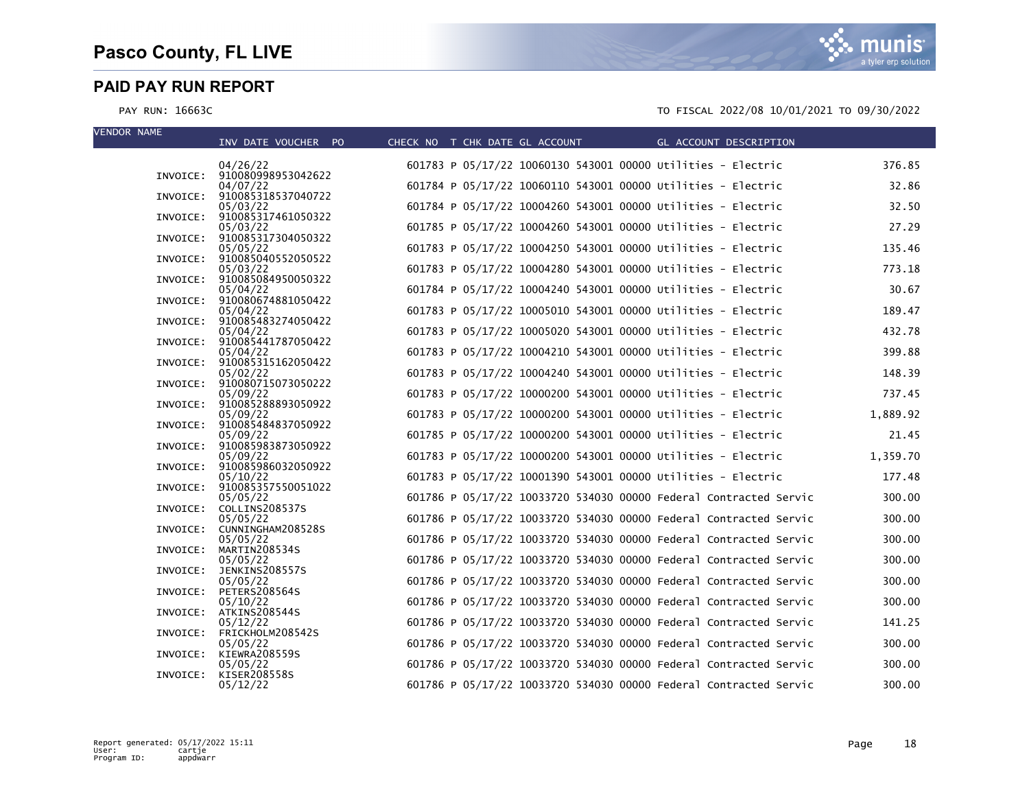| <b>VENDOR NAME</b> |          | INV DATE VOUCHER PO                     | CHECK NO T CHK DATE GL ACCOUNT |  |                                                              | GL ACCOUNT DESCRIPTION                                            |          |
|--------------------|----------|-----------------------------------------|--------------------------------|--|--------------------------------------------------------------|-------------------------------------------------------------------|----------|
|                    |          | 04/26/22                                |                                |  | 601783 P 05/17/22 10060130 543001 00000 Utilities - Electric |                                                                   | 376.85   |
|                    |          | INVOICE: 910080998953042622<br>04/07/22 |                                |  | 601784 P 05/17/22 10060110 543001 00000 Utilities - Electric |                                                                   | 32.86    |
|                    | INVOICE: | 910085318537040722<br>05/03/22          |                                |  | 601784 P 05/17/22 10004260 543001 00000 Utilities - Electric |                                                                   | 32.50    |
|                    |          | INVOICE: 910085317461050322<br>05/03/22 |                                |  | 601785 P 05/17/22 10004260 543001 00000 Utilities - Electric |                                                                   | 27.29    |
|                    | INVOICE: | 910085317304050322<br>05/05/22          |                                |  | 601783 P 05/17/22 10004250 543001 00000 Utilities - Electric |                                                                   | 135.46   |
|                    |          | INVOICE: 910085040552050522             |                                |  |                                                              |                                                                   |          |
|                    |          | 05/03/22<br>INVOICE: 910085084950050322 |                                |  | 601783 P 05/17/22 10004280 543001 00000 Utilities - Electric |                                                                   | 773.18   |
|                    |          | 05/04/22<br>INVOICE: 910080674881050422 |                                |  | 601784 P 05/17/22 10004240 543001 00000 Utilities - Electric |                                                                   | 30.67    |
|                    |          | 05/04/22<br>INVOICE: 910085483274050422 |                                |  | 601783 P 05/17/22 10005010 543001 00000 Utilities - Electric |                                                                   | 189.47   |
|                    | INVOICE: | 05/04/22<br>910085441787050422          |                                |  | 601783 P 05/17/22 10005020 543001 00000 Utilities - Electric |                                                                   | 432.78   |
|                    |          | 05/04/22<br>INVOICE: 910085315162050422 |                                |  | 601783 P 05/17/22 10004210 543001 00000 Utilities - Electric |                                                                   | 399.88   |
|                    |          | 05/02/22<br>INVOICE: 910080715073050222 |                                |  | 601783 P 05/17/22 10004240 543001 00000 Utilities - Electric |                                                                   | 148.39   |
|                    |          | 05/09/22<br>INVOICE: 910085288893050922 |                                |  | 601783 P 05/17/22 10000200 543001 00000 Utilities - Electric |                                                                   | 737.45   |
|                    |          | 05/09/22                                |                                |  | 601783 P 05/17/22 10000200 543001 00000 Utilities - Electric |                                                                   | 1,889.92 |
|                    |          | INVOICE: 910085484837050922<br>05/09/22 |                                |  | 601785 P 05/17/22 10000200 543001 00000 Utilities - Electric |                                                                   | 21.45    |
|                    |          | INVOICE: 910085983873050922<br>05/09/22 |                                |  | 601783 P 05/17/22 10000200 543001 00000 Utilities - Electric |                                                                   | 1,359.70 |
|                    |          | INVOICE: 910085986032050922<br>05/10/22 |                                |  | 601783 P 05/17/22 10001390 543001 00000 Utilities - Electric |                                                                   | 177.48   |
|                    |          | INVOICE: 910085357550051022<br>05/05/22 |                                |  |                                                              | 601786 P 05/17/22 10033720 534030 00000 Federal Contracted Servic | 300.00   |
|                    |          | INVOICE: COLLINS208537S<br>05/05/22     |                                |  |                                                              | 601786 P 05/17/22 10033720 534030 00000 Federal Contracted Servic | 300.00   |
|                    | INVOICE: | CUNNINGHAM208528S<br>05/05/22           |                                |  |                                                              | 601786 P 05/17/22 10033720 534030 00000 Federal Contracted Servic | 300.00   |
|                    | INVOICE: | MARTIN208534S                           |                                |  |                                                              |                                                                   |          |
|                    | INVOICE: | 05/05/22<br>JENKINS208557S              |                                |  |                                                              | 601786 P 05/17/22 10033720 534030 00000 Federal Contracted Servic | 300.00   |
|                    |          | 05/05/22<br>INVOICE: PETERS208564S      |                                |  |                                                              | 601786 P 05/17/22 10033720 534030 00000 Federal Contracted Servic | 300.00   |
|                    |          | 05/10/22<br>INVOICE: ATKINS208544S      |                                |  |                                                              | 601786 P 05/17/22 10033720 534030 00000 Federal Contracted Servic | 300.00   |
|                    |          | 05/12/22<br>INVOICE: FRICKHOLM208542S   |                                |  |                                                              | 601786 P 05/17/22 10033720 534030 00000 Federal Contracted Servic | 141.25   |
|                    | INVOICE: | 05/05/22<br>KIEWRA208559S               |                                |  |                                                              | 601786 P 05/17/22 10033720 534030 00000 Federal Contracted Servic | 300.00   |
|                    | INVOICE: | 05/05/22<br>KISER208558S                |                                |  |                                                              | 601786 P 05/17/22 10033720 534030 00000 Federal Contracted Servic | 300.00   |
|                    |          | 05/12/22                                |                                |  |                                                              | 601786 P 05/17/22 10033720 534030 00000 Federal Contracted Servic | 300.00   |

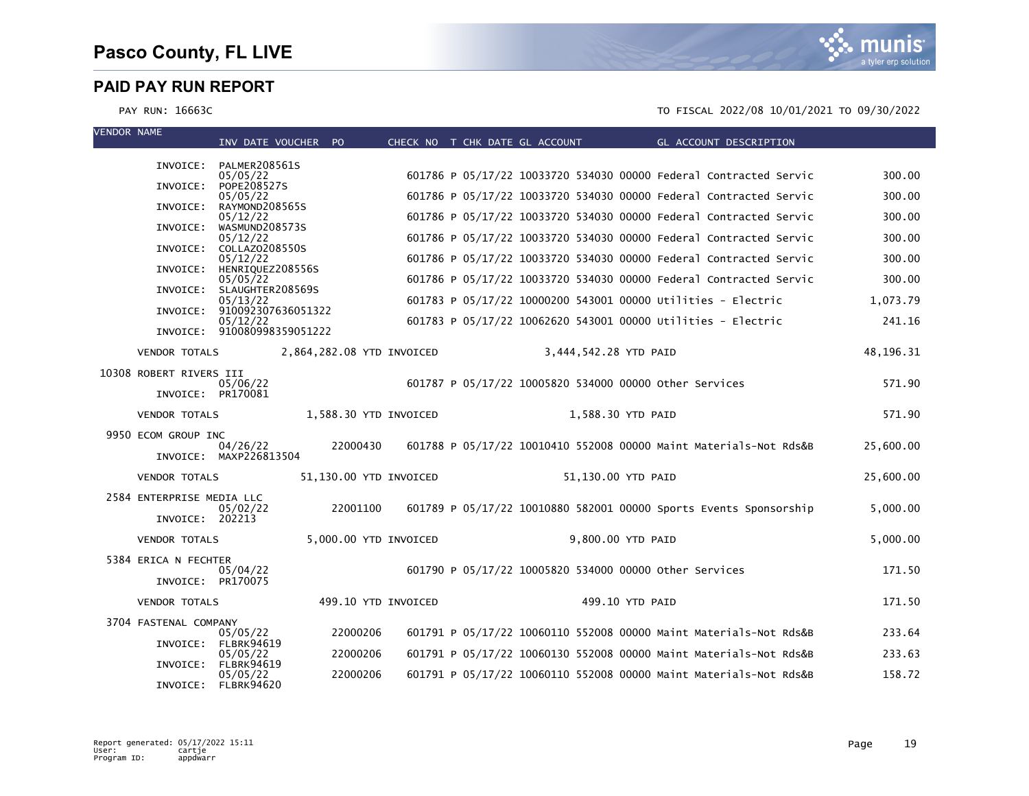mı IS a tyler erp solution

| <b>VENDOR NAME</b> |                           | INV DATE VOUCHER PO                     |          |                           | CHECK NO T CHK DATE GL ACCOUNT |                                                                   | GL ACCOUNT DESCRIPTION |           |
|--------------------|---------------------------|-----------------------------------------|----------|---------------------------|--------------------------------|-------------------------------------------------------------------|------------------------|-----------|
|                    |                           |                                         |          |                           |                                |                                                                   |                        |           |
|                    | INVOICE:                  | PALMER208561S<br>05/05/22               |          |                           |                                | 601786 P 05/17/22 10033720 534030 00000 Federal Contracted Servic |                        | 300.00    |
|                    | INVOICE:                  | POPE208527S<br>05/05/22                 |          |                           |                                | 601786 P 05/17/22 10033720 534030 00000 Federal Contracted Servic |                        | 300.00    |
|                    | INVOICE:                  | RAYMOND208565S<br>05/12/22              |          |                           |                                | 601786 P 05/17/22 10033720 534030 00000 Federal Contracted Servic |                        | 300.00    |
|                    | INVOICE:                  | WASMUND208573S<br>05/12/22              |          |                           |                                | 601786 P 05/17/22 10033720 534030 00000 Federal Contracted Servic |                        | 300.00    |
|                    | INVOICE:                  | COLLAZ0208550S                          |          |                           |                                |                                                                   |                        |           |
|                    | INVOICE:                  | 05/12/22<br>HENRIQUEZ208556S            |          |                           |                                | 601786 P 05/17/22 10033720 534030 00000 Federal Contracted Servic |                        | 300.00    |
|                    |                           | 05/05/22<br>INVOICE: SLAUGHTER208569S   |          |                           |                                | 601786 P 05/17/22 10033720 534030 00000 Federal Contracted Servic |                        | 300.00    |
|                    |                           | 05/13/22<br>INVOICE: 910092307636051322 |          |                           |                                | 601783 P 05/17/22 10000200 543001 00000 Utilities - Electric      |                        | 1,073.79  |
|                    |                           | 05/12/22<br>INVOICE: 910080998359051222 |          |                           |                                | 601783 P 05/17/22 10062620 543001 00000 Utilities - Electric      |                        | 241.16    |
|                    | <b>VENDOR TOTALS</b>      |                                         |          | 2,864,282.08 YTD INVOICED | 3,444,542.28 YTD PAID          |                                                                   |                        | 48,196.31 |
|                    |                           |                                         |          |                           |                                |                                                                   |                        |           |
|                    | 10308 ROBERT RIVERS III   | 05/06/22                                |          |                           |                                | 601787 P 05/17/22 10005820 534000 00000 Other Services            |                        | 571.90    |
|                    | INVOICE: PR170081         |                                         |          |                           |                                |                                                                   |                        |           |
|                    | <b>VENDOR TOTALS</b>      |                                         |          | 1,588.30 YTD INVOICED     |                                | 1,588.30 YTD PAID                                                 |                        | 571.90    |
|                    | 9950 ECOM GROUP INC       | 04/26/22                                | 22000430 |                           |                                | 601788 P 05/17/22 10010410 552008 00000 Maint Materials-Not Rds&B |                        | 25,600.00 |
|                    |                           | INVOICE: MAXP226813504                  |          |                           |                                |                                                                   |                        |           |
|                    | <b>VENDOR TOTALS</b>      |                                         |          | 51,130.00 YTD INVOICED    |                                | 51,130.00 YTD PAID                                                |                        | 25,600.00 |
|                    | 2584 ENTERPRISE MEDIA LLC |                                         | 22001100 |                           |                                | 601789 P 05/17/22 10010880 582001 00000 sports Events Sponsorship |                        |           |
|                    | INVOICE: 202213           | 05/02/22                                |          |                           |                                |                                                                   |                        | 5,000.00  |
|                    | <b>VENDOR TOTALS</b>      |                                         |          | 5,000.00 YTD INVOICED     |                                | 9,800.00 YTD PAID                                                 |                        | 5,000.00  |
|                    | 5384 ERICA N FECHTER      |                                         |          |                           |                                |                                                                   |                        |           |
|                    | INVOICE: PR170075         | 05/04/22                                |          |                           |                                | 601790 P 05/17/22 10005820 534000 00000 other Services            |                        | 171.50    |
|                    | <b>VENDOR TOTALS</b>      |                                         |          | 499.10 YTD INVOICED       |                                | 499.10 YTD PAID                                                   |                        | 171.50    |
|                    | 3704 FASTENAL COMPANY     |                                         |          |                           |                                |                                                                   |                        |           |
|                    |                           | 05/05/22<br>INVOICE: FLBRK94619         | 22000206 |                           |                                | 601791 P 05/17/22 10060110 552008 00000 Maint Materials-Not Rds&B |                        | 233.64    |
|                    | INVOICE:                  | 05/05/22<br><b>FLBRK94619</b>           | 22000206 |                           |                                | 601791 P 05/17/22 10060130 552008 00000 Maint Materials-Not Rds&B |                        | 233.63    |
|                    |                           | 05/05/22<br>INVOICE: FLBRK94620         | 22000206 |                           |                                | 601791 P 05/17/22 10060110 552008 00000 Maint Materials-Not Rds&B |                        | 158.72    |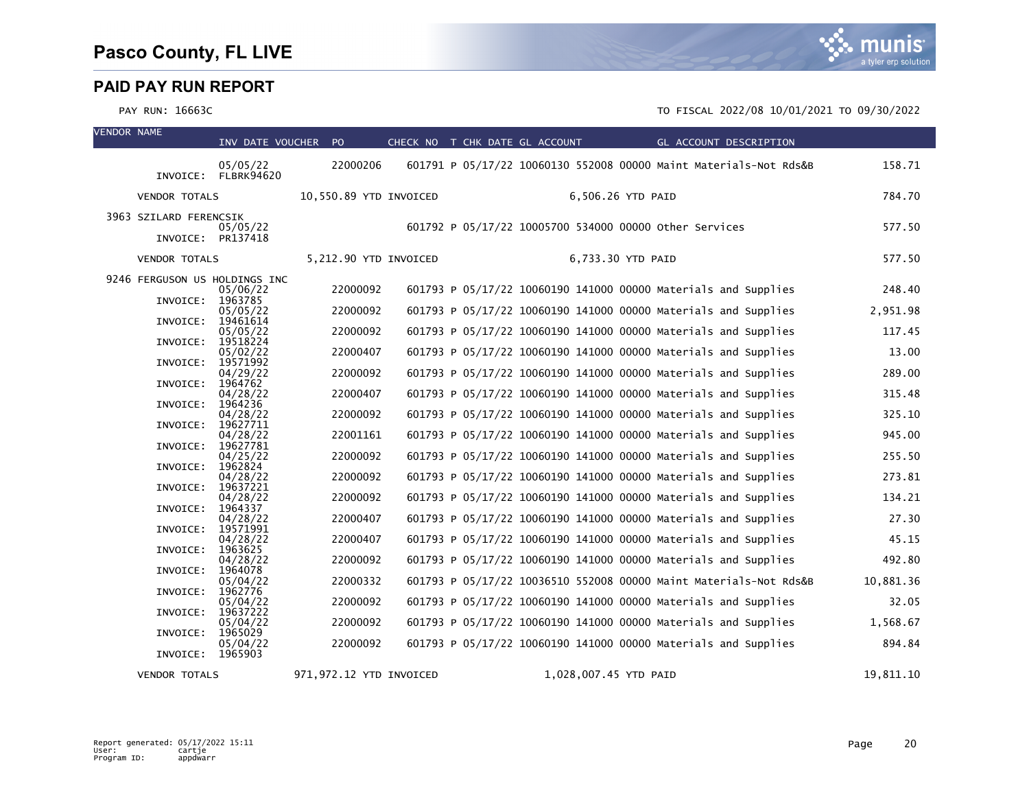| <b>VENDOR NAME</b> |                                             | INV DATE VOUCHER PO              |                         | CHECK NO T CHK DATE GL ACCOUNT | GL ACCOUNT DESCRIPTION                                                                                                           |                    |
|--------------------|---------------------------------------------|----------------------------------|-------------------------|--------------------------------|----------------------------------------------------------------------------------------------------------------------------------|--------------------|
|                    |                                             | 05/05/22<br>INVOICE: FLBRK94620  | 22000206                |                                | 601791 P 05/17/22 10060130 552008 00000 Maint Materials-Not Rds&B                                                                | 158.71             |
|                    | <b>VENDOR TOTALS</b>                        |                                  | 10,550.89 YTD INVOICED  |                                | 6,506.26 YTD PAID                                                                                                                | 784.70             |
|                    | 3963 SZILARD FERENCSIK<br>INVOICE: PR137418 | 05/05/22                         |                         |                                | 601792 P 05/17/22 10005700 534000 00000 other Services                                                                           | 577.50             |
|                    | <b>VENDOR TOTALS</b>                        |                                  | 5,212.90 YTD INVOICED   |                                | 6,733.30 YTD PAID                                                                                                                | 577.50             |
|                    | 9246 FERGUSON US HOLDINGS INC               |                                  |                         |                                |                                                                                                                                  |                    |
|                    | INVOICE:                                    | 05/06/22<br>1963785              | 22000092<br>22000092    |                                | 601793 P 05/17/22 10060190 141000 00000 Materials and Supplies<br>601793 P 05/17/22 10060190 141000 00000 Materials and Supplies | 248.40             |
|                    | INVOICE:                                    | 05/05/22<br>19461614<br>05/05/22 | 22000092                |                                | 601793 P 05/17/22 10060190 141000 00000 Materials and Supplies                                                                   | 2,951.98<br>117.45 |
|                    | INVOICE:                                    | 19518224<br>05/02/22             | 22000407                |                                | 601793 P 05/17/22 10060190 141000 00000 Materials and Supplies                                                                   | 13.00              |
|                    | INVOICE:                                    | 19571992<br>04/29/22             | 22000092                |                                | 601793 P 05/17/22 10060190 141000 00000 Materials and Supplies                                                                   | 289.00             |
|                    | INVOICE: 1964762                            | 04/28/22                         | 22000407                |                                | 601793 P 05/17/22 10060190 141000 00000 Materials and Supplies                                                                   | 315.48             |
|                    | INVOICE:                                    | 1964236<br>04/28/22              | 22000092                |                                | 601793 P 05/17/22 10060190 141000 00000 Materials and Supplies                                                                   | 325.10             |
|                    | INVOICE:                                    | 19627711<br>04/28/22             | 22001161                |                                | 601793 P 05/17/22 10060190 141000 00000 Materials and Supplies                                                                   | 945.00             |
|                    | INVOICE:                                    | 19627781<br>04/25/22             | 22000092                |                                | 601793 P 05/17/22 10060190 141000 00000 Materials and Supplies                                                                   | 255.50             |
|                    | INVOICE:                                    | 1962824<br>04/28/22              | 22000092                |                                | 601793 P 05/17/22 10060190 141000 00000 Materials and Supplies                                                                   | 273.81             |
|                    | INVOICE: 19637221<br>INVOICE:               | 04/28/22<br>1964337              | 22000092                |                                | 601793 P 05/17/22 10060190 141000 00000 Materials and Supplies                                                                   | 134.21             |
|                    | INVOICE:                                    | 04/28/22<br>19571991             | 22000407                |                                | 601793 P 05/17/22 10060190 141000 00000 Materials and Supplies                                                                   | 27.30              |
|                    | INVOICE:                                    | 04/28/22<br>1963625              | 22000407                |                                | 601793 P 05/17/22 10060190 141000 00000 Materials and Supplies                                                                   | 45.15              |
|                    | INVOICE:                                    | 04/28/22<br>1964078              | 22000092                |                                | 601793 P 05/17/22 10060190 141000 00000 Materials and Supplies                                                                   | 492.80             |
|                    | INVOICE:                                    | 05/04/22<br>1962776              | 22000332                |                                | 601793 P 05/17/22 10036510 552008 00000 Maint Materials-Not Rds&B                                                                | 10,881.36          |
|                    | INVOICE:                                    | 05/04/22<br>19637222             | 22000092                |                                | 601793 P 05/17/22 10060190 141000 00000 Materials and Supplies                                                                   | 32.05              |
|                    | INVOICE:                                    | 05/04/22<br>1965029              | 22000092                |                                | 601793 P 05/17/22 10060190 141000 00000 Materials and Supplies                                                                   | 1,568.67           |
|                    | INVOICE: 1965903                            | 05/04/22                         | 22000092                |                                | 601793 P 05/17/22 10060190 141000 00000 Materials and Supplies                                                                   | 894.84             |
|                    | <b>VENDOR TOTALS</b>                        |                                  | 971,972.12 YTD INVOICED |                                | 1,028,007.45 YTD PAID                                                                                                            | 19,811.10          |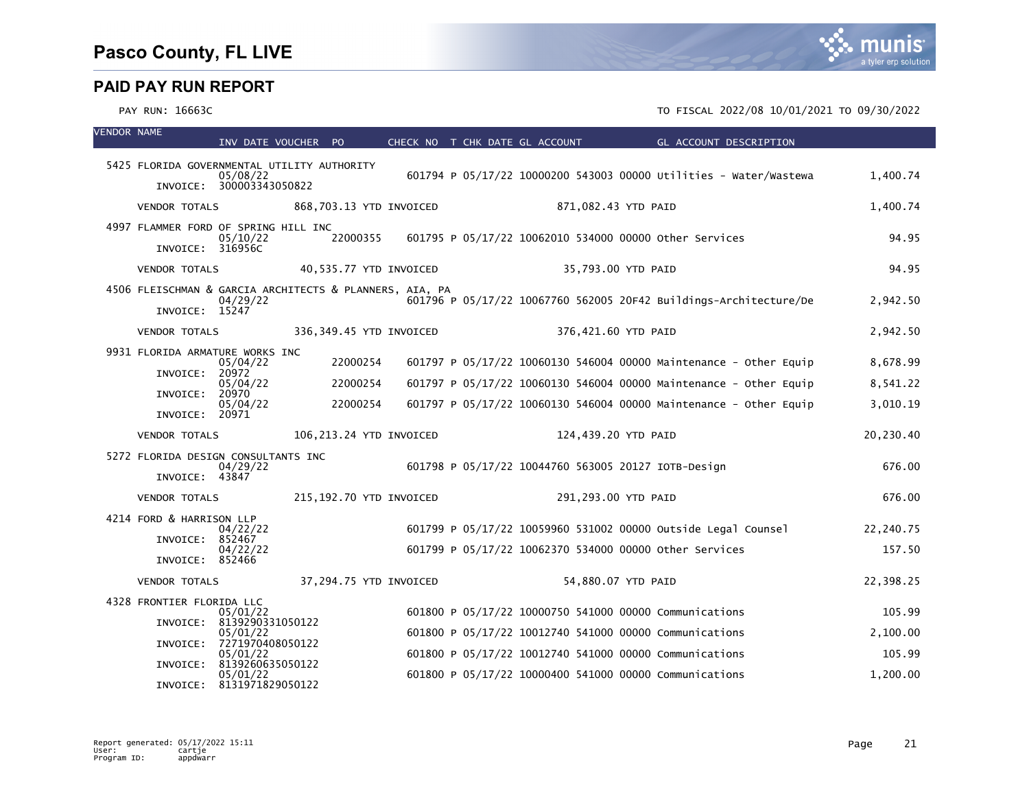| <b>VENDOR NAME</b> |                                                                           | INV DATE VOUCHER PO          |                          |                         | CHECK NO T CHK DATE GL ACCOUNT | <b>Example 2018 GL ACCOUNT DESCRIPTION</b>                                                                       |                    |
|--------------------|---------------------------------------------------------------------------|------------------------------|--------------------------|-------------------------|--------------------------------|------------------------------------------------------------------------------------------------------------------|--------------------|
|                    | 5425 FLORIDA GOVERNMENTAL UTILITY AUTHORITY                               |                              |                          |                         |                                |                                                                                                                  |                    |
|                    | INVOICE: 300003343050822                                                  | 05/08/22                     |                          |                         |                                | 601794 P 05/17/22 10000200 543003 00000 Utilities - Water/Wastewa                                                | 1,400.74           |
|                    | VENDOR TOTALS                                                             |                              |                          | 868,703.13 YTD INVOICED | 871,082.43 YTD PAID            |                                                                                                                  | 1,400.74           |
|                    | 4997 FLAMMER FORD OF SPRING HILL INC<br>INVOICE: 316956C                  | 05/10/22                     |                          |                         |                                | 22000355   601795   P 05/17/22   10062010   534000   00000   other services                                      | 94.95              |
|                    | VENDOR TOTALS                                                             |                              | 40,535.77 YTD INVOICED   |                         |                                | 35,793.00 YTD PAID                                                                                               | 94.95              |
|                    | 4506 FLEISCHMAN & GARCIA ARCHITECTS & PLANNERS, AIA, PA<br>INVOICE: 15247 | 04/29/22                     |                          |                         |                                | 601796 P 05/17/22 10067760 562005 20F42 Buildings-Architecture/De                                                | 2,942.50           |
|                    | <b>VENDOR TOTALS</b>                                                      |                              |                          | 336,349.45 YTD INVOICED | 376,421.60 YTD PAID            |                                                                                                                  | 2,942.50           |
|                    | 9931 FLORIDA ARMATURE WORKS INC                                           | 05/04/22                     | 22000254                 |                         |                                | 601797 P 05/17/22 10060130 546004 00000 Maintenance - Other Equip                                                | 8,678.99           |
|                    | INVOICE:                                                                  | 20972<br>05/04/22            | 22000254                 |                         |                                | 601797 P 05/17/22 10060130 546004 00000 Maintenance - Other Equip                                                | 8,541.22           |
|                    | INVOICE:<br>INVOICE: 20971                                                | 20970<br>05/04/22            | 22000254                 |                         |                                | 601797 P 05/17/22 10060130 546004 00000 Maintenance - Other Equip                                                | 3,010.19           |
|                    | <b>VENDOR TOTALS</b>                                                      |                              | 106, 213.24 YTD INVOICED |                         | 124,439.20 YTD PAID            |                                                                                                                  | 20,230.40          |
|                    | 5272 FLORIDA DESIGN CONSULTANTS INC<br>INVOICE: 43847                     | 04/29/22                     |                          |                         |                                | 601798 P 05/17/22 10044760 563005 20127 IOTB-Design                                                              | 676.00             |
|                    | <b>VENDOR TOTALS</b>                                                      |                              | 215,192.70 YTD INVOICED  |                         | 291,293.00 YTD PAID            |                                                                                                                  | 676.00             |
|                    | 4214 FORD & HARRISON LLP<br>INVOICE: 852467                               | 04/22/22                     |                          |                         |                                | 601799 P 05/17/22 10059960 531002 00000 Outside Legal Counsel                                                    | 22,240.75          |
|                    | INVOICE: 852466                                                           | 04/22/22                     |                          |                         |                                | 601799 P 05/17/22 10062370 534000 00000 other Services                                                           | 157.50             |
|                    | <b>VENDOR TOTALS</b>                                                      |                              | 37,294.75 YTD INVOICED   |                         |                                | 54,880.07 YTD PAID                                                                                               | 22,398.25          |
|                    | 4328 FRONTIER FLORIDA LLC                                                 |                              |                          |                         |                                |                                                                                                                  |                    |
|                    | INVOICE: 8139290331050122                                                 | 05/01/22                     |                          |                         |                                | 601800 P 05/17/22 10000750 541000 00000 Communications<br>601800 P 05/17/22 10012740 541000 00000 Communications | 105.99<br>2,100.00 |
|                    | INVOICE: 7271970408050122                                                 | 05/01/22<br>05/01/22         |                          |                         |                                | 601800 P 05/17/22 10012740 541000 00000 Communications                                                           | 105.99             |
|                    | INVOICE:                                                                  | 8139260635050122<br>05/01/22 |                          |                         |                                | 601800 P 05/17/22 10000400 541000 00000 Communications                                                           | 1,200.00           |
|                    | INVOICE: 8131971829050122                                                 |                              |                          |                         |                                |                                                                                                                  |                    |

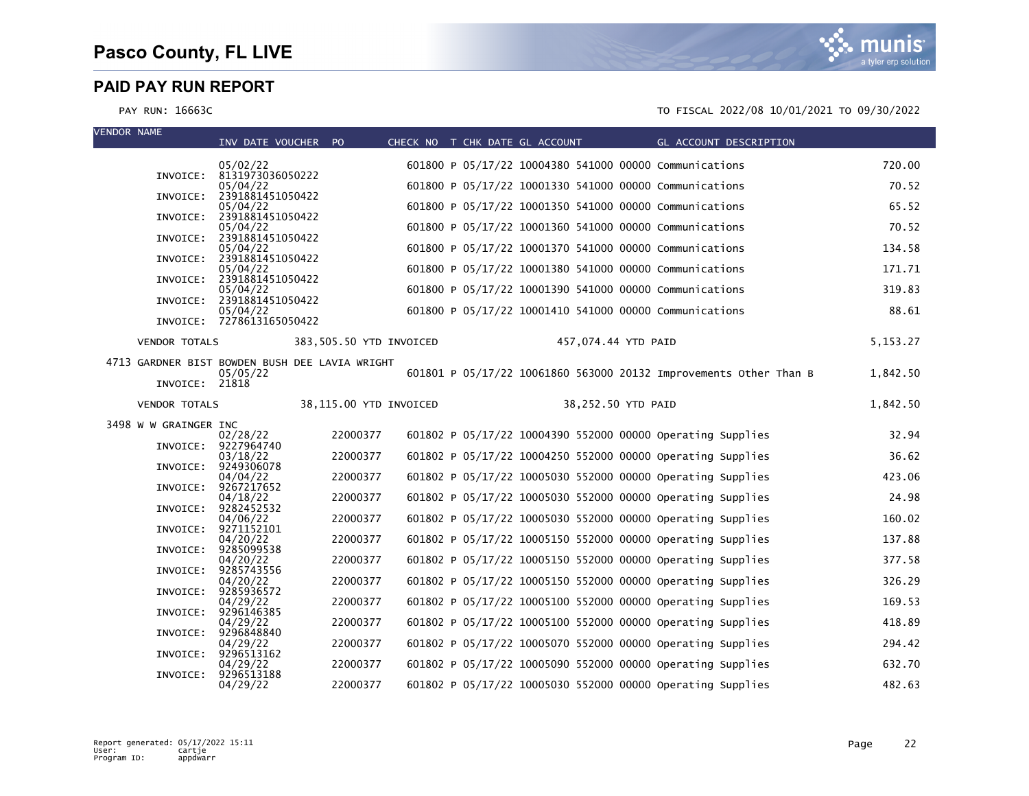| <b>VENDOR NAME</b> |                       | INV DATE VOUCHER PO                                        |                         |  | CHECK NO T CHK DATE GL ACCOUNT |                     | GL ACCOUNT DESCRIPTION                                            |          |
|--------------------|-----------------------|------------------------------------------------------------|-------------------------|--|--------------------------------|---------------------|-------------------------------------------------------------------|----------|
|                    |                       | 05/02/22                                                   |                         |  |                                |                     | 601800 P 05/17/22 10004380 541000 00000 Communications            | 720.00   |
|                    |                       | INVOICE: 8131973036050222<br>05/04/22                      |                         |  |                                |                     | 601800 P 05/17/22 10001330 541000 00000 Communications            | 70.52    |
|                    | INVOICE:              | 2391881451050422<br>05/04/22                               |                         |  |                                |                     | 601800 P 05/17/22 10001350 541000 00000 Communications            | 65.52    |
|                    |                       | INVOICE: 2391881451050422<br>05/04/22                      |                         |  |                                |                     | 601800 P 05/17/22 10001360 541000 00000 Communications            | 70.52    |
|                    |                       | INVOICE: 2391881451050422<br>05/04/22                      |                         |  |                                |                     | 601800 P 05/17/22 10001370 541000 00000 Communications            | 134.58   |
|                    |                       | INVOICE: 2391881451050422<br>05/04/22                      |                         |  |                                |                     | 601800 P 05/17/22 10001380 541000 00000 Communications            | 171.71   |
|                    |                       | INVOICE: 2391881451050422<br>05/04/22                      |                         |  |                                |                     | 601800 P 05/17/22 10001390 541000 00000 Communications            | 319.83   |
|                    |                       | INVOICE: 2391881451050422                                  |                         |  |                                |                     |                                                                   |          |
|                    |                       | 05/04/22<br>INVOICE: 7278613165050422                      |                         |  |                                |                     | 601800 P 05/17/22 10001410 541000 00000 Communications            | 88.61    |
|                    | <b>VENDOR TOTALS</b>  |                                                            | 383,505.50 YTD INVOICED |  |                                | 457,074.44 YTD PAID |                                                                   | 5,153.27 |
|                    |                       | 4713 GARDNER BIST BOWDEN BUSH DEE LAVIA WRIGHT<br>05/05/22 |                         |  |                                |                     | 601801 P 05/17/22 10061860 563000 20132 Improvements Other Than B | 1,842.50 |
|                    | INVOICE: 21818        |                                                            |                         |  |                                |                     |                                                                   |          |
|                    | <b>VENDOR TOTALS</b>  |                                                            | 38,115.00 YTD INVOICED  |  |                                | 38,252.50 YTD PAID  |                                                                   | 1,842.50 |
|                    | 3498 W W GRAINGER INC | 02/28/22                                                   | 22000377                |  |                                |                     | 601802 P 05/17/22 10004390 552000 00000 Operating Supplies        | 32.94    |
|                    |                       | INVOICE: 9227964740<br>03/18/22                            | 22000377                |  |                                |                     | 601802 P 05/17/22 10004250 552000 00000 Operating Supplies        | 36.62    |
|                    | INVOICE:              | 9249306078<br>04/04/22                                     | 22000377                |  |                                |                     | 601802 P 05/17/22 10005030 552000 00000 Operating Supplies        | 423.06   |
|                    |                       | INVOICE: 9267217652<br>04/18/22                            | 22000377                |  |                                |                     | 601802 P 05/17/22 10005030 552000 00000 Operating Supplies        | 24.98    |
|                    |                       | INVOICE: 9282452532                                        | 22000377                |  |                                |                     | 601802 P 05/17/22 10005030 552000 00000 Operating Supplies        | 160.02   |
|                    |                       | 04/06/22<br>INVOICE: 9271152101                            |                         |  |                                |                     |                                                                   |          |
|                    | INVOICE:              | 04/20/22<br>9285099538                                     | 22000377                |  |                                |                     | 601802 P 05/17/22 10005150 552000 00000 Operating Supplies        | 137.88   |
|                    |                       | 04/20/22<br>INVOICE: 9285743556                            | 22000377                |  |                                |                     | 601802 P 05/17/22 10005150 552000 00000 Operating Supplies        | 377.58   |
|                    | INVOICE:              | 04/20/22<br>9285936572                                     | 22000377                |  |                                |                     | 601802 P 05/17/22 10005150 552000 00000 operating Supplies        | 326.29   |
|                    | INVOICE:              | 04/29/22<br>9296146385                                     | 22000377                |  |                                |                     | 601802 P 05/17/22 10005100 552000 00000 Operating Supplies        | 169.53   |
|                    | INVOICE:              | 04/29/22<br>9296848840                                     | 22000377                |  |                                |                     | 601802 P 05/17/22 10005100 552000 00000 Operating Supplies        | 418.89   |
|                    |                       | 04/29/22<br>INVOICE: 9296513162                            | 22000377                |  |                                |                     | 601802 P 05/17/22 10005070 552000 00000 Operating Supplies        | 294.42   |
|                    |                       | 04/29/22                                                   | 22000377                |  |                                |                     | 601802 P 05/17/22 10005090 552000 00000 Operating Supplies        | 632.70   |
|                    | INVOICE:              | 9296513188<br>04/29/22                                     | 22000377                |  |                                |                     | 601802 P 05/17/22 10005030 552000 00000 Operating Supplies        | 482.63   |

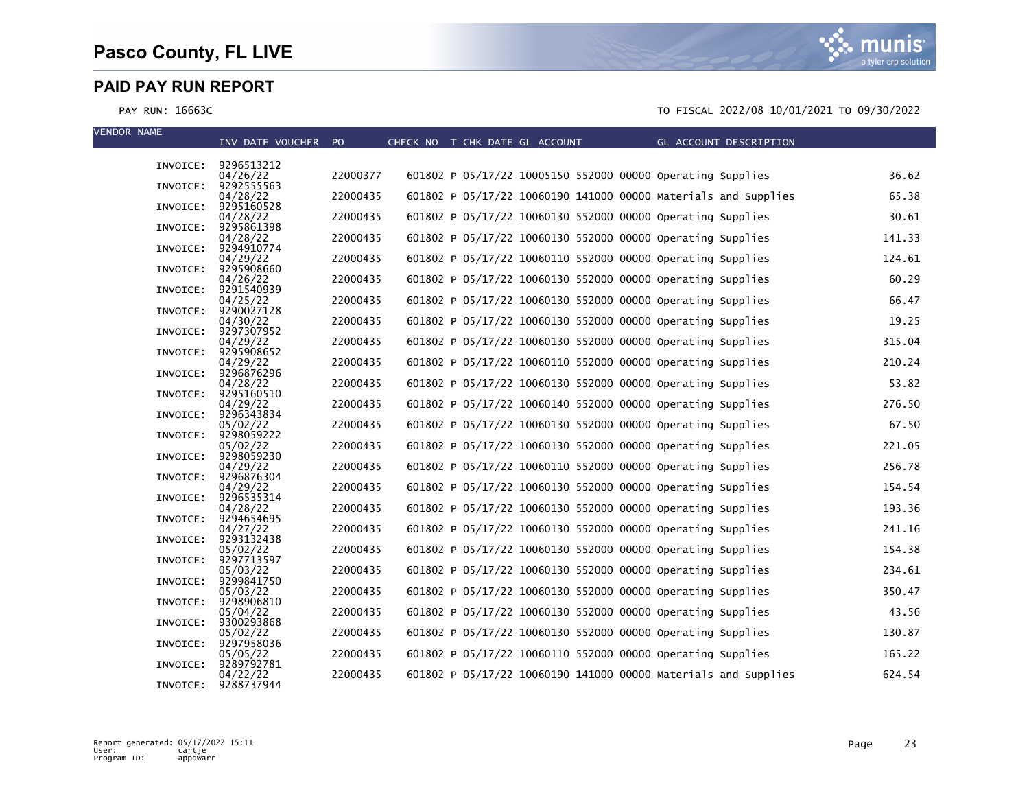mı IS a tyler erp solution

| <b>VENDOR NAME</b> | INV DATE VOUCHER PO    |          | CHECK NO T CHK DATE GL ACCOUNT |  |  |                                                            | GL ACCOUNT DESCRIPTION                                         |        |
|--------------------|------------------------|----------|--------------------------------|--|--|------------------------------------------------------------|----------------------------------------------------------------|--------|
|                    |                        |          |                                |  |  |                                                            |                                                                |        |
| INVOICE:           | 9296513212<br>04/26/22 | 22000377 |                                |  |  | 601802 P 05/17/22 10005150 552000 00000 operating Supplies |                                                                | 36.62  |
| INVOICE:           | 9292555563<br>04/28/22 | 22000435 |                                |  |  |                                                            | 601802 P 05/17/22 10060190 141000 00000 Materials and Supplies | 65.38  |
| INVOICE:           | 9295160528<br>04/28/22 | 22000435 |                                |  |  | 601802 P 05/17/22 10060130 552000 00000 Operating Supplies |                                                                | 30.61  |
| INVOICE:           | 9295861398<br>04/28/22 | 22000435 |                                |  |  | 601802 P 05/17/22 10060130 552000 00000 Operating Supplies |                                                                | 141.33 |
| INVOICE:           | 9294910774<br>04/29/22 | 22000435 |                                |  |  | 601802 P 05/17/22 10060110 552000 00000 Operating Supplies |                                                                | 124.61 |
| INVOICE:           | 9295908660<br>04/26/22 | 22000435 |                                |  |  | 601802 P 05/17/22 10060130 552000 00000 Operating Supplies |                                                                | 60.29  |
| INVOICE:           | 9291540939<br>04/25/22 | 22000435 |                                |  |  | 601802 P 05/17/22 10060130 552000 00000 Operating Supplies |                                                                | 66.47  |
| INVOICE:           | 9290027128             | 22000435 |                                |  |  | 601802 P 05/17/22 10060130 552000 00000 Operating Supplies |                                                                | 19.25  |
| INVOICE:           | 04/30/22<br>9297307952 |          |                                |  |  |                                                            |                                                                |        |
| INVOICE:           | 04/29/22<br>9295908652 | 22000435 |                                |  |  | 601802 P 05/17/22 10060130 552000 00000 Operating Supplies |                                                                | 315.04 |
| INVOICE:           | 04/29/22<br>9296876296 | 22000435 |                                |  |  | 601802 P 05/17/22 10060110 552000 00000 Operating Supplies |                                                                | 210.24 |
| INVOICE:           | 04/28/22<br>9295160510 | 22000435 |                                |  |  | 601802 P 05/17/22 10060130 552000 00000 Operating Supplies |                                                                | 53.82  |
| INVOICE:           | 04/29/22<br>9296343834 | 22000435 |                                |  |  | 601802 P 05/17/22 10060140 552000 00000 Operating Supplies |                                                                | 276.50 |
| INVOICE:           | 05/02/22<br>9298059222 | 22000435 |                                |  |  | 601802 P 05/17/22 10060130 552000 00000 Operating Supplies |                                                                | 67.50  |
| INVOICE:           | 05/02/22<br>9298059230 | 22000435 |                                |  |  | 601802 P 05/17/22 10060130 552000 00000 Operating Supplies |                                                                | 221.05 |
| INVOICE:           | 04/29/22<br>9296876304 | 22000435 |                                |  |  | 601802 P 05/17/22 10060110 552000 00000 Operating Supplies |                                                                | 256.78 |
|                    | 04/29/22<br>9296535314 | 22000435 |                                |  |  | 601802 P 05/17/22 10060130 552000 00000 Operating Supplies |                                                                | 154.54 |
| INVOICE:           | 04/28/22               | 22000435 |                                |  |  | 601802 P 05/17/22 10060130 552000 00000 Operating Supplies |                                                                | 193.36 |
| INVOICE:           | 9294654695<br>04/27/22 | 22000435 |                                |  |  | 601802 P 05/17/22 10060130 552000 00000 Operating Supplies |                                                                | 241.16 |
| INVOICE:           | 9293132438<br>05/02/22 | 22000435 |                                |  |  | 601802 P 05/17/22 10060130 552000 00000 operating Supplies |                                                                | 154.38 |
| INVOICE:           | 9297713597<br>05/03/22 | 22000435 |                                |  |  | 601802 P 05/17/22 10060130 552000 00000 Operating Supplies |                                                                | 234.61 |
| INVOICE:           | 9299841750<br>05/03/22 | 22000435 |                                |  |  | 601802 P 05/17/22 10060130 552000 00000 Operating Supplies |                                                                | 350.47 |
| INVOICE:           | 9298906810<br>05/04/22 | 22000435 |                                |  |  | 601802 P 05/17/22 10060130 552000 00000 Operating Supplies |                                                                | 43.56  |
| INVOICE:           | 9300293868<br>05/02/22 | 22000435 |                                |  |  | 601802 P 05/17/22 10060130 552000 00000 Operating Supplies |                                                                | 130.87 |
| INVOICE:           | 9297958036<br>05/05/22 | 22000435 |                                |  |  | 601802 P 05/17/22 10060110 552000 00000 Operating Supplies |                                                                | 165.22 |
| INVOICE:           | 9289792781<br>04/22/22 | 22000435 |                                |  |  |                                                            | 601802 P 05/17/22 10060190 141000 00000 Materials and Supplies | 624.54 |
| INVOICE:           | 9288737944             |          |                                |  |  |                                                            |                                                                |        |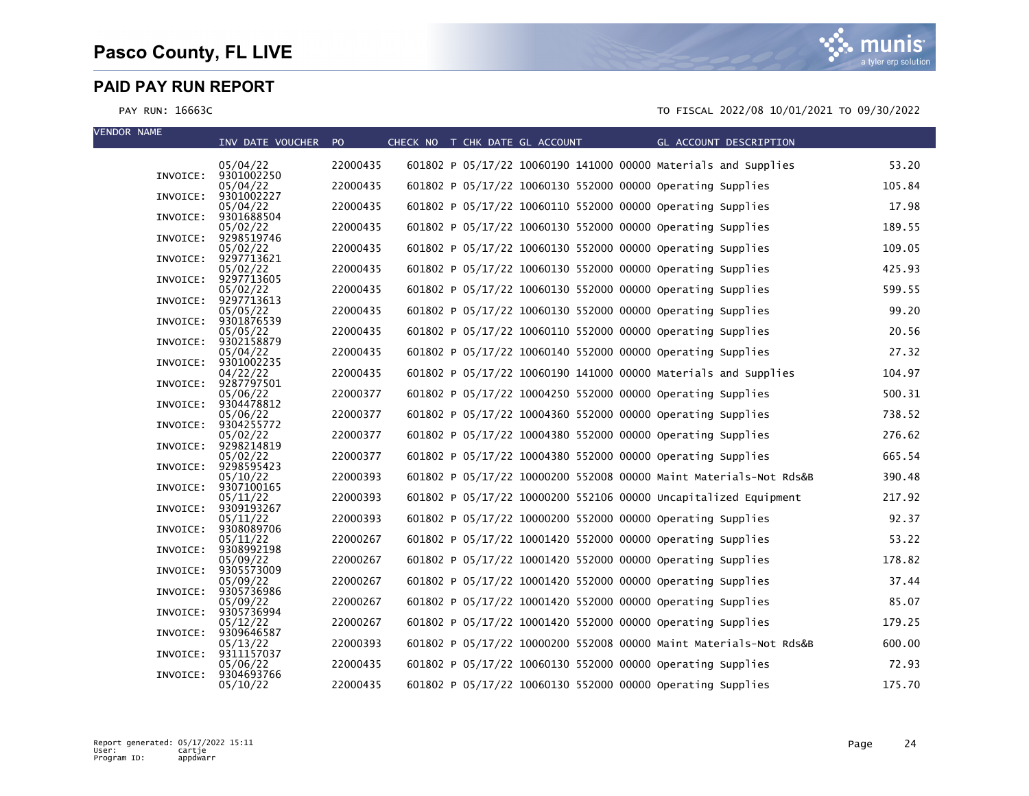| <b>VENDOR NAME</b> |          | INV DATE VOUCHER PO    |          | CHECK NO T CHK DATE GL ACCOUNT |  |  |                                                            | GL ACCOUNT DESCRIPTION                                            |        |
|--------------------|----------|------------------------|----------|--------------------------------|--|--|------------------------------------------------------------|-------------------------------------------------------------------|--------|
|                    |          | 05/04/22               | 22000435 |                                |  |  |                                                            | 601802 P 05/17/22 10060190 141000 00000 Materials and Supplies    | 53.20  |
|                    | INVOICE: | 9301002250<br>05/04/22 | 22000435 |                                |  |  | 601802 P 05/17/22 10060130 552000 00000 Operating Supplies |                                                                   | 105.84 |
|                    | INVOICE: | 9301002227             |          |                                |  |  |                                                            |                                                                   |        |
|                    | INVOICE: | 05/04/22<br>9301688504 | 22000435 |                                |  |  | 601802 P 05/17/22 10060110 552000 00000 Operating Supplies |                                                                   | 17.98  |
|                    | INVOICE: | 05/02/22<br>9298519746 | 22000435 |                                |  |  | 601802 P 05/17/22 10060130 552000 00000 Operating Supplies |                                                                   | 189.55 |
|                    | INVOICE: | 05/02/22<br>9297713621 | 22000435 |                                |  |  | 601802 P 05/17/22 10060130 552000 00000 operating Supplies |                                                                   | 109.05 |
|                    |          | 05/02/22               | 22000435 |                                |  |  | 601802 P 05/17/22 10060130 552000 00000 Operating Supplies |                                                                   | 425.93 |
|                    | INVOICE: | 9297713605<br>05/02/22 | 22000435 |                                |  |  | 601802 P 05/17/22 10060130 552000 00000 Operating Supplies |                                                                   | 599.55 |
|                    | INVOICE: | 9297713613<br>05/05/22 | 22000435 |                                |  |  | 601802 P 05/17/22 10060130 552000 00000 Operating Supplies |                                                                   | 99.20  |
|                    | INVOICE: | 9301876539<br>05/05/22 | 22000435 |                                |  |  | 601802 P 05/17/22 10060110 552000 00000 Operating Supplies |                                                                   | 20.56  |
|                    | INVOICE: | 9302158879             |          |                                |  |  |                                                            |                                                                   |        |
|                    | INVOICE: | 05/04/22<br>9301002235 | 22000435 |                                |  |  | 601802 P 05/17/22 10060140 552000 00000 Operating Supplies |                                                                   | 27.32  |
|                    | INVOICE: | 04/22/22<br>9287797501 | 22000435 |                                |  |  |                                                            | 601802 P 05/17/22 10060190 141000 00000 Materials and Supplies    | 104.97 |
|                    |          | 05/06/22<br>9304478812 | 22000377 |                                |  |  | 601802 P 05/17/22 10004250 552000 00000 Operating Supplies |                                                                   | 500.31 |
|                    | INVOICE: | 05/06/22               | 22000377 |                                |  |  | 601802 P 05/17/22 10004360 552000 00000 Operating Supplies |                                                                   | 738.52 |
|                    | INVOICE: | 9304255772<br>05/02/22 | 22000377 |                                |  |  | 601802 P 05/17/22 10004380 552000 00000 Operating Supplies |                                                                   | 276.62 |
|                    | INVOICE: | 9298214819<br>05/02/22 | 22000377 |                                |  |  | 601802 P 05/17/22 10004380 552000 00000 Operating Supplies |                                                                   | 665.54 |
|                    | INVOICE: | 9298595423             | 22000393 |                                |  |  |                                                            | 601802 P 05/17/22 10000200 552008 00000 Maint Materials-Not Rds&B | 390.48 |
|                    | INVOICE: | 05/10/22<br>9307100165 |          |                                |  |  |                                                            |                                                                   |        |
|                    | INVOICE: | 05/11/22<br>9309193267 | 22000393 |                                |  |  |                                                            | 601802 P 05/17/22 10000200 552106 00000 Uncapitalized Equipment   | 217.92 |
|                    | INVOICE: | 05/11/22<br>9308089706 | 22000393 |                                |  |  | 601802 P 05/17/22 10000200 552000 00000 Operating Supplies |                                                                   | 92.37  |
|                    |          | 05/11/22               | 22000267 |                                |  |  | 601802 P 05/17/22 10001420 552000 00000 Operating Supplies |                                                                   | 53.22  |
|                    | INVOICE: | 9308992198<br>05/09/22 | 22000267 |                                |  |  | 601802 P 05/17/22 10001420 552000 00000 Operating Supplies |                                                                   | 178.82 |
|                    | INVOICE: | 9305573009<br>05/09/22 | 22000267 |                                |  |  | 601802 P 05/17/22 10001420 552000 00000 Operating Supplies |                                                                   | 37.44  |
|                    | INVOICE: | 9305736986<br>05/09/22 | 22000267 |                                |  |  | 601802 P 05/17/22 10001420 552000 00000 Operating Supplies |                                                                   | 85.07  |
|                    | INVOICE: | 9305736994             | 22000267 |                                |  |  |                                                            |                                                                   | 179.25 |
|                    | INVOICE: | 05/12/22<br>9309646587 |          |                                |  |  | 601802 P 05/17/22 10001420 552000 00000 Operating Supplies |                                                                   |        |
|                    | INVOICE: | 05/13/22<br>9311157037 | 22000393 |                                |  |  |                                                            | 601802 P 05/17/22 10000200 552008 00000 Maint Materials-Not Rds&B | 600.00 |
|                    | INVOICE: | 05/06/22<br>9304693766 | 22000435 |                                |  |  | 601802 P 05/17/22 10060130 552000 00000 Operating Supplies |                                                                   | 72.93  |
|                    |          | 05/10/22               | 22000435 |                                |  |  | 601802 P 05/17/22 10060130 552000 00000 Operating Supplies |                                                                   | 175.70 |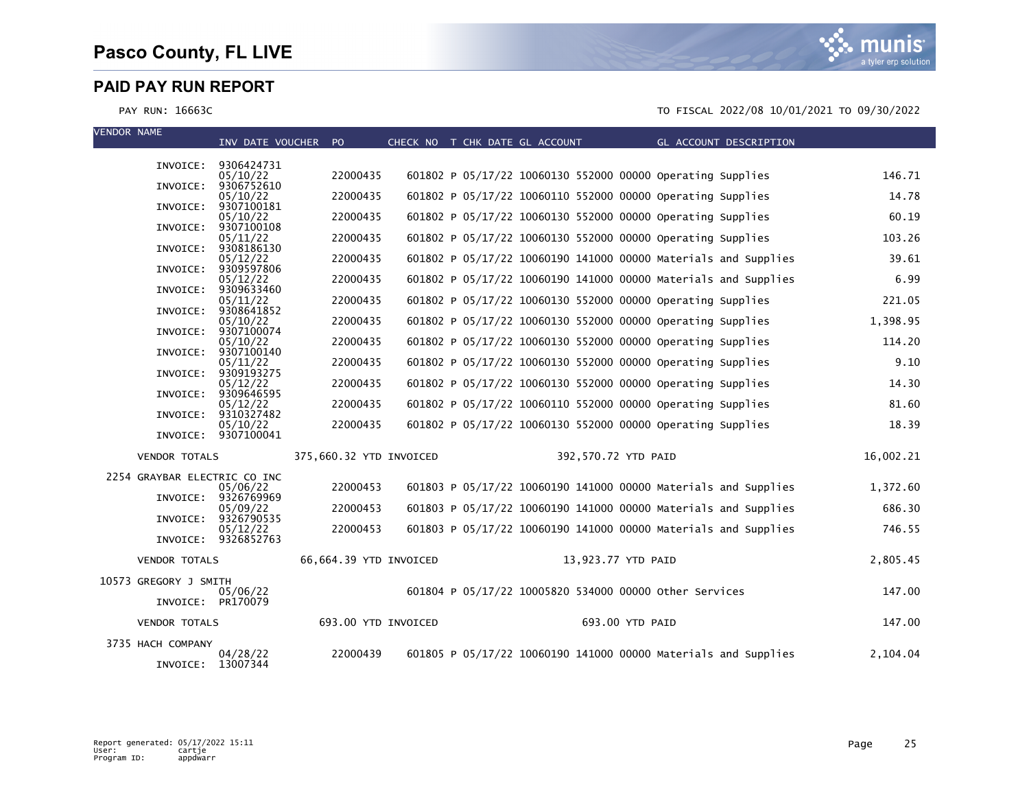| <b>VENDOR NAME</b>           | INV DATE VOUCHER                | PO.                     |  | CHECK NO T CHK DATE GL ACCOUNT                                 |                     | GL ACCOUNT DESCRIPTION |           |
|------------------------------|---------------------------------|-------------------------|--|----------------------------------------------------------------|---------------------|------------------------|-----------|
|                              |                                 |                         |  |                                                                |                     |                        |           |
| INVOICE:                     | 9306424731<br>05/10/22          | 22000435                |  | 601802 P 05/17/22 10060130 552000 00000 Operating Supplies     |                     |                        | 146.71    |
| INVOICE:                     | 9306752610<br>05/10/22          | 22000435                |  | 601802 P 05/17/22 10060110 552000 00000 Operating Supplies     |                     |                        | 14.78     |
| INVOICE:                     | 9307100181                      |                         |  |                                                                |                     |                        |           |
| INVOICE:                     | 05/10/22<br>9307100108          | 22000435                |  | 601802 P 05/17/22 10060130 552000 00000 Operating Supplies     |                     |                        | 60.19     |
| INVOICE:                     | 05/11/22<br>9308186130          | 22000435                |  | 601802 P 05/17/22 10060130 552000 00000 Operating Supplies     |                     |                        | 103.26    |
| INVOICE:                     | 05/12/22<br>9309597806          | 22000435                |  | 601802 P 05/17/22 10060190 141000 00000 Materials and Supplies |                     |                        | 39.61     |
|                              | 05/12/22                        | 22000435                |  | 601802 P 05/17/22 10060190 141000 00000 Materials and Supplies |                     |                        | 6.99      |
| INVOICE:                     | 9309633460<br>05/11/22          | 22000435                |  | 601802 P 05/17/22 10060130 552000 00000 Operating Supplies     |                     |                        | 221.05    |
| INVOICE:                     | 9308641852<br>05/10/22          | 22000435                |  | 601802 P 05/17/22 10060130 552000 00000 Operating Supplies     |                     |                        | 1,398.95  |
| INVOICE:                     | 9307100074                      |                         |  |                                                                |                     |                        |           |
| INVOICE:                     | 05/10/22<br>9307100140          | 22000435                |  | 601802 P 05/17/22 10060130 552000 00000 Operating Supplies     |                     |                        | 114.20    |
| INVOICE:                     | 05/11/22<br>9309193275          | 22000435                |  | 601802 P 05/17/22 10060130 552000 00000 Operating Supplies     |                     |                        | 9.10      |
| INVOICE:                     | 05/12/22<br>9309646595          | 22000435                |  | 601802 P 05/17/22 10060130 552000 00000 Operating Supplies     |                     |                        | 14.30     |
|                              | 05/12/22                        | 22000435                |  | 601802 P 05/17/22 10060110 552000 00000 Operating Supplies     |                     |                        | 81.60     |
| INVOICE:                     | 9310327482<br>05/10/22          | 22000435                |  | 601802 P 05/17/22 10060130 552000 00000 Operating Supplies     |                     |                        | 18.39     |
|                              | INVOICE: 9307100041             |                         |  |                                                                |                     |                        |           |
| <b>VENDOR TOTALS</b>         |                                 | 375,660.32 YTD INVOICED |  |                                                                | 392,570.72 YTD PAID |                        | 16,002.21 |
| 2254 GRAYBAR ELECTRIC CO INC |                                 |                         |  |                                                                |                     |                        |           |
| INVOICE:                     | 05/06/22<br>9326769969          | 22000453                |  | 601803 P 05/17/22 10060190 141000 00000 Materials and Supplies |                     |                        | 1,372.60  |
| INVOICE:                     | 05/09/22<br>9326790535          | 22000453                |  | 601803 P 05/17/22 10060190 141000 00000 Materials and Supplies |                     |                        | 686.30    |
|                              | 05/12/22<br>INVOICE: 9326852763 | 22000453                |  | 601803 P 05/17/22 10060190 141000 00000 Materials and Supplies |                     |                        | 746.55    |
| <b>VENDOR TOTALS</b>         |                                 | 66,664.39 YTD INVOICED  |  |                                                                | 13,923.77 YTD PAID  |                        | 2,805.45  |
| 10573 GREGORY J SMITH        |                                 |                         |  |                                                                |                     |                        |           |
|                              | 05/06/22<br>INVOICE: PR170079   |                         |  | 601804 P 05/17/22 10005820 534000 00000 other Services         |                     |                        | 147.00    |
| <b>VENDOR TOTALS</b>         |                                 | 693.00 YTD INVOICED     |  |                                                                | 693.00 YTD PAID     |                        | 147.00    |
| 3735 HACH COMPANY            |                                 |                         |  |                                                                |                     |                        |           |
| INVOICE:                     | 04/28/22<br>13007344            | 22000439                |  | 601805 P 05/17/22 10060190 141000 00000 Materials and Supplies |                     |                        | 2,104.04  |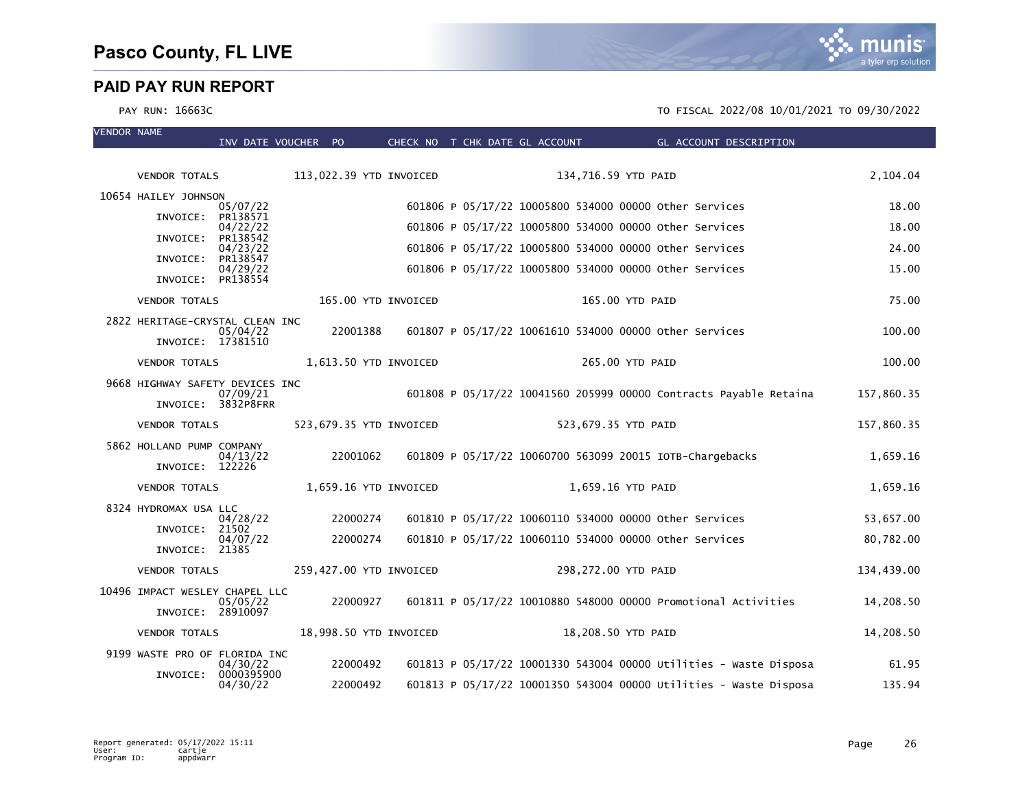VENDOR NAME

|                                 |                                 | INV DATE VOUCHER PO     |                     | CHECK NO T CHK DATE GL ACCOUNT                           |                     | GL ACCOUNT DESCRIPTION                                            |            |
|---------------------------------|---------------------------------|-------------------------|---------------------|----------------------------------------------------------|---------------------|-------------------------------------------------------------------|------------|
| <b>VENDOR TOTALS</b>            |                                 | 113,022.39 YTD INVOICED |                     |                                                          | 134,716.59 YTD PAID |                                                                   | 2,104.04   |
| 10654 HAILEY JOHNSON            |                                 |                         |                     |                                                          |                     |                                                                   |            |
|                                 | 05/07/22                        |                         |                     | 601806 P 05/17/22 10005800 534000 00000 other Services   |                     |                                                                   | 18.00      |
| INVOICE:                        | PR138571<br>04/22/22            |                         |                     | 601806 P 05/17/22 10005800 534000 00000 other Services   |                     |                                                                   | 18.00      |
| INVOICE:                        | PR138542<br>04/23/22            |                         |                     | 601806 P 05/17/22 10005800 534000 00000 other Services   |                     |                                                                   | 24.00      |
| INVOICE:                        | PR138547<br>04/29/22            |                         |                     | 601806 P 05/17/22 10005800 534000 00000 other Services   |                     |                                                                   | 15.00      |
| INVOICE: PR138554               |                                 |                         |                     |                                                          |                     |                                                                   |            |
| <b>VENDOR TOTALS</b>            |                                 |                         | 165.00 YTD INVOICED |                                                          | 165.00 YTD PAID     |                                                                   | 75.00      |
| 2822 HERITAGE-CRYSTAL CLEAN INC |                                 |                         |                     |                                                          |                     |                                                                   |            |
| INVOICE: 17381510               | 05/04/22                        | 22001388                |                     | 601807 P 05/17/22 10061610 534000 00000 Other Services   |                     |                                                                   | 100.00     |
| <b>VENDOR TOTALS</b>            |                                 | 1,613.50 YTD INVOICED   |                     |                                                          | 265.00 YTD PAID     |                                                                   | 100.00     |
| 9668 HIGHWAY SAFETY DEVICES INC |                                 |                         |                     |                                                          |                     | 601808 P 05/17/22 10041560 205999 00000 Contracts Payable Retaina |            |
|                                 | 07/09/21<br>INVOICE: 3832P8FRR  |                         |                     |                                                          |                     |                                                                   | 157,860.35 |
| <b>VENDOR TOTALS</b>            |                                 | 523,679.35 YTD INVOICED |                     |                                                          | 523,679.35 YTD PAID |                                                                   | 157,860.35 |
| 5862 HOLLAND PUMP COMPANY       | 04/13/22                        | 22001062                |                     | 601809 P 05/17/22 10060700 563099 20015 IOTB-Chargebacks |                     |                                                                   | 1,659.16   |
| INVOICE: 122226                 |                                 |                         |                     |                                                          |                     |                                                                   |            |
| <b>VENDOR TOTALS</b>            |                                 | 1,659.16 YTD INVOICED   |                     |                                                          | 1,659.16 YTD PAID   |                                                                   | 1,659.16   |
| 8324 HYDROMAX USA LLC           | 04/28/22                        | 22000274                |                     | 601810 P 05/17/22 10060110 534000 00000 other Services   |                     |                                                                   | 53,657.00  |
| INVOICE: 21502                  | 04/07/22                        | 22000274                |                     | 601810 P 05/17/22 10060110 534000 00000 other Services   |                     |                                                                   | 80,782.00  |
| INVOICE: 21385                  |                                 |                         |                     |                                                          |                     |                                                                   |            |
| <b>VENDOR TOTALS</b>            |                                 | 259,427.00 YTD INVOICED |                     |                                                          | 298,272.00 YTD PAID |                                                                   | 134,439.00 |
| 10496 IMPACT WESLEY CHAPEL LLC  |                                 |                         |                     |                                                          |                     |                                                                   |            |
| INVOICE: 28910097               | 05/05/22                        | 22000927                |                     |                                                          |                     | 601811 P 05/17/22 10010880 548000 00000 Promotional Activities    | 14,208.50  |
| <b>VENDOR TOTALS</b>            |                                 | 18,998.50 YTD INVOICED  |                     |                                                          | 18,208.50 YTD PAID  |                                                                   | 14,208.50  |
| 9199 WASTE PRO OF FLORIDA INC   |                                 |                         |                     |                                                          |                     |                                                                   |            |
|                                 | 04/30/22<br>INVOICE: 0000395900 | 22000492                |                     |                                                          |                     | 601813 P 05/17/22 10001330 543004 00000 Utilities - Waste Disposa | 61.95      |
|                                 | 04/30/22                        | 22000492                |                     |                                                          |                     | 601813 P 05/17/22 10001350 543004 00000 Utilities - Waste Disposa | 135.94     |

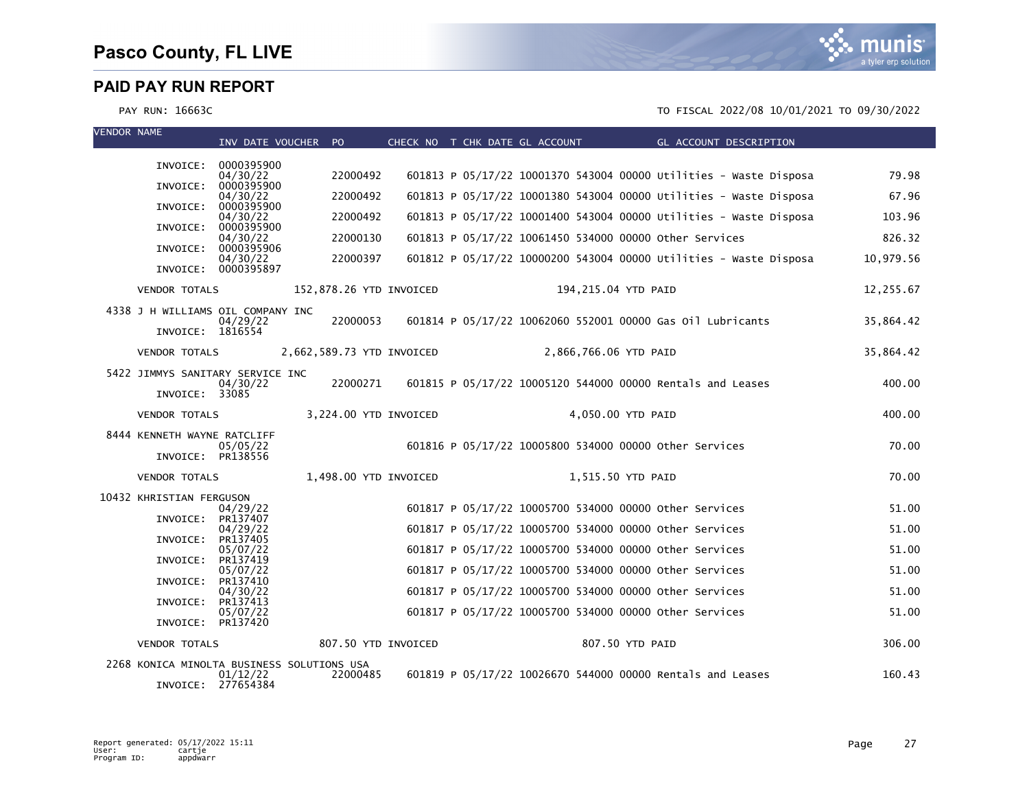

| <b>VENDOR NAME</b> |                             | INV DATE VOUCHER PO                                    |                           |  |                       | CHECK NO T CHK DATE GL ACCOUNT THE GL ACCOUNT DESCRIPTION         |           |
|--------------------|-----------------------------|--------------------------------------------------------|---------------------------|--|-----------------------|-------------------------------------------------------------------|-----------|
|                    | INVOICE:                    | 0000395900                                             |                           |  |                       |                                                                   |           |
|                    |                             | 04/30/22                                               | 22000492                  |  |                       | 601813 P 05/17/22 10001370 543004 00000 Utilities - Waste Disposa | 79.98     |
|                    | INVOICE:                    | 0000395900<br>04/30/22                                 | 22000492                  |  |                       | 601813 P 05/17/22 10001380 543004 00000 Utilities - Waste Disposa | 67.96     |
|                    | INVOICE:                    | 0000395900<br>04/30/22                                 | 22000492                  |  |                       | 601813 P 05/17/22 10001400 543004 00000 Utilities - Waste Disposa | 103.96    |
|                    | INVOICE:                    | 0000395900<br>04/30/22                                 | 22000130                  |  |                       | 601813 P 05/17/22 10061450 534000 00000 Other Services            | 826.32    |
|                    | INVOICE:                    | 0000395906<br>04/30/22                                 | 22000397                  |  |                       | 601812 P 05/17/22 10000200 543004 00000 Utilities - Waste Disposa | 10,979.56 |
|                    |                             | INVOICE: 0000395897                                    |                           |  |                       |                                                                   |           |
|                    | <b>VENDOR TOTALS</b>        |                                                        | 152,878.26 YTD INVOICED   |  |                       | 194,215.04 YTD PAID                                               | 12,255.67 |
|                    |                             | 4338 J H WILLIAMS OIL COMPANY INC<br>04/29/22          | 22000053                  |  |                       | 601814 P 05/17/22 10062060 552001 00000 Gas 01l Lubricants        | 35,864.42 |
|                    | INVOICE: 1816554            |                                                        |                           |  |                       |                                                                   |           |
|                    | <b>VENDOR TOTALS</b>        |                                                        | 2,662,589.73 YTD INVOICED |  | 2,866,766.06 YTD PAID |                                                                   | 35.864.42 |
|                    |                             | 5422 JIMMYS SANITARY SERVICE INC                       |                           |  |                       |                                                                   |           |
|                    | INVOICE: 33085              | 04/30/22                                               | 22000271                  |  |                       | 601815 P 05/17/22 10005120 544000 00000 Rentals and Leases        | 400.00    |
|                    | <b>VENDOR TOTALS</b>        |                                                        | 3,224.00 YTD INVOICED     |  |                       | 4,050.00 YTD PAID                                                 | 400.00    |
|                    | 8444 KENNETH WAYNE RATCLIFF | 05/05/22                                               |                           |  |                       | 601816 P 05/17/22 10005800 534000 00000 other Services            | 70.00     |
|                    | INVOICE: PR138556           |                                                        |                           |  |                       |                                                                   |           |
|                    | <b>VENDOR TOTALS</b>        |                                                        | 1.498.00 YTD INVOICED     |  |                       | 1,515.50 YTD PAID                                                 | 70.00     |
|                    | 10432 KHRISTIAN FERGUSON    | 04/29/22                                               |                           |  |                       | 601817 P 05/17/22 10005700 534000 00000 other Services            | 51.00     |
|                    | INVOICE:                    | PR137407<br>04/29/22                                   |                           |  |                       | 601817 P 05/17/22 10005700 534000 00000 other Services            | 51.00     |
|                    | INVOICE:                    | PR137405<br>05/07/22                                   |                           |  |                       | 601817 P 05/17/22 10005700 534000 00000 other Services            | 51.00     |
|                    | INVOICE:                    | PR137419                                               |                           |  |                       |                                                                   |           |
|                    | INVOICE:                    | 05/07/22<br>PR137410                                   |                           |  |                       | 601817 P 05/17/22 10005700 534000 00000 other Services            | 51.00     |
|                    | INVOICE:                    | 04/30/22<br>PR137413                                   |                           |  |                       | 601817 P 05/17/22 10005700 534000 00000 other Services            | 51.00     |
|                    | INVOICE: PR137420           | 05/07/22                                               |                           |  |                       | 601817 P 05/17/22 10005700 534000 00000 other Services            | 51.00     |
|                    | <b>VENDOR TOTALS</b>        |                                                        | 807.50 YTD INVOICED       |  |                       | 807.50 YTD PAID                                                   | 306.00    |
|                    |                             | 2268 KONICA MINOLTA BUSINESS SOLUTIONS USA<br>01/12/22 | 22000485                  |  |                       | 601819 P 05/17/22 10026670 544000 00000 Rentals and Leases        | 160.43    |
|                    |                             | INVOICE: 277654384                                     |                           |  |                       |                                                                   |           |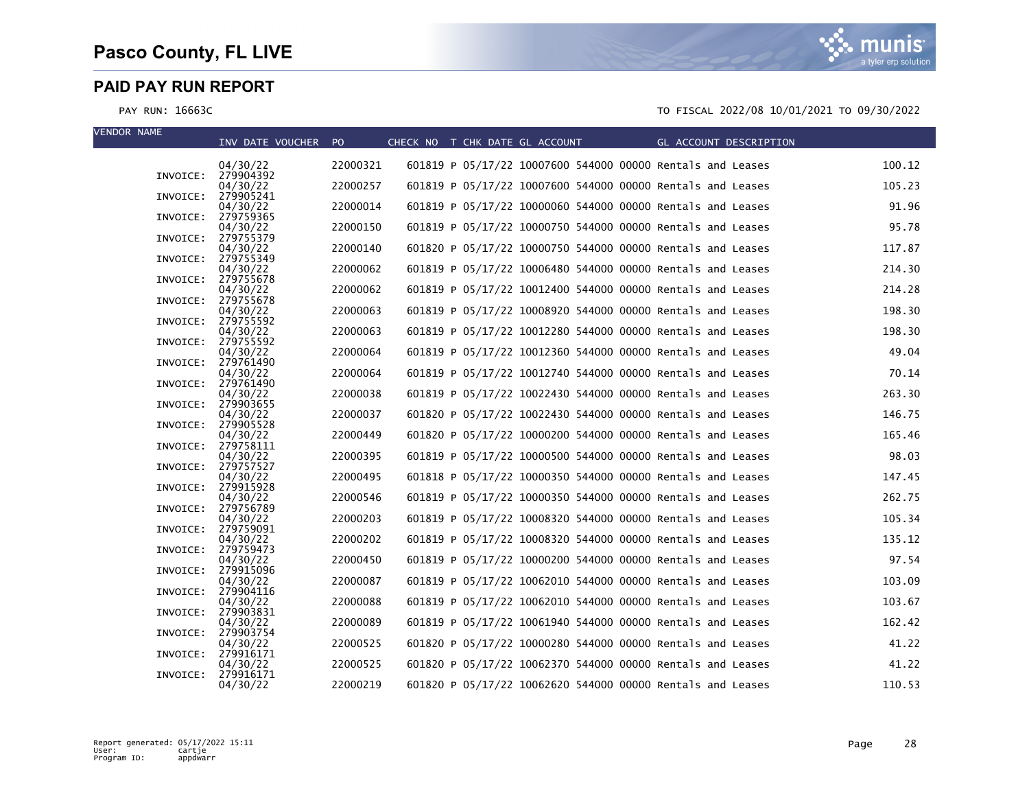

| <b>VENDOR NAME</b> |          | INV DATE VOUCHER PO   |          | CHECK NO T CHK DATE GL ACCOUNT |  |  |                                                            | GL ACCOUNT DESCRIPTION |        |
|--------------------|----------|-----------------------|----------|--------------------------------|--|--|------------------------------------------------------------|------------------------|--------|
|                    |          | 04/30/22              | 22000321 |                                |  |  | 601819 P 05/17/22 10007600 544000 00000 Rentals and Leases |                        | 100.12 |
|                    |          | INVOICE: 279904392    |          |                                |  |  |                                                            |                        |        |
|                    | INVOICE: | 04/30/22<br>279905241 | 22000257 |                                |  |  | 601819 P 05/17/22 10007600 544000 00000 Rentals and Leases |                        | 105.23 |
|                    | INVOICE: | 04/30/22<br>279759365 | 22000014 |                                |  |  | 601819 P 05/17/22 10000060 544000 00000 Rentals and Leases |                        | 91.96  |
|                    |          | 04/30/22              | 22000150 |                                |  |  | 601819 P 05/17/22 10000750 544000 00000 Rentals and Leases |                        | 95.78  |
|                    | INVOICE: | 279755379<br>04/30/22 | 22000140 |                                |  |  | 601820 P 05/17/22 10000750 544000 00000 Rentals and Leases |                        | 117.87 |
|                    | INVOICE: | 279755349             |          |                                |  |  |                                                            |                        |        |
|                    | INVOICE: | 04/30/22<br>279755678 | 22000062 |                                |  |  | 601819 P 05/17/22 10006480 544000 00000 Rentals and Leases |                        | 214.30 |
|                    |          | 04/30/22              | 22000062 |                                |  |  | 601819 P 05/17/22 10012400 544000 00000 Rentals and Leases |                        | 214.28 |
|                    | INVOICE: | 279755678<br>04/30/22 | 22000063 |                                |  |  | 601819 P 05/17/22 10008920 544000 00000 Rentals and Leases |                        | 198.30 |
|                    | INVOICE: | 279755592<br>04/30/22 | 22000063 |                                |  |  | 601819 P 05/17/22 10012280 544000 00000 Rentals and Leases |                        | 198.30 |
|                    | INVOICE: | 279755592             |          |                                |  |  |                                                            |                        |        |
|                    | INVOICE: | 04/30/22<br>279761490 | 22000064 |                                |  |  | 601819 P 05/17/22 10012360 544000 00000 Rentals and Leases |                        | 49.04  |
|                    | INVOICE: | 04/30/22<br>279761490 | 22000064 |                                |  |  | 601819 P 05/17/22 10012740 544000 00000 Rentals and Leases |                        | 70.14  |
|                    |          | 04/30/22              | 22000038 |                                |  |  | 601819 P 05/17/22 10022430 544000 00000 Rentals and Leases |                        | 263.30 |
|                    | INVOICE: | 279903655<br>04/30/22 | 22000037 |                                |  |  | 601820 P 05/17/22 10022430 544000 00000 Rentals and Leases |                        | 146.75 |
|                    | INVOICE: | 279905528             |          |                                |  |  |                                                            |                        |        |
|                    | INVOICE: | 04/30/22<br>279758111 | 22000449 |                                |  |  | 601820 P 05/17/22 10000200 544000 00000 Rentals and Leases |                        | 165.46 |
|                    |          | 04/30/22              | 22000395 |                                |  |  | 601819 P 05/17/22 10000500 544000 00000 Rentals and Leases |                        | 98.03  |
|                    | INVOICE: | 279757527<br>04/30/22 | 22000495 |                                |  |  | 601818 P 05/17/22 10000350 544000 00000 Rentals and Leases |                        | 147.45 |
|                    | INVOICE: | 279915928<br>04/30/22 | 22000546 |                                |  |  | 601819 P 05/17/22 10000350 544000 00000 Rentals and Leases |                        | 262.75 |
|                    | INVOICE: | 279756789             |          |                                |  |  |                                                            |                        |        |
|                    | INVOICE: | 04/30/22<br>279759091 | 22000203 |                                |  |  | 601819 P 05/17/22 10008320 544000 00000 Rentals and Leases |                        | 105.34 |
|                    |          | 04/30/22              | 22000202 |                                |  |  | 601819 P 05/17/22 10008320 544000 00000 Rentals and Leases |                        | 135.12 |
|                    | INVOICE: | 279759473<br>04/30/22 | 22000450 |                                |  |  | 601819 P 05/17/22 10000200 544000 00000 Rentals and Leases |                        | 97.54  |
|                    | INVOICE: | 279915096<br>04/30/22 | 22000087 |                                |  |  | 601819 P 05/17/22 10062010 544000 00000 Rentals and Leases |                        | 103.09 |
|                    | INVOICE: | 279904116             |          |                                |  |  |                                                            |                        |        |
|                    | INVOICE: | 04/30/22<br>279903831 | 22000088 |                                |  |  | 601819 P 05/17/22 10062010 544000 00000 Rentals and Leases |                        | 103.67 |
|                    | INVOICE: | 04/30/22<br>279903754 | 22000089 |                                |  |  | 601819 P 05/17/22 10061940 544000 00000 Rentals and Leases |                        | 162.42 |
|                    |          | 04/30/22              | 22000525 |                                |  |  | 601820 P 05/17/22 10000280 544000 00000 Rentals and Leases |                        | 41.22  |
|                    | INVOICE: | 279916171<br>04/30/22 | 22000525 |                                |  |  | 601820 P 05/17/22 10062370 544000 00000 Rentals and Leases |                        | 41.22  |
|                    | INVOICE: | 279916171             |          |                                |  |  |                                                            |                        |        |
|                    |          | 04/30/22              | 22000219 |                                |  |  | 601820 P 05/17/22 10062620 544000 00000 Rentals and Leases |                        | 110.53 |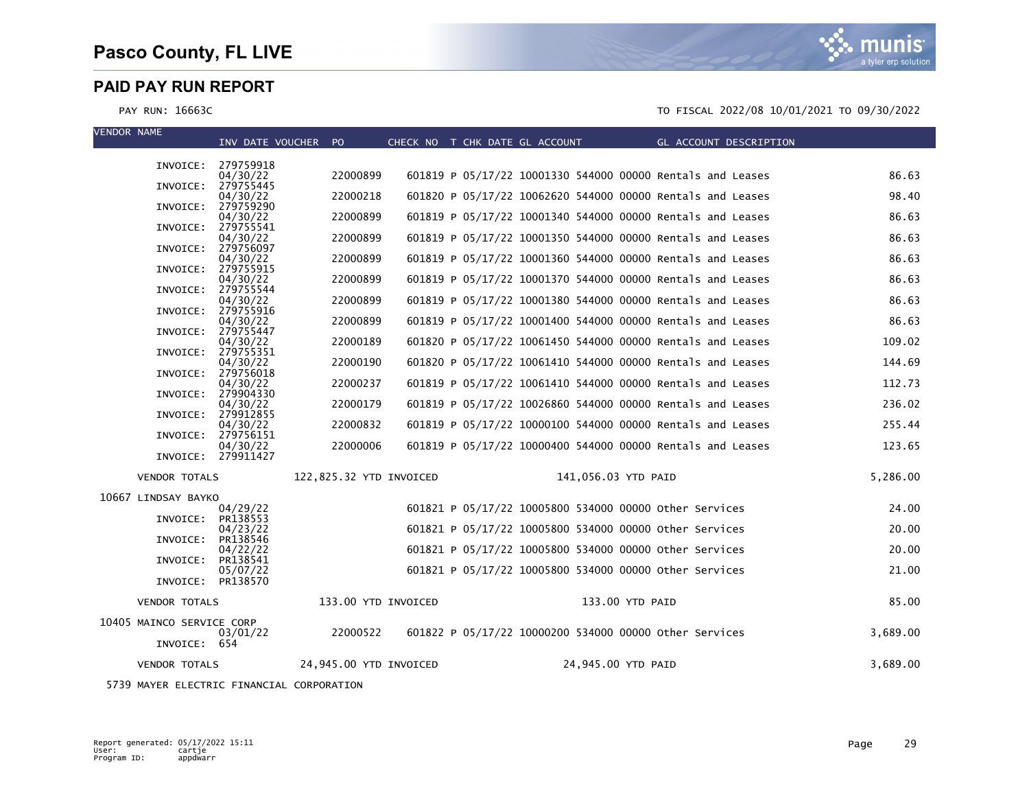a tyler erp solutior

#### PAY RUN: 16663C TO FISCAL 2022/08 10/01/2021 TO 09/30/2022

| <b>VENDOR NAME</b>        | INV DATE VOUCHER PO            |                         |  | CHECK NO T CHK DATE GL ACCOUNT |                     | GL ACCOUNT DESCRIPTION                                     |          |
|---------------------------|--------------------------------|-------------------------|--|--------------------------------|---------------------|------------------------------------------------------------|----------|
|                           | INVOICE: 279759918             |                         |  |                                |                     |                                                            |          |
| INVOICE:                  | 04/30/22<br>279755445          | 22000899                |  |                                |                     | 601819 P 05/17/22 10001330 544000 00000 Rentals and Leases | 86.63    |
|                           | 04/30/22                       | 22000218                |  |                                |                     | 601820 P 05/17/22 10062620 544000 00000 Rentals and Leases | 98.40    |
| INVOICE:                  | 279759290<br>04/30/22          | 22000899                |  |                                |                     | 601819 P 05/17/22 10001340 544000 00000 Rentals and Leases | 86.63    |
| INVOICE:                  | 279755541<br>04/30/22          | 22000899                |  |                                |                     | 601819 P 05/17/22 10001350 544000 00000 Rentals and Leases | 86.63    |
| INVOICE:                  | 279756097<br>04/30/22          | 22000899                |  |                                |                     | 601819 P 05/17/22 10001360 544000 00000 Rentals and Leases | 86.63    |
| INVOICE:                  | 279755915<br>04/30/22          | 22000899                |  |                                |                     | 601819 P 05/17/22 10001370 544000 00000 Rentals and Leases | 86.63    |
| INVOICE:                  | 279755544                      | 22000899                |  |                                |                     | 601819 P 05/17/22 10001380 544000 00000 Rentals and Leases | 86.63    |
| INVOICE:                  | 04/30/22<br>279755916          |                         |  |                                |                     |                                                            |          |
| INVOICE:                  | 04/30/22<br>279755447          | 22000899                |  |                                |                     | 601819 P 05/17/22 10001400 544000 00000 Rentals and Leases | 86.63    |
| INVOICE:                  | 04/30/22<br>279755351          | 22000189                |  |                                |                     | 601820 P 05/17/22 10061450 544000 00000 Rentals and Leases | 109.02   |
|                           | 04/30/22<br>INVOICE: 279756018 | 22000190                |  |                                |                     | 601820 P 05/17/22 10061410 544000 00000 Rentals and Leases | 144.69   |
|                           | 04/30/22<br>INVOICE: 279904330 | 22000237                |  |                                |                     | 601819 P 05/17/22 10061410 544000 00000 Rentals and Leases | 112.73   |
|                           | 04/30/22                       | 22000179                |  |                                |                     | 601819 P 05/17/22 10026860 544000 00000 Rentals and Leases | 236.02   |
| INVOICE:                  | 279912855<br>04/30/22          | 22000832                |  |                                |                     | 601819 P 05/17/22 10000100 544000 00000 Rentals and Leases | 255.44   |
| INVOICE:                  | 279756151<br>04/30/22          | 22000006                |  |                                |                     | 601819 P 05/17/22 10000400 544000 00000 Rentals and Leases | 123.65   |
|                           | INVOICE: 279911427             |                         |  |                                |                     |                                                            |          |
| <b>VENDOR TOTALS</b>      |                                | 122,825.32 YTD INVOICED |  |                                | 141,056.03 YTD PAID |                                                            | 5,286.00 |
| 10667 LINDSAY BAYKO       | 04/29/22                       |                         |  |                                |                     | 601821 P 05/17/22 10005800 534000 00000 other Services     | 24.00    |
| INVOICE:                  | PR138553                       |                         |  |                                |                     |                                                            |          |
| INVOICE:                  | 04/23/22<br>PR138546           |                         |  |                                |                     | 601821 P 05/17/22 10005800 534000 00000 other Services     | 20.00    |
| INVOICE:                  | 04/22/22<br>PR138541           |                         |  |                                |                     | 601821 P 05/17/22 10005800 534000 00000 other Services     | 20.00    |
| INVOICE:                  | 05/07/22<br>PR138570           |                         |  |                                |                     | 601821 P 05/17/22 10005800 534000 00000 other Services     | 21.00    |
| <b>VENDOR TOTALS</b>      |                                | 133.00 YTD INVOICED     |  |                                | 133.00 YTD PAID     |                                                            | 85.00    |
| 10405 MAINCO SERVICE CORP |                                |                         |  |                                |                     |                                                            |          |
|                           | 03/01/22                       | 22000522                |  |                                |                     | 601822 P 05/17/22 10000200 534000 00000 other Services     | 3.689.00 |
| INVOICE: 654              |                                |                         |  |                                |                     |                                                            |          |
| <b>VENDOR TOTALS</b>      |                                | 24,945.00 YTD INVOICED  |  |                                | 24,945.00 YTD PAID  |                                                            | 3,689.00 |

5739 MAYER ELECTRIC FINANCIAL CORPORATION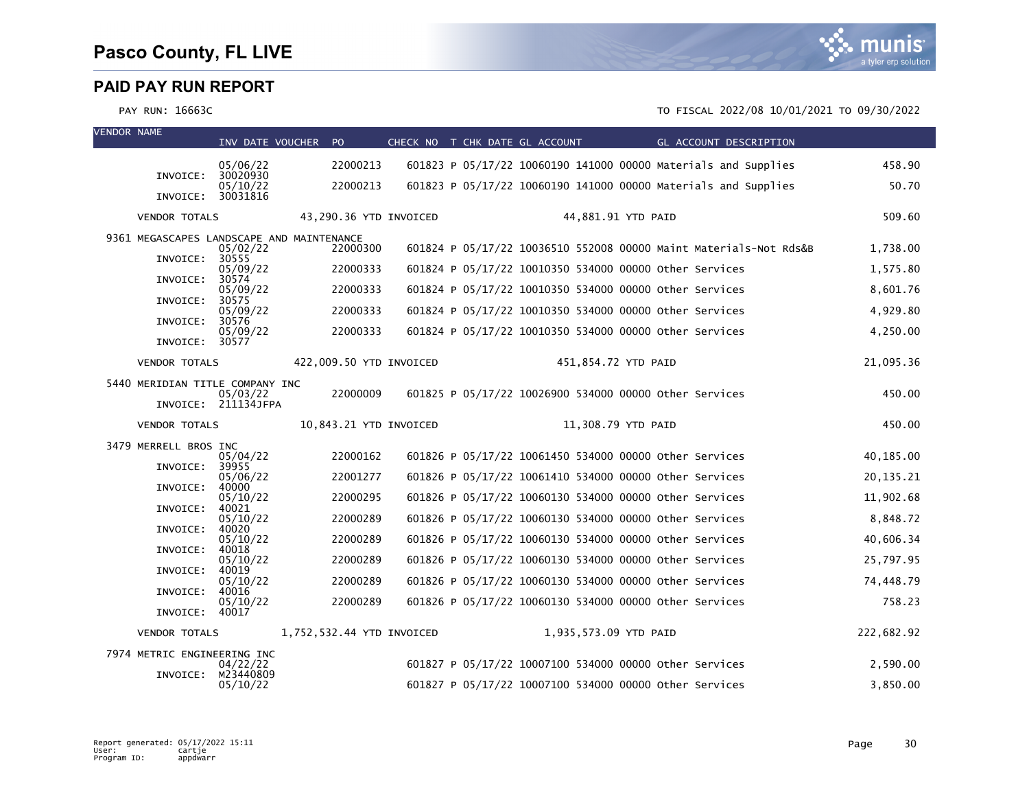

VENDOR NAME

| VENDOK NAME |                                 | INV DATE VOUCHER               | PO.                                                   |  | CHECK NO T CHK DATE GL ACCOUNT | GL ACCOUNT DESCRIPTION                                            |             |
|-------------|---------------------------------|--------------------------------|-------------------------------------------------------|--|--------------------------------|-------------------------------------------------------------------|-------------|
|             |                                 | 05/06/22                       | 22000213                                              |  |                                | 601823 P 05/17/22 10060190 141000 00000 Materials and Supplies    | 458.90      |
|             | INVOICE:                        | 30020930<br>05/10/22           | 22000213                                              |  |                                | 601823 P 05/17/22 10060190 141000 00000 Materials and Supplies    | 50.70       |
|             | INVOICE: 30031816               |                                |                                                       |  |                                |                                                                   |             |
|             | <b>VENDOR TOTALS</b>            |                                | 43,290.36 YTD INVOICED                                |  |                                | 44,881.91 YTD PAID                                                | 509.60      |
|             |                                 | 05/02/22                       | 9361 MEGASCAPES LANDSCAPE AND MAINTENANCE<br>22000300 |  |                                | 601824 P 05/17/22 10036510 552008 00000 Maint Materials-Not Rds&B | 1,738.00    |
|             | INVOICE:                        | 30555<br>05/09/22              | 22000333                                              |  |                                | 601824 P 05/17/22 10010350 534000 00000 other Services            | 1,575.80    |
|             | INVOICE:                        | 30574<br>05/09/22              | 22000333                                              |  |                                | 601824 P 05/17/22 10010350 534000 00000 other Services            | 8,601.76    |
|             | INVOICE:                        | 30575<br>05/09/22              | 22000333                                              |  |                                | 601824 P 05/17/22 10010350 534000 00000 other Services            | 4,929.80    |
|             | INVOICE:                        | 30576<br>05/09/22              | 22000333                                              |  |                                | 601824 P 05/17/22 10010350 534000 00000 Other Services            | 4,250.00    |
|             | INVOICE:                        | 30577                          |                                                       |  |                                |                                                                   |             |
|             | <b>VENDOR TOTALS</b>            |                                | 422,009.50 YTD INVOICED                               |  |                                | 451,854.72 YTD PAID                                               | 21,095.36   |
|             | 5440 MERIDIAN TITLE COMPANY INC | 05/03/22                       | 22000009                                              |  |                                | 601825 P 05/17/22 10026900 534000 00000 other Services            | 450.00      |
|             |                                 | INVOICE: 211134JFPA            |                                                       |  |                                |                                                                   |             |
|             | <b>VENDOR TOTALS</b>            |                                | 10,843.21 YTD INVOICED                                |  |                                | 11,308.79 YTD PAID                                                | 450.00      |
|             | 3479 MERRELL BROS INC           | 05/04/22                       | 22000162                                              |  |                                | 601826 P 05/17/22 10061450 534000 00000 other Services            | 40,185.00   |
|             | INVOICE:                        | 39955<br>05/06/22              | 22001277                                              |  |                                | 601826 P 05/17/22 10061410 534000 00000 other Services            | 20, 135. 21 |
|             | INVOICE:                        | 40000<br>05/10/22              | 22000295                                              |  |                                | 601826 P 05/17/22 10060130 534000 00000 other Services            | 11,902.68   |
|             | INVOICE:                        | 40021<br>05/10/22              | 22000289                                              |  |                                | 601826 P 05/17/22 10060130 534000 00000 other Services            | 8,848.72    |
|             | INVOICE:                        | 40020<br>05/10/22              | 22000289                                              |  |                                | 601826 P 05/17/22 10060130 534000 00000 Other Services            | 40,606.34   |
|             | INVOICE:                        | 40018<br>05/10/22              | 22000289                                              |  |                                | 601826 P 05/17/22 10060130 534000 00000 other Services            | 25,797.95   |
|             | INVOICE:                        | 40019<br>05/10/22              | 22000289                                              |  |                                | 601826 P 05/17/22 10060130 534000 00000 other Services            | 74,448.79   |
|             | INVOICE:                        | 40016<br>05/10/22              | 22000289                                              |  |                                | 601826 P 05/17/22 10060130 534000 00000 Other Services            | 758.23      |
|             | INVOICE:                        | 40017                          |                                                       |  |                                |                                                                   |             |
|             | <b>VENDOR TOTALS</b>            |                                | 1,752,532.44 YTD INVOICED                             |  | 1,935,573.09 YTD PAID          |                                                                   | 222,682.92  |
|             | 7974 METRIC ENGINEERING INC     | 04/22/22                       |                                                       |  |                                | 601827 P 05/17/22 10007100 534000 00000 other Services            | 2,590.00    |
|             |                                 | INVOICE: M23440809<br>05/10/22 |                                                       |  |                                | 601827 P 05/17/22 10007100 534000 00000 other Services            | 3,850.00    |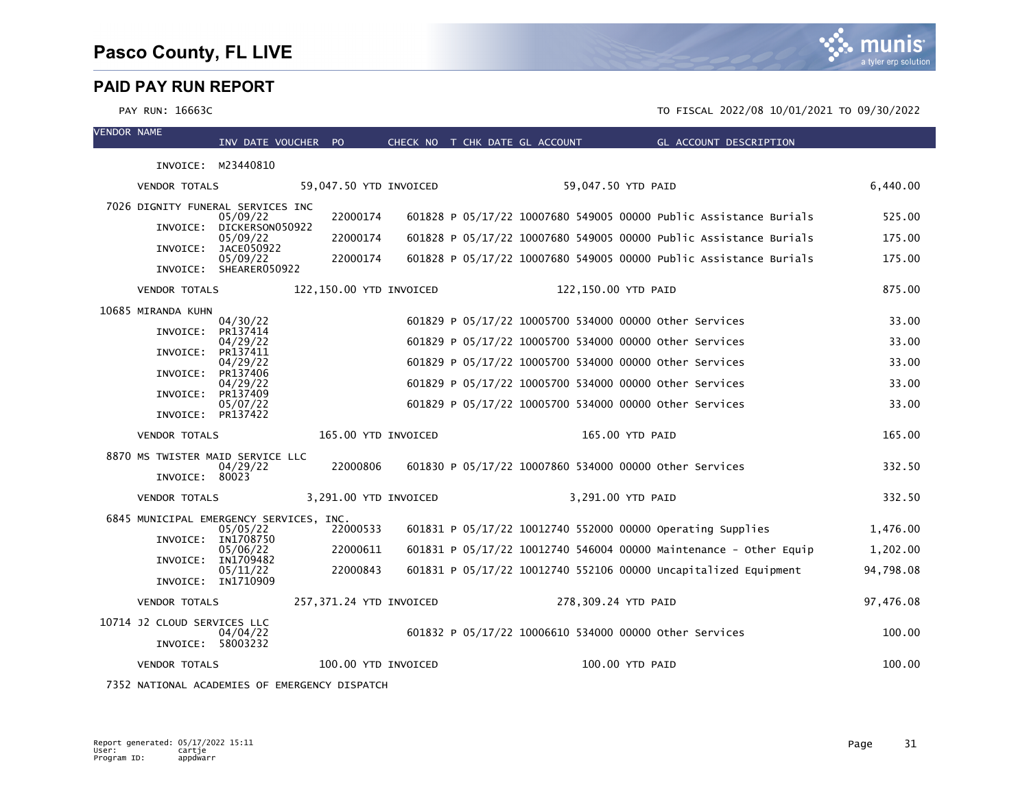#### PAY RUN: 16663C TO FISCAL 2022/08 10/01/2021 TO 09/30/2022

| <b>VENDOR NAME</b> |                             | INV DATE VOUCHER PO                                 |                         |  | CHECK NO T CHK DATE GL ACCOUNT | <b>Example 2</b> GL ACCOUNT DESCRIPTION                           |           |
|--------------------|-----------------------------|-----------------------------------------------------|-------------------------|--|--------------------------------|-------------------------------------------------------------------|-----------|
|                    | INVOICE: M23440810          |                                                     |                         |  |                                |                                                                   |           |
|                    | <b>VENDOR TOTALS</b>        |                                                     | 59,047.50 YTD INVOICED  |  |                                | 59,047.50 YTD PAID                                                | 6,440.00  |
|                    |                             | 7026 DIGNITY FUNERAL SERVICES INC<br>05/09/22       | 22000174                |  |                                | 601828 P 05/17/22 10007680 549005 00000 Public Assistance Burials | 525.00    |
|                    | INVOICE:                    | DICKERSON050922<br>05/09/22                         | 22000174                |  |                                | 601828 P 05/17/22 10007680 549005 00000 Public Assistance Burials | 175.00    |
|                    | INVOICE:                    | JACE050922<br>05/09/22                              | 22000174                |  |                                | 601828 P 05/17/22 10007680 549005 00000 Public Assistance Burials | 175.00    |
|                    |                             | INVOICE: SHEARER050922                              |                         |  |                                |                                                                   |           |
|                    | <b>VENDOR TOTALS</b>        |                                                     | 122,150.00 YTD INVOICED |  |                                | 122,150.00 YTD PAID                                               | 875.00    |
|                    | 10685 MIRANDA KUHN          | 04/30/22                                            |                         |  |                                | 601829 P 05/17/22 10005700 534000 00000 other Services            | 33.00     |
|                    | INVOICE:                    | PR137414<br>04/29/22                                |                         |  |                                | 601829 P 05/17/22 10005700 534000 00000 other Services            | 33.00     |
|                    | INVOICE:                    | PR137411<br>04/29/22                                |                         |  |                                | 601829 P 05/17/22 10005700 534000 00000 other Services            | 33.00     |
|                    | INVOICE:                    | PR137406<br>04/29/22                                |                         |  |                                | 601829 P 05/17/22 10005700 534000 00000 other Services            | 33.00     |
|                    | INVOICE:                    | PR137409<br>05/07/22                                |                         |  |                                | 601829 P 05/17/22 10005700 534000 00000 other Services            | 33.00     |
|                    | INVOICE: PR137422           |                                                     |                         |  |                                |                                                                   |           |
|                    | <b>VENDOR TOTALS</b>        |                                                     | 165.00 YTD INVOICED     |  |                                | 165.00 YTD PAID                                                   | 165.00    |
|                    |                             | 8870 MS TWISTER MAID SERVICE LLC<br>04/29/22        | 22000806                |  |                                | 601830 P 05/17/22 10007860 534000 00000 other Services            | 332.50    |
|                    | INVOICE: 80023              |                                                     |                         |  |                                |                                                                   |           |
|                    | <b>VENDOR TOTALS</b>        |                                                     | 3,291.00 YTD INVOICED   |  |                                | 3,291.00 YTD PAID                                                 | 332.50    |
|                    |                             | 6845 MUNICIPAL EMERGENCY SERVICES, INC.<br>05/05/22 | 22000533                |  |                                | 601831 P 05/17/22 10012740 552000 00000 Operating Supplies        | 1,476.00  |
|                    | INVOICE:                    | IN1708750<br>05/06/22                               | 22000611                |  |                                | 601831 P 05/17/22 10012740 546004 00000 Maintenance - Other Equip | 1,202.00  |
|                    | INVOICE:                    | IN1709482<br>05/11/22                               | 22000843                |  |                                | 601831 P 05/17/22 10012740 552106 00000 Uncapitalized Equipment   | 94,798.08 |
|                    | INVOICE: IN1710909          |                                                     |                         |  |                                |                                                                   |           |
|                    | <b>VENDOR TOTALS</b>        |                                                     | 257,371.24 YTD INVOICED |  |                                | 278,309.24 YTD PAID                                               | 97,476.08 |
|                    | 10714 J2 CLOUD SERVICES LLC | 04/04/22                                            |                         |  |                                | 601832 P 05/17/22 10006610 534000 00000 other Services            | 100.00    |
|                    | INVOICE: 58003232           |                                                     |                         |  |                                |                                                                   |           |
|                    | <b>VENDOR TOTALS</b>        |                                                     | 100.00 YTD INVOICED     |  |                                | 100.00 YTD PAID                                                   | 100.00    |

7352 NATIONAL ACADEMIES OF EMERGENCY DISPATCH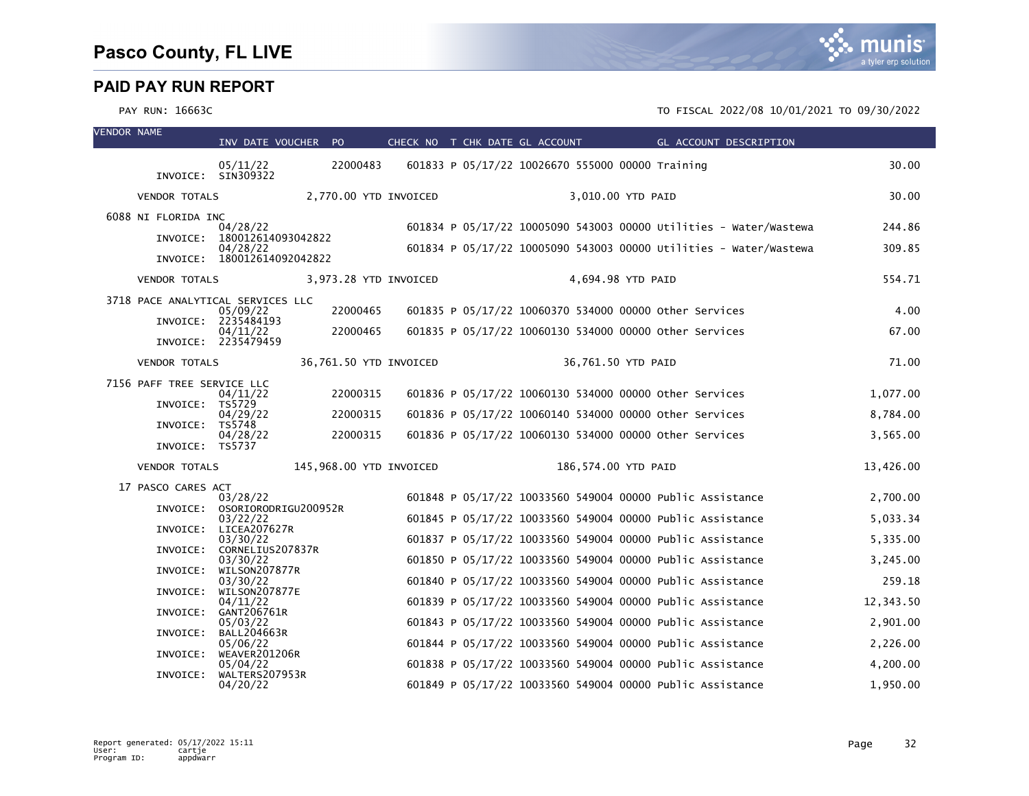| <b>VENDOR NAME</b> |                                   | INV DATE VOUCHER PO                       |                         | CHECK NO T CHK DATE GL ACCOUNT | GL ACCOUNT DESCRIPTION                                            |           |
|--------------------|-----------------------------------|-------------------------------------------|-------------------------|--------------------------------|-------------------------------------------------------------------|-----------|
|                    |                                   | 05/11/22<br>INVOICE: SIN309322            | 22000483                |                                | 601833 P 05/17/22 10026670 555000 00000 Training                  | 30.00     |
|                    | <b>VENDOR TOTALS</b>              |                                           | 2,770.00 YTD INVOICED   |                                | 3,010.00 YTD PAID                                                 | 30.00     |
|                    | 6088 NI FLORIDA INC               | 04/28/22                                  |                         |                                | 601834 P 05/17/22 10005090 543003 00000 Utilities - Water/Wastewa | 244.86    |
|                    |                                   | INVOICE: 180012614093042822               |                         |                                |                                                                   |           |
|                    |                                   | 04/28/22<br>INVOICE: 180012614092042822   |                         |                                | 601834 P 05/17/22 10005090 543003 00000 Utilities - Water/Wastewa | 309.85    |
|                    | <b>VENDOR TOTALS</b>              |                                           | 3,973.28 YTD INVOICED   |                                | 4,694.98 YTD PAID                                                 | 554.71    |
|                    | 3718 PACE ANALYTICAL SERVICES LLC | 05/09/22                                  | 22000465                |                                | 601835 P 05/17/22 10060370 534000 00000 Other Services            | 4.00      |
|                    |                                   | INVOICE: 2235484193                       |                         |                                |                                                                   |           |
|                    |                                   | 04/11/22<br>INVOICE: 2235479459           | 22000465                |                                | 601835 P 05/17/22 10060130 534000 00000 other Services            | 67.00     |
|                    | <b>VENDOR TOTALS</b>              |                                           | 36,761.50 YTD INVOICED  |                                | 36,761.50 YTD PAID                                                | 71.00     |
|                    | 7156 PAFF TREE SERVICE LLC        | 04/11/22                                  | 22000315                |                                | 601836 P 05/17/22 10060130 534000 00000 other Services            | 1,077.00  |
|                    | INVOICE: TS5729                   |                                           |                         |                                |                                                                   |           |
|                    | INVOICE: TS5748                   | 04/29/22                                  | 22000315                |                                | 601836 P 05/17/22 10060140 534000 00000 other Services            | 8,784.00  |
|                    | INVOICE: TS5737                   | 04/28/22                                  | 22000315                |                                | 601836 P 05/17/22 10060130 534000 00000 other Services            | 3,565.00  |
|                    | <b>VENDOR TOTALS</b>              |                                           | 145,968.00 YTD INVOICED |                                | 186,574.00 YTD PAID                                               | 13,426.00 |
|                    | 17 PASCO CARES ACT                |                                           |                         |                                |                                                                   |           |
|                    |                                   | 03/28/22<br>INVOICE: OSORIORODRIGU200952R |                         |                                | 601848 P 05/17/22 10033560 549004 00000 Public Assistance         | 2,700.00  |
|                    | INVOICE:                          | 03/22/22<br>LICEA207627R                  |                         |                                | 601845 P 05/17/22 10033560 549004 00000 Public Assistance         | 5,033.34  |
|                    |                                   | 03/30/22                                  |                         |                                | 601837 P 05/17/22 10033560 549004 00000 Public Assistance         | 5,335.00  |
|                    | INVOICE:                          | CORNELIUS207837R<br>03/30/22              |                         |                                | 601850 P 05/17/22 10033560 549004 00000 Public Assistance         | 3,245.00  |
|                    |                                   | INVOICE: WILSON207877R<br>03/30/22        |                         |                                | 601840 P 05/17/22 10033560 549004 00000 Public Assistance         | 259.18    |
|                    | INVOICE:                          | WILSON207877E<br>04/11/22                 |                         |                                | 601839 P 05/17/22 10033560 549004 00000 Public Assistance         | 12,343.50 |
|                    | INVOICE:                          | GANT206761R                               |                         |                                |                                                                   |           |
|                    | INVOICE:                          | 05/03/22<br><b>BALL204663R</b>            |                         |                                | 601843 P 05/17/22 10033560 549004 00000 Public Assistance         | 2,901.00  |
|                    | INVOICE:                          | 05/06/22<br>WEAVER201206R                 |                         |                                | 601844 P 05/17/22 10033560 549004 00000 Public Assistance         | 2,226.00  |
|                    | INVOICE:                          | 05/04/22<br>WALTERS207953R                |                         |                                | 601838 P 05/17/22 10033560 549004 00000 Public Assistance         | 4,200.00  |
|                    |                                   | 04/20/22                                  |                         |                                | 601849 P 05/17/22 10033560 549004 00000 Public Assistance         | 1,950.00  |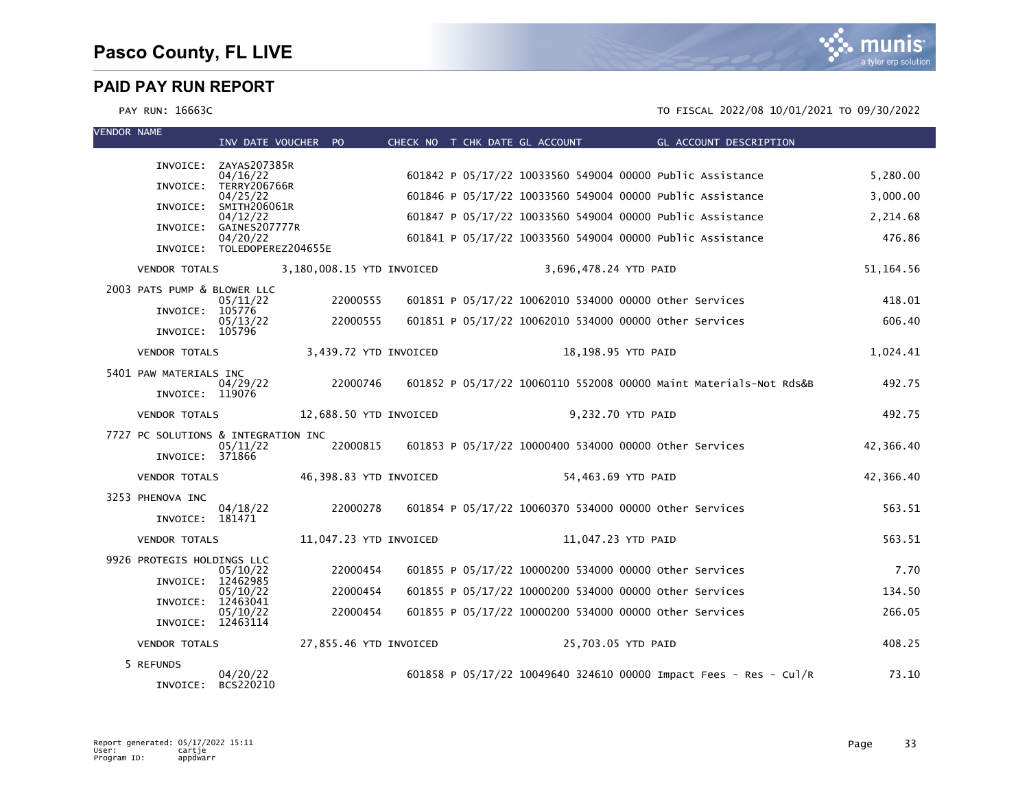| <b>VENDOR NAME</b> |                                     | INV DATE VOUCHER PO                     |                           |  | CHECK NO T CHK DATE GL ACCOUNT                         | GL ACCOUNT DESCRIPTION                                            |             |
|--------------------|-------------------------------------|-----------------------------------------|---------------------------|--|--------------------------------------------------------|-------------------------------------------------------------------|-------------|
|                    |                                     | INVOICE: ZAYAS207385R                   |                           |  |                                                        |                                                                   |             |
|                    |                                     | 04/16/22<br>INVOICE: TERRY206766R       |                           |  |                                                        | 601842 P 05/17/22 10033560 549004 00000 Public Assistance         | 5,280.00    |
|                    | INVOICE:                            | 04/25/22<br>SMITH206061R                |                           |  |                                                        | 601846 P 05/17/22 10033560 549004 00000 Public Assistance         | 3,000.00    |
|                    | INVOICE:                            | 04/12/22<br>GAINES207777R               |                           |  |                                                        | 601847 P 05/17/22 10033560 549004 00000 Public Assistance         | 2,214.68    |
|                    |                                     | 04/20/22<br>INVOICE: TOLEDOPEREZ204655E |                           |  |                                                        | 601841 P 05/17/22 10033560 549004 00000 Public Assistance         | 476.86      |
|                    | <b>VENDOR TOTALS</b>                |                                         | 3,180,008.15 YTD INVOICED |  | 3,696,478.24 YTD PAID                                  |                                                                   | 51, 164. 56 |
|                    | 2003 PATS PUMP & BLOWER LLC         |                                         |                           |  |                                                        |                                                                   |             |
|                    | INVOICE:                            | 05/11/22<br>105776                      | 22000555                  |  | 601851 P 05/17/22 10062010 534000 00000 other Services |                                                                   | 418.01      |
|                    | INVOICE: 105796                     | 05/13/22                                | 22000555                  |  | 601851 P 05/17/22 10062010 534000 00000 other Services |                                                                   | 606.40      |
|                    | <b>VENDOR TOTALS</b>                |                                         | 3,439.72 YTD INVOICED     |  | 18,198.95 YTD PAID                                     |                                                                   | 1,024.41    |
|                    | 5401 PAW MATERIALS INC              |                                         |                           |  |                                                        |                                                                   |             |
|                    | INVOICE: 119076                     | 04/29/22                                | 22000746                  |  |                                                        | 601852 P 05/17/22 10060110 552008 00000 Maint Materials-Not Rds&B | 492.75      |
|                    | <b>VENDOR TOTALS</b>                |                                         | 12,688.50 YTD INVOICED    |  | 9,232.70 YTD PAID                                      |                                                                   | 492.75      |
|                    | 7727 PC SOLUTIONS & INTEGRATION INC |                                         |                           |  |                                                        |                                                                   |             |
|                    | INVOICE: 371866                     | 05/11/22                                | 22000815                  |  | 601853 P 05/17/22 10000400 534000 00000 other Services |                                                                   | 42,366.40   |
|                    | <b>VENDOR TOTALS</b>                |                                         | 46,398.83 YTD INVOICED    |  | 54,463.69 YTD PAID                                     |                                                                   | 42,366.40   |
|                    | 3253 PHENOVA INC                    |                                         |                           |  |                                                        |                                                                   |             |
|                    | INVOICE: 181471                     | 04/18/22                                | 22000278                  |  | 601854 P 05/17/22 10060370 534000 00000 other Services |                                                                   | 563.51      |
|                    | <b>VENDOR TOTALS</b>                |                                         | 11,047.23 YTD INVOICED    |  | 11,047.23 YTD PAID                                     |                                                                   | 563.51      |
|                    | 9926 PROTEGIS HOLDINGS LLC          | 05/10/22                                | 22000454                  |  | 601855 P 05/17/22 10000200 534000 00000 other Services |                                                                   | 7.70        |
|                    | INVOICE: 12462985                   |                                         |                           |  |                                                        |                                                                   |             |
|                    | INVOICE:                            | 05/10/22<br>12463041                    | 22000454                  |  | 601855 P 05/17/22 10000200 534000 00000 other Services |                                                                   | 134.50      |
|                    | INVOICE: 12463114                   | 05/10/22                                | 22000454                  |  | 601855 P 05/17/22 10000200 534000 00000 Other Services |                                                                   | 266.05      |
|                    | <b>VENDOR TOTALS</b>                |                                         | 27,855.46 YTD INVOICED    |  | 25,703.05 YTD PAID                                     |                                                                   | 408.25      |
|                    | 5 REFUNDS                           |                                         |                           |  |                                                        |                                                                   |             |
|                    | INVOICE:                            | 04/20/22<br>BCS220210                   |                           |  |                                                        | 601858 P 05/17/22 10049640 324610 00000 Impact Fees - Res - Cul/R | 73.10       |

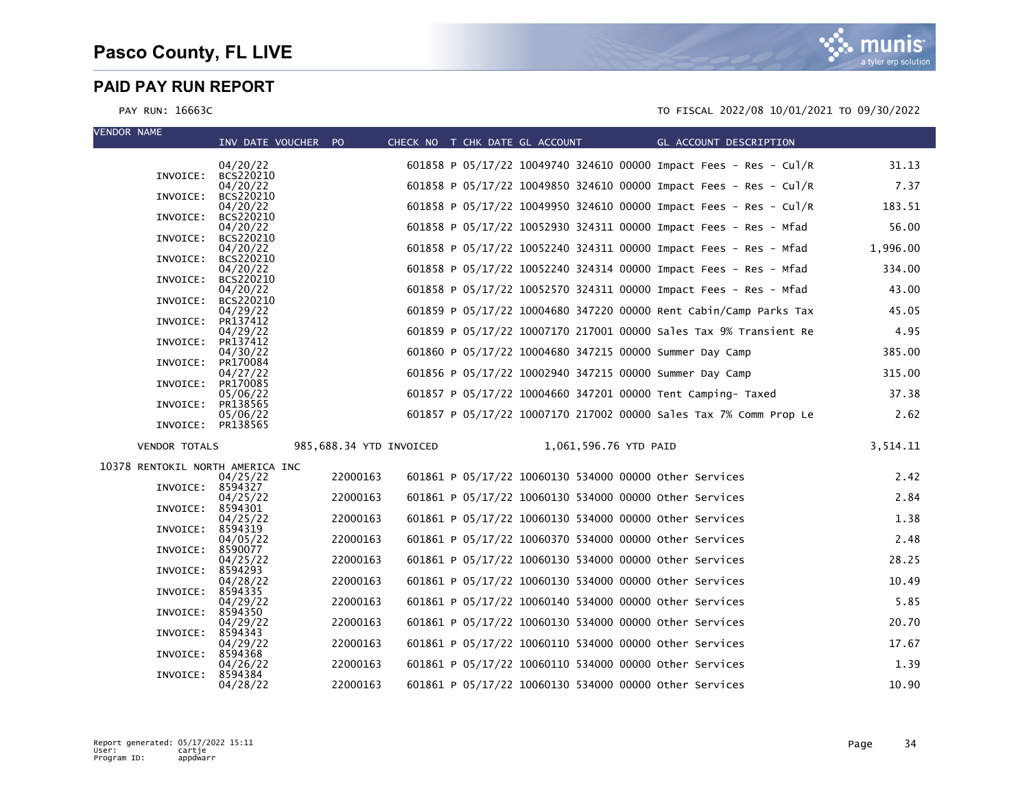| <b>VENDOR NAME</b>               | INV DATE VOUCHER PO   |                         |                                                         |                       |  | CHECK NO T CHK DATE GL ACCOUNT GL ACCOUNT DESCRIPTION             |          |
|----------------------------------|-----------------------|-------------------------|---------------------------------------------------------|-----------------------|--|-------------------------------------------------------------------|----------|
|                                  |                       |                         |                                                         |                       |  |                                                                   |          |
| INVOICE:                         | 04/20/22<br>BCS220210 |                         |                                                         |                       |  | 601858 P 05/17/22 10049740 324610 00000 Impact Fees - Res - Cul/R | 31.13    |
|                                  | 04/20/22              |                         |                                                         |                       |  | 601858 P 05/17/22 10049850 324610 00000 Impact Fees - Res - Cul/R | 7.37     |
| INVOICE:                         | BCS220210<br>04/20/22 |                         |                                                         |                       |  | 601858 P 05/17/22 10049950 324610 00000 Impact Fees - Res - Cul/R | 183.51   |
| INVOICE:                         | BCS220210             |                         |                                                         |                       |  |                                                                   |          |
| INVOICE:                         | 04/20/22<br>BCS220210 |                         |                                                         |                       |  | 601858 P 05/17/22 10052930 324311 00000 Impact Fees - Res - Mfad  | 56.00    |
|                                  | 04/20/22              |                         |                                                         |                       |  | 601858 P 05/17/22 10052240 324311 00000 Impact Fees - Res - Mfad  | 1,996.00 |
| INVOICE:                         | BCS220210<br>04/20/22 |                         |                                                         |                       |  | 601858 P 05/17/22 10052240 324314 00000 Impact Fees - Res - Mfad  | 334.00   |
| INVOICE:                         | BCS220210             |                         |                                                         |                       |  |                                                                   |          |
| INVOICE:                         | 04/20/22<br>BCS220210 |                         |                                                         |                       |  | 601858 P 05/17/22 10052570 324311 00000 Impact Fees - Res - Mfad  | 43.00    |
|                                  | 04/29/22              |                         |                                                         |                       |  | 601859 P 05/17/22 10004680 347220 00000 Rent Cabin/Camp Parks Tax | 45.05    |
| INVOICE:                         | PR137412<br>04/29/22  |                         |                                                         |                       |  | 601859 P 05/17/22 10007170 217001 00000 Sales Tax 9% Transient Re | 4.95     |
| INVOICE:                         | PR137412              |                         |                                                         |                       |  |                                                                   |          |
| INVOICE:                         | 04/30/22<br>PR170084  |                         | 601860 P 05/17/22 10004680 347215 00000 Summer Day Camp |                       |  |                                                                   | 385.00   |
|                                  | 04/27/22              |                         | 601856 P 05/17/22 10002940 347215 00000 Summer Day Camp |                       |  |                                                                   | 315.00   |
| INVOICE:                         | PR170085<br>05/06/22  |                         |                                                         |                       |  | 601857 P 05/17/22 10004660 347201 00000 Tent Camping- Taxed       | 37.38    |
| INVOICE:                         | PR138565              |                         |                                                         |                       |  |                                                                   |          |
| INVOICE: PR138565                | 05/06/22              |                         |                                                         |                       |  | 601857 P 05/17/22 10007170 217002 00000 Sales Tax 7% Comm Prop Le | 2.62     |
| <b>VENDOR TOTALS</b>             |                       | 985,688.34 YTD INVOICED |                                                         | 1,061,596.76 YTD PAID |  |                                                                   | 3,514.11 |
|                                  |                       |                         |                                                         |                       |  |                                                                   |          |
| 10378 RENTOKIL NORTH AMERICA INC | 04/25/22              | 22000163                | 601861 P 05/17/22 10060130 534000 00000 other Services  |                       |  |                                                                   | 2.42     |
| INVOICE: 8594327                 |                       |                         |                                                         |                       |  |                                                                   |          |
| INVOICE: 8594301                 | 04/25/22              | 22000163                | 601861 P 05/17/22 10060130 534000 00000 other Services  |                       |  |                                                                   | 2.84     |
|                                  | 04/25/22              | 22000163                | 601861 P 05/17/22 10060130 534000 00000 other Services  |                       |  |                                                                   | 1.38     |
| INVOICE: 8594319                 | 04/05/22              | 22000163                | 601861 P 05/17/22 10060370 534000 00000 other Services  |                       |  |                                                                   | 2.48     |
| INVOICE:                         | 8590077               |                         |                                                         |                       |  |                                                                   |          |
| INVOICE:                         | 04/25/22<br>8594293   | 22000163                | 601861 P 05/17/22 10060130 534000 00000 other Services  |                       |  |                                                                   | 28.25    |
|                                  | 04/28/22              | 22000163                | 601861 P 05/17/22 10060130 534000 00000 Other Services  |                       |  |                                                                   | 10.49    |
| INVOICE:                         | 8594335<br>04/29/22   | 22000163                | 601861 P 05/17/22 10060140 534000 00000 other Services  |                       |  |                                                                   | 5.85     |
| INVOICE:                         | 8594350               |                         |                                                         |                       |  |                                                                   |          |
| INVOICE:                         | 04/29/22<br>8594343   | 22000163                | 601861 P 05/17/22 10060130 534000 00000 other Services  |                       |  |                                                                   | 20.70    |
|                                  | 04/29/22              | 22000163                | 601861 P 05/17/22 10060110 534000 00000 other Services  |                       |  |                                                                   | 17.67    |
| INVOICE:                         | 8594368<br>04/26/22   | 22000163                | 601861 P 05/17/22 10060110 534000 00000 Other Services  |                       |  |                                                                   | 1.39     |
| INVOICE:                         | 8594384               |                         |                                                         |                       |  |                                                                   |          |
|                                  | 04/28/22              | 22000163                | 601861 P 05/17/22 10060130 534000 00000 Other Services  |                       |  |                                                                   | 10.90    |

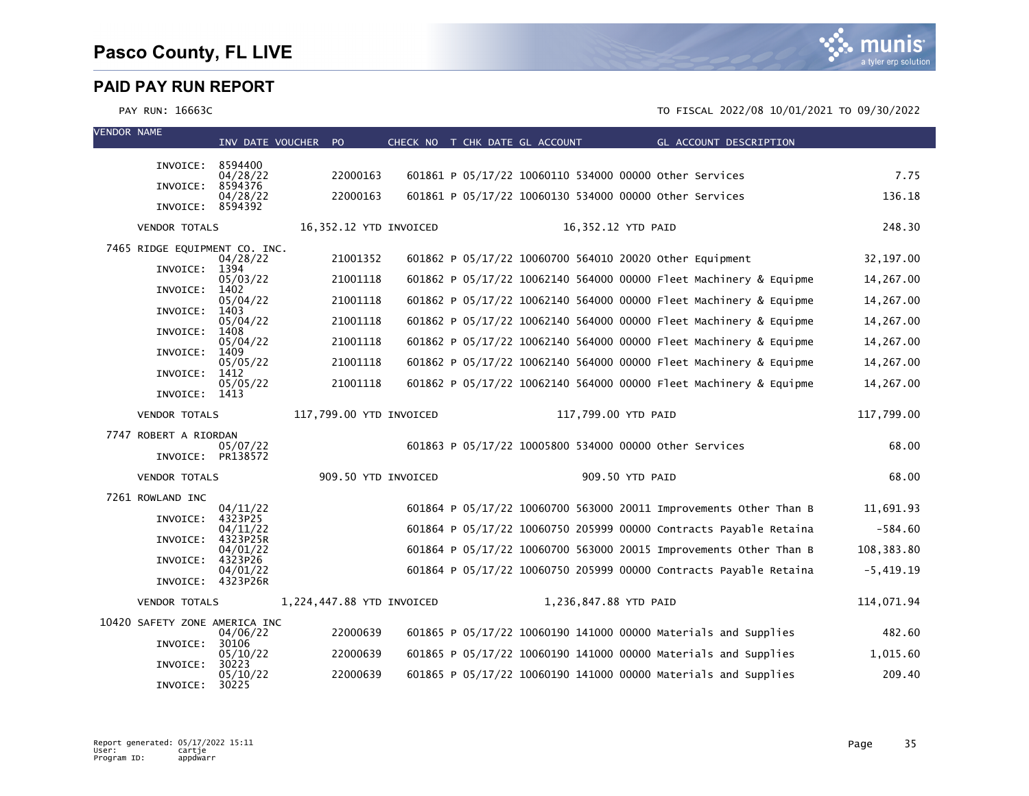

| <b>VENDOR NAME</b> |                               | INV DATE VOUCHER PO  |                           |                        | CHECK NO T CHK DATE GL ACCOUNT |                       | GL ACCOUNT DESCRIPTION                                            |             |
|--------------------|-------------------------------|----------------------|---------------------------|------------------------|--------------------------------|-----------------------|-------------------------------------------------------------------|-------------|
|                    |                               |                      |                           |                        |                                |                       |                                                                   |             |
|                    | INVOICE:                      | 8594400<br>04/28/22  | 22000163                  |                        |                                |                       | 601861 P 05/17/22 10060110 534000 00000 other Services            | 7.75        |
|                    | INVOICE:                      | 8594376<br>04/28/22  | 22000163                  |                        |                                |                       | 601861 P 05/17/22 10060130 534000 00000 Other Services            | 136.18      |
|                    | INVOICE: 8594392              |                      |                           |                        |                                |                       |                                                                   |             |
|                    | <b>VENDOR TOTALS</b>          |                      |                           | 16,352.12 YTD INVOICED |                                |                       | 16,352.12 YTD PAID                                                | 248.30      |
|                    | 7465 RIDGE EQUIPMENT CO. INC. |                      | 21001352                  |                        |                                |                       |                                                                   |             |
|                    | INVOICE:                      | 04/28/22<br>1394     |                           |                        |                                |                       | 601862 P 05/17/22 10060700 564010 20020 Other Equipment           | 32, 197.00  |
|                    | INVOICE:                      | 05/03/22<br>1402     | 21001118                  |                        |                                |                       | 601862 P 05/17/22 10062140 564000 00000 Fleet Machinery & Equipme | 14,267.00   |
|                    | INVOICE:                      | 05/04/22<br>1403     | 21001118                  |                        |                                |                       | 601862 P 05/17/22 10062140 564000 00000 Fleet Machinery & Equipme | 14,267.00   |
|                    |                               | 05/04/22             | 21001118                  |                        |                                |                       | 601862 P 05/17/22 10062140 564000 00000 Fleet Machinery & Equipme | 14,267.00   |
|                    | INVOICE:                      | 1408<br>05/04/22     | 21001118                  |                        |                                |                       | 601862 P 05/17/22 10062140 564000 00000 Fleet Machinery & Equipme | 14,267.00   |
|                    | INVOICE:                      | 1409<br>05/05/22     | 21001118                  |                        |                                |                       | 601862 P 05/17/22 10062140 564000 00000 Fleet Machinery & Equipme | 14,267.00   |
|                    | INVOICE:                      | 1412<br>05/05/22     | 21001118                  |                        |                                |                       | 601862 P 05/17/22 10062140 564000 00000 Fleet Machinery & Equipme | 14,267.00   |
|                    | INVOICE:                      | 1413                 |                           |                        |                                |                       |                                                                   |             |
|                    | <b>VENDOR TOTALS</b>          |                      | 117,799.00 YTD INVOICED   |                        |                                |                       | 117,799.00 YTD PAID                                               | 117,799.00  |
|                    | 7747 ROBERT A RIORDAN         | 05/07/22             |                           |                        |                                |                       | 601863 P 05/17/22 10005800 534000 00000 Other Services            | 68.00       |
|                    | INVOICE: PR138572             |                      |                           |                        |                                |                       |                                                                   |             |
|                    | <b>VENDOR TOTALS</b>          |                      |                           | 909.50 YTD INVOICED    |                                |                       | 909.50 YTD PAID                                                   | 68.00       |
|                    | 7261 ROWLAND INC              |                      |                           |                        |                                |                       |                                                                   |             |
|                    | INVOICE:                      | 04/11/22<br>4323P25  |                           |                        |                                |                       | 601864 P 05/17/22 10060700 563000 20011 Improvements Other Than B | 11,691.93   |
|                    | INVOICE:                      | 04/11/22<br>4323P25R |                           |                        |                                |                       | 601864 P 05/17/22 10060750 205999 00000 Contracts Payable Retaina | $-584.60$   |
|                    | INVOICE:                      | 04/01/22<br>4323P26  |                           |                        |                                |                       | 601864 P 05/17/22 10060700 563000 20015 Improvements Other Than B | 108,383.80  |
|                    | INVOICE: 4323P26R             | 04/01/22             |                           |                        |                                |                       | 601864 P 05/17/22 10060750 205999 00000 Contracts Payable Retaina | $-5,419.19$ |
|                    |                               |                      |                           |                        |                                |                       |                                                                   |             |
|                    | <b>VENDOR TOTALS</b>          |                      | 1,224,447.88 YTD INVOICED |                        |                                | 1,236,847.88 YTD PAID |                                                                   | 114,071.94  |
|                    | 10420 SAFETY ZONE AMERICA INC | 04/06/22             | 22000639                  |                        |                                |                       | 601865 P 05/17/22 10060190 141000 00000 Materials and Supplies    | 482.60      |
|                    | INVOICE:                      | 30106<br>05/10/22    | 22000639                  |                        |                                |                       | 601865 P 05/17/22 10060190 141000 00000 Materials and Supplies    | 1,015.60    |
|                    | INVOICE:                      | 30223<br>05/10/22    | 22000639                  |                        |                                |                       | 601865 P 05/17/22 10060190 141000 00000 Materials and Supplies    | 209.40      |
|                    | INVOICE:                      | 30225                |                           |                        |                                |                       |                                                                   |             |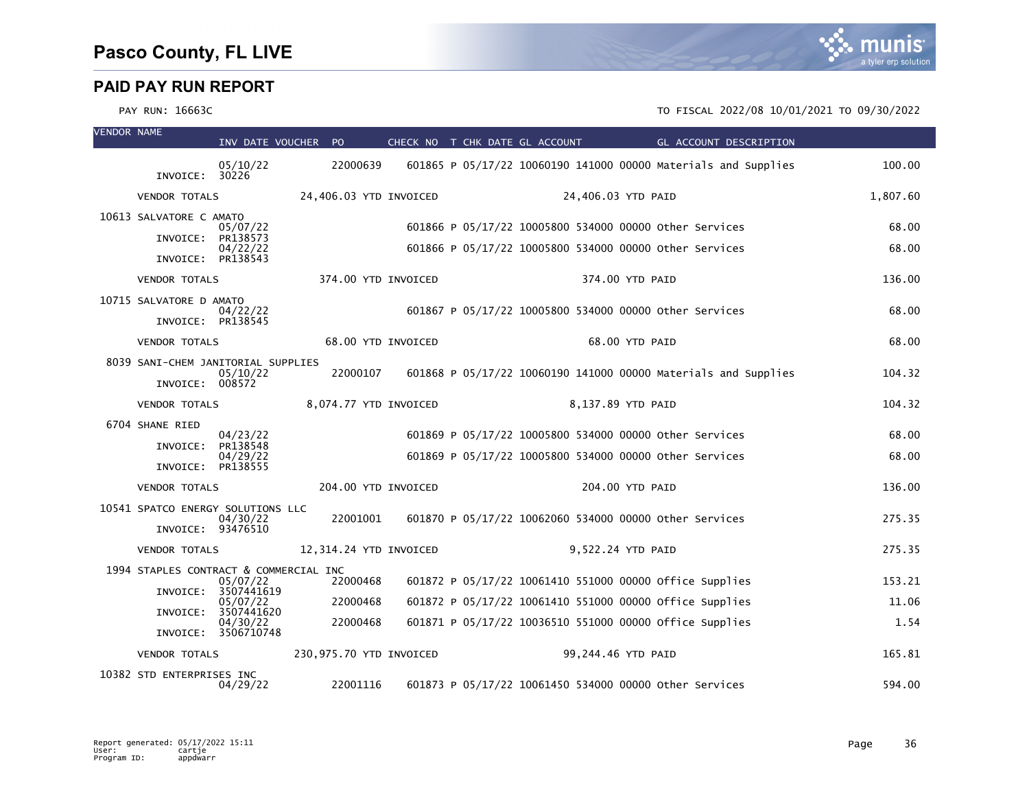

| <b>VENDOR NAME</b> |                                              | INV DATE VOUCHER PO    |                         |  | CHECK NO T CHK DATE GL ACCOUNT |                    | GL ACCOUNT DESCRIPTION                                         |          |
|--------------------|----------------------------------------------|------------------------|-------------------------|--|--------------------------------|--------------------|----------------------------------------------------------------|----------|
|                    | INVOICE: 30226                               | 05/10/22               | 22000639                |  |                                |                    | 601865 P 05/17/22 10060190 141000 00000 Materials and Supplies | 100.00   |
|                    | <b>VENDOR TOTALS</b>                         |                        | 24,406.03 YTD INVOICED  |  |                                | 24,406.03 YTD PAID |                                                                | 1,807.60 |
|                    | 10613 SALVATORE C AMATO                      |                        |                         |  |                                |                    |                                                                |          |
|                    | INVOICE:                                     | 05/07/22<br>PR138573   |                         |  |                                |                    | 601866 P 05/17/22 10005800 534000 00000 other Services         | 68.00    |
|                    | INVOICE:                                     | 04/22/22<br>PR138543   |                         |  |                                |                    | 601866 P 05/17/22 10005800 534000 00000 Other Services         | 68.00    |
|                    | <b>VENDOR TOTALS</b>                         |                        | 374.00 YTD INVOICED     |  |                                | 374.00 YTD PAID    |                                                                | 136.00   |
|                    |                                              |                        |                         |  |                                |                    |                                                                |          |
|                    | 10715 SALVATORE D AMATO<br>INVOICE: PR138545 | 04/22/22               |                         |  |                                |                    | 601867 P 05/17/22 10005800 534000 00000 other Services         | 68.00    |
|                    | <b>VENDOR TOTALS</b>                         |                        | 68.00 YTD INVOICED      |  |                                | 68.00 YTD PAID     |                                                                | 68.00    |
|                    | 8039 SANI-CHEM JANITORIAL SUPPLIES           |                        |                         |  |                                |                    | 601868 P 05/17/22 10060190 141000 00000 Materials and Supplies |          |
|                    | INVOICE: 008572                              | 05/10/22               | 22000107                |  |                                |                    |                                                                | 104.32   |
|                    | <b>VENDOR TOTALS</b>                         |                        | 8,074.77 YTD INVOICED   |  |                                | 8,137.89 YTD PAID  |                                                                | 104.32   |
|                    | 6704 SHANE RIED                              | 04/23/22               |                         |  |                                |                    | 601869 P 05/17/22 10005800 534000 00000 other Services         | 68.00    |
|                    | INVOICE:                                     | PR138548<br>04/29/22   |                         |  |                                |                    | 601869 P 05/17/22 10005800 534000 00000 Other Services         | 68.00    |
|                    | INVOICE: PR138555                            |                        |                         |  |                                |                    |                                                                |          |
|                    | <b>VENDOR TOTALS</b>                         |                        | 204.00 YTD INVOICED     |  |                                | 204.00 YTD PAID    |                                                                | 136.00   |
|                    | 10541 SPATCO ENERGY SOLUTIONS LLC            | 04/30/22               | 22001001                |  |                                |                    | 601870 P 05/17/22 10062060 534000 00000 Other Services         | 275.35   |
|                    | INVOICE: 93476510                            |                        |                         |  |                                |                    |                                                                |          |
|                    | <b>VENDOR TOTALS</b>                         |                        | 12,314.24 YTD INVOICED  |  |                                | 9,522.24 YTD PAID  |                                                                | 275.35   |
|                    | 1994 STAPLES CONTRACT & COMMERCIAL INC       | 05/07/22               | 22000468                |  |                                |                    | 601872 P 05/17/22 10061410 551000 00000 office Supplies        | 153.21   |
|                    | INVOICE:                                     | 3507441619<br>05/07/22 | 22000468                |  |                                |                    | 601872 P 05/17/22 10061410 551000 00000 office supplies        | 11.06    |
|                    | INVOICE:                                     | 3507441620<br>04/30/22 | 22000468                |  |                                |                    | 601871 P 05/17/22 10036510 551000 00000 office Supplies        | 1.54     |
|                    |                                              | INVOICE: 3506710748    |                         |  |                                |                    |                                                                |          |
|                    | <b>VENDOR TOTALS</b>                         |                        | 230,975.70 YTD INVOICED |  |                                | 99,244.46 YTD PAID |                                                                | 165.81   |
|                    | 10382 STD ENTERPRISES INC                    | 04/29/22               | 22001116                |  |                                |                    | 601873 P 05/17/22 10061450 534000 00000 other Services         | 594.00   |

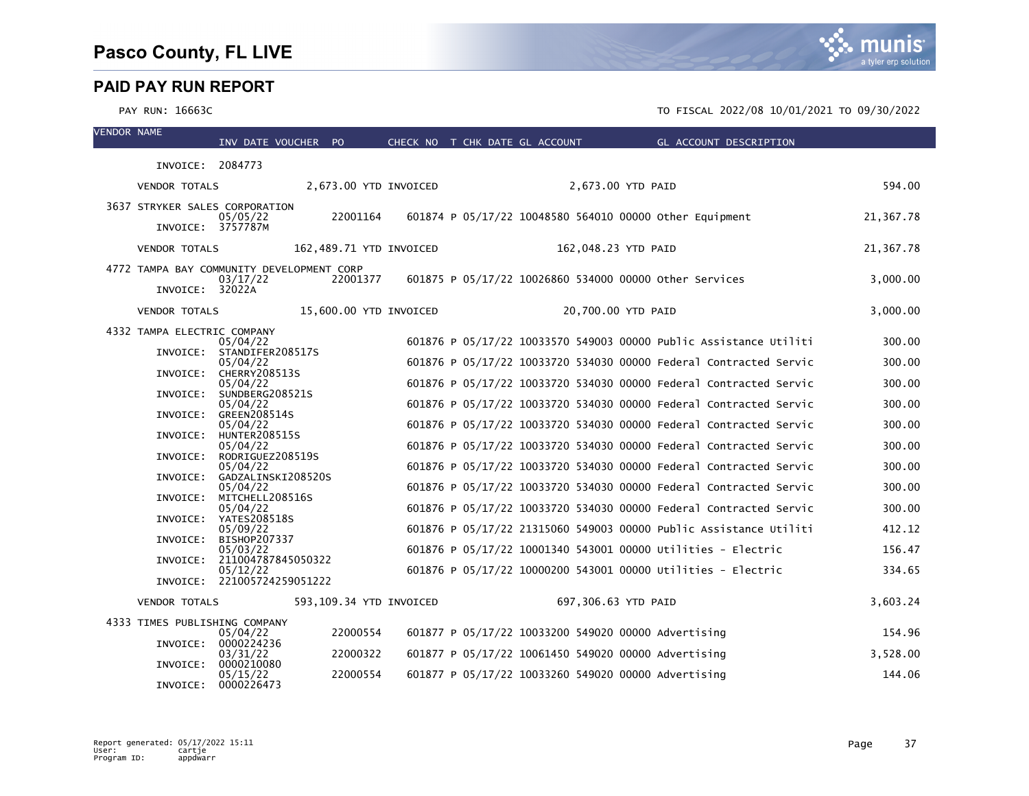VENDOR NAME

|                                                              | INV DATE VOUCHER PO                           |          |                         | CHECK NO T CHK DATE GL ACCOUNT |                                                     |                     | GL ACCOUNT DESCRIPTION                                            |           |
|--------------------------------------------------------------|-----------------------------------------------|----------|-------------------------|--------------------------------|-----------------------------------------------------|---------------------|-------------------------------------------------------------------|-----------|
| INVOICE: 2084773                                             |                                               |          |                         |                                |                                                     |                     |                                                                   |           |
| <b>VENDOR TOTALS</b>                                         |                                               |          | 2,673.00 YTD INVOICED   |                                |                                                     | 2,673.00 YTD PAID   |                                                                   | 594.00    |
| 3637 STRYKER SALES CORPORATION<br>INVOICE: 3757787M          | 05/05/22                                      | 22001164 |                         |                                |                                                     |                     | 601874 P 05/17/22 10048580 564010 00000 other Equipment           | 21,367.78 |
| <b>VENDOR TOTALS</b>                                         |                                               |          | 162,489.71 YTD INVOICED |                                |                                                     | 162,048.23 YTD PAID |                                                                   | 21,367.78 |
| 4772 TAMPA BAY COMMUNITY DEVELOPMENT CORP<br>INVOICE: 32022A | 03/17/22                                      | 22001377 |                         |                                |                                                     |                     | 601875 P 05/17/22 10026860 534000 00000 other Services            | 3,000.00  |
| <b>VENDOR TOTALS</b>                                         |                                               |          | 15,600.00 YTD INVOICED  |                                |                                                     | 20,700.00 YTD PAID  |                                                                   | 3,000.00  |
| 4332 TAMPA ELECTRIC COMPANY                                  | 05/04/22                                      |          |                         |                                |                                                     |                     | 601876 P 05/17/22 10033570 549003 00000 Public Assistance Utiliti | 300.00    |
|                                                              | INVOICE: STANDIFER208517S<br>05/04/22         |          |                         |                                |                                                     |                     | 601876 P 05/17/22 10033720 534030 00000 Federal Contracted Servic | 300.00    |
| INVOICE:                                                     | CHERRY208513S<br>05/04/22                     |          |                         |                                |                                                     |                     | 601876 P 05/17/22 10033720 534030 00000 Federal Contracted Servic | 300.00    |
| INVOICE:                                                     | SUNDBERG208521S<br>05/04/22                   |          |                         |                                |                                                     |                     | 601876 P 05/17/22 10033720 534030 00000 Federal Contracted Servic | 300.00    |
| INVOICE:                                                     | GREEN208514S<br>05/04/22                      |          |                         |                                |                                                     |                     | 601876 P 05/17/22 10033720 534030 00000 Federal Contracted Servic | 300.00    |
| INVOICE:                                                     | HUNTER208515S<br>05/04/22                     |          |                         |                                |                                                     |                     | 601876 P 05/17/22 10033720 534030 00000 Federal Contracted Servic | 300.00    |
| INVOICE:                                                     | RODRIGUEZ208519S<br>05/04/22                  |          |                         |                                |                                                     |                     | 601876 P 05/17/22 10033720 534030 00000 Federal Contracted Servic | 300.00    |
| INVOICE:                                                     | GADZALINSKI208520S<br>05/04/22                |          |                         |                                |                                                     |                     | 601876 P 05/17/22 10033720 534030 00000 Federal Contracted Servic | 300.00    |
|                                                              | INVOICE: MITCHELL208516S<br>05/04/22          |          |                         |                                |                                                     |                     | 601876 P 05/17/22 10033720 534030 00000 Federal Contracted Servic | 300.00    |
|                                                              | INVOICE: YATES208518S<br>05/09/22             |          |                         |                                |                                                     |                     | 601876 P 05/17/22 21315060 549003 00000 Public Assistance Utiliti | 412.12    |
|                                                              | INVOICE: BISHOP207337<br>05/03/22             |          |                         |                                |                                                     |                     | 601876 P 05/17/22 10001340 543001 00000 Utilities - Electric      | 156.47    |
|                                                              | INVOICE: 211004787845050322<br>05/12/22       |          |                         |                                |                                                     |                     | 601876 P 05/17/22 10000200 543001 00000 Utilities - Electric      | 334.65    |
|                                                              | INVOICE: 221005724259051222                   |          |                         |                                |                                                     |                     |                                                                   |           |
| <b>VENDOR TOTALS</b>                                         |                                               |          | 593,109.34 YTD INVOICED |                                |                                                     | 697,306.63 YTD PAID |                                                                   | 3,603.24  |
| 4333 TIMES PUBLISHING COMPANY                                | 05/04/22                                      | 22000554 |                         |                                | 601877 P 05/17/22 10033200 549020 00000 Advertising |                     |                                                                   | 154.96    |
|                                                              | INVOICE: 0000224236<br>03/31/22               | 22000322 |                         |                                | 601877 P 05/17/22 10061450 549020 00000 Advertising |                     |                                                                   | 3,528.00  |
| INVOICE:                                                     | 0000210080<br>05/15/22<br>INVOICE: 0000226473 | 22000554 |                         |                                | 601877 P 05/17/22 10033260 549020 00000 Advertising |                     |                                                                   | 144.06    |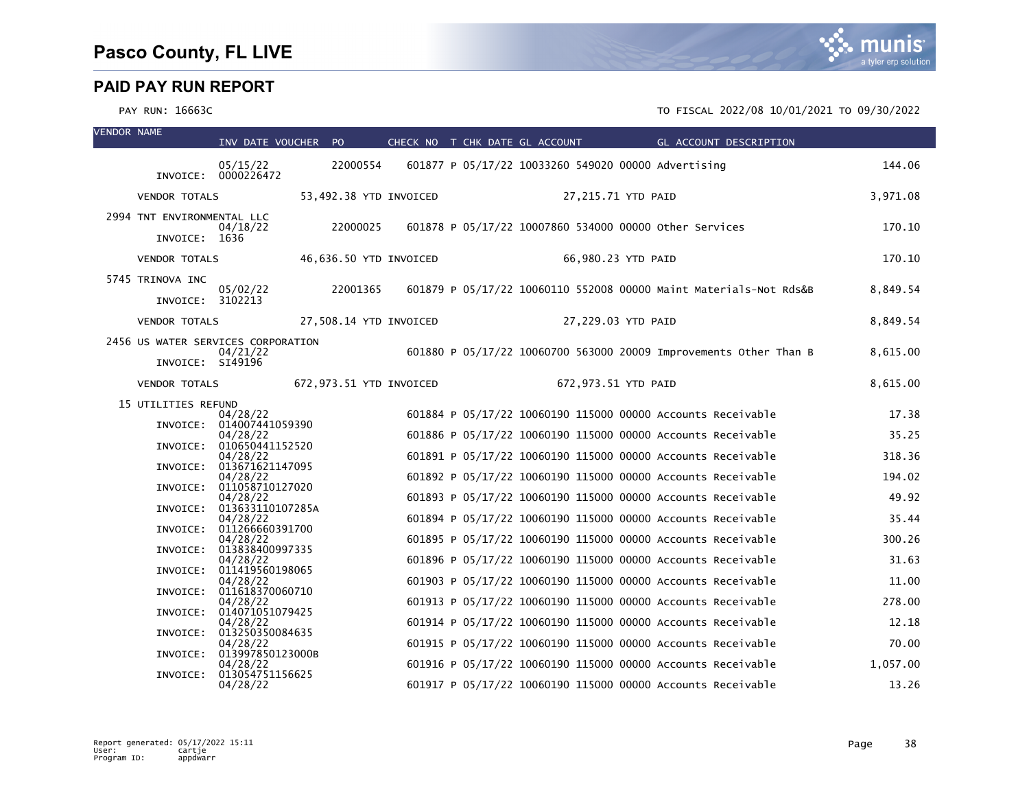| <b>VENDOR NAME</b> |                                       | INV DATE VOUCHER PO                  |          | CHECK NO T CHK DATE GL ACCOUNT |  |                     |                                                        | GL ACCOUNT DESCRIPTION                                            |          |
|--------------------|---------------------------------------|--------------------------------------|----------|--------------------------------|--|---------------------|--------------------------------------------------------|-------------------------------------------------------------------|----------|
|                    |                                       | 05/15/22<br>INVOICE: 0000226472      | 22000554 |                                |  |                     | 601877 P 05/17/22 10033260 549020 00000 Advertising    |                                                                   | 144.06   |
|                    | <b>VENDOR TOTALS</b>                  |                                      |          | 53,492.38 YTD INVOICED         |  | 27,215.71 YTD PAID  |                                                        |                                                                   | 3,971.08 |
|                    | 2994 TNT ENVIRONMENTAL LLC            | 04/18/22                             | 22000025 |                                |  |                     | 601878 P 05/17/22 10007860 534000 00000 other Services |                                                                   | 170.10   |
|                    | INVOICE: 1636<br><b>VENDOR TOTALS</b> |                                      |          | 46,636.50 YTD INVOICED         |  | 66,980.23 YTD PAID  |                                                        |                                                                   | 170.10   |
|                    |                                       |                                      |          |                                |  |                     |                                                        |                                                                   |          |
|                    | 5745 TRINOVA INC<br>INVOICE: 3102213  | 05/02/22                             | 22001365 |                                |  |                     |                                                        | 601879 P 05/17/22 10060110 552008 00000 Maint Materials-Not Rds&B | 8,849.54 |
|                    | <b>VENDOR TOTALS</b>                  |                                      |          | 27,508.14 YTD INVOICED         |  | 27,229.03 YTD PAID  |                                                        |                                                                   | 8,849.54 |
|                    | 2456 US WATER SERVICES CORPORATION    | 04/21/22                             |          |                                |  |                     |                                                        | 601880 P 05/17/22 10060700 563000 20009 Improvements Other Than B | 8,615.00 |
|                    | INVOICE: SI49196                      |                                      |          |                                |  |                     |                                                        |                                                                   |          |
|                    | <b>VENDOR TOTALS</b>                  |                                      |          | 672,973.51 YTD INVOICED        |  | 672,973.51 YTD PAID |                                                        |                                                                   | 8,615.00 |
|                    | 15 UTILITIES REFUND                   | 04/28/22                             |          |                                |  |                     |                                                        | 601884 P 05/17/22 10060190 115000 00000 Accounts Receivable       | 17.38    |
|                    |                                       | INVOICE: 014007441059390<br>04/28/22 |          |                                |  |                     |                                                        | 601886 P 05/17/22 10060190 115000 00000 Accounts Receivable       | 35.25    |
|                    |                                       | INVOICE: 010650441152520             |          |                                |  |                     |                                                        | 601891 P 05/17/22 10060190 115000 00000 Accounts Receivable       | 318.36   |
|                    | INVOICE:                              | 04/28/22<br>013671621147095          |          |                                |  |                     |                                                        |                                                                   |          |
|                    | INVOICE:                              | 04/28/22<br>011058710127020          |          |                                |  |                     |                                                        | 601892 P 05/17/22 10060190 115000 00000 Accounts Receivable       | 194.02   |
|                    | INVOICE:                              | 04/28/22<br>013633110107285A         |          |                                |  |                     |                                                        | 601893 P 05/17/22 10060190 115000 00000 Accounts Receivable       | 49.92    |
|                    |                                       | 04/28/22                             |          |                                |  |                     |                                                        | 601894 P 05/17/22 10060190 115000 00000 Accounts Receivable       | 35.44    |
|                    | INVOICE:                              | 011266660391700<br>04/28/22          |          |                                |  |                     |                                                        | 601895 P 05/17/22 10060190 115000 00000 Accounts Receivable       | 300.26   |
|                    | INVOICE:                              | 013838400997335<br>04/28/22          |          |                                |  |                     |                                                        | 601896 P 05/17/22 10060190 115000 00000 Accounts Receivable       | 31.63    |
|                    | INVOICE:                              | 011419560198065                      |          |                                |  |                     |                                                        |                                                                   |          |
|                    | INVOICE:                              | 04/28/22<br>011618370060710          |          |                                |  |                     |                                                        | 601903 P 05/17/22 10060190 115000 00000 Accounts Receivable       | 11.00    |
|                    | INVOICE:                              | 04/28/22<br>014071051079425          |          |                                |  |                     |                                                        | 601913 P 05/17/22 10060190 115000 00000 Accounts Receivable       | 278.00   |
|                    |                                       | 04/28/22                             |          |                                |  |                     |                                                        | 601914 P 05/17/22 10060190 115000 00000 Accounts Receivable       | 12.18    |
|                    | INVOICE:                              | 013250350084635<br>04/28/22          |          |                                |  |                     |                                                        | 601915 P 05/17/22 10060190 115000 00000 Accounts Receivable       | 70.00    |
|                    | INVOICE:                              | 013997850123000B<br>04/28/22         |          |                                |  |                     |                                                        | 601916 P 05/17/22 10060190 115000 00000 Accounts Receivable       | 1,057.00 |
|                    | INVOICE:                              | 013054751156625<br>04/28/22          |          |                                |  |                     |                                                        | 601917 P 05/17/22 10060190 115000 00000 Accounts Receivable       | 13.26    |

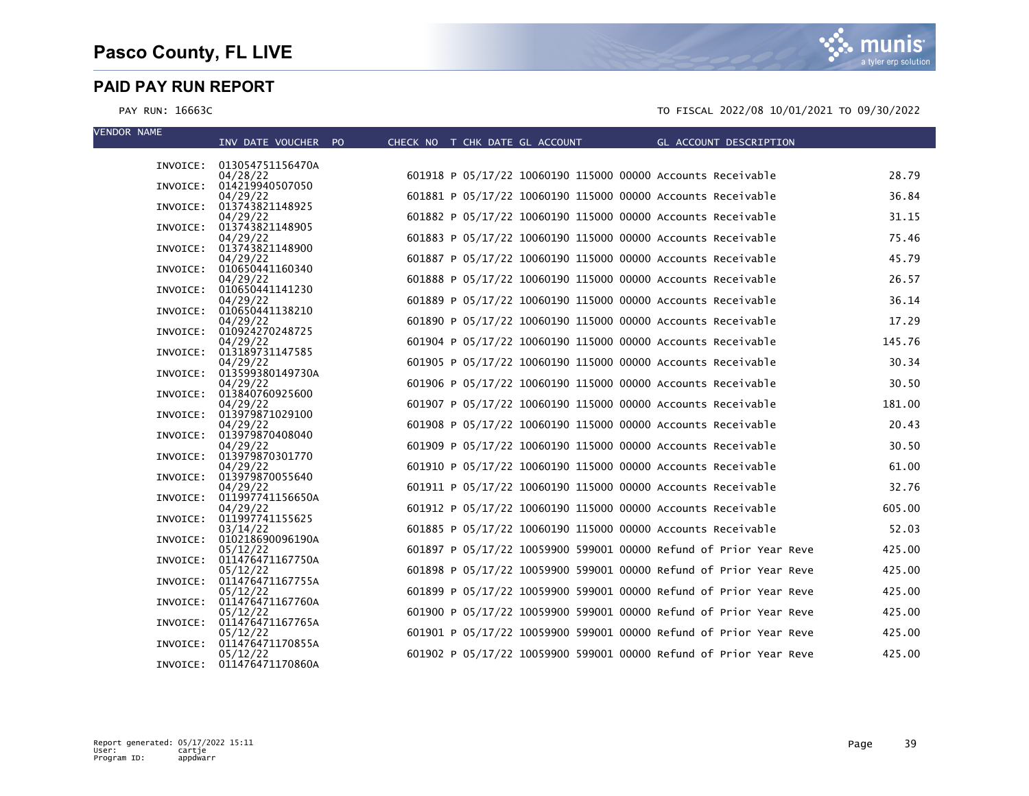munis a tyler erp solution

| <b>VENDOR NAME</b> |                                       |                                |                                                             |                                                                   |        |
|--------------------|---------------------------------------|--------------------------------|-------------------------------------------------------------|-------------------------------------------------------------------|--------|
|                    | INV DATE VOUCHER PO                   | CHECK NO T CHK DATE GL ACCOUNT |                                                             | GL ACCOUNT DESCRIPTION                                            |        |
|                    | INVOICE: 013054751156470A             |                                |                                                             |                                                                   |        |
|                    | 04/28/22                              |                                | 601918 P 05/17/22 10060190 115000 00000 Accounts Receivable |                                                                   | 28.79  |
|                    | INVOICE: 014219940507050              |                                |                                                             |                                                                   |        |
| INVOICE:           | 04/29/22<br>013743821148925           |                                | 601881 P 05/17/22 10060190 115000 00000 Accounts Receivable |                                                                   | 36.84  |
|                    | 04/29/22                              |                                | 601882 P 05/17/22 10060190 115000 00000 Accounts Receivable |                                                                   | 31.15  |
|                    | INVOICE: 013743821148905              |                                |                                                             |                                                                   |        |
|                    | 04/29/22                              |                                | 601883 P 05/17/22 10060190 115000 00000 Accounts Receivable |                                                                   | 75.46  |
| INVOICE:           | 013743821148900<br>04/29/22           |                                | 601887 P 05/17/22 10060190 115000 00000 Accounts Receivable |                                                                   | 45.79  |
|                    | INVOICE: 010650441160340              |                                |                                                             |                                                                   |        |
|                    | 04/29/22                              |                                | 601888 P 05/17/22 10060190 115000 00000 Accounts Receivable |                                                                   | 26.57  |
|                    | INVOICE: 010650441141230              |                                |                                                             |                                                                   |        |
|                    | 04/29/22<br>INVOICE: 010650441138210  |                                | 601889 P 05/17/22 10060190 115000 00000 Accounts Receivable |                                                                   | 36.14  |
|                    | 04/29/22                              |                                | 601890 P 05/17/22 10060190 115000 00000 Accounts Receivable |                                                                   | 17.29  |
|                    | INVOICE: 010924270248725              |                                |                                                             |                                                                   |        |
|                    | 04/29/22                              |                                | 601904 P 05/17/22 10060190 115000 00000 Accounts Receivable |                                                                   | 145.76 |
|                    | INVOICE: 013189731147585<br>04/29/22  |                                | 601905 P 05/17/22 10060190 115000 00000 Accounts Receivable |                                                                   | 30.34  |
| INVOICE:           | 013599380149730A                      |                                |                                                             |                                                                   |        |
|                    | 04/29/22                              |                                | 601906 P 05/17/22 10060190 115000 00000 Accounts Receivable |                                                                   | 30.50  |
|                    | INVOICE: 013840760925600              |                                |                                                             |                                                                   |        |
|                    | 04/29/22<br>INVOICE: 013979871029100  |                                | 601907 P 05/17/22 10060190 115000 00000 Accounts Receivable |                                                                   | 181.00 |
|                    | 04/29/22                              |                                | 601908 P 05/17/22 10060190 115000 00000 Accounts Receivable |                                                                   | 20.43  |
|                    | INVOICE: 013979870408040              |                                |                                                             |                                                                   |        |
|                    | 04/29/22                              |                                | 601909 P 05/17/22 10060190 115000 00000 Accounts Receivable |                                                                   | 30.50  |
|                    | INVOICE: 013979870301770<br>04/29/22  |                                | 601910 P 05/17/22 10060190 115000 00000 Accounts Receivable |                                                                   | 61.00  |
|                    | INVOICE: 013979870055640              |                                |                                                             |                                                                   |        |
|                    | 04/29/22                              |                                | 601911 P 05/17/22 10060190 115000 00000 Accounts Receivable |                                                                   | 32.76  |
| INVOICE:           | 011997741156650A                      |                                |                                                             |                                                                   | 605.00 |
| INVOICE:           | 04/29/22<br>011997741155625           |                                | 601912 P 05/17/22 10060190 115000 00000 Accounts Receivable |                                                                   |        |
|                    | 03/14/22                              |                                | 601885 P 05/17/22 10060190 115000 00000 Accounts Receivable |                                                                   | 52.03  |
|                    | INVOICE: 010218690096190A             |                                |                                                             |                                                                   |        |
|                    | 05/12/22                              |                                |                                                             | 601897 P 05/17/22 10059900 599001 00000 Refund of Prior Year Reve | 425.00 |
|                    | INVOICE: 011476471167750A<br>05/12/22 |                                |                                                             | 601898 P 05/17/22 10059900 599001 00000 Refund of Prior Year Reve | 425.00 |
|                    | INVOICE: 011476471167755A             |                                |                                                             |                                                                   |        |
|                    | 05/12/22                              |                                |                                                             | 601899 P 05/17/22 10059900 599001 00000 Refund of Prior Year Reve | 425.00 |
|                    | INVOICE: 011476471167760A<br>05/12/22 |                                |                                                             | 601900 P 05/17/22 10059900 599001 00000 Refund of Prior Year Reve | 425.00 |
|                    | INVOICE: 011476471167765A             |                                |                                                             |                                                                   |        |
|                    | 05/12/22                              |                                |                                                             | 601901 P 05/17/22 10059900 599001 00000 Refund of Prior Year Reve | 425.00 |
|                    | INVOICE: 011476471170855A             |                                |                                                             |                                                                   |        |
|                    | 05/12/22<br>INVOICE: 011476471170860A |                                |                                                             | 601902 P 05/17/22 10059900 599001 00000 Refund of Prior Year Reve | 425.00 |
|                    |                                       |                                |                                                             |                                                                   |        |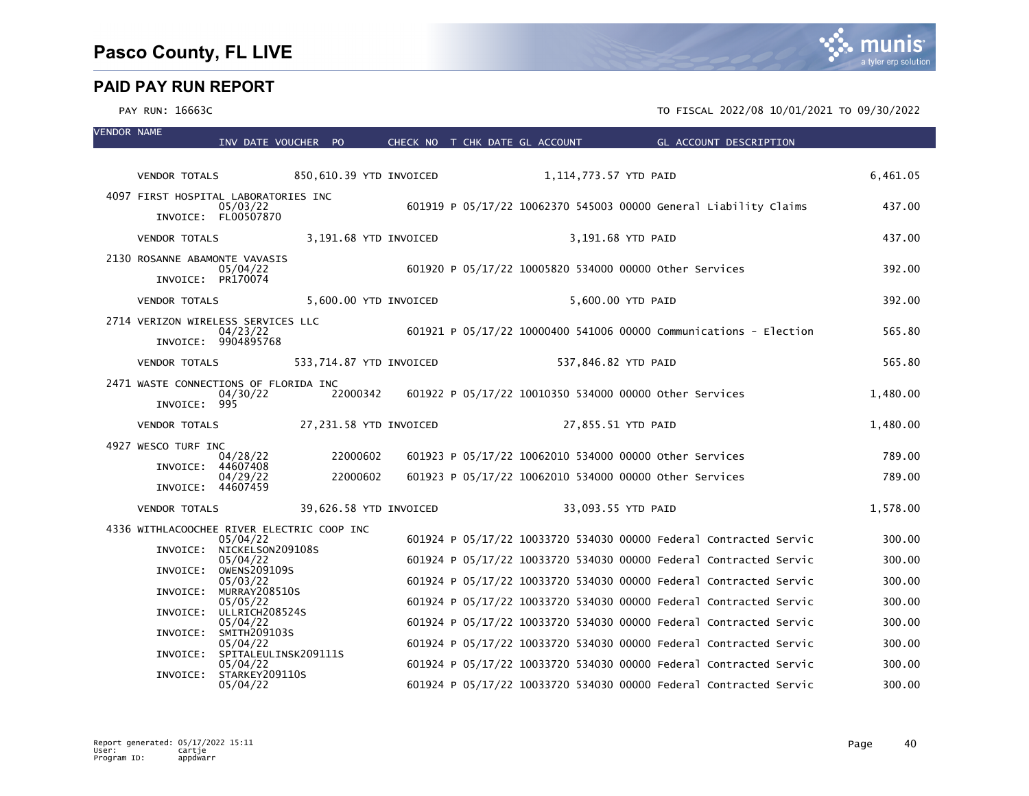| <b>VENDOR NAME</b> |                                                       | INV DATE VOUCHER PO                   |                        |          |                         | CHECK NO T CHK DATE GL ACCOUNT                         |                       | <b>Example 2016 GL ACCOUNT DESCRIPTION</b>                        |          |
|--------------------|-------------------------------------------------------|---------------------------------------|------------------------|----------|-------------------------|--------------------------------------------------------|-----------------------|-------------------------------------------------------------------|----------|
|                    |                                                       |                                       |                        |          |                         |                                                        |                       |                                                                   |          |
|                    | <b>VENDOR TOTALS</b>                                  |                                       |                        |          | 850,610.39 YTD INVOICED |                                                        | 1,114,773.57 YTD PAID |                                                                   | 6,461.05 |
|                    | 4097 FIRST HOSPITAL LABORATORIES INC                  | 05/03/22<br>INVOICE: FL00507870       |                        |          |                         |                                                        |                       | 601919 P 05/17/22 10062370 545003 00000 General Liability Claims  | 437.00   |
|                    | <b>VENDOR TOTALS</b>                                  |                                       |                        |          | 3,191.68 YTD INVOICED   |                                                        | 3,191.68 YTD PAID     |                                                                   | 437.00   |
|                    | 2130 ROSANNE ABAMONTE VAVASIS                         |                                       |                        |          |                         |                                                        |                       |                                                                   |          |
|                    | INVOICE: PR170074                                     | 05/04/22                              |                        |          |                         | 601920 P 05/17/22 10005820 534000 00000 other Services |                       |                                                                   | 392.00   |
|                    | <b>VENDOR TOTALS</b>                                  |                                       |                        |          | 5,600.00 YTD INVOICED   |                                                        | 5,600.00 YTD PAID     |                                                                   | 392.00   |
|                    | 2714 VERIZON WIRELESS SERVICES LLC                    |                                       |                        |          |                         |                                                        |                       |                                                                   |          |
|                    |                                                       | 04/23/22<br>INVOICE: 9904895768       |                        |          |                         |                                                        |                       | 601921 P 05/17/22 10000400 541006 00000 Communications - Election | 565.80   |
|                    | <b>VENDOR TOTALS</b>                                  |                                       |                        |          | 533,714.87 YTD INVOICED |                                                        | 537,846.82 YTD PAID   |                                                                   | 565.80   |
|                    | 2471 WASTE CONNECTIONS OF FLORIDA INC<br>INVOICE: 995 | 04/30/22                              |                        | 22000342 |                         | 601922 P 05/17/22 10010350 534000 00000 Other Services |                       |                                                                   | 1,480.00 |
|                    | <b>VENDOR TOTALS</b>                                  |                                       | 27,231.58 YTD INVOICED |          |                         |                                                        | 27,855.51 YTD PAID    |                                                                   | 1,480.00 |
|                    | 4927 WESCO TURF INC                                   |                                       |                        |          |                         |                                                        |                       |                                                                   | 789.00   |
|                    | INVOICE: 44607408                                     | 04/28/22                              |                        | 22000602 |                         | 601923 P 05/17/22 10062010 534000 00000 Other Services |                       |                                                                   |          |
|                    | INVOICE: 44607459                                     | 04/29/22                              |                        | 22000602 |                         | 601923 P 05/17/22 10062010 534000 00000 other Services |                       |                                                                   | 789.00   |
|                    | <b>VENDOR TOTALS</b>                                  |                                       |                        |          | 39,626.58 YTD INVOICED  |                                                        | 33,093.55 YTD PAID    |                                                                   | 1,578.00 |
|                    | 4336 WITHLACOOCHEE RIVER ELECTRIC COOP INC            | 05/04/22                              |                        |          |                         |                                                        |                       | 601924 P 05/17/22 10033720 534030 00000 Federal Contracted Servic | 300.00   |
|                    |                                                       | INVOICE: NICKELSON209108S<br>05/04/22 |                        |          |                         |                                                        |                       | 601924 P 05/17/22 10033720 534030 00000 Federal Contracted Servic | 300.00   |
|                    |                                                       | INVOICE: OWENS209109S                 |                        |          |                         |                                                        |                       |                                                                   |          |
|                    | INVOICE:                                              | 05/03/22<br>MURRAY208510S             |                        |          |                         |                                                        |                       | 601924 P 05/17/22 10033720 534030 00000 Federal Contracted Servic | 300.00   |
|                    |                                                       | 05/05/22<br>INVOICE: ULLRICH208524S   |                        |          |                         |                                                        |                       | 601924 P 05/17/22 10033720 534030 00000 Federal Contracted Servic | 300.00   |
|                    | INVOICE:                                              | 05/04/22<br>SMITH209103S              |                        |          |                         |                                                        |                       | 601924 P 05/17/22 10033720 534030 00000 Federal Contracted Servic | 300.00   |
|                    |                                                       | 05/04/22                              |                        |          |                         |                                                        |                       | 601924 P 05/17/22 10033720 534030 00000 Federal Contracted Servic | 300.00   |
|                    | INVOICE:                                              | SPITALEULINSK209111S<br>05/04/22      |                        |          |                         |                                                        |                       | 601924 P 05/17/22 10033720 534030 00000 Federal Contracted Servic | 300.00   |
|                    | INVOICE:                                              | STARKEY209110S<br>05/04/22            |                        |          |                         |                                                        |                       | 601924 P 05/17/22 10033720 534030 00000 Federal Contracted Servic | 300.00   |

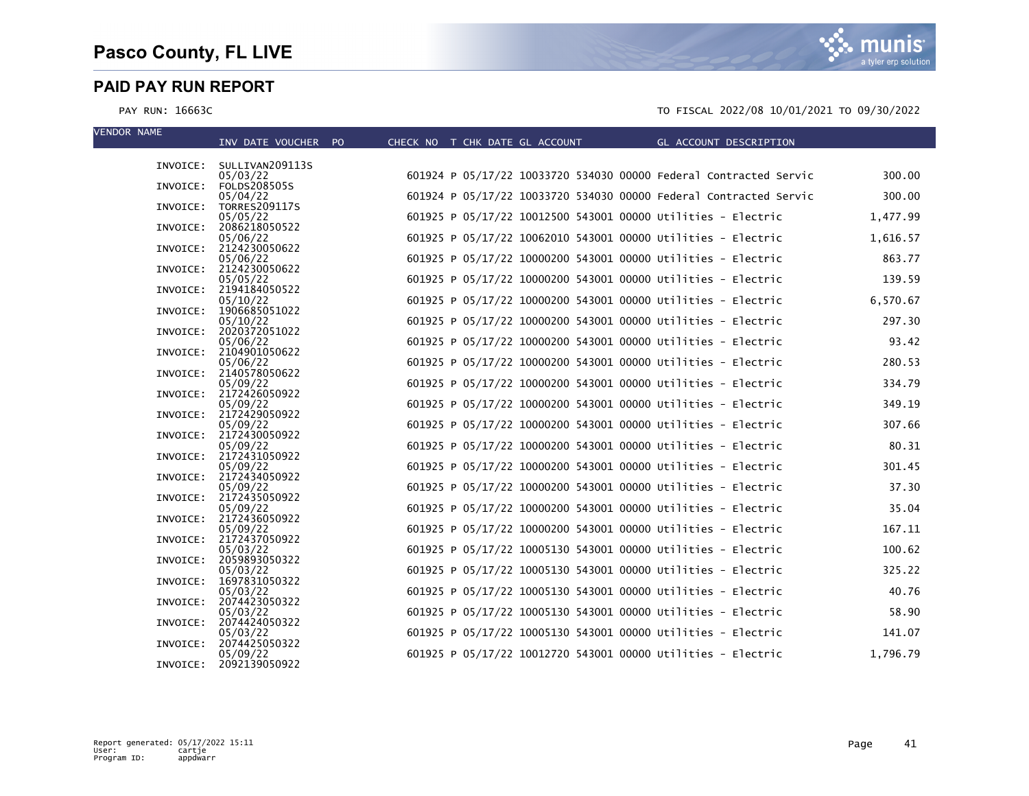munis a tyler erp solution

| <b>VENDOR NAME</b> | INV DATE VOUCHER PO                | CHECK NO T CHK DATE GL ACCOUNT                                    | GL ACCOUNT DESCRIPTION |
|--------------------|------------------------------------|-------------------------------------------------------------------|------------------------|
|                    |                                    |                                                                   |                        |
|                    | INVOICE: SULLIVAN209113S           |                                                                   |                        |
|                    | 05/03/22                           | 601924 P 05/17/22 10033720 534030 00000 Federal Contracted Servic | 300.00                 |
|                    | INVOICE: FOLDS208505S<br>05/04/22  | 601924 P 05/17/22 10033720 534030 00000 Federal Contracted Servic | 300.00                 |
| INVOICE:           | <b>TORRES209117S</b>               |                                                                   |                        |
|                    | 05/05/22                           | 601925 P 05/17/22 10012500 543001 00000 Utilities - Electric      | 1,477.99               |
| INVOICE:           | 2086218050522<br>05/06/22          | 601925 P 05/17/22 10062010 543001 00000 Utilities - Electric      |                        |
| INVOICE:           | 2124230050622                      |                                                                   | 1,616.57               |
|                    | 05/06/22                           | 601925 P 05/17/22 10000200 543001 00000 Utilities - Electric      | 863.77                 |
|                    | INVOICE: 2124230050622             |                                                                   |                        |
|                    | 05/05/22<br>INVOICE: 2194184050522 | 601925 P 05/17/22 10000200 543001 00000 Utilities - Electric      | 139.59                 |
|                    | 05/10/22                           | 601925 P 05/17/22 10000200 543001 00000 Utilities - Electric      | 6,570.67               |
|                    | INVOICE: 1906685051022             |                                                                   |                        |
|                    | 05/10/22                           | 601925 P 05/17/22 10000200 543001 00000 Utilities - Electric      | 297.30                 |
|                    | INVOICE: 2020372051022<br>05/06/22 | 601925 P 05/17/22 10000200 543001 00000 Utilities - Electric      | 93.42                  |
|                    | INVOICE: 2104901050622             |                                                                   |                        |
|                    | 05/06/22                           | 601925 P 05/17/22 10000200 543001 00000 Utilities - Electric      | 280.53                 |
|                    | INVOICE: 2140578050622             |                                                                   |                        |
|                    | 05/09/22<br>INVOICE: 2172426050922 | 601925 P 05/17/22 10000200 543001 00000 Utilities - Electric      | 334.79                 |
|                    | 05/09/22                           | 601925 P 05/17/22 10000200 543001 00000 Utilities - Electric      | 349.19                 |
|                    | INVOICE: 2172429050922             |                                                                   |                        |
|                    | 05/09/22<br>INVOICE: 2172430050922 | 601925 P 05/17/22 10000200 543001 00000 Utilities - Electric      | 307.66                 |
|                    | 05/09/22                           | 601925 P 05/17/22 10000200 543001 00000 Utilities - Electric      | 80.31                  |
|                    | INVOICE: 2172431050922             |                                                                   |                        |
|                    | 05/09/22                           | 601925 P 05/17/22 10000200 543001 00000 Utilities - Electric      | 301.45                 |
|                    | INVOICE: 2172434050922<br>05/09/22 | 601925 P 05/17/22 10000200 543001 00000 Utilities - Electric      | 37.30                  |
| INVOICE:           | 2172435050922                      |                                                                   |                        |
|                    | 05/09/22                           | 601925 P 05/17/22 10000200 543001 00000 Utilities - Electric      | 35.04                  |
| INVOICE:           | 2172436050922                      |                                                                   |                        |
|                    | 05/09/22<br>INVOICE: 2172437050922 | 601925 P 05/17/22 10000200 543001 00000 Utilities - Electric      | 167.11                 |
|                    | 05/03/22                           | 601925 P 05/17/22 10005130 543001 00000 Utilities - Electric      | 100.62                 |
|                    | INVOICE: 2059893050322             |                                                                   |                        |
|                    | 05/03/22<br>INVOICE: 1697831050322 | 601925 P 05/17/22 10005130 543001 00000 Utilities - Electric      | 325.22                 |
|                    | 05/03/22                           | 601925 P 05/17/22 10005130 543001 00000 Utilities - Electric      | 40.76                  |
| INVOICE:           | 2074423050322                      |                                                                   |                        |
|                    | 05/03/22                           | 601925 P 05/17/22 10005130 543001 00000 Utilities - Electric      | 58.90                  |
|                    | INVOICE: 2074424050322<br>05/03/22 | 601925 P 05/17/22 10005130 543001 00000 Utilities - Electric      | 141.07                 |
| INVOICE:           | 2074425050322                      |                                                                   |                        |
|                    | 05/09/22                           | 601925 P 05/17/22 10012720 543001 00000 Utilities - Electric      | 1,796.79               |
| INVOICE:           | 2092139050922                      |                                                                   |                        |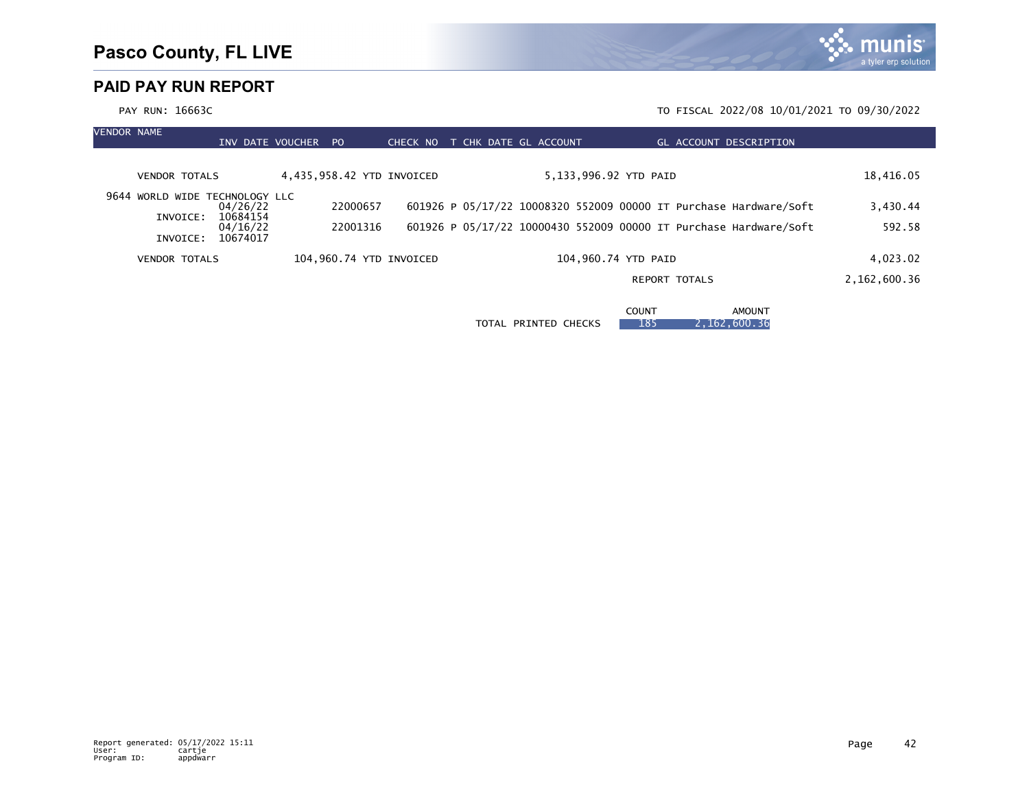PAY RUN: 16663C TO FISCAL 2022/08 10/01/2021 TO 09/30/2022 VENDOR NAME INV DATE VOUCHER PO CHECK NO T CHK DATE GL ACCOUNT GL ACCOUNT DESCRIPTION VENDOR TOTALS 4,435,958.42 YTD INVOICED 5,133,996.92 YTD PAID 18,416.05 9644 WORLD WIDE TECHNOLOGY LLC<br>04/26/22 04/26/22 22000657 601926 P 05/17/22 10008320 552009 00000 IT Purchase Hardware/Soft 3,430.44 INVOICE: 10684154<br>04/16/22 04/16/22 22001316 601926 P 05/17/22 10000430 552009 00000 IT Purchase Hardware/Soft 592.58 INVOICE: 10674017 VENDOR TOTALS 104,960.74 YTD INVOICED 104,960.74 YTD PAID 4,023.02 REPORT TOTALS 2,162,600.36

**COUNT AMOUNT** TOTAL PRINTED CHECKS | 185 2,162,600.36

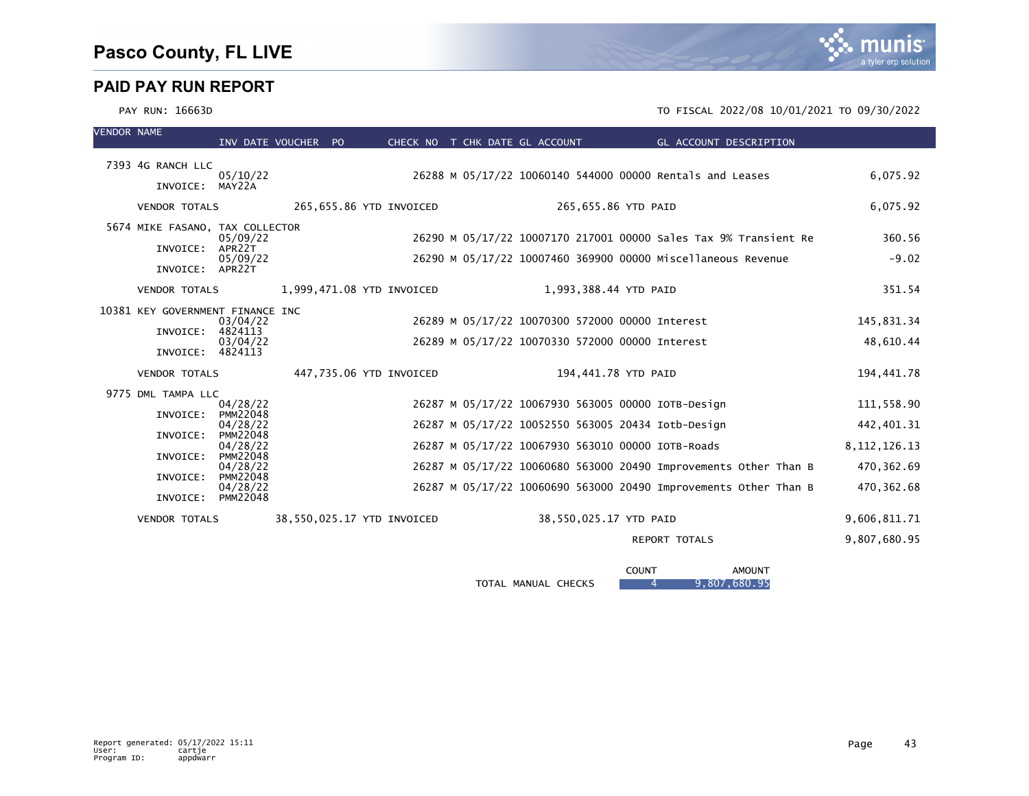

| <b>VENDOR NAME</b> |                                                                                                        | INV DATE VOUCHER PO                                                                                                                                     |  |                            |  | CHECK NO T CHK DATE GL ACCOUNT                                                                                                                                                          |                     | GL ACCOUNT DESCRIPTION                                                                                                               |                                                                                          |
|--------------------|--------------------------------------------------------------------------------------------------------|---------------------------------------------------------------------------------------------------------------------------------------------------------|--|----------------------------|--|-----------------------------------------------------------------------------------------------------------------------------------------------------------------------------------------|---------------------|--------------------------------------------------------------------------------------------------------------------------------------|------------------------------------------------------------------------------------------|
|                    | 7393 4G RANCH LLC<br>INVOICE:                                                                          | 05/10/22<br>MAY22A                                                                                                                                      |  |                            |  |                                                                                                                                                                                         |                     | 26288 M 05/17/22 10060140 544000 00000 Rentals and Leases                                                                            | 6,075.92                                                                                 |
|                    | <b>VENDOR TOTALS</b>                                                                                   |                                                                                                                                                         |  | 265,655.86 YTD INVOICED    |  |                                                                                                                                                                                         | 265,655.86 YTD PAID |                                                                                                                                      | 6,075.92                                                                                 |
|                    | 5674 MIKE FASANO, TAX COLLECTOR<br>INVOICE:<br>INVOICE: APR22T                                         | 05/09/22<br>APR22T<br>05/09/22                                                                                                                          |  |                            |  |                                                                                                                                                                                         |                     | 26290 M 05/17/22 10007170 217001 00000 Sales Tax 9% Transient Re<br>26290 M 05/17/22 10007460 369900 00000 Miscellaneous Revenue     | 360.56<br>$-9.02$                                                                        |
|                    | <b>VENDOR TOTALS</b>                                                                                   |                                                                                                                                                         |  | 1,999,471.08 YTD INVOICED  |  | 1,993,388.44 YTD PAID                                                                                                                                                                   |                     |                                                                                                                                      | 351.54                                                                                   |
|                    | 10381 KEY GOVERNMENT FINANCE INC<br>INVOICE:<br>INVOICE: 4824113                                       | 03/04/22<br>4824113<br>03/04/22                                                                                                                         |  |                            |  | 26289 M 05/17/22 10070300 572000 00000 Interest<br>26289 M 05/17/22 10070330 572000 00000 Interest                                                                                      |                     |                                                                                                                                      | 145,831.34<br>48,610.44                                                                  |
|                    | <b>VENDOR TOTALS</b>                                                                                   |                                                                                                                                                         |  | 447,735.06 YTD INVOICED    |  | 194,441.78 YTD PAID                                                                                                                                                                     |                     |                                                                                                                                      | 194,441.78                                                                               |
|                    | 9775 DML TAMPA LLC<br>INVOICE:<br>INVOICE:<br>INVOICE:<br>INVOICE:<br>INVOICE:<br><b>VENDOR TOTALS</b> | 04/28/22<br><b>PMM22048</b><br>04/28/22<br><b>PMM22048</b><br>04/28/22<br><b>PMM22048</b><br>04/28/22<br><b>PMM22048</b><br>04/28/22<br><b>PMM22048</b> |  | 38,550,025.17 YTD INVOICED |  | 26287 M 05/17/22 10067930 563005 00000 IOTB-Design<br>26287 M 05/17/22 10052550 563005 20434 Iotb-Design<br>26287 M 05/17/22 10067930 563010 00000 IOTB-Roads<br>38,550,025.17 YTD PAID |                     | 26287 M 05/17/22 10060680 563000 20490 Improvements Other Than B<br>26287 M 05/17/22 10060690 563000 20490 Improvements Other Than B | 111,558.90<br>442,401.31<br>8, 112, 126. 13<br>470,362.69<br>470, 362.68<br>9,606,811.71 |
|                    |                                                                                                        |                                                                                                                                                         |  |                            |  |                                                                                                                                                                                         |                     | <b>REPORT TOTALS</b>                                                                                                                 | 9,807,680.95                                                                             |

|                                         | COUNT | <b>AMOUNT</b>   |
|-----------------------------------------|-------|-----------------|
| MANUAL<br><b>CHECKS</b><br><b>TOTAL</b> |       | .680.95<br>.807 |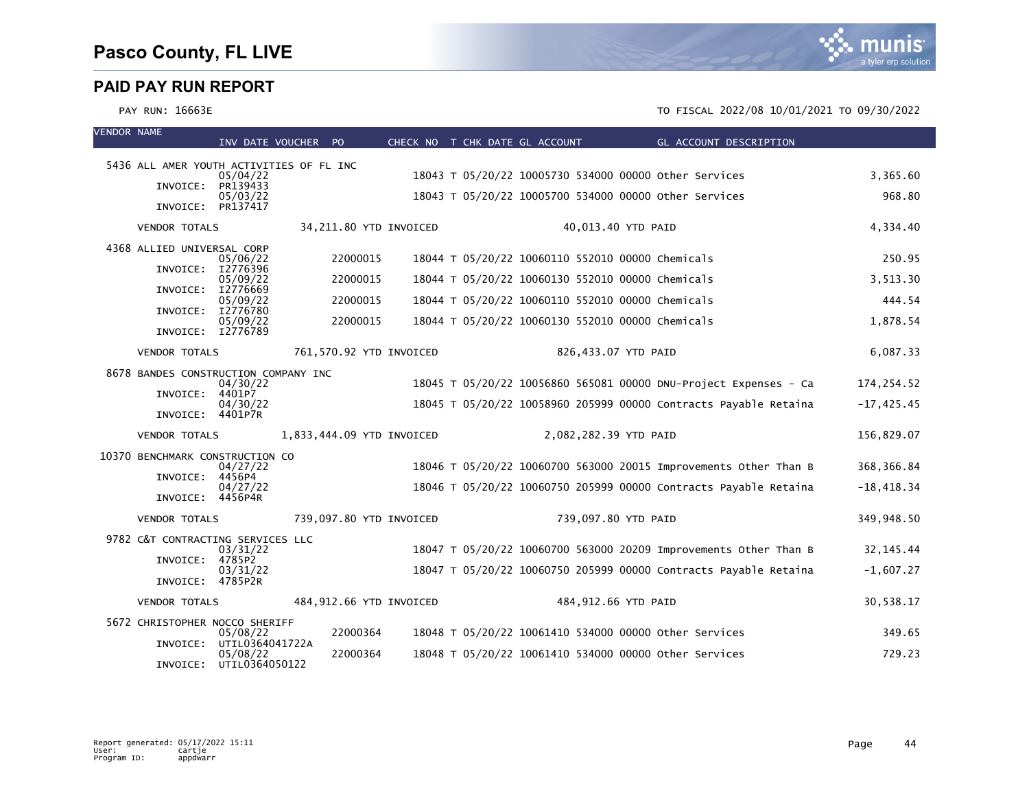| <b>VENDOR NAME</b> |                                          | INV DATE VOUCHER PO  |                           |  | CHECK NO T CHK DATE GL ACCOUNT                        | GL ACCOUNT DESCRIPTION                                           |               |
|--------------------|------------------------------------------|----------------------|---------------------------|--|-------------------------------------------------------|------------------------------------------------------------------|---------------|
|                    | 5436 ALL AMER YOUTH ACTIVITIES OF FL INC |                      |                           |  |                                                       |                                                                  |               |
|                    | INVOICE:                                 | 05/04/22<br>PR139433 |                           |  | 18043 T 05/20/22 10005730 534000 00000 other Services |                                                                  | 3,365.60      |
|                    | INVOICE: PR137417                        | 05/03/22             |                           |  | 18043 T 05/20/22 10005700 534000 00000 other Services |                                                                  | 968.80        |
|                    | <b>VENDOR TOTALS</b>                     |                      | 34,211.80 YTD INVOICED    |  | 40,013.40 YTD PAID                                    |                                                                  | 4,334.40      |
|                    | 4368 ALLIED UNIVERSAL CORP               |                      |                           |  |                                                       |                                                                  |               |
|                    | INVOICE: I2776396                        | 05/06/22             | 22000015                  |  | 18044 T 05/20/22 10060110 552010 00000 Chemicals      |                                                                  | 250.95        |
|                    | INVOICE: I2776669                        | 05/09/22             | 22000015                  |  | 18044 T 05/20/22 10060130 552010 00000 Chemicals      |                                                                  | 3,513.30      |
|                    | INVOICE: I2776780                        | 05/09/22             | 22000015                  |  | 18044 T 05/20/22 10060110 552010 00000 Chemicals      |                                                                  | 444.54        |
|                    | INVOICE: I2776789                        | 05/09/22             | 22000015                  |  | 18044 T 05/20/22 10060130 552010 00000 Chemicals      |                                                                  | 1,878.54      |
|                    | <b>VENDOR TOTALS</b>                     |                      | 761,570.92 YTD INVOICED   |  | 826,433.07 YTD PAID                                   |                                                                  | 6,087.33      |
|                    | 8678 BANDES CONSTRUCTION COMPANY INC     |                      |                           |  |                                                       |                                                                  |               |
|                    | INVOICE:                                 | 04/30/22<br>4401P7   |                           |  |                                                       | 18045 T 05/20/22 10056860 565081 00000 DNU-Project Expenses - Ca | 174, 254.52   |
|                    | INVOICE:                                 | 04/30/22<br>4401P7R  |                           |  |                                                       | 18045 T 05/20/22 10058960 205999 00000 Contracts Payable Retaina | $-17, 425.45$ |
|                    | <b>VENDOR TOTALS</b>                     |                      | 1,833,444.09 YTD INVOICED |  | 2,082,282.39 YTD PAID                                 |                                                                  | 156,829.07    |
|                    | 10370 BENCHMARK CONSTRUCTION CO          | 04/27/22             |                           |  |                                                       | 18046 T 05/20/22 10060700 563000 20015 Improvements Other Than B | 368, 366.84   |
|                    | INVOICE:                                 | 4456P4<br>04/27/22   |                           |  |                                                       | 18046 T 05/20/22 10060750 205999 00000 Contracts Payable Retaina | $-18,418.34$  |
|                    | INVOICE: 4456P4R                         |                      |                           |  |                                                       |                                                                  |               |
|                    | <b>VENDOR TOTALS</b>                     |                      | 739,097.80 YTD INVOICED   |  | 739,097.80 YTD PAID                                   |                                                                  | 349,948.50    |
|                    | 9782 C&T CONTRACTING SERVICES LLC        |                      |                           |  |                                                       |                                                                  |               |
|                    | INVOICE:                                 | 03/31/22<br>4785P2   |                           |  |                                                       | 18047 T 05/20/22 10060700 563000 20209 Improvements Other Than B | 32, 145. 44   |
|                    | INVOICE: 4785P2R                         | 03/31/22             |                           |  |                                                       | 18047 T 05/20/22 10060750 205999 00000 Contracts Payable Retaina | $-1,607.27$   |
|                    | <b>VENDOR TOTALS</b>                     |                      | 484,912.66 YTD INVOICED   |  | 484,912.66 YTD PAID                                   |                                                                  | 30,538.17     |
|                    | 5672 CHRISTOPHER NOCCO SHERIFF           | 05/08/22             | 22000364                  |  | 18048 T 05/20/22 10061410 534000 00000 other Services |                                                                  | 349.65        |
|                    | INVOICE:                                 | UTIL0364041722A      |                           |  |                                                       |                                                                  |               |
|                    | INVOICE: UTIL0364050122                  | 05/08/22             | 22000364                  |  | 18048 T 05/20/22 10061410 534000 00000 other Services |                                                                  | 729.23        |

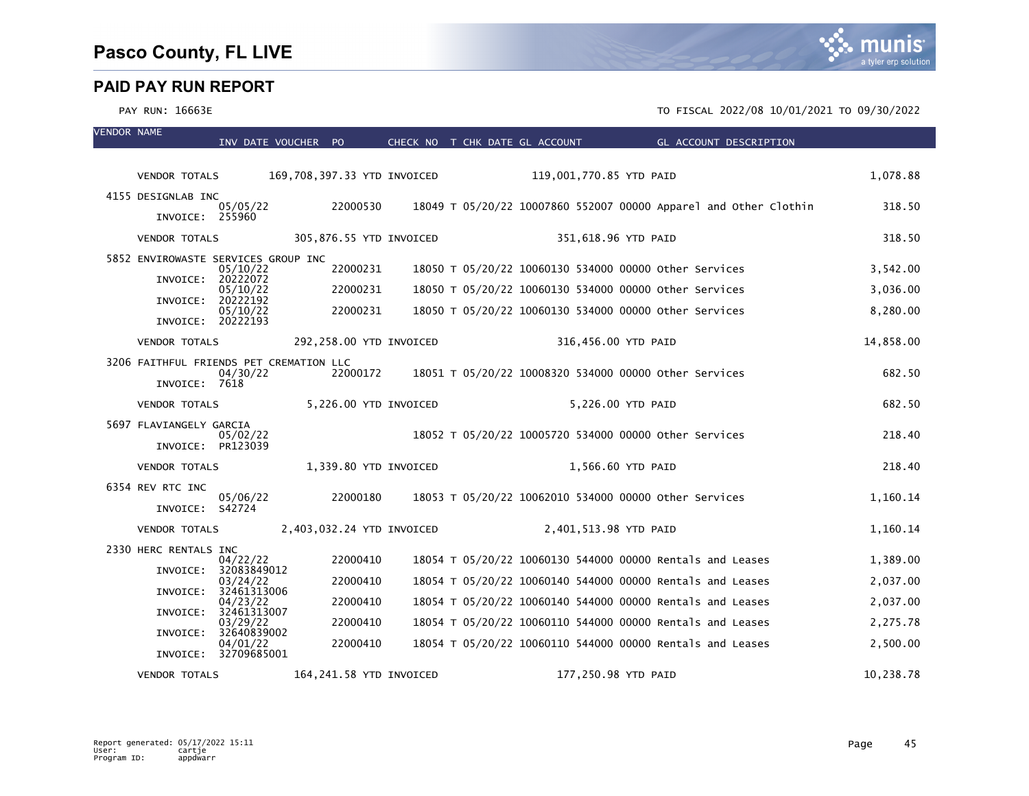| <b>VENDOR NAME</b> |                                         | INV DATE VOUCHER PO              |          |                             | CHECK NO T CHK DATE GL ACCOUNT | <b>Example 20 GL ACCOUNT DESCRIPTION</b>                         |           |
|--------------------|-----------------------------------------|----------------------------------|----------|-----------------------------|--------------------------------|------------------------------------------------------------------|-----------|
|                    |                                         |                                  |          |                             |                                |                                                                  |           |
|                    | <b>VENDOR TOTALS</b>                    |                                  |          | 169,708,397.33 YTD INVOICED | 119,001,770.85 YTD PAID        |                                                                  | 1,078.88  |
|                    | 4155 DESIGNLAB INC                      | 05/05/22                         | 22000530 |                             |                                | 18049 T 05/20/22 10007860 552007 00000 Apparel and Other Clothin | 318.50    |
|                    | INVOICE: 255960                         |                                  |          |                             |                                |                                                                  |           |
|                    | <b>VENDOR TOTALS</b>                    |                                  |          | 305,876.55 YTD INVOICED     |                                | 351,618.96 YTD PAID                                              | 318.50    |
|                    | 5852 ENVIROWASTE SERVICES GROUP INC     | 05/10/22                         | 22000231 |                             |                                | 18050 T 05/20/22 10060130 534000 00000 other Services            | 3,542.00  |
|                    |                                         | INVOICE: 20222072<br>05/10/22    | 22000231 |                             |                                | 18050 T 05/20/22 10060130 534000 00000 other Services            | 3,036.00  |
|                    | INVOICE:                                | 20222192                         |          |                             |                                |                                                                  |           |
|                    | INVOICE: 20222193                       | 05/10/22                         | 22000231 |                             |                                | 18050 T 05/20/22 10060130 534000 00000 other Services            | 8,280.00  |
|                    | <b>VENDOR TOTALS</b>                    |                                  |          | 292,258.00 YTD INVOICED     |                                | 316,456.00 YTD PAID                                              | 14,858.00 |
|                    | 3206 FAITHFUL FRIENDS PET CREMATION LLC |                                  |          |                             |                                |                                                                  |           |
|                    | INVOICE: 7618                           | 04/30/22                         | 22000172 |                             |                                | 18051 T 05/20/22 10008320 534000 00000 other Services            | 682.50    |
|                    | <b>VENDOR TOTALS</b>                    |                                  |          | 5,226.00 YTD INVOICED       |                                | 5,226.00 YTD PAID                                                | 682.50    |
|                    | 5697 FLAVIANGELY GARCIA                 | 05/02/22                         |          |                             |                                | 18052 T 05/20/22 10005720 534000 00000 other Services            | 218.40    |
|                    |                                         | INVOICE: PR123039                |          |                             |                                |                                                                  |           |
|                    | <b>VENDOR TOTALS</b>                    |                                  |          | 1,339.80 YTD INVOICED       |                                | 1,566.60 YTD PAID                                                | 218.40    |
|                    | 6354 REV RTC INC                        | 05/06/22                         | 22000180 |                             |                                | 18053 T 05/20/22 10062010 534000 00000 Other Services            | 1,160.14  |
|                    | INVOICE: S42724                         |                                  |          |                             |                                |                                                                  |           |
|                    | <b>VENDOR TOTALS</b>                    |                                  |          | 2,403,032.24 YTD INVOICED   | 2,401,513.98 YTD PAID          |                                                                  | 1,160.14  |
|                    | 2330 HERC RENTALS INC                   | 04/22/22                         | 22000410 |                             |                                | 18054 T 05/20/22 10060130 544000 00000 Rentals and Leases        | 1,389.00  |
|                    | INVOICE:                                | 32083849012<br>03/24/22          | 22000410 |                             |                                | 18054 T 05/20/22 10060140 544000 00000 Rentals and Leases        | 2,037.00  |
|                    |                                         | INVOICE: 32461313006             |          |                             |                                |                                                                  |           |
|                    | INVOICE:                                | 04/23/22<br>32461313007          | 22000410 |                             |                                | 18054 T 05/20/22 10060140 544000 00000 Rentals and Leases        | 2,037.00  |
|                    | INVOICE:                                | 03/29/22<br>32640839002          | 22000410 |                             |                                | 18054 T 05/20/22 10060110 544000 00000 Rentals and Leases        | 2,275.78  |
|                    |                                         | 04/01/22<br>INVOICE: 32709685001 | 22000410 |                             |                                | 18054 T 05/20/22 10060110 544000 00000 Rentals and Leases        | 2,500.00  |
|                    | <b>VENDOR TOTALS</b>                    |                                  |          | 164,241.58 YTD INVOICED     |                                | 177,250.98 YTD PAID                                              | 10,238.78 |

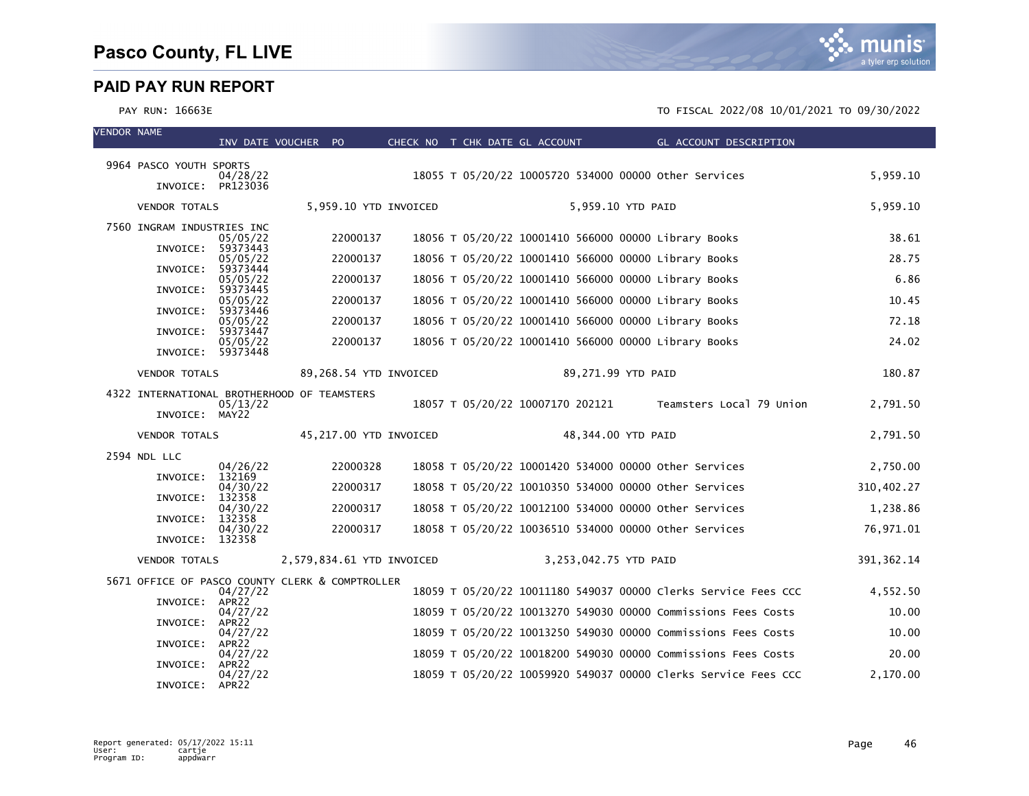munis a tyler erp solution

| <b>VENDOR NAME</b> |                                                 | INV DATE VOUCHER PO           |                           | CHECK NO T CHK DATE GL ACCOUNT |  |                       | GL ACCOUNT DESCRIPTION                                         |             |
|--------------------|-------------------------------------------------|-------------------------------|---------------------------|--------------------------------|--|-----------------------|----------------------------------------------------------------|-------------|
|                    | 9964 PASCO YOUTH SPORTS                         |                               |                           |                                |  |                       |                                                                |             |
|                    |                                                 | 04/28/22                      |                           |                                |  |                       | 18055 T 05/20/22 10005720 534000 00000 other Services          | 5,959.10    |
|                    | INVOICE: PR123036                               |                               |                           |                                |  |                       |                                                                |             |
|                    | <b>VENDOR TOTALS</b>                            |                               | 5,959.10 YTD INVOICED     |                                |  | 5,959.10 YTD PAID     |                                                                | 5,959.10    |
|                    | 7560 INGRAM INDUSTRIES INC                      | 05/05/22                      | 22000137                  |                                |  |                       | 18056 T 05/20/22 10001410 566000 00000 Library Books           | 38.61       |
|                    | INVOICE:                                        | 59373443<br>05/05/22          | 22000137                  |                                |  |                       | 18056 T 05/20/22 10001410 566000 00000 Library Books           | 28.75       |
|                    | INVOICE:                                        | 59373444<br>05/05/22          | 22000137                  |                                |  |                       | 18056 T 05/20/22 10001410 566000 00000 Library Books           | 6.86        |
|                    | INVOICE:                                        | 59373445                      |                           |                                |  |                       |                                                                |             |
|                    | INVOICE: 59373446                               | 05/05/22                      | 22000137                  |                                |  |                       | 18056 T 05/20/22 10001410 566000 00000 Library Books           | 10.45       |
|                    | INVOICE:                                        | 05/05/22<br>59373447          | 22000137                  |                                |  |                       | 18056 T 05/20/22 10001410 566000 00000 Library Books           | 72.18       |
|                    | INVOICE: 59373448                               | 05/05/22                      | 22000137                  |                                |  |                       | 18056 T 05/20/22 10001410 566000 00000 Library Books           | 24.02       |
|                    | <b>VENDOR TOTALS</b>                            |                               | 89,268.54 YTD INVOICED    |                                |  | 89,271.99 YTD PAID    |                                                                | 180.87      |
|                    | 4322 INTERNATIONAL BROTHERHOOD OF TEAMSTERS     |                               |                           |                                |  |                       |                                                                |             |
|                    | INVOICE: MAY22                                  | 05/13/22                      |                           |                                |  |                       | 18057 T 05/20/22 10007170 202121 Teamsters Local 79 Union      | 2,791.50    |
|                    | <b>VENDOR TOTALS</b>                            |                               | 45,217.00 YTD INVOICED    |                                |  | 48,344.00 YTD PAID    |                                                                | 2,791.50    |
|                    | 2594 NDL LLC                                    |                               |                           |                                |  |                       |                                                                |             |
|                    | INVOICE:                                        | 04/26/22<br>132169            | 22000328                  |                                |  |                       | 18058 T 05/20/22 10001420 534000 00000 other Services          | 2,750.00    |
|                    | INVOICE:                                        | 04/30/22<br>132358            | 22000317                  |                                |  |                       | 18058 T 05/20/22 10010350 534000 00000 Other Services          | 310,402.27  |
|                    | INVOICE:                                        | 04/30/22<br>132358            | 22000317                  |                                |  |                       | 18058 T 05/20/22 10012100 534000 00000 other Services          | 1,238.86    |
|                    | INVOICE: 132358                                 | 04/30/22                      | 22000317                  |                                |  |                       | 18058 T 05/20/22 10036510 534000 00000 other Services          | 76,971.01   |
|                    | <b>VENDOR TOTALS</b>                            |                               | 2,579,834.61 YTD INVOICED |                                |  | 3,253,042.75 YTD PAID |                                                                | 391, 362.14 |
|                    | 5671 OFFICE OF PASCO COUNTY CLERK & COMPTROLLER |                               |                           |                                |  |                       |                                                                |             |
|                    | INVOICE: APR22                                  | 04/27/22                      |                           |                                |  |                       | 18059 T 05/20/22 10011180 549037 00000 Clerks Service Fees CCC | 4,552.50    |
|                    |                                                 | 04/27/22                      |                           |                                |  |                       | 18059 T 05/20/22 10013270 549030 00000 Commissions Fees Costs  | 10.00       |
|                    | INVOICE:                                        | APR22<br>04/27/22             |                           |                                |  |                       | 18059 T 05/20/22 10013250 549030 00000 Commissions Fees Costs  | 10.00       |
|                    | INVOICE:                                        | APR22<br>04/27/22             |                           |                                |  |                       | 18059 T 05/20/22 10018200 549030 00000 Commissions Fees Costs  | 20.00       |
|                    | INVOICE:                                        | APR <sub>22</sub><br>04/27/22 |                           |                                |  |                       | 18059 T 05/20/22 10059920 549037 00000 Clerks Service Fees CCC | 2.170.00    |
|                    | INVOICE: APR22                                  |                               |                           |                                |  |                       |                                                                |             |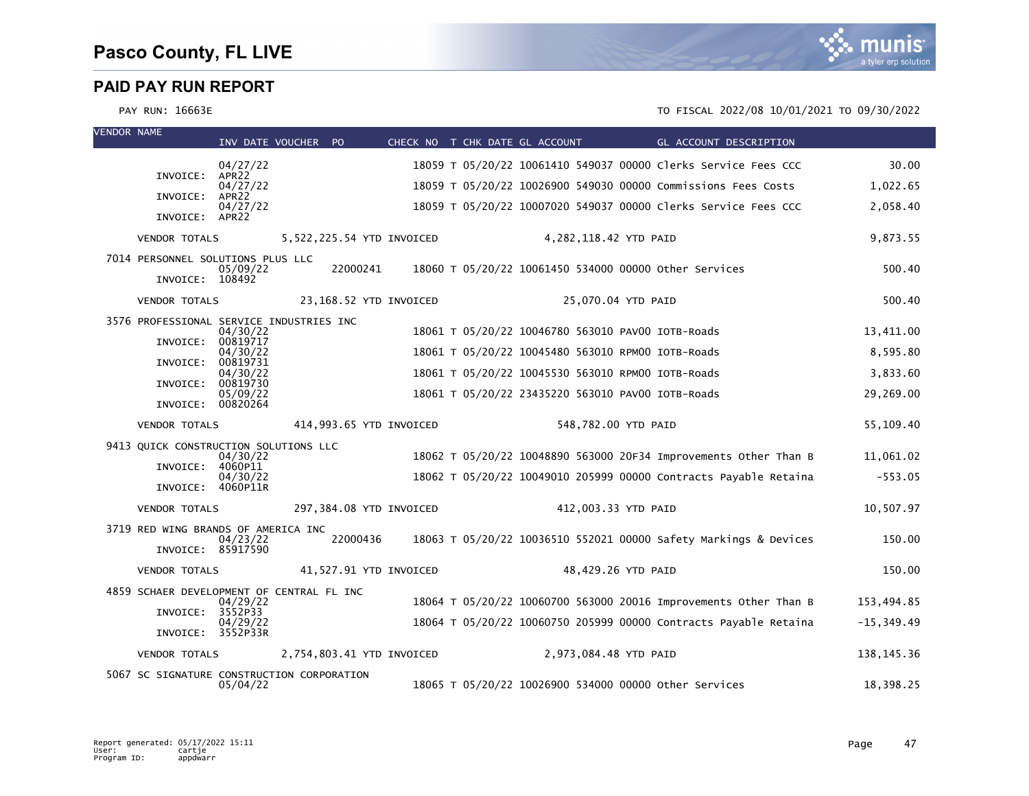

VENDOR NAME

| VENUUR NAME |                                                      | INV DATE VOUCHER PO           |          |                           |  | CHECK NO T CHK DATE GL ACCOUNT                        | <b>Example 2016 GL ACCOUNT DESCRIPTION</b>                       |               |
|-------------|------------------------------------------------------|-------------------------------|----------|---------------------------|--|-------------------------------------------------------|------------------------------------------------------------------|---------------|
|             |                                                      | 04/27/22                      |          |                           |  |                                                       | 18059 T 05/20/22 10061410 549037 00000 Clerks Service Fees CCC   | 30.00         |
|             | INVOICE:                                             | APR <sub>22</sub><br>04/27/22 |          |                           |  |                                                       | 18059 T 05/20/22 10026900 549030 00000 Commissions Fees Costs    | 1,022.65      |
|             | INVOICE: APR22                                       | 04/27/22                      |          |                           |  |                                                       | 18059 T 05/20/22 10007020 549037 00000 Clerks Service Fees CCC   | 2,058.40      |
|             | INVOICE: APR22                                       |                               |          |                           |  |                                                       |                                                                  |               |
|             | <b>VENDOR TOTALS</b>                                 |                               |          | 5,522,225.54 YTD INVOICED |  | 4,282,118.42 YTD PAID                                 |                                                                  | 9,873.55      |
|             | 7014 PERSONNEL SOLUTIONS PLUS LLC<br>INVOICE: 108492 | 05/09/22                      | 22000241 |                           |  | 18060 T 05/20/22 10061450 534000 00000 other Services |                                                                  | 500.40        |
|             | <b>VENDOR TOTALS</b>                                 |                               |          | 23,168.52 YTD INVOICED    |  | 25,070.04 YTD PAID                                    |                                                                  | 500.40        |
|             | 3576 PROFESSIONAL SERVICE INDUSTRIES INC             | 04/30/22                      |          |                           |  | 18061 T 05/20/22 10046780 563010 PAV00 IOTB-Roads     |                                                                  | 13,411.00     |
|             | INVOICE:                                             | 00819717<br>04/30/22          |          |                           |  | 18061 T 05/20/22 10045480 563010 RPM00 IOTB-Roads     |                                                                  | 8,595.80      |
|             | INVOICE:                                             | 00819731<br>04/30/22          |          |                           |  | 18061 T 05/20/22 10045530 563010 RPM00 IOTB-Roads     |                                                                  | 3,833.60      |
|             | INVOICE:                                             | 00819730<br>05/09/22          |          |                           |  | 18061 T 05/20/22 23435220 563010 PAV00 IOTB-Roads     |                                                                  | 29,269.00     |
|             | INVOICE: 00820264                                    |                               |          |                           |  |                                                       |                                                                  |               |
|             | <b>VENDOR TOTALS</b>                                 |                               |          | 414,993.65 YTD INVOICED   |  | 548,782.00 YTD PAID                                   |                                                                  | 55,109.40     |
|             | 9413 QUICK CONSTRUCTION SOLUTIONS LLC                | 04/30/22                      |          |                           |  |                                                       | 18062 T 05/20/22 10048890 563000 20F34 Improvements Other Than B | 11.061.02     |
|             | INVOICE: 4060P11                                     |                               |          |                           |  |                                                       |                                                                  |               |
|             | INVOICE: 4060P11R                                    | 04/30/22                      |          |                           |  |                                                       | 18062 T 05/20/22 10049010 205999 00000 Contracts Payable Retaina | $-553.05$     |
|             | <b>VENDOR TOTALS</b>                                 |                               |          | 297,384.08 YTD INVOICED   |  | 412,003.33 YTD PAID                                   |                                                                  | 10,507.97     |
|             | 3719 RED WING BRANDS OF AMERICA INC                  |                               | 22000436 |                           |  |                                                       |                                                                  |               |
|             | INVOICE: 85917590                                    | 04/23/22                      |          |                           |  |                                                       | 18063 T 05/20/22 10036510 552021 00000 Safety Markings & Devices | 150.00        |
|             | <b>VENDOR TOTALS</b>                                 |                               |          | 41,527.91 YTD INVOICED    |  | 48,429.26 YTD PAID                                    |                                                                  | 150.00        |
|             | 4859 SCHAER DEVELOPMENT OF CENTRAL FL INC            | 04/29/22                      |          |                           |  |                                                       | 18064 T 05/20/22 10060700 563000 20016 Improvements Other Than B | 153,494.85    |
|             | INVOICE: 3552P33                                     | 04/29/22                      |          |                           |  |                                                       | 18064 T 05/20/22 10060750 205999 00000 Contracts Payable Retaina | $-15, 349.49$ |
|             | INVOICE: 3552P33R                                    |                               |          |                           |  |                                                       |                                                                  |               |
|             | <b>VENDOR TOTALS</b>                                 |                               |          | 2,754,803.41 YTD INVOICED |  | 2,973,084.48 YTD PAID                                 |                                                                  | 138, 145. 36  |
|             | 5067 SC SIGNATURE CONSTRUCTION CORPORATION           | 05/04/22                      |          |                           |  | 18065 T 05/20/22 10026900 534000 00000 other Services |                                                                  | 18,398.25     |

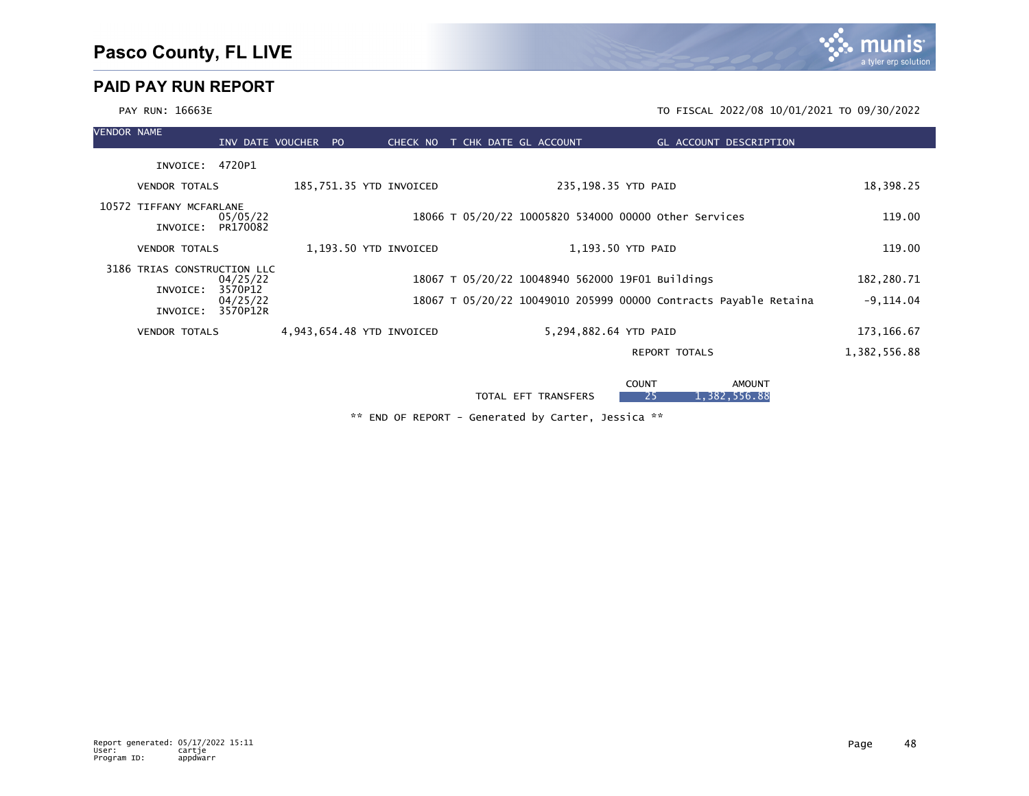

\*\* END OF REPORT - Generated by Carter, Jessica \*\*

TOTAL EFT TRANSFERS 25 1,382,556.88

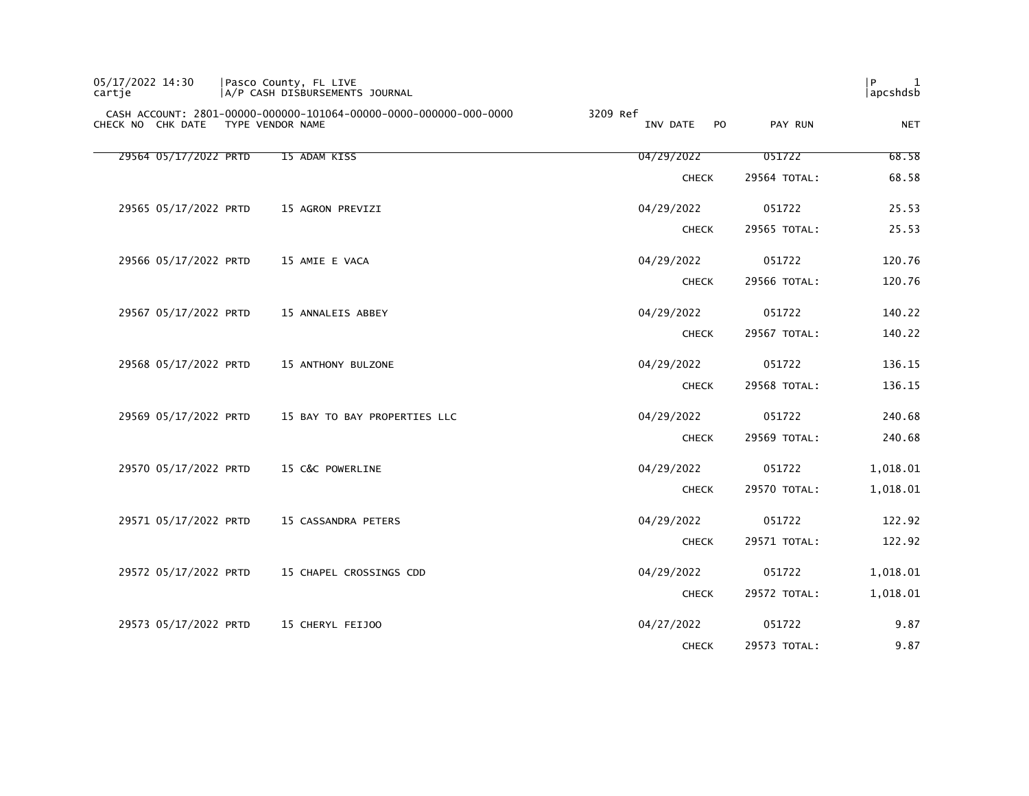| 05/17/2022 14:30<br>cartie |                  | Pasco County, FL LIVE<br>A/P CASH DISBURSEMENTS JOURNAL           |                            |              | P <br>1<br>apcshdsb |
|----------------------------|------------------|-------------------------------------------------------------------|----------------------------|--------------|---------------------|
| CHECK NO CHK DATE          | TYPE VENDOR NAME | CASH ACCOUNT: 2801-00000-000000-101064-00000-0000-000000-000-0000 | 3209 Ref<br>INV DATE<br>PO | PAY RUN      | <b>NET</b>          |
| 29564 05/17/2022 PRTD      |                  | 15 ADAM KISS                                                      | 04/29/2022                 | 051722       | 68.58               |
|                            |                  |                                                                   | <b>CHECK</b>               | 29564 TOTAL: | 68.58               |
| 29565 05/17/2022 PRTD      |                  | 15 AGRON PREVIZI                                                  | 04/29/2022                 | 051722       | 25.53               |
|                            |                  |                                                                   | <b>CHECK</b>               | 29565 TOTAL: | 25.53               |
| 29566 05/17/2022 PRTD      |                  | 15 AMIE E VACA                                                    | 04/29/2022                 | 051722       | 120.76              |
|                            |                  |                                                                   | <b>CHECK</b>               | 29566 TOTAL: | 120.76              |
| 29567 05/17/2022 PRTD      |                  | 15 ANNALEIS ABBEY                                                 | 04/29/2022                 | 051722       | 140.22              |
|                            |                  |                                                                   | <b>CHECK</b>               | 29567 TOTAL: | 140.22              |
| 29568 05/17/2022 PRTD      |                  | 15 ANTHONY BULZONE                                                | 04/29/2022                 | 051722       | 136.15              |
|                            |                  |                                                                   | <b>CHECK</b>               | 29568 TOTAL: | 136.15              |
| 29569 05/17/2022 PRTD      |                  | 15 BAY TO BAY PROPERTIES LLC                                      | 04/29/2022                 | 051722       | 240.68              |
|                            |                  |                                                                   | <b>CHECK</b>               | 29569 TOTAL: | 240.68              |
| 29570 05/17/2022 PRTD      |                  | 15 C&C POWERLINE                                                  | 04/29/2022                 | 051722       | 1,018.01            |
|                            |                  |                                                                   | <b>CHECK</b>               | 29570 TOTAL: | 1,018.01            |
| 29571 05/17/2022 PRTD      |                  | 15 CASSANDRA PETERS                                               | 04/29/2022                 | 051722       | 122.92              |
|                            |                  |                                                                   | <b>CHECK</b>               | 29571 TOTAL: | 122.92              |
| 29572 05/17/2022 PRTD      |                  | 15 CHAPEL CROSSINGS CDD                                           | 04/29/2022                 | 051722       | 1,018.01            |
|                            |                  |                                                                   | <b>CHECK</b>               | 29572 TOTAL: | 1,018.01            |
| 29573 05/17/2022 PRTD      |                  | 15 CHERYL FEIJOO                                                  | 04/27/2022                 | 051722       | 9.87                |
|                            |                  |                                                                   | <b>CHECK</b>               | 29573 TOTAL: | 9.87                |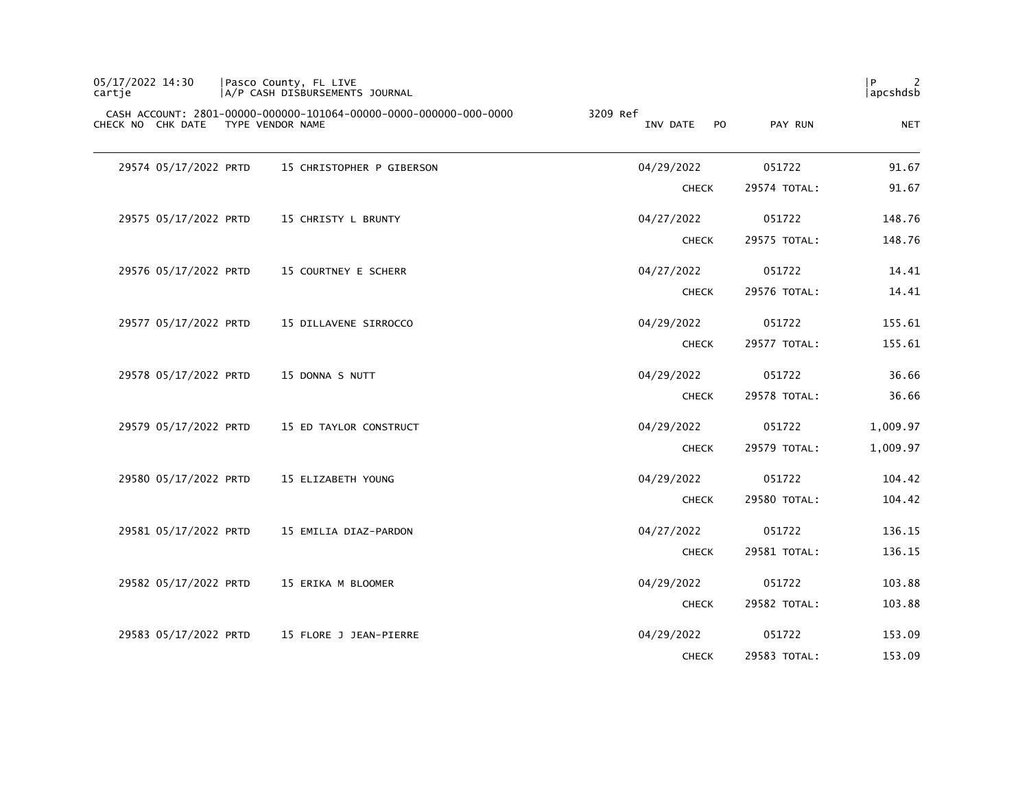| P<br>  apcshdsb |              |                                        | Pasco County, FL LIVE<br> A/P CASH DISBURSEMENTS JOURNAL          | 05/17/2022 14:30<br>cartje         |
|-----------------|--------------|----------------------------------------|-------------------------------------------------------------------|------------------------------------|
| <b>NET</b>      | PAY RUN      | 3209 Ref<br>INV DATE<br>P <sub>O</sub> | CASH ACCOUNT: 2801-00000-000000-101064-00000-0000-000000-000-0000 | CHECK NO CHK DATE TYPE VENDOR NAME |
| 91.67           | 051722       | 04/29/2022                             | 15 CHRISTOPHER P GIBERSON                                         | 29574 05/17/2022 PRTD              |
| 91.67           | 29574 TOTAL: | <b>CHECK</b>                           |                                                                   |                                    |
| 148.76          | 051722       | 04/27/2022                             | 15 CHRISTY L BRUNTY                                               | 29575 05/17/2022 PRTD              |
| 148.76          | 29575 TOTAL: | <b>CHECK</b>                           |                                                                   |                                    |
| 14.41           | 051722       | 04/27/2022                             | 15 COURTNEY E SCHERR                                              | 29576 05/17/2022 PRTD              |
| 14.41           | 29576 TOTAL: | <b>CHECK</b>                           |                                                                   |                                    |
| 155.61          | 051722       | 04/29/2022                             | 15 DILLAVENE SIRROCCO                                             | 29577 05/17/2022 PRTD              |
| 155.61          | 29577 TOTAL: | <b>CHECK</b>                           |                                                                   |                                    |
| 36.66           | 051722       | 04/29/2022                             | 15 DONNA S NUTT                                                   | 29578 05/17/2022 PRTD              |
| 36.66           | 29578 TOTAL: | <b>CHECK</b>                           |                                                                   |                                    |
| 1,009.97        | 051722       | 04/29/2022                             | 15 ED TAYLOR CONSTRUCT                                            | 29579 05/17/2022 PRTD              |
| 1,009.97        | 29579 TOTAL: | <b>CHECK</b>                           |                                                                   |                                    |
| 104.42          | 051722       | 04/29/2022                             | 15 ELIZABETH YOUNG                                                | 29580 05/17/2022 PRTD              |
| 104.42          | 29580 TOTAL: | <b>CHECK</b>                           |                                                                   |                                    |
| 136.15          | 051722       | 04/27/2022                             | 15 EMILIA DIAZ-PARDON                                             | 29581 05/17/2022 PRTD              |
| 136.15          | 29581 TOTAL: | <b>CHECK</b>                           |                                                                   |                                    |
| 103.88          | 051722       | 04/29/2022                             | 15 ERIKA M BLOOMER                                                | 29582 05/17/2022 PRTD              |
| 103.88          | 29582 TOTAL: | <b>CHECK</b>                           |                                                                   |                                    |
| 153.09          | 051722       | 04/29/2022                             | 15 FLORE J JEAN-PIERRE                                            | 29583 05/17/2022 PRTD              |
| 153.09          | 29583 TOTAL: | <b>CHECK</b>                           |                                                                   |                                    |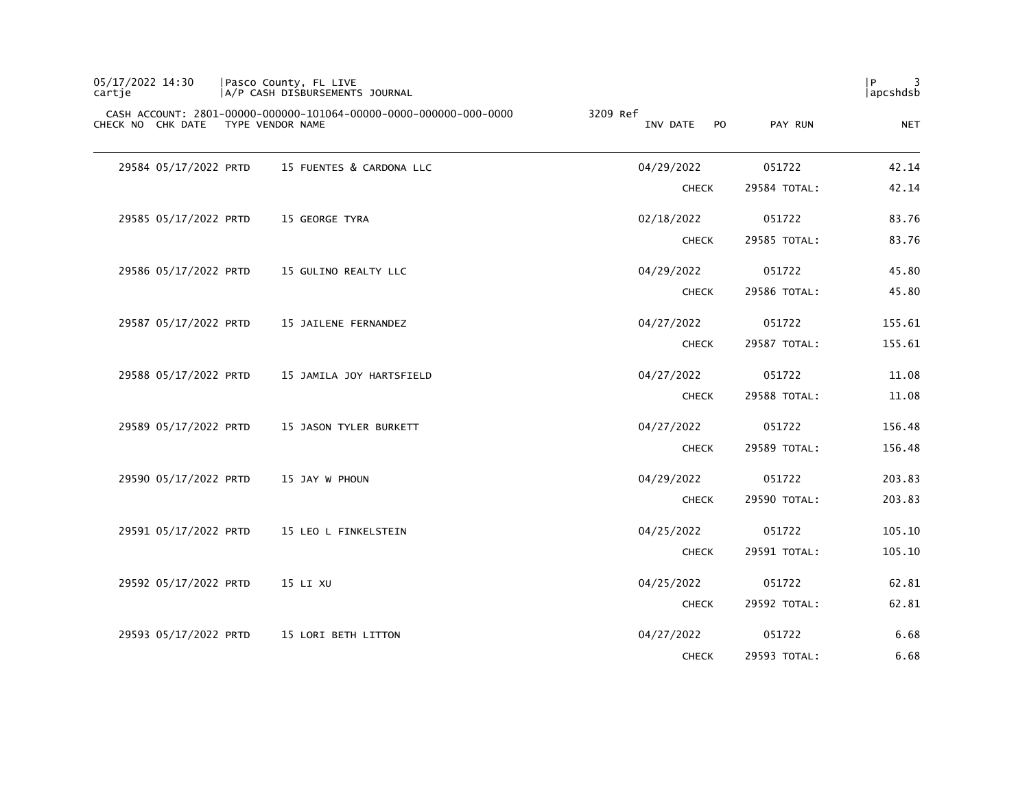| P<br>  apcshdsb |              |                             | Pasco County, FL LIVE<br> A/P CASH DISBURSEMENTS JOURNAL          | 05/17/2022 14:30<br>cartje         |
|-----------------|--------------|-----------------------------|-------------------------------------------------------------------|------------------------------------|
| <b>NET</b>      | PAY RUN      | 3209 Ref<br>INV DATE<br>PO. | CASH ACCOUNT: 2801-00000-000000-101064-00000-0000-000000-000-0000 | CHECK NO CHK DATE TYPE VENDOR NAME |
| 42.14           | 051722       | 04/29/2022                  | 15 FUENTES & CARDONA LLC                                          | 29584 05/17/2022 PRTD              |
| 42.14           | 29584 TOTAL: | <b>CHECK</b>                |                                                                   |                                    |
| 83.76           | 051722       | 02/18/2022                  | 15 GEORGE TYRA                                                    | 29585 05/17/2022 PRTD              |
| 83.76           | 29585 TOTAL: | <b>CHECK</b>                |                                                                   |                                    |
| 45.80           | 051722       | 04/29/2022                  | 15 GULINO REALTY LLC                                              | 29586 05/17/2022 PRTD              |
| 45.80           | 29586 TOTAL: | <b>CHECK</b>                |                                                                   |                                    |
| 155.61          | 051722       | 04/27/2022                  | 15 JAILENE FERNANDEZ                                              | 29587 05/17/2022 PRTD              |
| 155.61          | 29587 TOTAL: | <b>CHECK</b>                |                                                                   |                                    |
| 11.08           | 051722       | 04/27/2022                  | 15 JAMILA JOY HARTSFIELD                                          | 29588 05/17/2022 PRTD              |
| 11.08           | 29588 TOTAL: | <b>CHECK</b>                |                                                                   |                                    |
| 156.48          | 051722       | 04/27/2022                  | 15 JASON TYLER BURKETT                                            | 29589 05/17/2022 PRTD              |
| 156.48          | 29589 TOTAL: | <b>CHECK</b>                |                                                                   |                                    |
| 203.83          | 051722       | 04/29/2022                  | 15 JAY W PHOUN                                                    | 29590 05/17/2022 PRTD              |
| 203.83          | 29590 TOTAL: | <b>CHECK</b>                |                                                                   |                                    |
| 105.10          | 051722       | 04/25/2022                  | 15 LEO L FINKELSTEIN                                              | 29591 05/17/2022 PRTD              |
| 105.10          | 29591 TOTAL: | <b>CHECK</b>                |                                                                   |                                    |
| 62.81           | 051722       | 04/25/2022                  | 15 LI XU                                                          | 29592 05/17/2022 PRTD              |
| 62.81           | 29592 TOTAL: | <b>CHECK</b>                |                                                                   |                                    |
| 6.68            | 051722       | 04/27/2022                  | 15 LORI BETH LITTON                                               | 29593 05/17/2022 PRTD              |
| 6.68            | 29593 TOTAL: | <b>CHECK</b>                |                                                                   |                                    |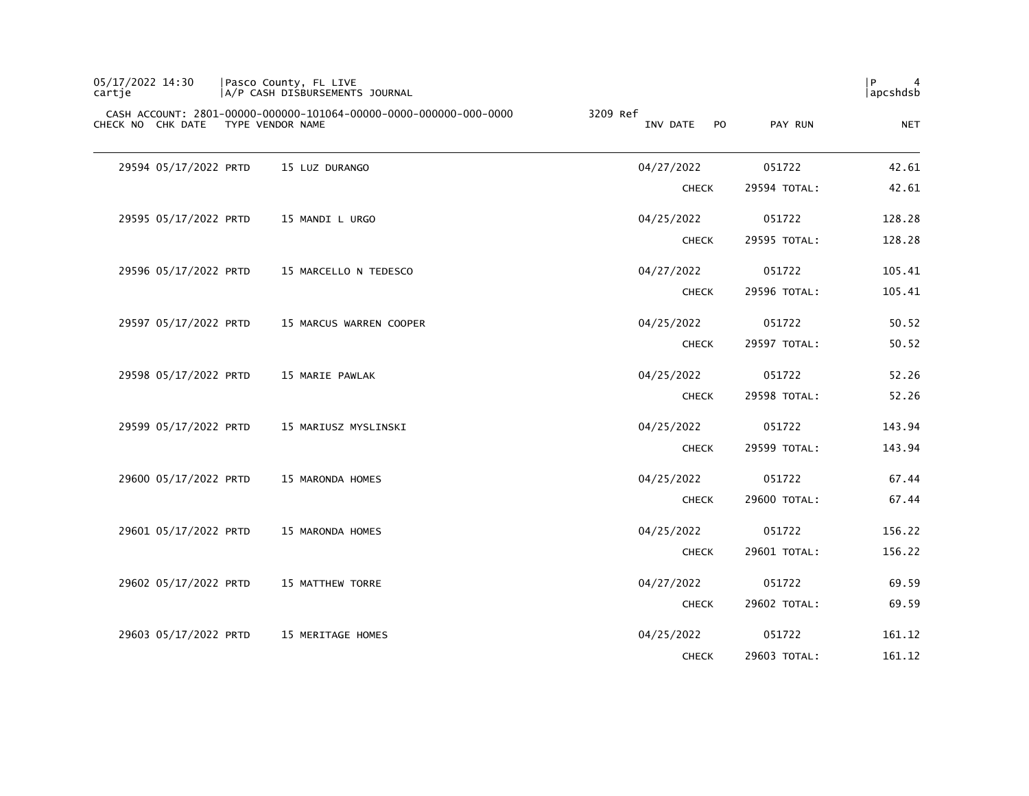| 05/17/2022 14:30<br>cartje |                       | Pasco County, FL LIVE<br> A/P CASH DISBURSEMENTS JOURNAL                              |                                        |              | P<br>4<br> apcshdsb |
|----------------------------|-----------------------|---------------------------------------------------------------------------------------|----------------------------------------|--------------|---------------------|
|                            | CHECK NO CHK DATE     | CASH ACCOUNT: 2801-00000-000000-101064-00000-0000-000000-000-0000<br>TYPE VENDOR NAME | 3209 Ref<br>P <sub>O</sub><br>INV DATE | PAY RUN      | <b>NET</b>          |
|                            | 29594 05/17/2022 PRTD | 15 LUZ DURANGO                                                                        | 04/27/2022                             | 051722       | 42.61               |
|                            |                       |                                                                                       | <b>CHECK</b>                           | 29594 TOTAL: | 42.61               |
|                            | 29595 05/17/2022 PRTD | 15 MANDI L URGO                                                                       | 04/25/2022                             | 051722       | 128.28              |
|                            |                       |                                                                                       | <b>CHECK</b>                           | 29595 TOTAL: | 128.28              |
|                            | 29596 05/17/2022 PRTD | 15 MARCELLO N TEDESCO                                                                 | 04/27/2022                             | 051722       | 105.41              |
|                            |                       |                                                                                       | <b>CHECK</b>                           | 29596 TOTAL: | 105.41              |
|                            | 29597 05/17/2022 PRTD | 15 MARCUS WARREN COOPER                                                               | 04/25/2022                             | 051722       | 50.52               |
|                            |                       |                                                                                       | <b>CHECK</b>                           | 29597 TOTAL: | 50.52               |
|                            | 29598 05/17/2022 PRTD | 15 MARIE PAWLAK                                                                       | 04/25/2022                             | 051722       | 52.26               |
|                            |                       |                                                                                       | <b>CHECK</b>                           | 29598 TOTAL: | 52.26               |
|                            | 29599 05/17/2022 PRTD | 15 MARIUSZ MYSLINSKI                                                                  | 04/25/2022                             | 051722       | 143.94              |
|                            |                       |                                                                                       | <b>CHECK</b>                           | 29599 TOTAL: | 143.94              |
|                            | 29600 05/17/2022 PRTD | 15 MARONDA HOMES                                                                      | 04/25/2022                             | 051722       | 67.44               |
|                            |                       |                                                                                       | <b>CHECK</b>                           | 29600 TOTAL: | 67.44               |
|                            | 29601 05/17/2022 PRTD | 15 MARONDA HOMES                                                                      | 04/25/2022                             | 051722       | 156.22              |
|                            |                       |                                                                                       | <b>CHECK</b>                           | 29601 TOTAL: | 156.22              |
|                            | 29602 05/17/2022 PRTD | 15 MATTHEW TORRE                                                                      | 04/27/2022                             | 051722       | 69.59               |
|                            |                       |                                                                                       | <b>CHECK</b>                           | 29602 TOTAL: | 69.59               |
|                            | 29603 05/17/2022 PRTD | 15 MERITAGE HOMES                                                                     | 04/25/2022                             | 051722       | 161.12              |
|                            |                       |                                                                                       | <b>CHECK</b>                           | 29603 TOTAL: | 161.12              |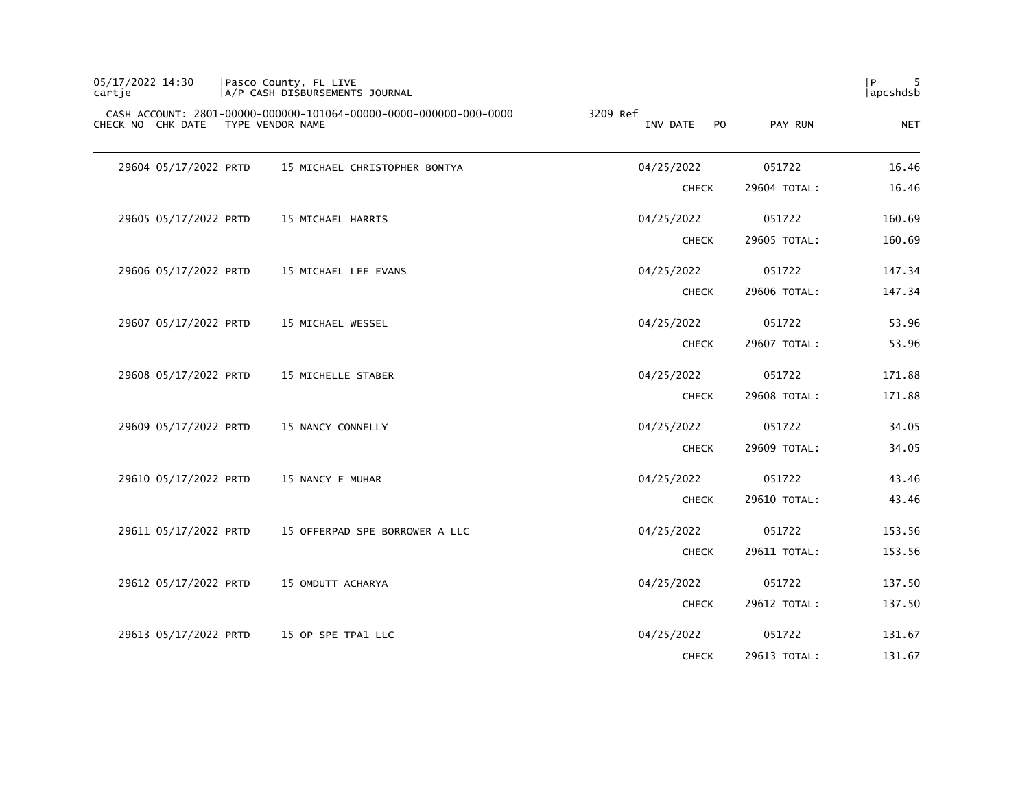| 05/17/2022 14:30<br>cartje         | Pasco County, FL LIVE<br>A/P CASH DISBURSEMENTS JOURNAL           |                                        |              | P<br>  apcshdsb |
|------------------------------------|-------------------------------------------------------------------|----------------------------------------|--------------|-----------------|
| CHECK NO CHK DATE TYPE VENDOR NAME | CASH ACCOUNT: 2801-00000-000000-101064-00000-0000-000000-000-0000 | 3209 Ref<br>INV DATE<br>P <sub>O</sub> | PAY RUN      | <b>NET</b>      |
| 29604 05/17/2022 PRTD              | 15 MICHAEL CHRISTOPHER BONTYA                                     | 04/25/2022                             | 051722       | 16.46           |
|                                    |                                                                   | <b>CHECK</b>                           | 29604 TOTAL: | 16.46           |
| 29605 05/17/2022 PRTD              | 15 MICHAEL HARRIS                                                 | 04/25/2022                             | 051722       | 160.69          |
|                                    |                                                                   | <b>CHECK</b>                           | 29605 TOTAL: | 160.69          |
| 29606 05/17/2022 PRTD              | 15 MICHAEL LEE EVANS                                              | 04/25/2022                             | 051722       | 147.34          |
|                                    |                                                                   | <b>CHECK</b>                           | 29606 TOTAL: | 147.34          |
| 29607 05/17/2022 PRTD              | 15 MICHAEL WESSEL                                                 | 04/25/2022                             | 051722       | 53.96           |
|                                    |                                                                   | <b>CHECK</b>                           | 29607 TOTAL: | 53.96           |
| 29608 05/17/2022 PRTD              | 15 MICHELLE STABER                                                | 04/25/2022                             | 051722       | 171.88          |
|                                    |                                                                   | <b>CHECK</b>                           | 29608 TOTAL: | 171.88          |
| 29609 05/17/2022 PRTD              | 15 NANCY CONNELLY                                                 | 04/25/2022                             | 051722       | 34.05           |
|                                    |                                                                   | <b>CHECK</b>                           | 29609 TOTAL: | 34.05           |
| 29610 05/17/2022 PRTD              | 15 NANCY E MUHAR                                                  | 04/25/2022                             | 051722       | 43.46           |
|                                    |                                                                   | <b>CHECK</b>                           | 29610 TOTAL: | 43.46           |
| 29611 05/17/2022 PRTD              | 15 OFFERPAD SPE BORROWER A LLC                                    | 04/25/2022                             | 051722       | 153.56          |
|                                    |                                                                   | <b>CHECK</b>                           | 29611 TOTAL: | 153.56          |
| 29612 05/17/2022 PRTD              | 15 OMDUTT ACHARYA                                                 | 04/25/2022                             | 051722       | 137.50          |
|                                    |                                                                   | <b>CHECK</b>                           | 29612 TOTAL: | 137.50          |
| 29613 05/17/2022 PRTD              | 15 OP SPE TPA1 LLC                                                | 04/25/2022                             | 051722       | 131.67          |
|                                    |                                                                   | <b>CHECK</b>                           | 29613 TOTAL: | 131.67          |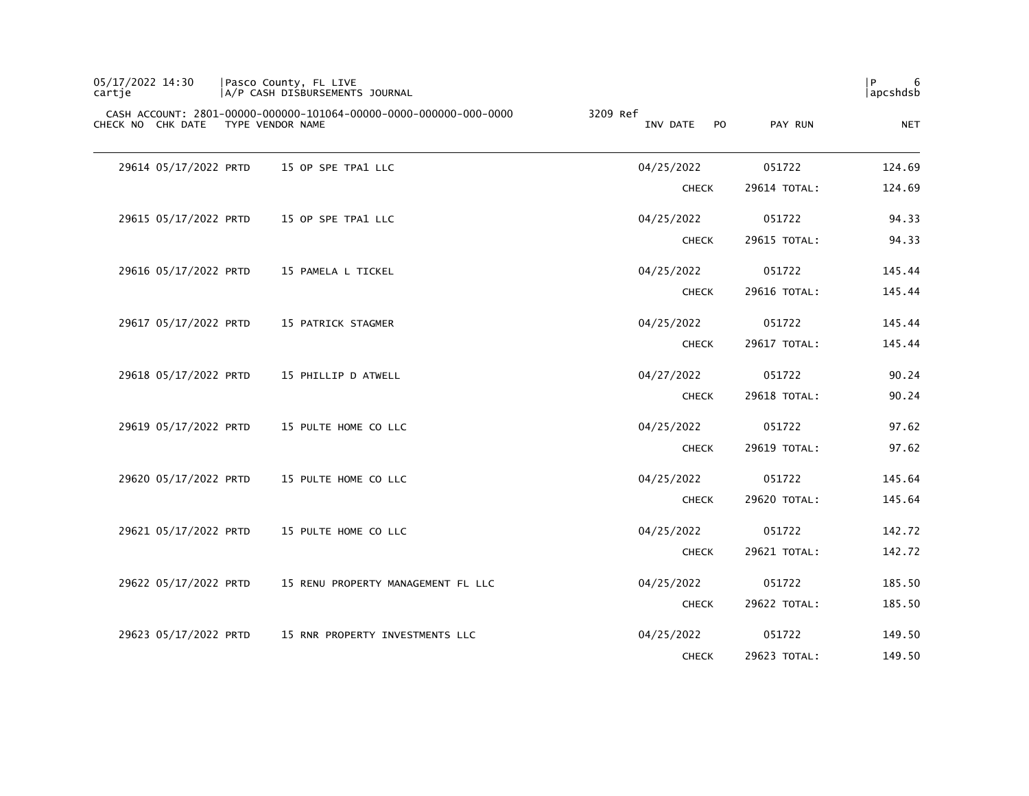| 05/17/2022 14:30<br>cartje |                       | Pasco County, FL LIVE<br>A/P CASH DISBURSEMENTS JOURNAL                               |                                        |              | 6<br>P<br>apcshdsb |
|----------------------------|-----------------------|---------------------------------------------------------------------------------------|----------------------------------------|--------------|--------------------|
|                            | CHECK NO CHK DATE     | CASH ACCOUNT: 2801-00000-000000-101064-00000-0000-000000-000-0000<br>TYPE VENDOR NAME | 3209 Ref<br>INV DATE<br>P <sub>O</sub> | PAY RUN      | <b>NET</b>         |
|                            | 29614 05/17/2022 PRTD | 15 OP SPE TPA1 LLC                                                                    | 04/25/2022                             | 051722       | 124.69             |
|                            |                       |                                                                                       | <b>CHECK</b>                           | 29614 TOTAL: | 124.69             |
|                            | 29615 05/17/2022 PRTD | 15 OP SPE TPA1 LLC                                                                    | 04/25/2022                             | 051722       | 94.33              |
|                            |                       |                                                                                       | <b>CHECK</b>                           | 29615 TOTAL: | 94.33              |
|                            | 29616 05/17/2022 PRTD | 15 PAMELA L TICKEL                                                                    | 04/25/2022                             | 051722       | 145.44             |
|                            |                       |                                                                                       | <b>CHECK</b>                           | 29616 TOTAL: | 145.44             |
|                            | 29617 05/17/2022 PRTD | 15 PATRICK STAGMER                                                                    | 04/25/2022                             | 051722       | 145.44             |
|                            |                       |                                                                                       | <b>CHECK</b>                           | 29617 TOTAL: | 145.44             |
|                            | 29618 05/17/2022 PRTD | 15 PHILLIP D ATWELL                                                                   | 04/27/2022                             | 051722       | 90.24              |
|                            |                       |                                                                                       | <b>CHECK</b>                           | 29618 TOTAL: | 90.24              |
|                            | 29619 05/17/2022 PRTD | 15 PULTE HOME CO LLC                                                                  | 04/25/2022                             | 051722       | 97.62              |
|                            |                       |                                                                                       | <b>CHECK</b>                           | 29619 TOTAL: | 97.62              |
|                            | 29620 05/17/2022 PRTD | 15 PULTE HOME CO LLC                                                                  | 04/25/2022                             | 051722       | 145.64             |
|                            |                       |                                                                                       | <b>CHECK</b>                           | 29620 TOTAL: | 145.64             |
|                            | 29621 05/17/2022 PRTD | 15 PULTE HOME CO LLC                                                                  | 04/25/2022                             | 051722       | 142.72             |
|                            |                       |                                                                                       | <b>CHECK</b>                           | 29621 TOTAL: | 142.72             |
|                            | 29622 05/17/2022 PRTD | 15 RENU PROPERTY MANAGEMENT FL LLC                                                    | 04/25/2022                             | 051722       | 185.50             |
|                            |                       |                                                                                       | <b>CHECK</b>                           | 29622 TOTAL: | 185.50             |
|                            | 29623 05/17/2022 PRTD | 15 RNR PROPERTY INVESTMENTS LLC                                                       | 04/25/2022                             | 051722       | 149.50             |
|                            |                       |                                                                                       | <b>CHECK</b>                           | 29623 TOTAL: | 149.50             |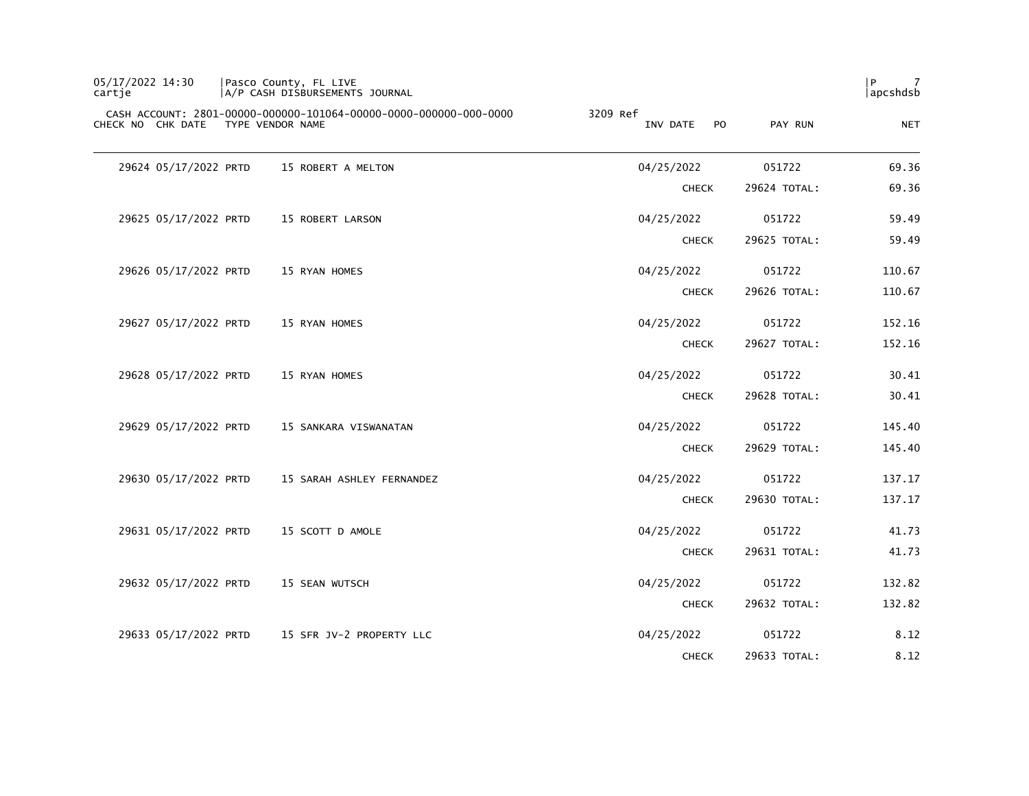| 05/17/2022 14:30<br>cartie |                  | Pasco County, FL LIVE<br>A/P CASH DISBURSEMENTS JOURNAL           |                                        |              | l P<br>-7<br>apcshdsb |
|----------------------------|------------------|-------------------------------------------------------------------|----------------------------------------|--------------|-----------------------|
| CHECK NO CHK DATE          | TYPE VENDOR NAME | CASH ACCOUNT: 2801-00000-000000-101064-00000-0000-000000-000-0000 | 3209 Ref<br>INV DATE<br>P <sub>O</sub> | PAY RUN      | <b>NET</b>            |
| 29624 05/17/2022 PRTD      |                  | 15 ROBERT A MELTON                                                | 04/25/2022                             | 051722       | 69.36                 |
|                            |                  |                                                                   | <b>CHECK</b>                           | 29624 TOTAL: | 69.36                 |
| 29625 05/17/2022 PRTD      |                  | 15 ROBERT LARSON                                                  | 04/25/2022                             | 051722       | 59.49                 |
|                            |                  |                                                                   | <b>CHECK</b>                           | 29625 TOTAL: | 59.49                 |
| 29626 05/17/2022 PRTD      |                  | 15 RYAN HOMES                                                     | 04/25/2022                             | 051722       | 110.67                |
|                            |                  |                                                                   | <b>CHECK</b>                           | 29626 TOTAL: | 110.67                |
| 29627 05/17/2022 PRTD      |                  | 15 RYAN HOMES                                                     | 04/25/2022                             | 051722       | 152.16                |
|                            |                  |                                                                   | <b>CHECK</b>                           | 29627 TOTAL: | 152.16                |
| 29628 05/17/2022 PRTD      |                  | 15 RYAN HOMES                                                     | 04/25/2022                             | 051722       | 30.41                 |
|                            |                  |                                                                   | <b>CHECK</b>                           | 29628 TOTAL: | 30.41                 |
| 29629 05/17/2022 PRTD      |                  | 15 SANKARA VISWANATAN                                             | 04/25/2022                             | 051722       | 145.40                |
|                            |                  |                                                                   | <b>CHECK</b>                           | 29629 TOTAL: | 145.40                |
| 29630 05/17/2022 PRTD      |                  | 15 SARAH ASHLEY FERNANDEZ                                         | 04/25/2022                             | 051722       | 137.17                |
|                            |                  |                                                                   | <b>CHECK</b>                           | 29630 TOTAL: | 137.17                |
| 29631 05/17/2022 PRTD      |                  | 15 SCOTT D AMOLE                                                  | 04/25/2022                             | 051722       | 41.73                 |
|                            |                  |                                                                   | <b>CHECK</b>                           | 29631 TOTAL: | 41.73                 |
| 29632 05/17/2022 PRTD      |                  | 15 SEAN WUTSCH                                                    | 04/25/2022                             | 051722       | 132.82                |
|                            |                  |                                                                   | <b>CHECK</b>                           | 29632 TOTAL: | 132.82                |
| 29633 05/17/2022 PRTD      |                  | 15 SFR JV-2 PROPERTY LLC                                          | 04/25/2022                             | 051722       | 8.12                  |
|                            |                  |                                                                   | <b>CHECK</b>                           | 29633 TOTAL: | 8.12                  |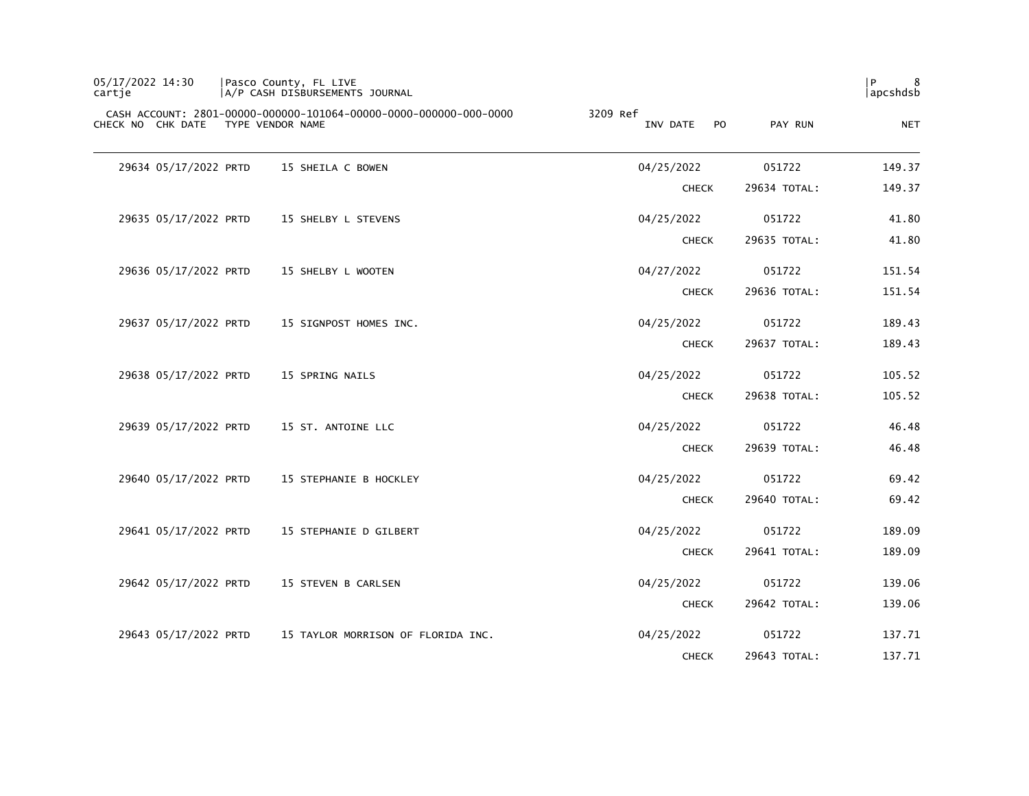| 05/17/2022 14:30<br>cartje |                       | Pasco County, FL LIVE<br> A/P CASH DISBURSEMENTS JOURNAL                              |                                        |              | P<br>8<br>  apcshdsb |
|----------------------------|-----------------------|---------------------------------------------------------------------------------------|----------------------------------------|--------------|----------------------|
|                            | CHECK NO CHK DATE     | CASH ACCOUNT: 2801-00000-000000-101064-00000-0000-000000-000-0000<br>TYPE VENDOR NAME | 3209 Ref<br>P <sub>O</sub><br>INV DATE | PAY RUN      | <b>NET</b>           |
|                            | 29634 05/17/2022 PRTD | 15 SHEILA C BOWEN                                                                     | 04/25/2022                             | 051722       | 149.37               |
|                            |                       |                                                                                       | <b>CHECK</b>                           | 29634 TOTAL: | 149.37               |
|                            | 29635 05/17/2022 PRTD | 15 SHELBY L STEVENS                                                                   | 04/25/2022                             | 051722       | 41.80                |
|                            |                       |                                                                                       | <b>CHECK</b>                           | 29635 TOTAL: | 41.80                |
|                            | 29636 05/17/2022 PRTD | 15 SHELBY L WOOTEN                                                                    | 04/27/2022                             | 051722       | 151.54               |
|                            |                       |                                                                                       | <b>CHECK</b>                           | 29636 TOTAL: | 151.54               |
|                            | 29637 05/17/2022 PRTD | 15 SIGNPOST HOMES INC.                                                                | 04/25/2022                             | 051722       | 189.43               |
|                            |                       |                                                                                       | <b>CHECK</b>                           | 29637 TOTAL: | 189.43               |
|                            | 29638 05/17/2022 PRTD | 15 SPRING NAILS                                                                       | 04/25/2022                             | 051722       | 105.52               |
|                            |                       |                                                                                       | <b>CHECK</b>                           | 29638 TOTAL: | 105.52               |
|                            | 29639 05/17/2022 PRTD | 15 ST. ANTOINE LLC                                                                    | 04/25/2022                             | 051722       | 46.48                |
|                            |                       |                                                                                       | <b>CHECK</b>                           | 29639 TOTAL: | 46.48                |
|                            | 29640 05/17/2022 PRTD | 15 STEPHANIE B HOCKLEY                                                                | 04/25/2022                             | 051722       | 69.42                |
|                            |                       |                                                                                       | <b>CHECK</b>                           | 29640 TOTAL: | 69.42                |
|                            | 29641 05/17/2022 PRTD | 15 STEPHANIE D GILBERT                                                                | 04/25/2022                             | 051722       | 189.09               |
|                            |                       |                                                                                       | <b>CHECK</b>                           | 29641 TOTAL: | 189.09               |
|                            | 29642 05/17/2022 PRTD | 15 STEVEN B CARLSEN                                                                   | 04/25/2022                             | 051722       | 139.06               |
|                            |                       |                                                                                       | <b>CHECK</b>                           | 29642 TOTAL: | 139.06               |
|                            | 29643 05/17/2022 PRTD | 15 TAYLOR MORRISON OF FLORIDA INC.                                                    | 04/25/2022                             | 051722       | 137.71               |
|                            |                       |                                                                                       | <b>CHECK</b>                           | 29643 TOTAL: | 137.71               |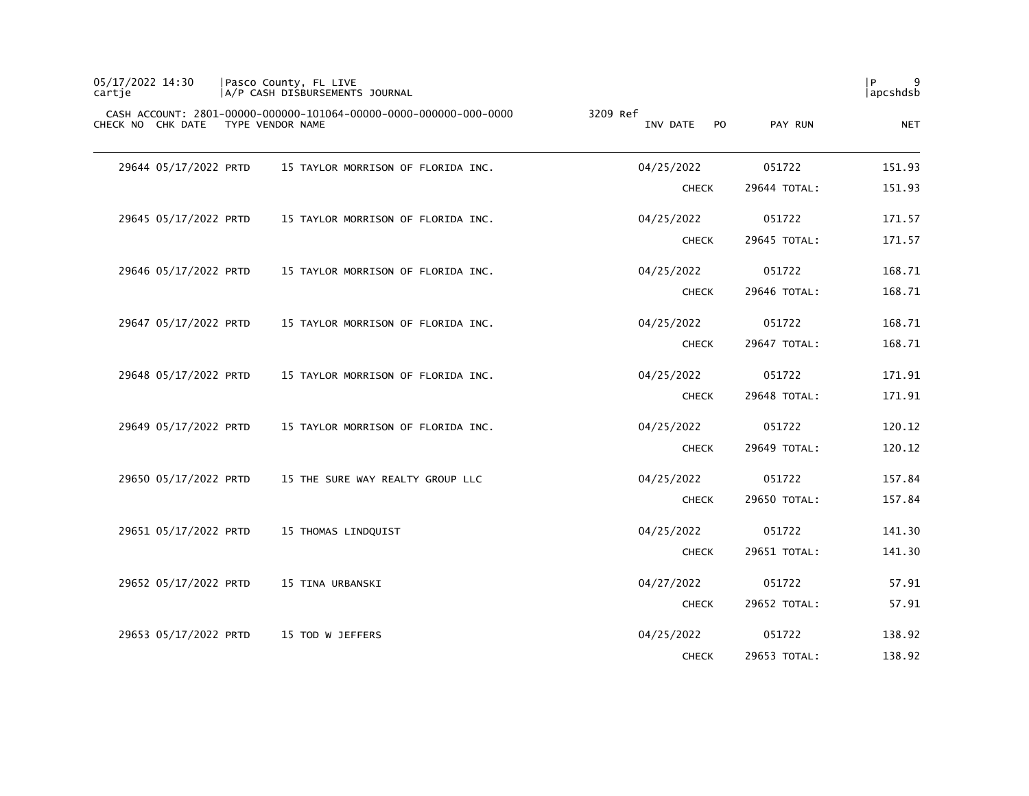| 05/17/2022 14:30<br>cartie         |  | Pasco County, FL LIVE<br>A/P CASH DISBURSEMENTS JOURNAL           |                      |              |              | 9<br>l P<br>apcshdsb |
|------------------------------------|--|-------------------------------------------------------------------|----------------------|--------------|--------------|----------------------|
| CHECK NO CHK DATE TYPE VENDOR NAME |  | CASH ACCOUNT: 2801-00000-000000-101064-00000-0000-000000-000-0000 | 3209 Ref<br>INV DATE | <b>PO</b>    | PAY RUN      | <b>NET</b>           |
| 29644 05/17/2022 PRTD              |  | 15 TAYLOR MORRISON OF FLORIDA INC.                                | 04/25/2022           |              | 051722       | 151.93               |
|                                    |  |                                                                   |                      | <b>CHECK</b> | 29644 TOTAL: | 151.93               |
| 29645 05/17/2022 PRTD              |  | 15 TAYLOR MORRISON OF FLORIDA INC.                                | 04/25/2022           |              | 051722       | 171.57               |
|                                    |  |                                                                   |                      | <b>CHECK</b> | 29645 TOTAL: | 171.57               |
| 29646 05/17/2022 PRTD              |  | 15 TAYLOR MORRISON OF FLORIDA INC.                                | 04/25/2022           |              | 051722       | 168.71               |
|                                    |  |                                                                   |                      | <b>CHECK</b> | 29646 TOTAL: | 168.71               |
| 29647 05/17/2022 PRTD              |  | 15 TAYLOR MORRISON OF FLORIDA INC.                                | 04/25/2022           |              | 051722       | 168.71               |
|                                    |  |                                                                   |                      | <b>CHECK</b> | 29647 TOTAL: | 168.71               |
| 29648 05/17/2022 PRTD              |  | 15 TAYLOR MORRISON OF FLORIDA INC.                                | 04/25/2022           |              | 051722       | 171.91               |
|                                    |  |                                                                   |                      | <b>CHECK</b> | 29648 TOTAL: | 171.91               |
| 29649 05/17/2022 PRTD              |  | 15 TAYLOR MORRISON OF FLORIDA INC.                                | 04/25/2022           |              | 051722       | 120.12               |
|                                    |  |                                                                   |                      | <b>CHECK</b> | 29649 TOTAL: | 120.12               |
| 29650 05/17/2022 PRTD              |  | 15 THE SURE WAY REALTY GROUP LLC                                  | 04/25/2022           |              | 051722       | 157.84               |
|                                    |  |                                                                   |                      | <b>CHECK</b> | 29650 TOTAL: | 157.84               |
| 29651 05/17/2022 PRTD              |  | 15 THOMAS LINDQUIST                                               | 04/25/2022           |              | 051722       | 141.30               |
|                                    |  |                                                                   |                      | <b>CHECK</b> | 29651 TOTAL: | 141.30               |
| 29652 05/17/2022 PRTD              |  | 15 TINA URBANSKI                                                  | 04/27/2022           |              | 051722       | 57.91                |
|                                    |  |                                                                   |                      | <b>CHECK</b> | 29652 TOTAL: | 57.91                |
| 29653 05/17/2022 PRTD              |  | 15 TOD W JEFFERS                                                  | 04/25/2022           |              | 051722       | 138.92               |
|                                    |  |                                                                   |                      | <b>CHECK</b> | 29653 TOTAL: | 138.92               |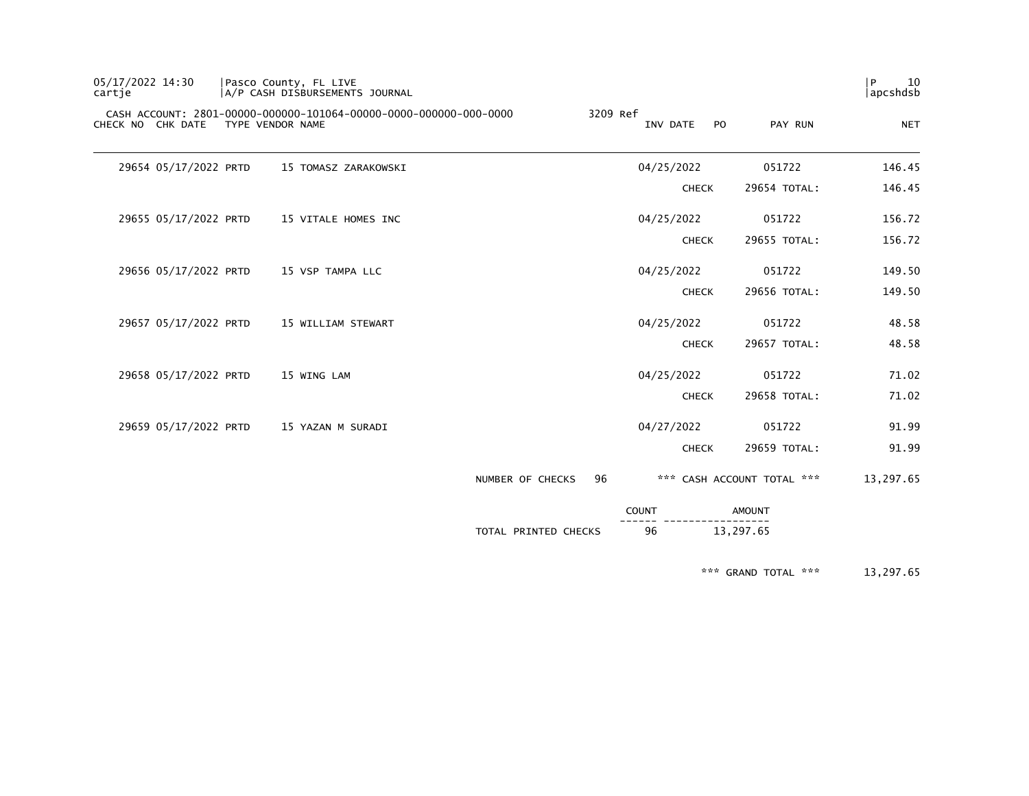| 05/17/2022 14:30<br>cartie |                  | Pasco County, FL LIVE<br>A/P CASH DISBURSEMENTS JOURNAL           |                      |          |              |                |                            | 10<br>P<br>apcshdsb |
|----------------------------|------------------|-------------------------------------------------------------------|----------------------|----------|--------------|----------------|----------------------------|---------------------|
| CHECK NO CHK DATE          | TYPE VENDOR NAME | CASH ACCOUNT: 2801-00000-000000-101064-00000-0000-000000-000-0000 |                      | 3209 Ref | INV DATE     | P <sub>O</sub> | PAY RUN                    | <b>NET</b>          |
| 29654 05/17/2022 PRTD      |                  | 15 TOMASZ ZARAKOWSKI                                              |                      |          | 04/25/2022   |                | 051722                     | 146.45              |
|                            |                  |                                                                   |                      |          | <b>CHECK</b> |                | 29654 TOTAL:               | 146.45              |
| 29655 05/17/2022 PRTD      |                  | 15 VITALE HOMES INC                                               |                      |          | 04/25/2022   |                | 051722                     | 156.72              |
|                            |                  |                                                                   |                      |          | <b>CHECK</b> |                | 29655 TOTAL:               | 156.72              |
| 29656 05/17/2022 PRTD      |                  | 15 VSP TAMPA LLC                                                  |                      |          | 04/25/2022   |                | 051722                     | 149.50              |
|                            |                  |                                                                   |                      |          | <b>CHECK</b> |                | 29656 TOTAL:               | 149.50              |
| 29657 05/17/2022 PRTD      |                  | 15 WILLIAM STEWART                                                |                      |          | 04/25/2022   |                | 051722                     | 48.58               |
|                            |                  |                                                                   |                      |          | <b>CHECK</b> |                | 29657 TOTAL:               | 48.58               |
| 29658 05/17/2022 PRTD      |                  | 15 WING LAM                                                       |                      |          | 04/25/2022   |                | 051722                     | 71.02               |
|                            |                  |                                                                   |                      |          | <b>CHECK</b> |                | 29658 TOTAL:               | 71.02               |
| 29659 05/17/2022 PRTD      |                  | 15 YAZAN M SURADI                                                 |                      |          | 04/27/2022   |                | 051722                     | 91.99               |
|                            |                  |                                                                   |                      |          | <b>CHECK</b> |                | 29659 TOTAL:               | 91.99               |
|                            |                  |                                                                   | NUMBER OF CHECKS     | 96       |              |                | *** CASH ACCOUNT TOTAL *** | 13,297.65           |
|                            |                  |                                                                   |                      |          | <b>COUNT</b> | AMOUNT         |                            |                     |
|                            |                  |                                                                   | TOTAL PRINTED CHECKS |          | 96           | 13,297.65      |                            |                     |

\*\*\* GRAND TOTAL \*\*\* 13,297.65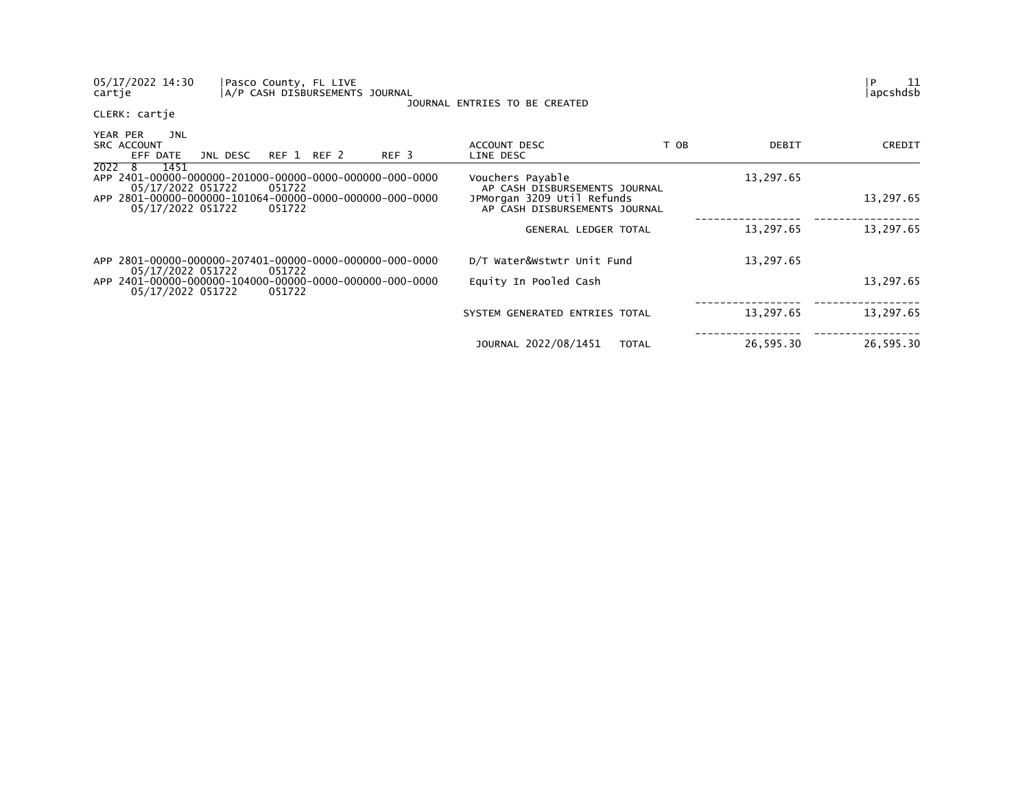| 05/17/2022 14:30<br>Pasco County, FL LIVE<br>cartje                                    | A/P CASH DISBURSEMENTS JOURNAL | JOURNAL ENTRIES TO BE CREATED                               |      |           | 11<br>P<br>lapcshdsb |
|----------------------------------------------------------------------------------------|--------------------------------|-------------------------------------------------------------|------|-----------|----------------------|
| CLERK: cartje                                                                          |                                |                                                             |      |           |                      |
| YEAR PER<br>JNL<br><b>SRC ACCOUNT</b><br>EFF DATE<br>JNL DESC                          | REF 1 REF 2<br>REF 3           | ACCOUNT DESC<br>LINE DESC                                   | T OB | DEBIT     | CREDIT               |
| 2022 8<br>1451<br>05/17/2022 051722<br>051722                                          |                                | Vouchers Payable<br>AP CASH DISBURSEMENTS JOURNAL           |      | 13,297.65 |                      |
| APP 2801-00000-000000-101064-00000-0000-000000-000-0000<br>05/17/2022 051722<br>051722 |                                | JPMorgan 3209 Util Refunds<br>AP CASH DISBURSEMENTS JOURNAL |      |           | 13,297.65            |
|                                                                                        |                                | <b>GENERAL LEDGER TOTAL</b>                                 |      | 13,297.65 | 13,297.65            |
| APP 2801-00000-000000-207401-00000-0000-000000-000-0000<br>051722<br>05/17/2022 051722 |                                | D/T Water&Wstwtr Unit Fund                                  |      | 13,297.65 |                      |
| 05/17/2022 051722<br>051722                                                            |                                | Equity In Pooled Cash                                       |      |           | 13,297.65            |
|                                                                                        |                                | SYSTEM GENERATED ENTRIES TOTAL                              |      | 13,297.65 | 13,297.65            |
|                                                                                        |                                | JOURNAL 2022/08/1451<br><b>TOTAL</b>                        |      | 26,595.30 | 26,595.30            |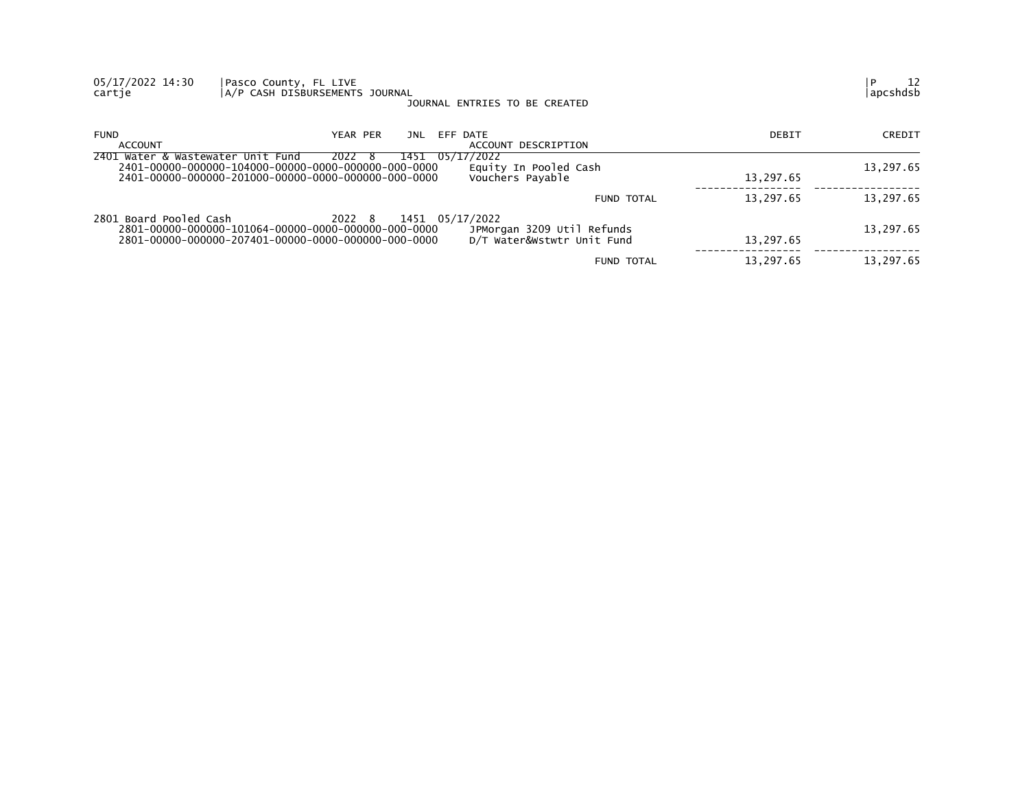| 05/17/2022 14:30<br>cartje        | Pasco County, FL LIVE<br>A/P CASH DISBURSEMENTS JOURNAL                                                                                 | JOURNAL ENTRIES TO BE CREATED                            |           | 12<br>apcshdsb |
|-----------------------------------|-----------------------------------------------------------------------------------------------------------------------------------------|----------------------------------------------------------|-----------|----------------|
| <b>FUND</b><br>ACCOUNT            | YEAR PER<br>JNL                                                                                                                         | EFF DATE<br>ACCOUNT DESCRIPTION                          | DEBIT     | CREDIT         |
| 2401 Water & Wastewater Unit Fund | 2022 8<br>1451                                                                                                                          | 05/17/2022<br>Equity In Pooled Cash<br>Vouchers Payable  | 13,297.65 | 13,297.65      |
|                                   |                                                                                                                                         | FUND TOTAL                                               | 13,297.65 | 13,297.65      |
| 2801 Board Pooled Cash            | 2022 8<br>1451 05/17/2022<br>2801-00000-000000-101064-00000-0000-000000-000-0000<br>2801-00000-000000-207401-00000-0000-000000-000-0000 | JPMorgan 3209 Util Refunds<br>D/T Water&Wstwtr Unit Fund | 13.297.65 | 13,297.65      |
|                                   |                                                                                                                                         | FUND TOTAL                                               | 13,297.65 | 13,297.65      |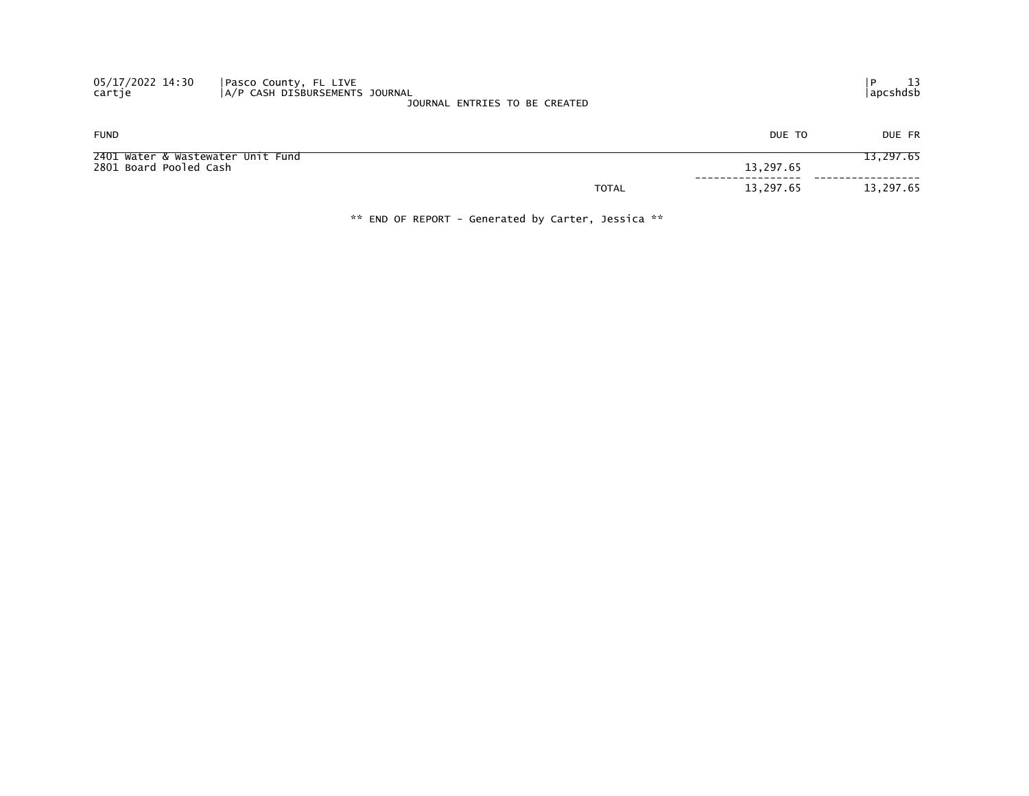| 05/17/2022 14:30<br>cartje                                  | Pasco County, FL LIVE<br>A/P CASH DISBURSEMENTS JOURNAL | JOURNAL ENTRIES TO BE CREATED |           | 13<br>  apcshdsb |
|-------------------------------------------------------------|---------------------------------------------------------|-------------------------------|-----------|------------------|
| <b>FUND</b>                                                 |                                                         |                               | DUE TO    | DUE FR           |
| 2401 Water & Wastewater Unit Fund<br>2801 Board Pooled Cash |                                                         |                               | 13,297.65 | 13,297.65        |
|                                                             |                                                         | <b>TOTAL</b>                  | 13,297.65 | 13,297.65        |

\*\* END OF REPORT - Generated by Carter, Jessica \*\*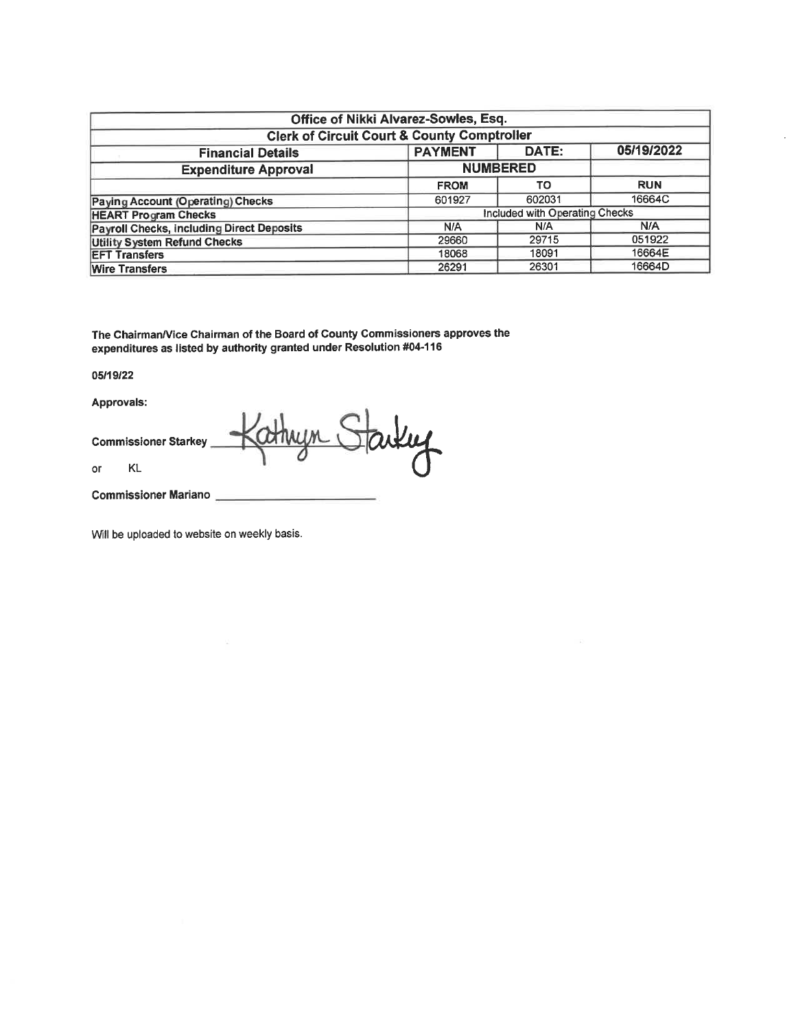|                                                        | Office of Nikki Alvarez-Sowles, Esq. |                                |            |  |  |  |  |  |  |
|--------------------------------------------------------|--------------------------------------|--------------------------------|------------|--|--|--|--|--|--|
| <b>Clerk of Circuit Court &amp; County Comptroller</b> |                                      |                                |            |  |  |  |  |  |  |
| <b>Financial Details</b>                               | <b>PAYMENT</b>                       | DATE:                          | 05/19/2022 |  |  |  |  |  |  |
| <b>Expenditure Approval</b>                            |                                      | <b>NUMBERED</b>                |            |  |  |  |  |  |  |
|                                                        | <b>FROM</b>                          | <b>TO</b>                      | <b>RUN</b> |  |  |  |  |  |  |
| <b>Paying Account (Operating) Checks</b>               | 601927                               | 602031                         | 16664C     |  |  |  |  |  |  |
| <b>HEART Program Checks</b>                            |                                      | Included with Operating Checks |            |  |  |  |  |  |  |
| <b>Payroll Checks, including Direct Deposits</b>       | N/A                                  | N/A                            | N/A        |  |  |  |  |  |  |
| <b>Utility System Refund Checks</b>                    | 29660                                | 29715                          | 051922     |  |  |  |  |  |  |
| <b>EFT Transfers</b>                                   | 18068                                | 18091                          | 16664E     |  |  |  |  |  |  |
| <b>Wire Transfers</b>                                  | 26291                                | 26301                          | 16664D     |  |  |  |  |  |  |

The Chairman/Vice Chairman of the Board of County Commissioners approves the expenditures as listed by authority granted under Resolution #04-116

#### 05/19/22

Approvals:

Starting athryn i **Commissioner Starkey**  $\mathsf{KL}$  $\circ$ r

**Commissioner Mariano** 

Will be uploaded to website on weekly basis.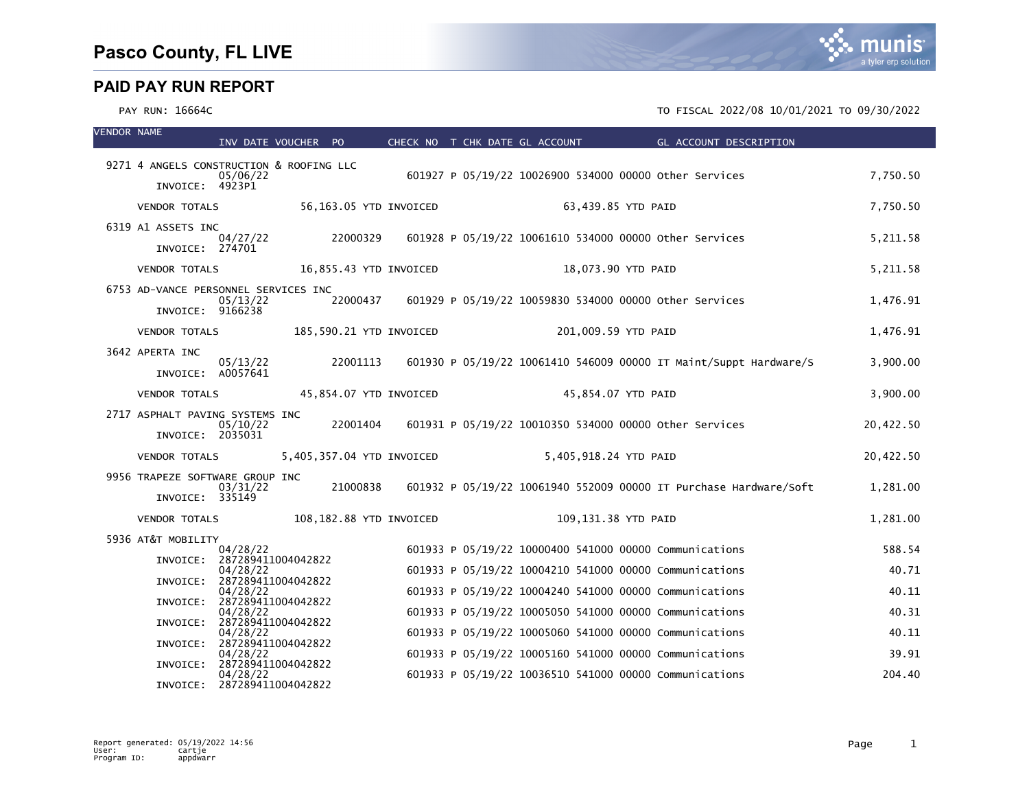| <b>VENDOR NAME</b> |                                          | INV DATE VOUCHER PO            |          |                           |                                                        |  | CHECK NO T CHK DATE GL ACCOUNT |                     | <b>Example 2018 GL ACCOUNT DESCRIPTION</b>                        |           |
|--------------------|------------------------------------------|--------------------------------|----------|---------------------------|--------------------------------------------------------|--|--------------------------------|---------------------|-------------------------------------------------------------------|-----------|
|                    | 9271 4 ANGELS CONSTRUCTION & ROOFING LLC |                                |          |                           |                                                        |  |                                |                     |                                                                   |           |
|                    | INVOICE: 4923P1                          | 05/06/22                       |          |                           |                                                        |  |                                |                     | 601927 P 05/19/22 10026900 534000 00000 other Services            | 7,750.50  |
|                    | VENDOR TOTALS                            |                                |          | 56,163.05 YTD INVOICED    |                                                        |  |                                | 63,439.85 YTD PAID  |                                                                   | 7,750.50  |
|                    | 6319 A1 ASSETS INC                       |                                |          |                           |                                                        |  |                                |                     |                                                                   |           |
|                    | INVOICE: 274701                          | 04/27/22                       | 22000329 |                           |                                                        |  |                                |                     | 601928 P 05/19/22 10061610 534000 00000 other Services            | 5, 211.58 |
|                    | <b>VENDOR TOTALS</b>                     |                                |          | 16,855.43 YTD INVOICED    |                                                        |  |                                | 18,073.90 YTD PAID  |                                                                   | 5,211.58  |
|                    | 6753 AD-VANCE PERSONNEL SERVICES INC     | 05/13/22                       | 22000437 |                           |                                                        |  |                                |                     |                                                                   | 1,476.91  |
|                    | INVOICE: 9166238                         |                                |          |                           | 601929 P 05/19/22 10059830 534000 00000 other Services |  |                                |                     |                                                                   |           |
|                    | <b>VENDOR TOTALS</b>                     |                                |          | 185,590.21 YTD INVOICED   |                                                        |  |                                | 201,009.59 YTD PAID |                                                                   | 1,476.91  |
|                    | 3642 APERTA INC                          | 05/13/22                       | 22001113 |                           |                                                        |  |                                |                     | 601930 P 05/19/22 10061410 546009 00000 IT Maint/Suppt Hardware/S | 3,900.00  |
|                    | INVOICE: A0057641                        |                                |          |                           |                                                        |  |                                |                     |                                                                   |           |
|                    | <b>VENDOR TOTALS</b>                     |                                |          | 45,854.07 YTD INVOICED    |                                                        |  |                                | 45,854.07 YTD PAID  |                                                                   | 3,900.00  |
|                    | 2717 ASPHALT PAVING SYSTEMS INC          | 05/10/22                       | 22001404 |                           |                                                        |  |                                |                     | 601931 P 05/19/22 10010350 534000 00000 other Services            | 20,422.50 |
|                    | INVOICE: 2035031                         |                                |          |                           |                                                        |  |                                |                     |                                                                   |           |
|                    | <b>VENDOR TOTALS</b>                     |                                |          | 5,405,357.04 YTD INVOICED |                                                        |  | 5,405,918.24 YTD PAID          |                     |                                                                   | 20,422.50 |
|                    | 9956 TRAPEZE SOFTWARE GROUP INC          |                                | 21000838 |                           |                                                        |  |                                |                     | 601932 P 05/19/22 10061940 552009 00000 IT Purchase Hardware/Soft |           |
|                    | INVOICE: 335149                          | 03/31/22                       |          |                           |                                                        |  |                                |                     |                                                                   | 1,281.00  |
|                    | <b>VENDOR TOTALS</b>                     |                                |          | 108,182.88 YTD INVOICED   |                                                        |  |                                | 109,131.38 YTD PAID |                                                                   | 1,281.00  |
|                    | 5936 AT&T MOBILITY                       |                                |          |                           |                                                        |  |                                |                     |                                                                   | 588.54    |
|                    | INVOICE: 287289411004042822              | 04/28/22                       |          |                           |                                                        |  |                                |                     | 601933 P 05/19/22 10000400 541000 00000 Communications            |           |
|                    | INVOICE: 287289411004042822              | 04/28/22                       |          |                           |                                                        |  |                                |                     | 601933 P 05/19/22 10004210 541000 00000 Communications            | 40.71     |
|                    | INVOICE:                                 | 04/28/22<br>287289411004042822 |          |                           |                                                        |  |                                |                     | 601933 P 05/19/22 10004240 541000 00000 Communications            | 40.11     |
|                    | INVOICE: 287289411004042822              | 04/28/22                       |          |                           |                                                        |  |                                |                     | 601933 P 05/19/22 10005050 541000 00000 Communications            | 40.31     |
|                    | INVOICE: 287289411004042822              | 04/28/22                       |          |                           |                                                        |  |                                |                     | 601933 P 05/19/22 10005060 541000 00000 Communications            | 40.11     |
|                    | INVOICE:                                 | 04/28/22<br>287289411004042822 |          |                           |                                                        |  |                                |                     | 601933 P 05/19/22 10005160 541000 00000 Communications            | 39.91     |
|                    | INVOICE: 287289411004042822              | 04/28/22                       |          |                           |                                                        |  |                                |                     | 601933 P 05/19/22 10036510 541000 00000 Communications            | 204.40    |

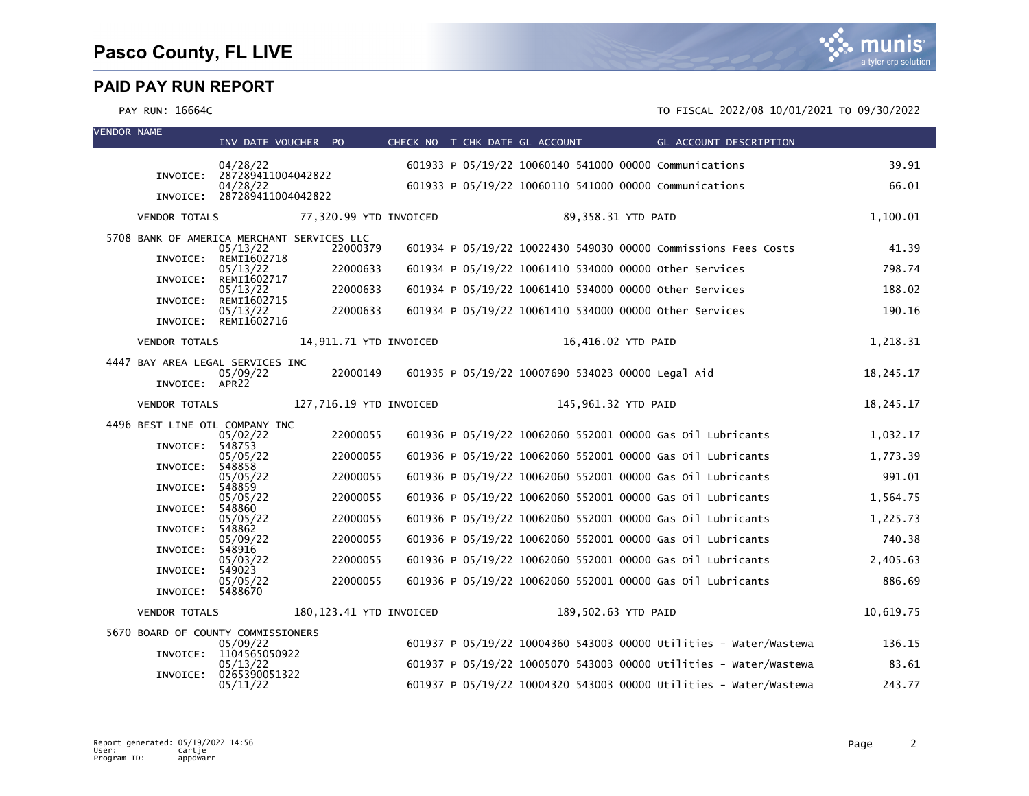| <b>VENDOR NAME</b> |                                            | INV DATE VOUCHER PO                     |                         | CHECK NO T CHK DATE GL ACCOUNT |                                                   | GL ACCOUNT DESCRIPTION                                            |           |
|--------------------|--------------------------------------------|-----------------------------------------|-------------------------|--------------------------------|---------------------------------------------------|-------------------------------------------------------------------|-----------|
|                    |                                            |                                         |                         |                                |                                                   |                                                                   |           |
|                    |                                            | 04/28/22<br>INVOICE: 287289411004042822 |                         |                                |                                                   | 601933 P 05/19/22 10060140 541000 00000 Communications            | 39.91     |
|                    |                                            | 04/28/22<br>INVOICE: 287289411004042822 |                         |                                |                                                   | 601933 P 05/19/22 10060110 541000 00000 Communications            | 66.01     |
|                    | <b>VENDOR TOTALS</b>                       |                                         | 77,320.99 YTD INVOICED  |                                | 89,358.31 YTD PAID                                |                                                                   | 1,100.01  |
|                    | 5708 BANK OF AMERICA MERCHANT SERVICES LLC |                                         |                         |                                |                                                   |                                                                   |           |
|                    |                                            | 05/13/22<br>INVOICE: REMI1602718        | 22000379                |                                |                                                   | 601934 P 05/19/22 10022430 549030 00000 Commissions Fees Costs    | 41.39     |
|                    |                                            | 05/13/22                                | 22000633                |                                |                                                   | 601934 P 05/19/22 10061410 534000 00000 other Services            | 798.74    |
|                    |                                            | INVOICE: REMI1602717<br>05/13/22        | 22000633                |                                |                                                   | 601934 P 05/19/22 10061410 534000 00000 other Services            | 188.02    |
|                    | INVOICE:                                   | REMI1602715<br>05/13/22                 | 22000633                |                                |                                                   | 601934 P 05/19/22 10061410 534000 00000 Other Services            | 190.16    |
|                    |                                            | INVOICE: REMI1602716                    |                         |                                |                                                   |                                                                   |           |
|                    | <b>VENDOR TOTALS</b>                       |                                         | 14,911.71 YTD INVOICED  |                                | 16,416.02 YTD PAID                                |                                                                   | 1,218.31  |
|                    | 4447 BAY AREA LEGAL SERVICES INC           |                                         | 22000149                |                                |                                                   |                                                                   |           |
|                    | INVOICE: APR22                             | 05/09/22                                |                         |                                | 601935 P 05/19/22 10007690 534023 00000 Legal Aid |                                                                   | 18,245.17 |
|                    | <b>VENDOR TOTALS</b>                       |                                         | 127,716.19 YTD INVOICED |                                | 145,961.32 YTD PAID                               |                                                                   | 18,245.17 |
|                    | 4496 BEST LINE OIL COMPANY INC             |                                         |                         |                                |                                                   |                                                                   |           |
|                    | INVOICE: 548753                            | 05/02/22                                | 22000055                |                                |                                                   | 601936 P 05/19/22 10062060 552001 00000 Gas 01l Lubricants        | 1,032.17  |
|                    | INVOICE:                                   | 05/05/22<br>548858                      | 22000055                |                                |                                                   | 601936 P 05/19/22 10062060 552001 00000 Gas 01l Lubricants        | 1,773.39  |
|                    |                                            | 05/05/22                                | 22000055                |                                |                                                   | 601936 P 05/19/22 10062060 552001 00000 Gas 0il Lubricants        | 991.01    |
|                    | INVOICE: 548859                            | 05/05/22                                | 22000055                |                                |                                                   | 601936 P 05/19/22 10062060 552001 00000 Gas 01l Lubricants        | 1,564.75  |
|                    | INVOICE:                                   | 548860<br>05/05/22                      | 22000055                |                                |                                                   | 601936 P 05/19/22 10062060 552001 00000 Gas 0il Lubricants        | 1,225.73  |
|                    | INVOICE: 548862                            | 05/09/22                                | 22000055                |                                |                                                   | 601936 P 05/19/22 10062060 552001 00000 Gas 01l Lubricants        | 740.38    |
|                    | INVOICE:                                   | 548916<br>05/03/22                      | 22000055                |                                |                                                   | 601936 P 05/19/22 10062060 552001 00000 Gas 01l Lubricants        | 2,405.63  |
|                    | INVOICE:                                   | 549023                                  |                         |                                |                                                   |                                                                   |           |
|                    | INVOICE: 5488670                           | 05/05/22                                | 22000055                |                                |                                                   | 601936 P 05/19/22 10062060 552001 00000 Gas 0il Lubricants        | 886.69    |
|                    | <b>VENDOR TOTALS</b>                       |                                         | 180,123.41 YTD INVOICED |                                | 189,502.63 YTD PAID                               |                                                                   | 10,619.75 |
|                    | 5670 BOARD OF COUNTY COMMISSIONERS         |                                         |                         |                                |                                                   |                                                                   |           |
|                    |                                            | 05/09/22<br>INVOICE: 1104565050922      |                         |                                |                                                   | 601937 P 05/19/22 10004360 543003 00000 Utilities - Water/Wastewa | 136.15    |
|                    | INVOICE:                                   | 05/13/22<br>0265390051322               |                         |                                |                                                   | 601937 P 05/19/22 10005070 543003 00000 Utilities - Water/Wastewa | 83.61     |
|                    |                                            | 05/11/22                                |                         |                                |                                                   | 601937 P 05/19/22 10004320 543003 00000 Utilities - Water/Wastewa | 243.77    |

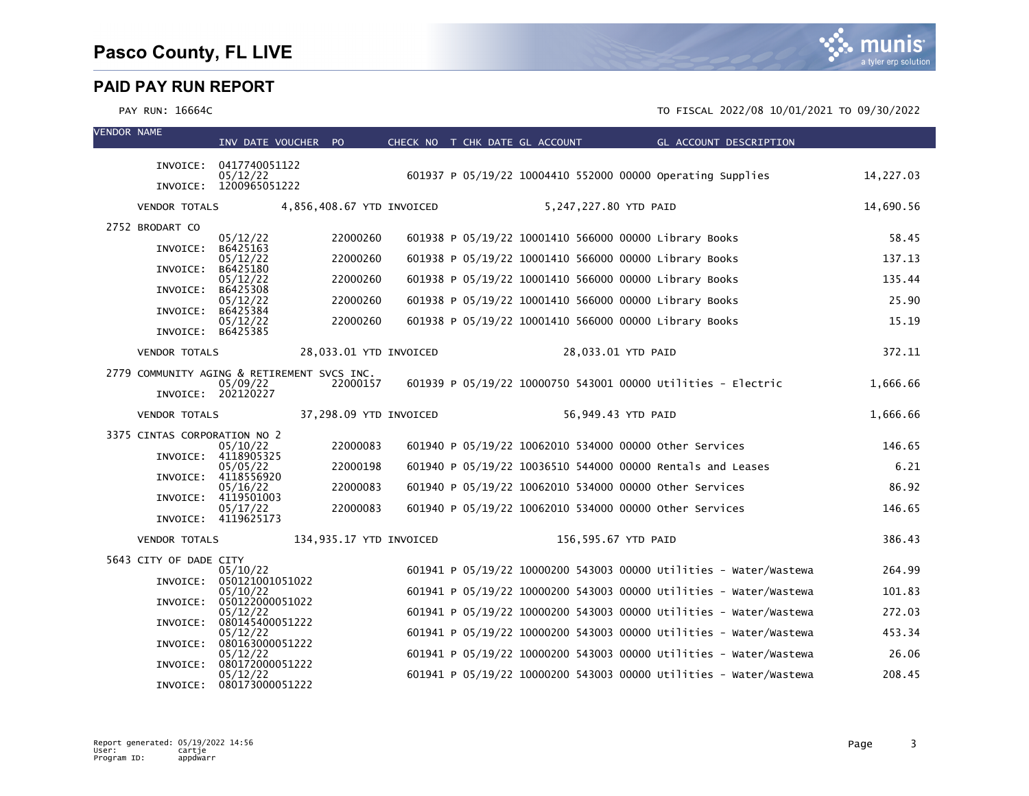| <b>VENDOR NAME</b> |                                             | INV DATE VOUCHER PO                  |                         | CHECK NO T CHK DATE GL ACCOUNT |                       | GL ACCOUNT DESCRIPTION                                            |           |
|--------------------|---------------------------------------------|--------------------------------------|-------------------------|--------------------------------|-----------------------|-------------------------------------------------------------------|-----------|
|                    |                                             | INVOICE: 0417740051122               |                         |                                |                       |                                                                   |           |
|                    |                                             | 05/12/22<br>INVOICE: 1200965051222   |                         |                                |                       | 601937 P 05/19/22 10004410 552000 00000 operating Supplies        | 14,227.03 |
|                    | VENDOR TOTALS 4,856,408.67 YTD INVOICED     |                                      |                         |                                | 5,247,227.80 YTD PAID |                                                                   | 14,690.56 |
|                    | 2752 BRODART CO                             |                                      |                         |                                |                       |                                                                   |           |
|                    |                                             | 05/12/22                             | 22000260                |                                |                       | 601938 P 05/19/22 10001410 566000 00000 Library Books             | 58.45     |
|                    | INVOICE:                                    | B6425163<br>05/12/22                 | 22000260                |                                |                       | 601938 P 05/19/22 10001410 566000 00000 Library Books             | 137.13    |
|                    | INVOICE:                                    | B6425180<br>05/12/22                 | 22000260                |                                |                       | 601938 P 05/19/22 10001410 566000 00000 Library Books             | 135.44    |
|                    | INVOICE:                                    | B6425308<br>05/12/22                 | 22000260                |                                |                       | 601938 P 05/19/22 10001410 566000 00000 Library Books             | 25.90     |
|                    | INVOICE: B6425384                           | 05/12/22                             | 22000260                |                                |                       | 601938 P 05/19/22 10001410 566000 00000 Library Books             | 15.19     |
|                    | INVOICE: B6425385                           |                                      |                         |                                |                       |                                                                   |           |
|                    | <b>VENDOR TOTALS</b>                        |                                      | 28,033.01 YTD INVOICED  |                                | 28,033.01 YTD PAID    |                                                                   | 372.11    |
|                    | 2779 COMMUNITY AGING & RETIREMENT SVCS INC. |                                      |                         |                                |                       |                                                                   |           |
|                    |                                             | 05/09/22<br>INVOICE: 202120227       | 22000157                |                                |                       | 601939 P 05/19/22 10000750 543001 00000 Utilities - Electric      | 1,666.66  |
|                    | <b>VENDOR TOTALS</b>                        |                                      | 37,298.09 YTD INVOICED  |                                | 56,949.43 YTD PAID    |                                                                   | 1,666.66  |
|                    | 3375 CINTAS CORPORATION NO 2                |                                      |                         |                                |                       |                                                                   |           |
|                    |                                             | 05/10/22<br>INVOICE: 4118905325      | 22000083                |                                |                       | 601940 P 05/19/22 10062010 534000 00000 Other Services            | 146.65    |
|                    |                                             | 05/05/22<br>INVOICE: 4118556920      | 22000198                |                                |                       | 601940 P 05/19/22 10036510 544000 00000 Rentals and Leases        | 6.21      |
|                    |                                             | 05/16/22<br>INVOICE: 4119501003      | 22000083                |                                |                       | 601940 P 05/19/22 10062010 534000 00000 other Services            | 86.92     |
|                    |                                             | 05/17/22<br>INVOICE: 4119625173      | 22000083                |                                |                       | 601940 P 05/19/22 10062010 534000 00000 other Services            | 146.65    |
|                    | <b>VENDOR TOTALS</b>                        |                                      | 134,935.17 YTD INVOICED |                                | 156,595.67 YTD PAID   |                                                                   | 386.43    |
|                    | 5643 CITY OF DADE CITY                      |                                      |                         |                                |                       |                                                                   |           |
|                    |                                             | 05/10/22<br>INVOICE: 050121001051022 |                         |                                |                       | 601941 P 05/19/22 10000200 543003 00000 Utilities - Water/Wastewa | 264.99    |
|                    | INVOICE:                                    | 05/10/22<br>050122000051022          |                         |                                |                       | 601941 P 05/19/22 10000200 543003 00000 Utilities - Water/Wastewa | 101.83    |
|                    | INVOICE:                                    | 05/12/22<br>080145400051222          |                         |                                |                       | 601941 P 05/19/22 10000200 543003 00000 Utilities - Water/Wastewa | 272.03    |
|                    |                                             | 05/12/22                             |                         |                                |                       | 601941 P 05/19/22 10000200 543003 00000 Utilities - Water/Wastewa | 453.34    |
|                    | INVOICE:                                    | 080163000051222<br>05/12/22          |                         |                                |                       | 601941 P 05/19/22 10000200 543003 00000 Utilities - Water/Wastewa | 26.06     |
|                    | INVOICE:                                    | 080172000051222<br>05/12/22          |                         |                                |                       | 601941 P 05/19/22 10000200 543003 00000 Utilities - Water/Wastewa | 208.45    |
|                    | INVOICE:                                    | 080173000051222                      |                         |                                |                       |                                                                   |           |

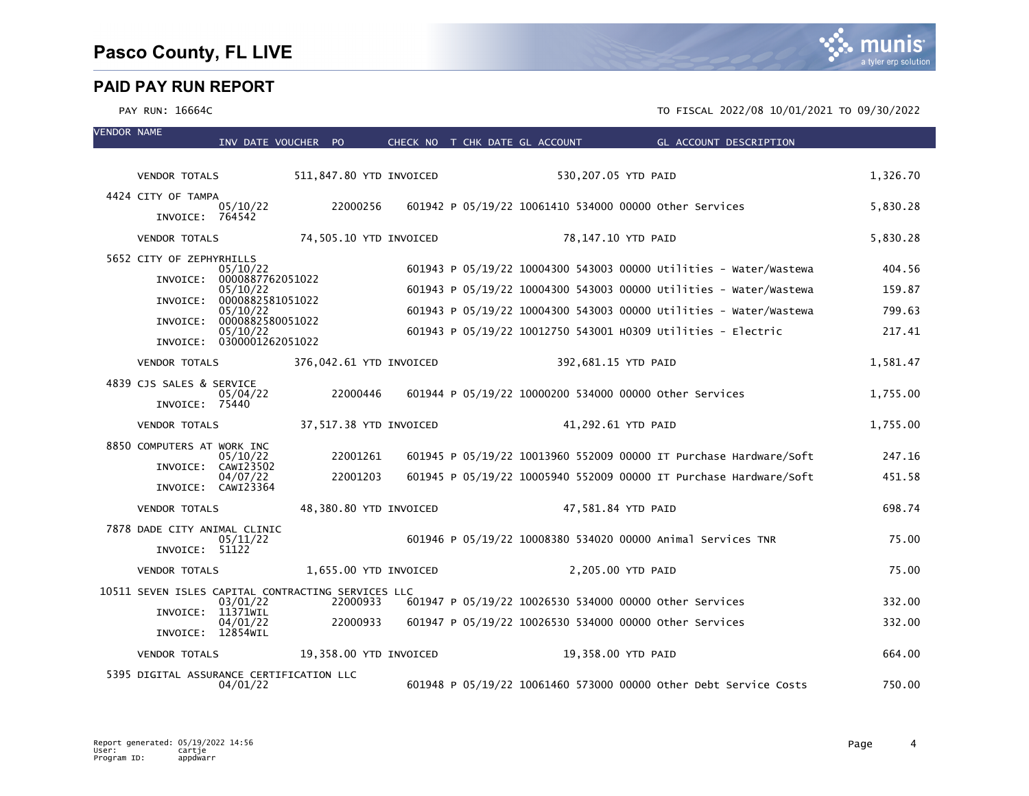| <b>VENDOR NAME</b> |                                                    | INV DATE VOUCHER PO          |          |                         | CHECK NO T CHK DATE GL ACCOUNT | <b>Example 2018 GL ACCOUNT DESCRIPTION</b>                        |          |
|--------------------|----------------------------------------------------|------------------------------|----------|-------------------------|--------------------------------|-------------------------------------------------------------------|----------|
|                    |                                                    |                              |          |                         |                                |                                                                   |          |
|                    | <b>VENDOR TOTALS</b>                               |                              |          | 511,847.80 YTD INVOICED |                                | 530,207.05 YTD PAID                                               | 1,326.70 |
|                    | 4424 CITY OF TAMPA<br>INVOICE: 764542              | 05/10/22                     | 22000256 |                         |                                | 601942 P 05/19/22 10061410 534000 00000 Other Services            | 5,830.28 |
|                    | <b>VENDOR TOTALS</b>                               |                              |          | 74,505.10 YTD INVOICED  |                                | 78,147.10 YTD PAID                                                | 5,830.28 |
|                    | 5652 CITY OF ZEPHYRHILLS                           | 05/10/22                     |          |                         |                                | 601943 P 05/19/22 10004300 543003 00000 Utilities - Water/Wastewa | 404.56   |
|                    | INVOICE:                                           | 0000887762051022<br>05/10/22 |          |                         |                                | 601943 P 05/19/22 10004300 543003 00000 Utilities - Water/Wastewa | 159.87   |
|                    | INVOICE:                                           | 0000882581051022             |          |                         |                                |                                                                   |          |
|                    | INVOICE:                                           | 05/10/22<br>0000882580051022 |          |                         |                                | 601943 P 05/19/22 10004300 543003 00000 Utilities - Water/Wastewa | 799.63   |
|                    | INVOICE: 0300001262051022                          | 05/10/22                     |          |                         |                                | 601943 P 05/19/22 10012750 543001 H0309 Utilities - Electric      | 217.41   |
|                    | <b>VENDOR TOTALS</b>                               |                              |          | 376,042.61 YTD INVOICED |                                | 392,681.15 YTD PAID                                               | 1,581.47 |
|                    | 4839 CJS SALES & SERVICE                           |                              |          |                         |                                |                                                                   |          |
|                    | INVOICE: 75440                                     | 05/04/22                     | 22000446 |                         |                                | 601944 P 05/19/22 10000200 534000 00000 other Services            | 1,755.00 |
|                    | <b>VENDOR TOTALS</b>                               |                              |          | 37,517.38 YTD INVOICED  |                                | 41,292.61 YTD PAID                                                | 1,755.00 |
|                    | 8850 COMPUTERS AT WORK INC                         | 05/10/22                     | 22001261 |                         |                                | 601945 P 05/19/22 10013960 552009 00000 IT Purchase Hardware/Soft | 247.16   |
|                    | INVOICE: CAWI23502                                 | 04/07/22                     | 22001203 |                         |                                | 601945 P 05/19/22 10005940 552009 00000 IT Purchase Hardware/Soft | 451.58   |
|                    | INVOICE: CAWI23364                                 |                              |          |                         |                                |                                                                   |          |
|                    | <b>VENDOR TOTALS</b>                               |                              |          | 48,380.80 YTD INVOICED  |                                | 47,581.84 YTD PAID                                                | 698.74   |
|                    | 7878 DADE CITY ANIMAL CLINIC                       | 05/11/22                     |          |                         |                                | 601946 P 05/19/22 10008380 534020 00000 Animal Services TNR       | 75.00    |
|                    | INVOICE: 51122                                     |                              |          |                         |                                |                                                                   |          |
|                    | <b>VENDOR TOTALS</b>                               |                              |          | 1,655.00 YTD INVOICED   |                                | 2,205.00 YTD PAID                                                 | 75.00    |
|                    | 10511 SEVEN ISLES CAPITAL CONTRACTING SERVICES LLC | 03/01/22                     | 22000933 |                         |                                | 601947 P 05/19/22 10026530 534000 00000 other Services            | 332.00   |
|                    | INVOICE:                                           | 11371wIL                     |          |                         |                                |                                                                   |          |
|                    | INVOICE: 12854WIL                                  | 04/01/22                     | 22000933 |                         |                                | 601947 P 05/19/22 10026530 534000 00000 other Services            | 332.00   |
|                    | <b>VENDOR TOTALS</b>                               |                              |          | 19,358.00 YTD INVOICED  |                                | 19,358.00 YTD PAID                                                | 664.00   |
|                    | 5395 DIGITAL ASSURANCE CERTIFICATION LLC           | 04/01/22                     |          |                         |                                | 601948 P 05/19/22 10061460 573000 00000 other Debt Service Costs  | 750.00   |

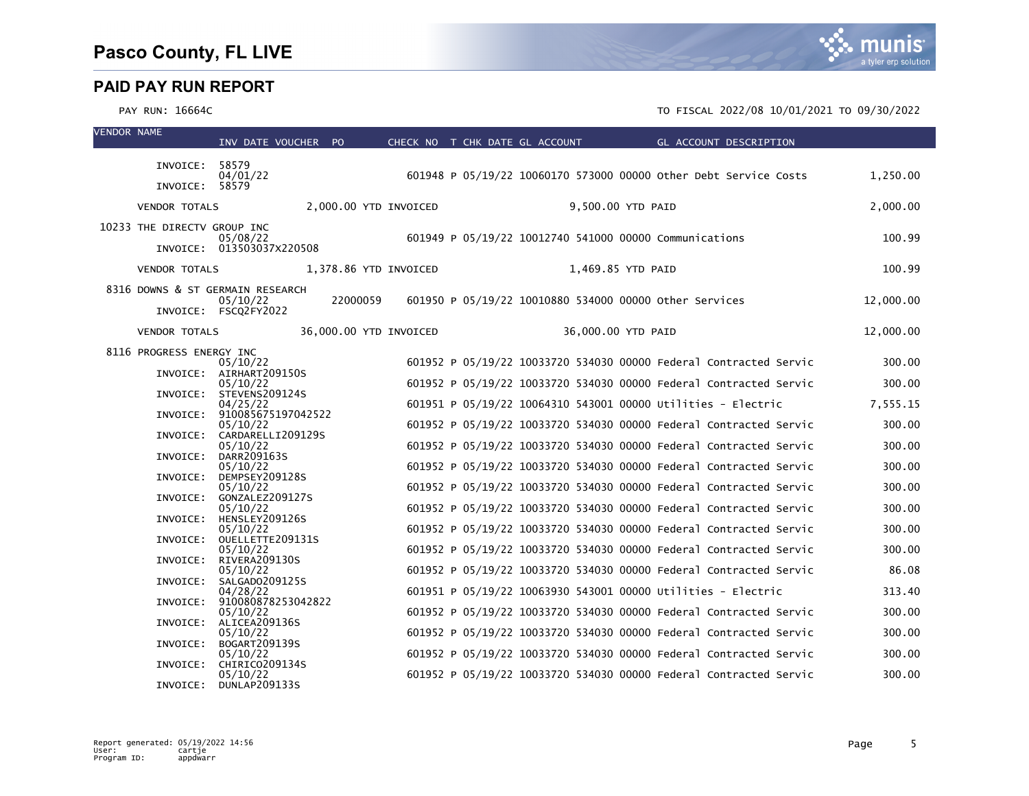

| <b>VENDOR NAME</b> |                                  | INV DATE VOUCHER PO                     |          | CHECK NO T CHK DATE GL ACCOUNT |  |                    | GL ACCOUNT DESCRIPTION                                            |           |
|--------------------|----------------------------------|-----------------------------------------|----------|--------------------------------|--|--------------------|-------------------------------------------------------------------|-----------|
|                    | INVOICE: 58579                   |                                         |          |                                |  |                    |                                                                   |           |
|                    |                                  | 04/01/22                                |          |                                |  |                    | 601948 P 05/19/22 10060170 573000 00000 other Debt Service Costs  | 1,250.00  |
|                    | INVOICE: 58579                   |                                         |          |                                |  |                    |                                                                   |           |
|                    | <b>VENDOR TOTALS</b>             |                                         |          | 2,000.00 YTD INVOICED          |  | 9,500.00 YTD PAID  |                                                                   | 2,000.00  |
|                    | 10233 THE DIRECTV GROUP INC      | 05/08/22                                |          |                                |  |                    | 601949 P 05/19/22 10012740 541000 00000 Communications            | 100.99    |
|                    |                                  | INVOICE: 013503037X220508               |          |                                |  |                    |                                                                   |           |
|                    | <b>VENDOR TOTALS</b>             |                                         |          | 1,378.86 YTD INVOICED          |  | 1,469.85 YTD PAID  |                                                                   | 100.99    |
|                    | 8316 DOWNS & ST GERMAIN RESEARCH |                                         |          |                                |  |                    |                                                                   |           |
|                    |                                  | 05/10/22<br>INVOICE: FSCQ2FY2022        | 22000059 |                                |  |                    | 601950 P 05/19/22 10010880 534000 00000 other Services            | 12,000.00 |
|                    | <b>VENDOR TOTALS</b>             |                                         |          | 36,000.00 YTD INVOICED         |  | 36,000.00 YTD PAID |                                                                   | 12,000.00 |
|                    | 8116 PROGRESS ENERGY INC         |                                         |          |                                |  |                    |                                                                   |           |
|                    |                                  | 05/10/22                                |          |                                |  |                    | 601952 P 05/19/22 10033720 534030 00000 Federal Contracted Servic | 300.00    |
|                    |                                  | INVOICE: AIRHART209150S<br>05/10/22     |          |                                |  |                    | 601952 P 05/19/22 10033720 534030 00000 Federal Contracted Servic | 300.00    |
|                    |                                  | INVOICE: STEVENS209124S<br>04/25/22     |          |                                |  |                    | 601951 P 05/19/22 10064310 543001 00000 Utilities - Electric      | 7,555.15  |
|                    |                                  | INVOICE: 910085675197042522<br>05/10/22 |          |                                |  |                    | 601952 P 05/19/22 10033720 534030 00000 Federal Contracted Servic | 300.00    |
|                    |                                  | INVOICE: CARDARELLI209129S              |          |                                |  |                    |                                                                   |           |
|                    |                                  | 05/10/22<br>INVOICE: DARR209163S        |          |                                |  |                    | 601952 P 05/19/22 10033720 534030 00000 Federal Contracted Servic | 300.00    |
|                    |                                  | 05/10/22<br>INVOICE: DEMPSEY209128S     |          |                                |  |                    | 601952 P 05/19/22 10033720 534030 00000 Federal Contracted Servic | 300.00    |
|                    | INVOICE:                         | 05/10/22<br>GONZALEZ209127S             |          |                                |  |                    | 601952 P 05/19/22 10033720 534030 00000 Federal Contracted Servic | 300.00    |
|                    |                                  | 05/10/22                                |          |                                |  |                    | 601952 P 05/19/22 10033720 534030 00000 Federal Contracted Servic | 300.00    |
|                    |                                  | INVOICE: HENSLEY209126S<br>05/10/22     |          |                                |  |                    | 601952 P 05/19/22 10033720 534030 00000 Federal Contracted Servic | 300.00    |
|                    | INVOICE:                         | OUELLETTE209131S<br>05/10/22            |          |                                |  |                    | 601952 P 05/19/22 10033720 534030 00000 Federal Contracted Servic | 300.00    |
|                    |                                  | INVOICE: RIVERA209130S<br>05/10/22      |          |                                |  |                    | 601952 P 05/19/22 10033720 534030 00000 Federal Contracted Servic | 86.08     |
|                    | INVOICE:                         | SALGADO209125S                          |          |                                |  |                    |                                                                   |           |
|                    | INVOICE:                         | 04/28/22<br>910080878253042822          |          |                                |  |                    | 601951 P 05/19/22 10063930 543001 00000 Utilities - Electric      | 313.40    |
|                    |                                  | 05/10/22<br>INVOICE: ALICEA209136S      |          |                                |  |                    | 601952 P 05/19/22 10033720 534030 00000 Federal Contracted Servic | 300.00    |
|                    | INVOICE:                         | 05/10/22<br>BOGART209139S               |          |                                |  |                    | 601952 P 05/19/22 10033720 534030 00000 Federal Contracted Servic | 300.00    |
|                    |                                  | 05/10/22                                |          |                                |  |                    | 601952 P 05/19/22 10033720 534030 00000 Federal Contracted Servic | 300.00    |
|                    |                                  | INVOICE: CHIRICO209134S<br>05/10/22     |          |                                |  |                    | 601952 P 05/19/22 10033720 534030 00000 Federal Contracted Servic | 300.00    |
|                    |                                  | INVOICE: DUNLAP209133S                  |          |                                |  |                    |                                                                   |           |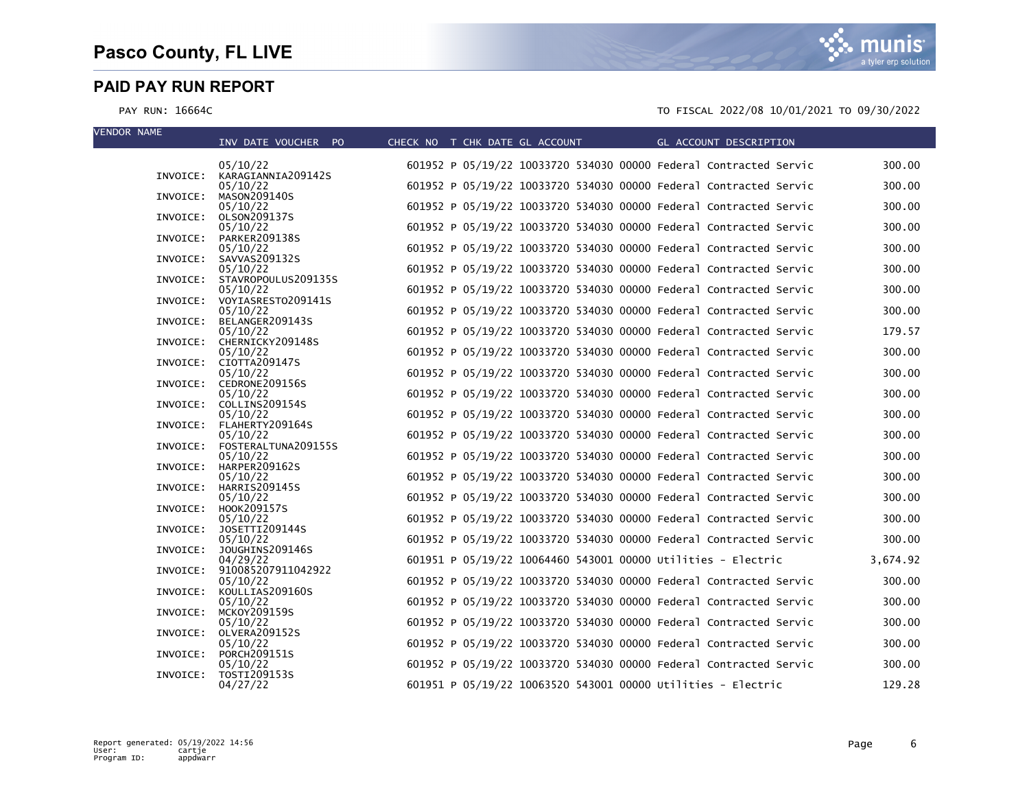| <b>VENDOR NAME</b> | INV DATE VOUCHER PO                      | CHECK NO T CHK DATE GL ACCOUNT | GL ACCOUNT DESCRIPTION                                            |          |
|--------------------|------------------------------------------|--------------------------------|-------------------------------------------------------------------|----------|
|                    | 05/10/22                                 |                                | 601952 P 05/19/22 10033720 534030 00000 Federal Contracted Servic | 300.00   |
|                    | INVOICE: KARAGIANNIA209142S<br>05/10/22  |                                | 601952 P 05/19/22 10033720 534030 00000 Federal Contracted Servic | 300.00   |
| INVOICE:           | MASON209140S                             |                                |                                                                   |          |
| INVOICE:           | 05/10/22<br>OLSON209137S                 |                                | 601952 P 05/19/22 10033720 534030 00000 Federal Contracted Servic | 300.00   |
|                    | 05/10/22                                 |                                | 601952 P 05/19/22 10033720 534030 00000 Federal Contracted Servic | 300.00   |
| INVOICE:           | PARKER209138S<br>05/10/22                |                                | 601952 P 05/19/22 10033720 534030 00000 Federal Contracted Servic | 300.00   |
| INVOICE:           | SAVVAS209132S                            |                                | 601952 P 05/19/22 10033720 534030 00000 Federal Contracted Servic | 300.00   |
|                    | 05/10/22<br>INVOICE: STAVROPOULUS209135S |                                |                                                                   |          |
|                    | 05/10/22<br>INVOICE: VOYIASRESTO209141S  |                                | 601952 P 05/19/22 10033720 534030 00000 Federal Contracted Servic | 300.00   |
|                    | 05/10/22                                 |                                | 601952 P 05/19/22 10033720 534030 00000 Federal Contracted Servic | 300.00   |
|                    | INVOICE: BELANGER209143S<br>05/10/22     |                                | 601952 P 05/19/22 10033720 534030 00000 Federal Contracted Servic | 179.57   |
|                    | INVOICE: CHERNICKY209148S                |                                |                                                                   |          |
|                    | 05/10/22<br>INVOICE: CIOTTA209147S       |                                | 601952 P 05/19/22 10033720 534030 00000 Federal Contracted Servic | 300.00   |
|                    | 05/10/22<br>INVOICE: CEDRONE209156S      |                                | 601952 P 05/19/22 10033720 534030 00000 Federal Contracted Servic | 300.00   |
|                    | 05/10/22                                 |                                | 601952 P 05/19/22 10033720 534030 00000 Federal Contracted Servic | 300.00   |
|                    | INVOICE: COLLINS209154S<br>05/10/22      |                                | 601952 P 05/19/22 10033720 534030 00000 Federal Contracted Servic | 300.00   |
|                    | INVOICE: FLAHERTY209164S                 |                                |                                                                   |          |
|                    | 05/10/22<br>INVOICE: FOSTERALTUNA209155S |                                | 601952 P 05/19/22 10033720 534030 00000 Federal Contracted Servic | 300.00   |
|                    | 05/10/22                                 |                                | 601952 P 05/19/22 10033720 534030 00000 Federal Contracted Servic | 300.00   |
|                    | INVOICE: HARPER209162S<br>05/10/22       |                                | 601952 P 05/19/22 10033720 534030 00000 Federal Contracted Servic | 300.00   |
|                    | INVOICE: HARRIS209145S<br>05/10/22       |                                | 601952 P 05/19/22 10033720 534030 00000 Federal Contracted Servic | 300.00   |
|                    | INVOICE: HOOK209157S                     |                                |                                                                   |          |
| INVOICE:           | 05/10/22<br>JOSETTI209144S               |                                | 601952 P 05/19/22 10033720 534030 00000 Federal Contracted Servic | 300.00   |
|                    | 05/10/22                                 |                                | 601952 P 05/19/22 10033720 534030 00000 Federal Contracted Servic | 300.00   |
| INVOICE:           | JOUGHINS209146S<br>04/29/22              |                                | 601951 P 05/19/22 10064460 543001 00000 Utilities - Electric      | 3,674.92 |
| INVOICE:           | 910085207911042922                       |                                | 601952 P 05/19/22 10033720 534030 00000 Federal Contracted Servic | 300.00   |
| INVOICE:           | 05/10/22<br>KOULLIAS209160S              |                                |                                                                   |          |
| INVOICE:           | 05/10/22<br>MCKOY209159S                 |                                | 601952 P 05/19/22 10033720 534030 00000 Federal Contracted Servic | 300.00   |
|                    | 05/10/22                                 |                                | 601952 P 05/19/22 10033720 534030 00000 Federal Contracted Servic | 300.00   |
|                    | INVOICE: OLVERA209152S<br>05/10/22       |                                | 601952 P 05/19/22 10033720 534030 00000 Federal Contracted Servic | 300.00   |
| INVOICE:           | <b>PORCH209151S</b>                      |                                |                                                                   |          |
| INVOICE:           | 05/10/22<br>TOSTI209153S                 |                                | 601952 P 05/19/22 10033720 534030 00000 Federal Contracted Servic | 300.00   |
|                    | 04/27/22                                 |                                | 601951 P 05/19/22 10063520 543001 00000 Utilities - Electric      | 129.28   |

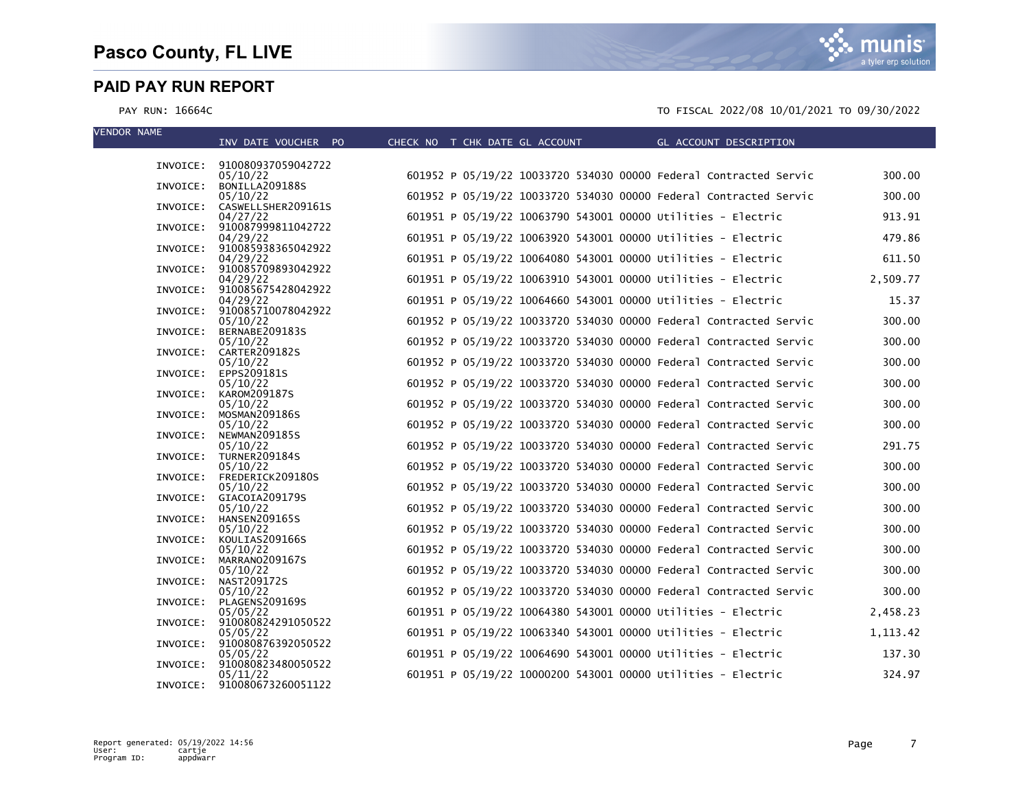VENDOR NAME

munis a tyler erp solution

|          | INV DATE VOUCHER PO                     | CHECK NO T CHK DATE GL ACCOUNT | GL ACCOUNT DESCRIPTION                                            |           |
|----------|-----------------------------------------|--------------------------------|-------------------------------------------------------------------|-----------|
|          |                                         |                                |                                                                   |           |
|          | INVOICE: 910080937059042722<br>05/10/22 |                                | 601952 P 05/19/22 10033720 534030 00000 Federal Contracted Servic | 300.00    |
|          | INVOICE: BONILLA209188S                 |                                |                                                                   |           |
|          | 05/10/22                                |                                | 601952 P 05/19/22 10033720 534030 00000 Federal Contracted Servic | 300.00    |
| INVOICE: | CASWELLSHER209161S                      |                                |                                                                   |           |
|          | 04/27/22                                |                                | 601951 P 05/19/22 10063790 543001 00000 Utilities - Electric      | 913.91    |
| INVOICE: | 910087999811042722<br>04/29/22          |                                | 601951 P 05/19/22 10063920 543001 00000 Utilities - Electric      | 479.86    |
| INVOICE: | 910085938365042922                      |                                |                                                                   |           |
|          | 04/29/22                                |                                | 601951 P 05/19/22 10064080 543001 00000 Utilities - Electric      | 611.50    |
|          | INVOICE: 910085709893042922             |                                |                                                                   |           |
|          | 04/29/22<br>INVOICE: 910085675428042922 |                                | 601951 P 05/19/22 10063910 543001 00000 Utilities - Electric      | 2,509.77  |
|          | 04/29/22                                |                                | 601951 P 05/19/22 10064660 543001 00000 Utilities - Electric      | 15.37     |
| INVOICE: | 910085710078042922                      |                                |                                                                   |           |
|          | 05/10/22                                |                                | 601952 P 05/19/22 10033720 534030 00000 Federal Contracted Servic | 300.00    |
| INVOICE: | BERNABE209183S                          |                                |                                                                   |           |
| INVOICE: | 05/10/22<br>CARTER209182S               |                                | 601952 P 05/19/22 10033720 534030 00000 Federal Contracted Servic | 300.00    |
|          | 05/10/22                                |                                | 601952 P 05/19/22 10033720 534030 00000 Federal Contracted Servic | 300.00    |
| INVOICE: | EPPS209181S                             |                                |                                                                   |           |
|          | 05/10/22                                |                                | 601952 P 05/19/22 10033720 534030 00000 Federal Contracted Servic | 300.00    |
| INVOICE: | KAROM209187S                            |                                |                                                                   |           |
| INVOICE: | 05/10/22<br>MOSMAN209186S               |                                | 601952 P 05/19/22 10033720 534030 00000 Federal Contracted Servic | 300.00    |
|          | 05/10/22                                |                                | 601952 P 05/19/22 10033720 534030 00000 Federal Contracted Servic | 300.00    |
| INVOICE: | NEWMAN209185S                           |                                |                                                                   |           |
|          | 05/10/22                                |                                | 601952 P 05/19/22 10033720 534030 00000 Federal Contracted Servic | 291.75    |
| INVOICE: | TURNER209184S                           |                                | 601952 P 05/19/22 10033720 534030 00000 Federal Contracted Servic | 300.00    |
| INVOICE: | 05/10/22<br>FREDERICK209180S            |                                |                                                                   |           |
|          | 05/10/22                                |                                | 601952 P 05/19/22 10033720 534030 00000 Federal Contracted Servic | 300.00    |
|          | INVOICE: GIACOIA209179S                 |                                |                                                                   |           |
|          | 05/10/22                                |                                | 601952 P 05/19/22 10033720 534030 00000 Federal Contracted Servic | 300.00    |
| INVOICE: | HANSEN209165S<br>05/10/22               |                                | 601952 P 05/19/22 10033720 534030 00000 Federal Contracted Servic | 300.00    |
|          | INVOICE: KOULIAS209166S                 |                                |                                                                   |           |
|          | 05/10/22                                |                                | 601952 P 05/19/22 10033720 534030 00000 Federal Contracted Servic | 300.00    |
| INVOICE: | MARRANO209167S                          |                                |                                                                   |           |
| INVOICE: | 05/10/22<br>NAST209172S                 |                                | 601952 P 05/19/22 10033720 534030 00000 Federal Contracted Servic | 300.00    |
|          | 05/10/22                                |                                | 601952 P 05/19/22 10033720 534030 00000 Federal Contracted Servic | 300.00    |
| INVOICE: | PLAGENS209169S                          |                                |                                                                   |           |
|          | 05/05/22                                |                                | 601951 P 05/19/22 10064380 543001 00000 Utilities - Electric      | 2,458.23  |
|          | INVOICE: 910080824291050522             |                                |                                                                   |           |
|          | 05/05/22<br>INVOICE: 910080876392050522 |                                | 601951 P 05/19/22 10063340 543001 00000 Utilities - Electric      | 1, 113.42 |
|          | 05/05/22                                |                                | 601951 P 05/19/22 10064690 543001 00000 Utilities - Electric      | 137.30    |
| INVOICE: | 910080823480050522                      |                                |                                                                   |           |
|          | 05/11/22                                |                                | 601951 P 05/19/22 10000200 543001 00000 Utilities - Electric      | 324.97    |
|          | INVOICE: 910080673260051122             |                                |                                                                   |           |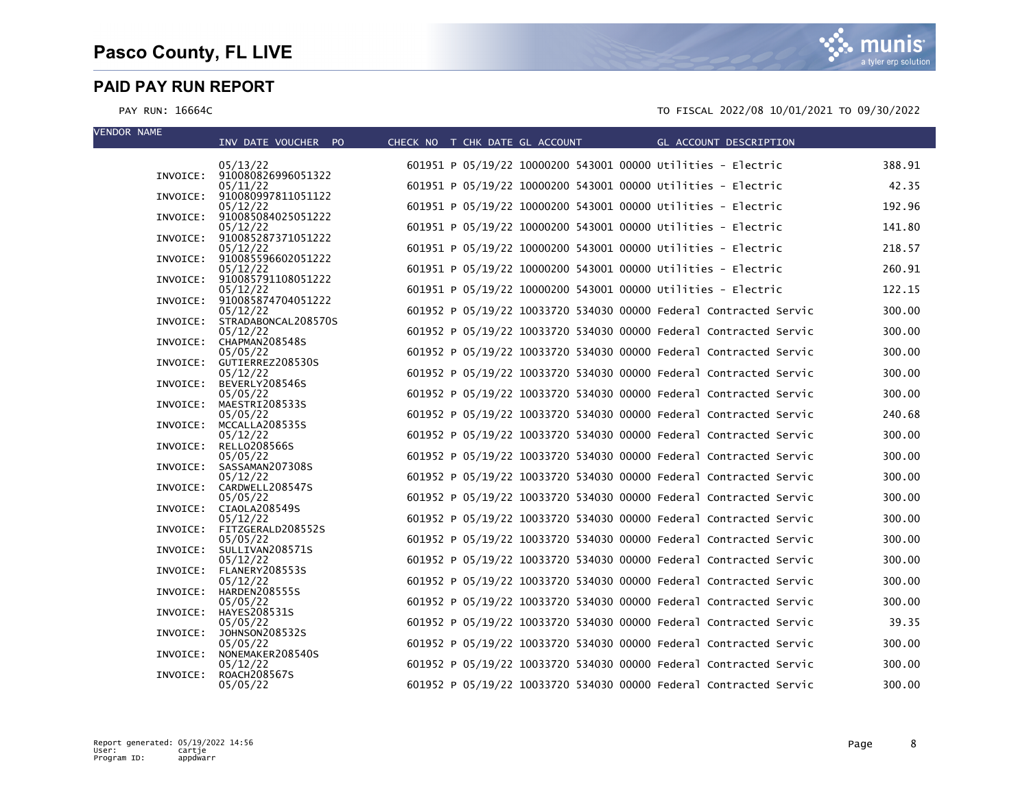| <b>VENDOR NAME</b> | INV DATE VOUCHER PO                                                | CHECK NO T CHK DATE GL ACCOUNT | GL ACCOUNT DESCRIPTION                                            |        |
|--------------------|--------------------------------------------------------------------|--------------------------------|-------------------------------------------------------------------|--------|
|                    | 05/13/22                                                           |                                | 601951 P 05/19/22 10000200 543001 00000 Utilities - Electric      | 388.91 |
|                    | INVOICE: 910080826996051322<br>05/11/22                            |                                | 601951 P 05/19/22 10000200 543001 00000 Utilities - Electric      | 42.35  |
| INVOICE:           | 910080997811051122<br>05/12/22                                     |                                | 601951 P 05/19/22 10000200 543001 00000 Utilities - Electric      | 192.96 |
|                    | INVOICE: 910085084025051222<br>05/12/22                            |                                | 601951 P 05/19/22 10000200 543001 00000 Utilities - Electric      | 141.80 |
| INVOICE:           | 910085287371051222<br>05/12/22                                     |                                | 601951 P 05/19/22 10000200 543001 00000 Utilities - Electric      | 218.57 |
|                    | INVOICE: 910085596602051222<br>05/12/22                            |                                | 601951 P 05/19/22 10000200 543001 00000 Utilities - Electric      | 260.91 |
|                    | INVOICE: 910085791108051222<br>05/12/22                            |                                | 601951 P 05/19/22 10000200 543001 00000 Utilities - Electric      | 122.15 |
|                    | INVOICE: 910085874704051222<br>05/12/22                            |                                | 601952 P 05/19/22 10033720 534030 00000 Federal Contracted Servic | 300.00 |
|                    | INVOICE: STRADABONCAL208570S<br>05/12/22                           |                                | 601952 P 05/19/22 10033720 534030 00000 Federal Contracted Servic | 300.00 |
|                    | INVOICE: CHAPMAN208548S<br>05/05/22                                |                                | 601952 P 05/19/22 10033720 534030 00000 Federal Contracted Servic | 300.00 |
|                    | INVOICE: GUTIERREZ208530S<br>05/12/22                              |                                | 601952 P 05/19/22 10033720 534030 00000 Federal Contracted Servic | 300.00 |
| INVOICE:           | BEVERLY208546S<br>05/05/22                                         |                                | 601952 P 05/19/22 10033720 534030 00000 Federal Contracted Servic | 300.00 |
| INVOICE:           | MAESTRI208533S<br>05/05/22                                         |                                | 601952 P 05/19/22 10033720 534030 00000 Federal Contracted Servic | 240.68 |
| INVOICE:           | MCCALLA208535S<br>05/12/22                                         |                                | 601952 P 05/19/22 10033720 534030 00000 Federal Contracted Servic | 300.00 |
| INVOICE:           | RELL0208566S<br>05/05/22                                           |                                | 601952 P 05/19/22 10033720 534030 00000 Federal Contracted Servic | 300.00 |
| INVOICE:           | SASSAMAN207308S<br>05/12/22                                        |                                | 601952 P 05/19/22 10033720 534030 00000 Federal Contracted Servic | 300.00 |
|                    | INVOICE: CARDWELL208547S<br>05/05/22                               |                                | 601952 P 05/19/22 10033720 534030 00000 Federal Contracted Servic | 300.00 |
|                    | INVOICE: CIAOLA208549S<br>05/12/22                                 |                                | 601952 P 05/19/22 10033720 534030 00000 Federal Contracted Servic | 300.00 |
|                    | INVOICE: FITZGERALD208552S<br>05/05/22<br>INVOICE: SULLIVAN208571S |                                | 601952 P 05/19/22 10033720 534030 00000 Federal Contracted Servic | 300.00 |
|                    | 05/12/22<br>INVOICE: FLANERY208553S                                |                                | 601952 P 05/19/22 10033720 534030 00000 Federal Contracted Servic | 300.00 |
|                    | 05/12/22<br>INVOICE: HARDEN208555S                                 |                                | 601952 P 05/19/22 10033720 534030 00000 Federal Contracted Servic | 300.00 |
|                    | 05/05/22<br>INVOICE: HAYES208531S                                  |                                | 601952 P 05/19/22 10033720 534030 00000 Federal Contracted Servic | 300.00 |
|                    | 05/05/22<br>INVOICE: JOHNSON208532S                                |                                | 601952 P 05/19/22 10033720 534030 00000 Federal Contracted Servic | 39.35  |
| INVOICE:           | 05/05/22<br>NONEMAKER208540S                                       |                                | 601952 P 05/19/22 10033720 534030 00000 Federal Contracted Servic | 300.00 |
| INVOICE:           | 05/12/22<br>ROACH208567S                                           |                                | 601952 P 05/19/22 10033720 534030 00000 Federal Contracted Servic | 300.00 |
|                    | 05/05/22                                                           |                                | 601952 P 05/19/22 10033720 534030 00000 Federal Contracted Servic | 300.00 |

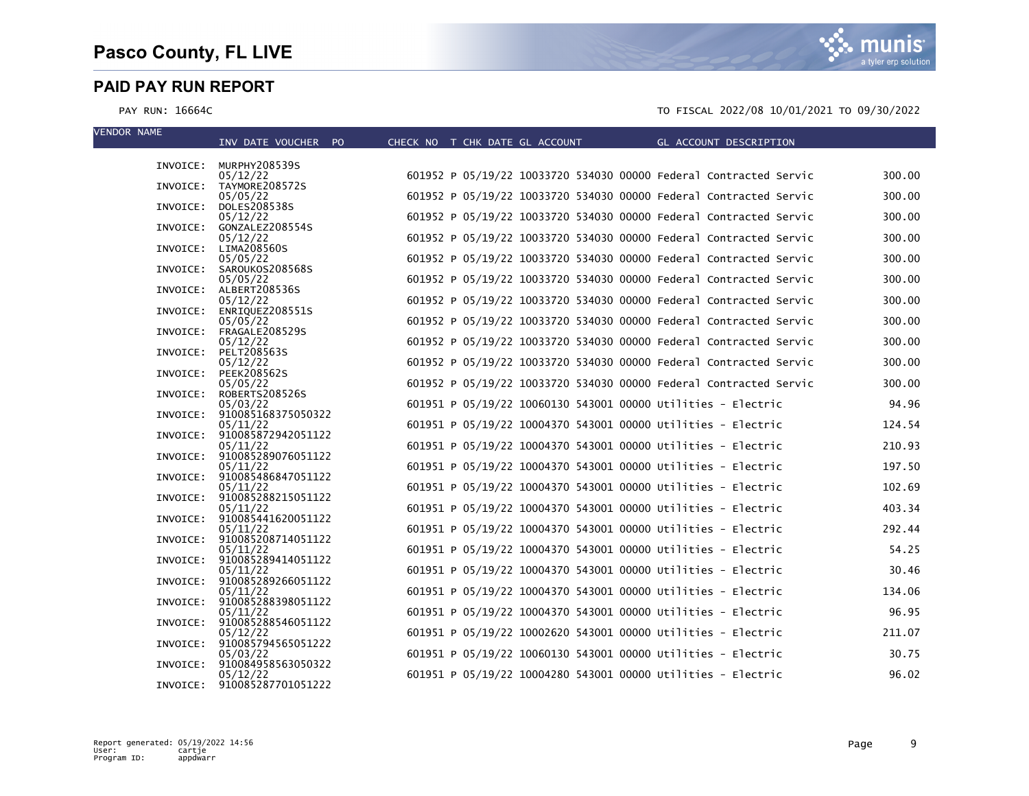VENDOR NAME

munis a tyler erp solution

| INV DATE VOUCHER PO                        | CHECK NO T CHK DATE GL ACCOUNT | GL ACCOUNT DESCRIPTION                                            |        |
|--------------------------------------------|--------------------------------|-------------------------------------------------------------------|--------|
|                                            |                                |                                                                   |        |
| INVOICE: MURPHY208539S                     |                                |                                                                   |        |
| 05/12/22<br>INVOICE: TAYMORE208572S        |                                | 601952 P 05/19/22 10033720 534030 00000 Federal Contracted Servic | 300.00 |
| 05/05/22                                   |                                | 601952 P 05/19/22 10033720 534030 00000 Federal Contracted Servic | 300.00 |
| DOLES208538S<br>INVOICE:                   |                                |                                                                   |        |
| 05/12/22                                   |                                | 601952 P 05/19/22 10033720 534030 00000 Federal Contracted Servic | 300.00 |
| INVOICE:<br>GONZALEZ208554S                |                                |                                                                   |        |
| 05/12/22<br>LIMA208560S<br>INVOICE:        |                                | 601952 P 05/19/22 10033720 534030 00000 Federal Contracted Servic | 300.00 |
| 05/05/22                                   |                                | 601952 P 05/19/22 10033720 534030 00000 Federal Contracted Servic | 300.00 |
| INVOICE: SAROUKOS208568S                   |                                |                                                                   |        |
| 05/05/22                                   |                                | 601952 P 05/19/22 10033720 534030 00000 Federal Contracted Servic | 300.00 |
| INVOICE: ALBERT208536S                     |                                |                                                                   |        |
| 05/12/22                                   |                                | 601952 P 05/19/22 10033720 534030 00000 Federal Contracted Servic | 300.00 |
| ENRIQUEZ208551S<br>INVOICE:<br>05/05/22    |                                | 601952 P 05/19/22 10033720 534030 00000 Federal Contracted Servic | 300.00 |
| FRAGALE208529S<br>INVOICE:                 |                                |                                                                   |        |
| 05/12/22                                   |                                | 601952 P 05/19/22 10033720 534030 00000 Federal Contracted Servic | 300.00 |
| PELT208563S<br>INVOICE:                    |                                |                                                                   |        |
| 05/12/22                                   |                                | 601952 P 05/19/22 10033720 534030 00000 Federal Contracted Servic | 300.00 |
| <b>PEEK208562S</b><br>INVOICE:<br>05/05/22 |                                | 601952 P 05/19/22 10033720 534030 00000 Federal Contracted Servic | 300.00 |
| INVOICE: ROBERTS208526S                    |                                |                                                                   |        |
| 05/03/22                                   |                                | 601951 P 05/19/22 10060130 543001 00000 Utilities - Electric      | 94.96  |
| INVOICE: 910085168375050322                |                                |                                                                   |        |
| 05/11/22                                   |                                | 601951 P 05/19/22 10004370 543001 00000 Utilities - Electric      | 124.54 |
| 910085872942051122<br>INVOICE:<br>05/11/22 |                                | 601951 P 05/19/22 10004370 543001 00000 Utilities - Electric      | 210.93 |
| 910085289076051122<br>INVOICE:             |                                |                                                                   |        |
| 05/11/22                                   |                                | 601951 P 05/19/22 10004370 543001 00000 Utilities - Electric      | 197.50 |
| INVOICE: 910085486847051122                |                                |                                                                   |        |
| 05/11/22                                   |                                | 601951 P 05/19/22 10004370 543001 00000 Utilities - Electric      | 102.69 |
| INVOICE: 910085288215051122                |                                | 601951 P 05/19/22 10004370 543001 00000 Utilities - Electric      | 403.34 |
| 05/11/22<br>910085441620051122<br>INVOICE: |                                |                                                                   |        |
| 05/11/22                                   |                                | 601951 P 05/19/22 10004370 543001 00000 Utilities - Electric      | 292.44 |
| INVOICE: 910085208714051122                |                                |                                                                   |        |
| 05/11/22                                   |                                | 601951 P 05/19/22 10004370 543001 00000 Utilities - Electric      | 54.25  |
| 910085289414051122<br>INVOICE:<br>05/11/22 |                                | 601951 P 05/19/22 10004370 543001 00000 Utilities - Electric      | 30.46  |
| 910085289266051122<br>INVOICE:             |                                |                                                                   |        |
| 05/11/22                                   |                                | 601951 P 05/19/22 10004370 543001 00000 Utilities - Electric      | 134.06 |
| INVOICE: 910085288398051122                |                                |                                                                   |        |
| 05/11/22                                   |                                | 601951 P 05/19/22 10004370 543001 00000 Utilities - Electric      | 96.95  |
| INVOICE: 910085288546051122                |                                | 601951 P 05/19/22 10002620 543001 00000 Utilities - Electric      | 211.07 |
| 05/12/22<br>INVOICE: 910085794565051222    |                                |                                                                   |        |
| 05/03/22                                   |                                | 601951 P 05/19/22 10060130 543001 00000 Utilities - Electric      | 30.75  |
| 910084958563050322<br>INVOICE:             |                                |                                                                   |        |
| 05/12/22                                   |                                | 601951 P 05/19/22 10004280 543001 00000 Utilities - Electric      | 96.02  |
| INVOICE: 910085287701051222                |                                |                                                                   |        |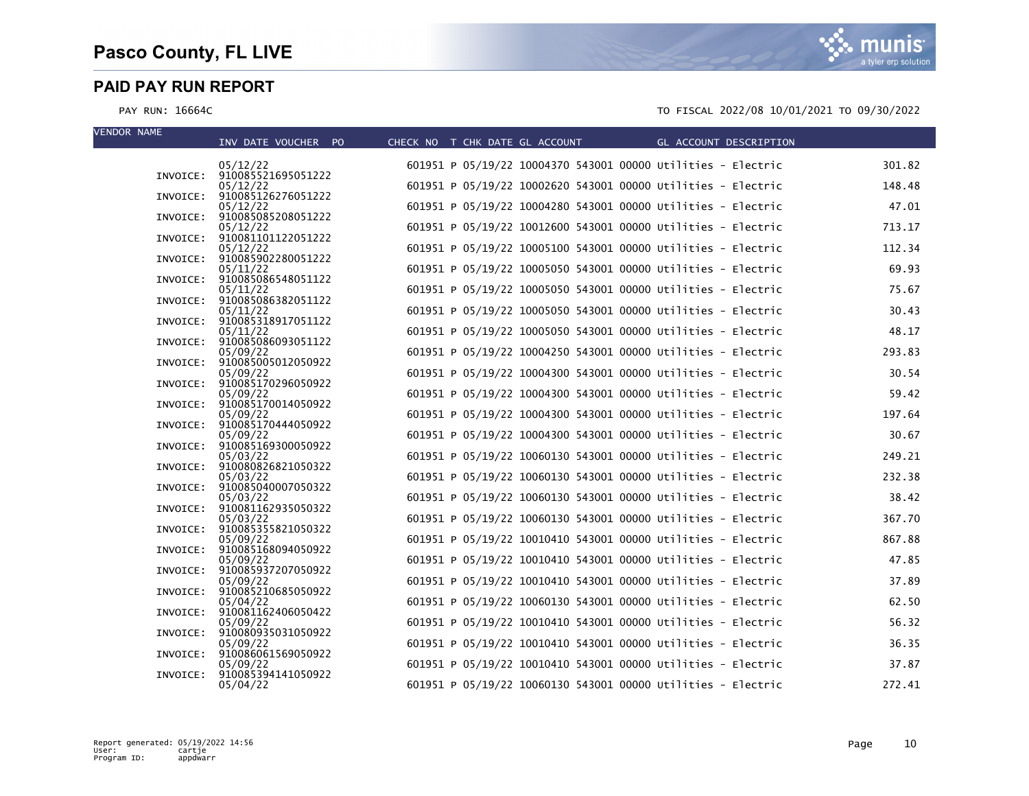| <b>VENDOR NAME</b> | INV DATE VOUCHER PO                     | CHECK NO T CHK DATE GL ACCOUNT | GL ACCOUNT DESCRIPTION                                       |        |
|--------------------|-----------------------------------------|--------------------------------|--------------------------------------------------------------|--------|
|                    | 05/12/22                                |                                | 601951 P 05/19/22 10004370 543001 00000 Utilities - Electric | 301.82 |
|                    | INVOICE: 910085521695051222<br>05/12/22 |                                | 601951 P 05/19/22 10002620 543001 00000 Utilities - Electric | 148.48 |
| INVOICE:           | 910085126276051222<br>05/12/22          |                                | 601951 P 05/19/22 10004280 543001 00000 Utilities - Electric | 47.01  |
|                    | INVOICE: 910085085208051222<br>05/12/22 |                                | 601951 P 05/19/22 10012600 543001 00000 Utilities - Electric | 713.17 |
|                    | INVOICE: 910081101122051222<br>05/12/22 |                                | 601951 P 05/19/22 10005100 543001 00000 Utilities - Electric | 112.34 |
|                    | INVOICE: 910085902280051222<br>05/11/22 |                                | 601951 P 05/19/22 10005050 543001 00000 Utilities - Electric | 69.93  |
|                    | INVOICE: 910085086548051122             |                                |                                                              |        |
|                    | 05/11/22<br>INVOICE: 910085086382051122 |                                | 601951 P 05/19/22 10005050 543001 00000 Utilities - Electric | 75.67  |
|                    | 05/11/22<br>INVOICE: 910085318917051122 |                                | 601951 P 05/19/22 10005050 543001 00000 Utilities - Electric | 30.43  |
|                    | 05/11/22<br>INVOICE: 910085086093051122 |                                | 601951 P 05/19/22 10005050 543001 00000 Utilities - Electric | 48.17  |
|                    | 05/09/22<br>INVOICE: 910085005012050922 |                                | 601951 P 05/19/22 10004250 543001 00000 Utilities - Electric | 293.83 |
|                    | 05/09/22<br>INVOICE: 910085170296050922 |                                | 601951 P 05/19/22 10004300 543001 00000 Utilities - Electric | 30.54  |
|                    | 05/09/22<br>INVOICE: 910085170014050922 |                                | 601951 P 05/19/22 10004300 543001 00000 Utilities - Electric | 59.42  |
|                    | 05/09/22                                |                                | 601951 P 05/19/22 10004300 543001 00000 Utilities - Electric | 197.64 |
|                    | INVOICE: 910085170444050922<br>05/09/22 |                                | 601951 P 05/19/22 10004300 543001 00000 Utilities - Electric | 30.67  |
|                    | INVOICE: 910085169300050922<br>05/03/22 |                                | 601951 P 05/19/22 10060130 543001 00000 Utilities - Electric | 249.21 |
|                    | INVOICE: 910080826821050322<br>05/03/22 |                                | 601951 P 05/19/22 10060130 543001 00000 Utilities - Electric | 232.38 |
|                    | INVOICE: 910085040007050322<br>05/03/22 |                                | 601951 P 05/19/22 10060130 543001 00000 Utilities - Electric | 38.42  |
|                    | INVOICE: 910081162935050322<br>05/03/22 |                                | 601951 P 05/19/22 10060130 543001 00000 Utilities - Electric | 367.70 |
| INVOICE:           | 910085355821050322<br>05/09/22          |                                | 601951 P 05/19/22 10010410 543001 00000 Utilities - Electric | 867.88 |
|                    | INVOICE: 910085168094050922             |                                | 601951 P 05/19/22 10010410 543001 00000 Utilities - Electric | 47.85  |
|                    | 05/09/22<br>INVOICE: 910085937207050922 |                                |                                                              |        |
|                    | 05/09/22<br>INVOICE: 910085210685050922 |                                | 601951 P 05/19/22 10010410 543001 00000 Utilities - Electric | 37.89  |
|                    | 05/04/22<br>INVOICE: 910081162406050422 |                                | 601951 P 05/19/22 10060130 543001 00000 Utilities - Electric | 62.50  |
|                    | 05/09/22<br>INVOICE: 910080935031050922 |                                | 601951 P 05/19/22 10010410 543001 00000 Utilities - Electric | 56.32  |
|                    | 05/09/22<br>INVOICE: 910086061569050922 |                                | 601951 P 05/19/22 10010410 543001 00000 Utilities - Electric | 36.35  |
| INVOICE:           | 05/09/22<br>910085394141050922          |                                | 601951 P 05/19/22 10010410 543001 00000 Utilities - Electric | 37.87  |
|                    | 05/04/22                                |                                | 601951 P 05/19/22 10060130 543001 00000 Utilities - Electric | 272.41 |

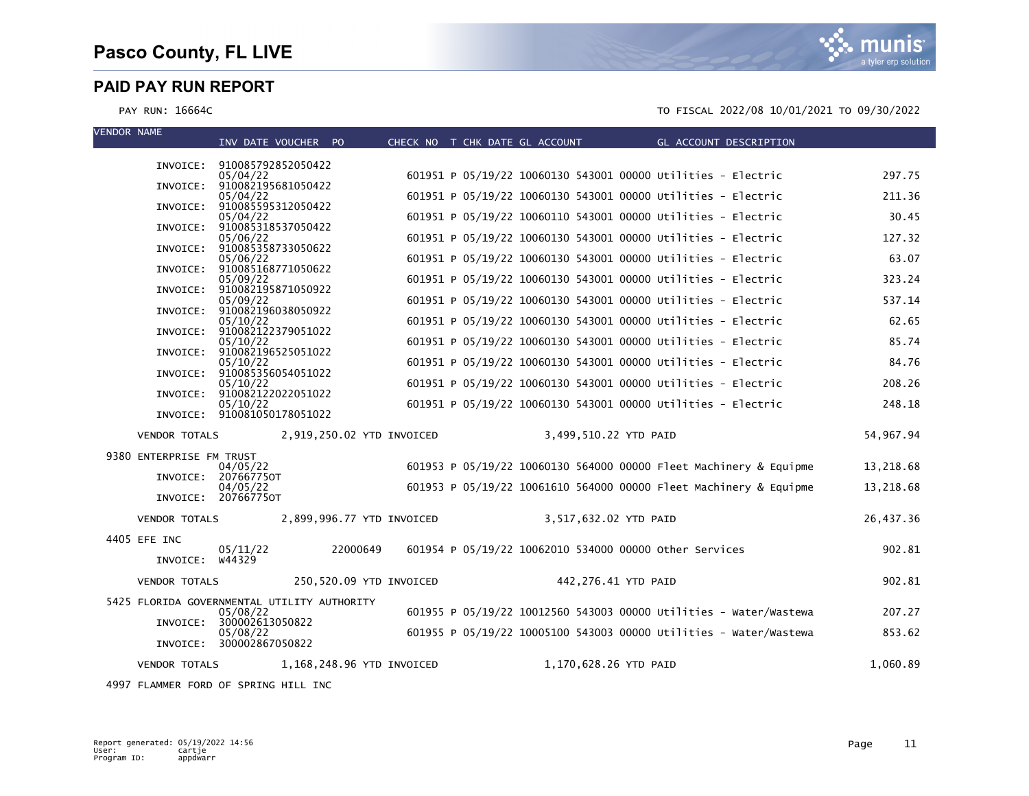PAY RUN: 16664C TO FISCAL 2022/08 10/01/2021 TO 09/30/2022

IS a tyler erp solutior

| <b>VENDOR NAME</b>       |                     | INV DATE VOUCHER PO                         |                           | CHECK NO T CHK DATE GL ACCOUNT |                       |                                                              | GL ACCOUNT DESCRIPTION                                            |           |
|--------------------------|---------------------|---------------------------------------------|---------------------------|--------------------------------|-----------------------|--------------------------------------------------------------|-------------------------------------------------------------------|-----------|
|                          |                     | INVOICE: 910085792852050422                 |                           |                                |                       |                                                              |                                                                   |           |
| INVOICE:                 |                     | 05/04/22<br>910082195681050422              |                           |                                |                       | 601951 P 05/19/22 10060130 543001 00000 Utilities - Electric |                                                                   | 297.75    |
| INVOICE:                 |                     | 05/04/22<br>910085595312050422              |                           |                                |                       | 601951 P 05/19/22 10060130 543001 00000 Utilities - Electric |                                                                   | 211.36    |
| INVOICE:                 |                     | 05/04/22<br>910085318537050422              |                           |                                |                       | 601951 P 05/19/22 10060110 543001 00000 Utilities - Electric |                                                                   | 30.45     |
| INVOICE:                 |                     | 05/06/22<br>910085358733050622              |                           |                                |                       | 601951 P 05/19/22 10060130 543001 00000 Utilities - Electric |                                                                   | 127.32    |
|                          |                     | 05/06/22<br>910085168771050622              |                           |                                |                       | 601951 P 05/19/22 10060130 543001 00000 Utilities - Electric |                                                                   | 63.07     |
| INVOICE:                 |                     | 05/09/22                                    |                           |                                |                       | 601951 P 05/19/22 10060130 543001 00000 Utilities - Electric |                                                                   | 323.24    |
| INVOICE:                 |                     | 910082195871050922<br>05/09/22              |                           |                                |                       | 601951 P 05/19/22 10060130 543001 00000 Utilities - Electric |                                                                   | 537.14    |
| INVOICE:                 |                     | 910082196038050922<br>05/10/22              |                           |                                |                       | 601951 P 05/19/22 10060130 543001 00000 Utilities - Electric |                                                                   | 62.65     |
|                          |                     | INVOICE: 910082122379051022<br>05/10/22     |                           |                                |                       | 601951 P 05/19/22 10060130 543001 00000 Utilities - Electric |                                                                   | 85.74     |
| INVOICE:                 |                     | 910082196525051022<br>05/10/22              |                           |                                |                       | 601951 P 05/19/22 10060130 543001 00000 Utilities - Electric |                                                                   | 84.76     |
| INVOICE:                 |                     | 910085356054051022<br>05/10/22              |                           |                                |                       | 601951 P 05/19/22 10060130 543001 00000 Utilities - Electric |                                                                   | 208.26    |
| INVOICE:                 |                     | 910082122022051022<br>05/10/22              |                           |                                |                       | 601951 P 05/19/22 10060130 543001 00000 Utilities - Electric |                                                                   | 248.18    |
|                          |                     | INVOICE: 910081050178051022                 |                           |                                |                       |                                                              |                                                                   |           |
| <b>VENDOR TOTALS</b>     |                     |                                             | 2,919,250.02 YTD INVOICED |                                | 3,499,510.22 YTD PAID |                                                              |                                                                   | 54,967.94 |
| 9380 ENTERPRISE FM TRUST |                     | 04/05/22                                    |                           |                                |                       |                                                              | 601953 P 05/19/22 10060130 564000 00000 Fleet Machinery & Equipme | 13,218.68 |
| INVOICE:                 |                     | 207667750T                                  |                           |                                |                       |                                                              | 601953 P 05/19/22 10061610 564000 00000 Fleet Machinery & Equipme |           |
|                          | INVOICE: 207667750T | 04/05/22                                    |                           |                                |                       |                                                              |                                                                   | 13,218.68 |
| <b>VENDOR TOTALS</b>     |                     |                                             | 2,899,996.77 YTD INVOICED |                                | 3,517,632.02 YTD PAID |                                                              |                                                                   | 26,437.36 |
| 4405 EFE INC             |                     |                                             |                           |                                |                       |                                                              |                                                                   |           |
|                          | INVOICE: W44329     | 05/11/22                                    | 22000649                  |                                |                       | 601954 P 05/19/22 10062010 534000 00000 other Services       |                                                                   | 902.81    |
| <b>VENDOR TOTALS</b>     |                     |                                             | 250,520.09 YTD INVOICED   |                                | 442,276.41 YTD PAID   |                                                              |                                                                   | 902.81    |
|                          |                     | 5425 FLORIDA GOVERNMENTAL UTILITY AUTHORITY |                           |                                |                       |                                                              |                                                                   |           |
| INVOICE:                 |                     | 05/08/22<br>300002613050822                 |                           |                                |                       |                                                              | 601955 P 05/19/22 10012560 543003 00000 Utilities - Water/Wastewa | 207.27    |
| INVOICE:                 |                     | 05/08/22<br>300002867050822                 |                           |                                |                       |                                                              | 601955 P 05/19/22 10005100 543003 00000 Utilities - Water/Wastewa | 853.62    |
| <b>VENDOR TOTALS</b>     |                     |                                             | 1,168,248.96 YTD INVOICED |                                | 1,170,628.26 YTD PAID |                                                              |                                                                   | 1,060.89  |
|                          |                     |                                             |                           |                                |                       |                                                              |                                                                   |           |

4997 FLAMMER FORD OF SPRING HILL INC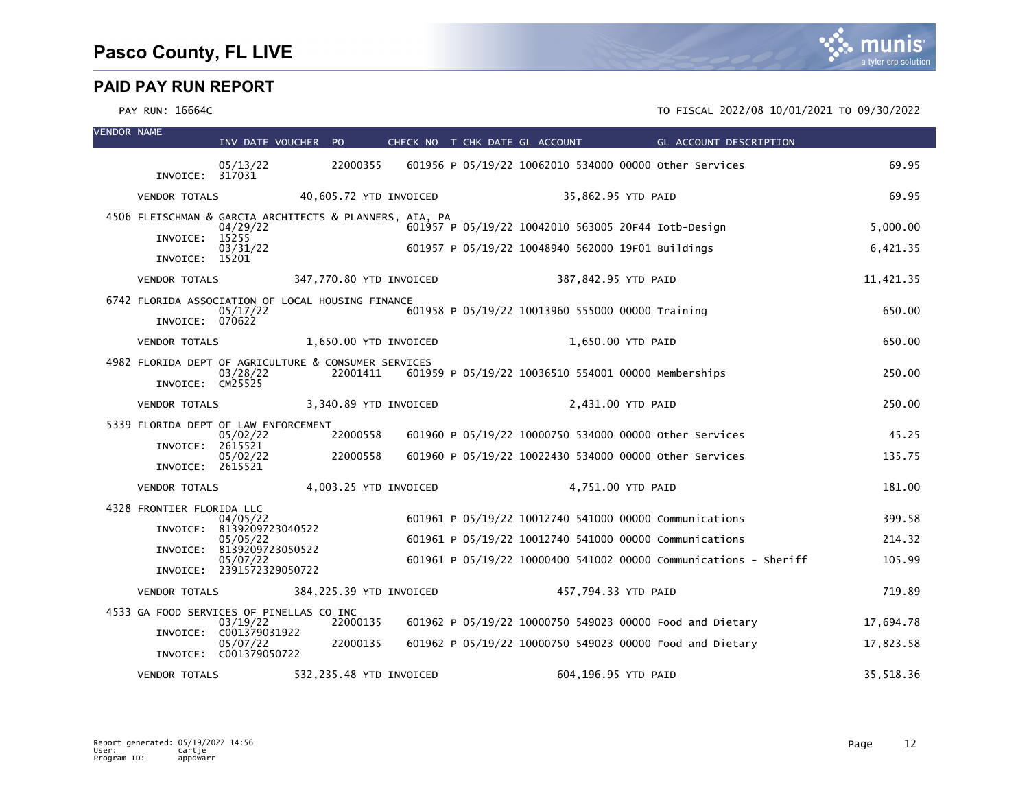| <b>VENDOR NAME</b> |                                                                      | INV DATE VOUCHER PO          |                         |                         | CHECK NO T CHK DATE GL ACCOUNT                         | GL ACCOUNT DESCRIPTION                                           |           |
|--------------------|----------------------------------------------------------------------|------------------------------|-------------------------|-------------------------|--------------------------------------------------------|------------------------------------------------------------------|-----------|
|                    | INVOICE: 317031                                                      | 05/13/22                     | 22000355                |                         | 601956 P 05/19/22 10062010 534000 00000 other Services |                                                                  | 69.95     |
|                    | <b>VENDOR TOTALS</b>                                                 |                              | 40,605.72 YTD INVOICED  |                         | 35,862.95 YTD PAID                                     |                                                                  | 69.95     |
|                    | 4506 FLEISCHMAN & GARCIA ARCHITECTS & PLANNERS, AIA, PA              | 04/29/22                     |                         |                         | 601957 P 05/19/22 10042010 563005 20F44 Iotb-Design    |                                                                  | 5,000.00  |
|                    | INVOICE:<br>INVOICE: 15201                                           | 15255<br>03/31/22            |                         |                         | 601957 P 05/19/22 10048940 562000 19F01 Buildings      |                                                                  | 6,421.35  |
|                    | <b>VENDOR TOTALS</b>                                                 |                              |                         | 347,770.80 YTD INVOICED | 387,842.95 YTD PAID                                    |                                                                  | 11,421.35 |
|                    | 6742 FLORIDA ASSOCIATION OF LOCAL HOUSING FINANCE<br>INVOICE: 070622 | 05/17/22                     |                         |                         | 601958 P 05/19/22 10013960 555000 00000 Training       |                                                                  | 650.00    |
|                    | <b>VENDOR TOTALS</b>                                                 |                              | 1,650.00 YTD INVOICED   |                         | 1,650.00 YTD PAID                                      |                                                                  | 650.00    |
|                    | 4982 FLORIDA DEPT OF AGRICULTURE & CONSUMER SERVICES                 | 03/28/22                     | 22001411                |                         | 601959 P 05/19/22 10036510 554001 00000 Memberships    |                                                                  | 250.00    |
|                    | INVOICE: CM25525                                                     |                              |                         |                         |                                                        |                                                                  |           |
|                    | <b>VENDOR TOTALS</b>                                                 |                              | 3,340.89 YTD INVOICED   |                         | 2,431.00 YTD PAID                                      |                                                                  | 250.00    |
|                    | 5339 FLORIDA DEPT OF LAW ENFORCEMENT                                 | 05/02/22                     | 22000558                |                         | 601960 P 05/19/22 10000750 534000 00000 other Services |                                                                  | 45.25     |
|                    | INVOICE:<br>INVOICE: 2615521                                         | 2615521<br>05/02/22          | 22000558                |                         | 601960 P 05/19/22 10022430 534000 00000 other Services |                                                                  | 135.75    |
|                    | <b>VENDOR TOTALS</b>                                                 |                              | 4,003.25 YTD INVOICED   |                         | 4,751.00 YTD PAID                                      |                                                                  | 181.00    |
|                    | 4328 FRONTIER FLORIDA LLC                                            | 04/05/22                     |                         |                         | 601961 P 05/19/22 10012740 541000 00000 Communications |                                                                  | 399.58    |
|                    | INVOICE: 8139209723040522                                            | 05/05/22                     |                         |                         | 601961 P 05/19/22 10012740 541000 00000 Communications |                                                                  | 214.32    |
|                    | INVOICE:                                                             | 8139209723050522<br>05/07/22 |                         |                         |                                                        | 601961 P 05/19/22 10000400 541002 00000 Communications - Sheriff | 105.99    |
|                    | INVOICE: 2391572329050722                                            |                              |                         |                         |                                                        |                                                                  |           |
|                    | <b>VENDOR TOTALS</b>                                                 |                              | 384,225.39 YTD INVOICED |                         | 457,794.33 YTD PAID                                    |                                                                  | 719.89    |
|                    | 4533 GA FOOD SERVICES OF PINELLAS CO INC                             | 03/19/22                     | 22000135                |                         |                                                        | 601962 P 05/19/22 10000750 549023 00000 Food and Dietary         | 17,694.78 |
|                    | INVOICE: C001379031922<br>INVOICE: C001379050722                     | 05/07/22                     | 22000135                |                         |                                                        | 601962 P 05/19/22 10000750 549023 00000 Food and Dietary         | 17,823.58 |
|                    | <b>VENDOR TOTALS</b>                                                 |                              | 532,235.48 YTD INVOICED |                         | 604,196.95 YTD PAID                                    |                                                                  | 35,518.36 |

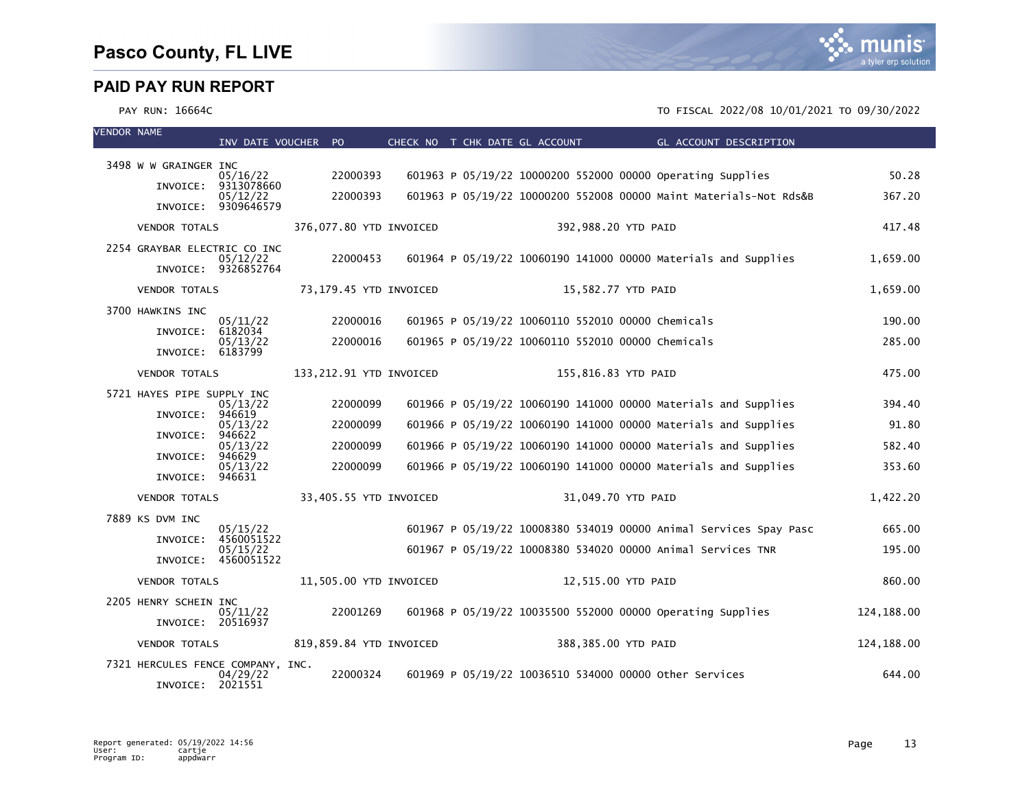| <b>VENDOR NAME</b> |                                   | INV DATE VOUCHER PO    |                         |  | CHECK NO T CHK DATE GL ACCOUNT                             | GL ACCOUNT DESCRIPTION                                            |            |
|--------------------|-----------------------------------|------------------------|-------------------------|--|------------------------------------------------------------|-------------------------------------------------------------------|------------|
|                    |                                   |                        |                         |  |                                                            |                                                                   |            |
|                    | 3498 W W GRAINGER INC             | 05/16/22               | 22000393                |  | 601963 P 05/19/22 10000200 552000 00000 Operating Supplies |                                                                   | 50.28      |
|                    | INVOICE:                          | 9313078660<br>05/12/22 | 22000393                |  |                                                            | 601963 P 05/19/22 10000200 552008 00000 Maint Materials-Not Rds&B | 367.20     |
|                    |                                   | INVOICE: 9309646579    |                         |  |                                                            |                                                                   |            |
|                    | <b>VENDOR TOTALS</b>              |                        | 376,077.80 YTD INVOICED |  | 392,988.20 YTD PAID                                        |                                                                   | 417.48     |
|                    | 2254 GRAYBAR ELECTRIC CO INC      | 05/12/22               | 22000453                |  |                                                            | 601964 P 05/19/22 10060190 141000 00000 Materials and Supplies    | 1,659.00   |
|                    |                                   | INVOICE: 9326852764    |                         |  |                                                            |                                                                   |            |
|                    | <b>VENDOR TOTALS</b>              |                        | 73,179.45 YTD INVOICED  |  | 15,582.77 YTD PAID                                         |                                                                   | 1,659.00   |
|                    | 3700 HAWKINS INC                  |                        |                         |  |                                                            |                                                                   |            |
|                    | INVOICE:                          | 05/11/22<br>6182034    | 22000016                |  | 601965 P 05/19/22 10060110 552010 00000 Chemicals          |                                                                   | 190.00     |
|                    | INVOICE: 6183799                  | 05/13/22               | 22000016                |  | 601965 P 05/19/22 10060110 552010 00000 Chemicals          |                                                                   | 285.00     |
|                    | <b>VENDOR TOTALS</b>              |                        | 133,212.91 YTD INVOICED |  | 155,816.83 YTD PAID                                        |                                                                   | 475.00     |
|                    | 5721 HAYES PIPE SUPPLY INC        |                        |                         |  |                                                            |                                                                   |            |
|                    | INVOICE:                          | 05/13/22<br>946619     | 22000099                |  |                                                            | 601966 P 05/19/22 10060190 141000 00000 Materials and Supplies    | 394.40     |
|                    |                                   | 05/13/22<br>946622     | 22000099                |  |                                                            | 601966 P 05/19/22 10060190 141000 00000 Materials and Supplies    | 91.80      |
|                    | INVOICE:                          | 05/13/22               | 22000099                |  |                                                            | 601966 P 05/19/22 10060190 141000 00000 Materials and Supplies    | 582.40     |
|                    | INVOICE:                          | 946629<br>05/13/22     | 22000099                |  |                                                            | 601966 P 05/19/22 10060190 141000 00000 Materials and Supplies    | 353.60     |
|                    | INVOICE:                          | 946631                 |                         |  |                                                            |                                                                   |            |
|                    | <b>VENDOR TOTALS</b>              |                        | 33,405.55 YTD INVOICED  |  | 31,049.70 YTD PAID                                         |                                                                   | 1,422.20   |
|                    | 7889 KS DVM INC                   | 05/15/22               |                         |  |                                                            | 601967 P 05/19/22 10008380 534019 00000 Animal Services Spay Pasc | 665.00     |
|                    | INVOICE:                          | 4560051522<br>05/15/22 |                         |  |                                                            | 601967 P 05/19/22 10008380 534020 00000 Animal Services TNR       | 195.00     |
|                    |                                   | INVOICE: 4560051522    |                         |  |                                                            |                                                                   |            |
|                    | <b>VENDOR TOTALS</b>              |                        | 11,505.00 YTD INVOICED  |  | 12,515.00 YTD PAID                                         |                                                                   | 860.00     |
|                    | 2205 HENRY SCHEIN INC             | 05/11/22               | 22001269                |  | 601968 P 05/19/22 10035500 552000 00000 Operating Supplies |                                                                   | 124,188.00 |
|                    | INVOICE: 20516937                 |                        |                         |  |                                                            |                                                                   |            |
|                    | <b>VENDOR TOTALS</b>              |                        | 819,859.84 YTD INVOICED |  | 388,385.00 YTD PAID                                        |                                                                   | 124,188.00 |
|                    | 7321 HERCULES FENCE COMPANY, INC. |                        |                         |  |                                                            |                                                                   |            |
|                    | INVOICE:                          | 04/29/22<br>2021551    | 22000324                |  | 601969 P 05/19/22 10036510 534000 00000 other Services     |                                                                   | 644.00     |

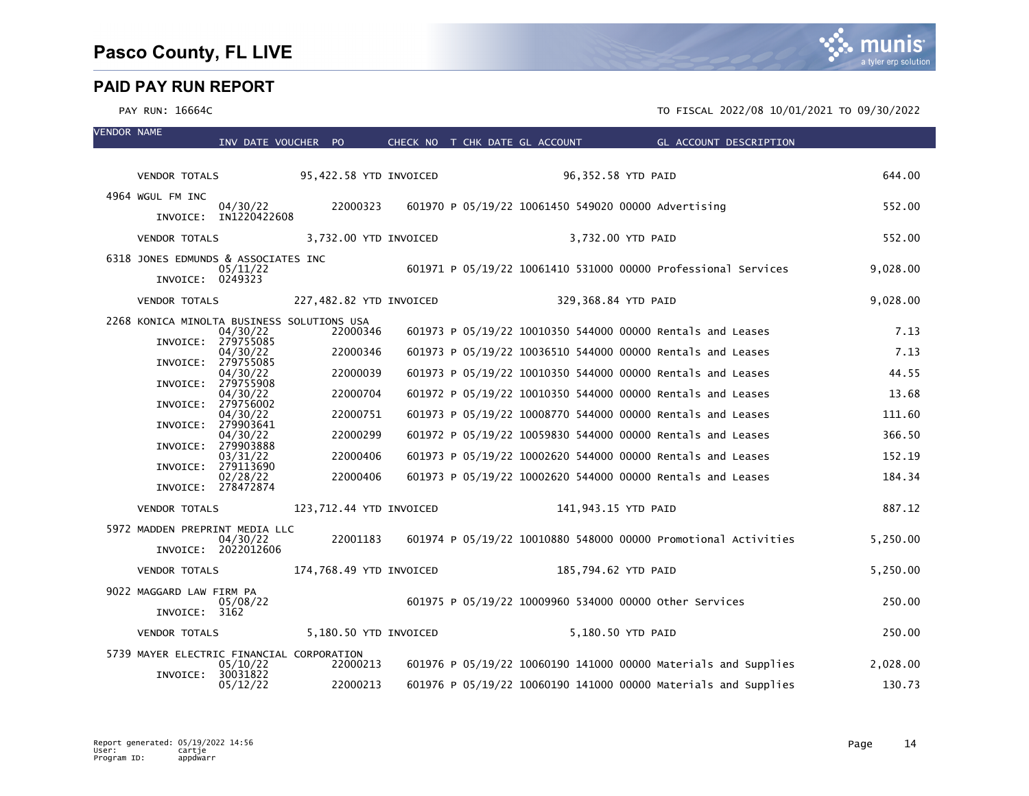| <b>VENDOR NAME</b> |                                            | INV DATE VOUCHER PO               |          |                         |                     | CHECK NO T CHK DATE GL ACCOUNT THE GL ACCOUNT DESCRIPTION      |          |
|--------------------|--------------------------------------------|-----------------------------------|----------|-------------------------|---------------------|----------------------------------------------------------------|----------|
|                    |                                            |                                   |          |                         |                     |                                                                |          |
|                    | VENDOR TOTALS 95,422.58 YTD INVOICED       |                                   |          |                         |                     | 96,352.58 YTD PAID                                             | 644.00   |
|                    | 4964 WGUL FM INC                           | 04/30/22<br>INVOICE: IN1220422608 | 22000323 |                         |                     | 601970 P 05/19/22 10061450 549020 00000 Advertising            | 552.00   |
|                    |                                            |                                   |          |                         |                     |                                                                |          |
|                    | <b>VENDOR TOTALS</b>                       |                                   |          | 3,732.00 YTD INVOICED   |                     | 3,732.00 YTD PAID                                              | 552.00   |
|                    | 6318 JONES EDMUNDS & ASSOCIATES INC        | 05/11/22                          |          |                         |                     | 601971 P 05/19/22 10061410 531000 00000 Professional Services  | 9,028.00 |
|                    | INVOICE: 0249323                           |                                   |          |                         |                     |                                                                |          |
|                    | <b>VENDOR TOTALS</b>                       |                                   |          | 227,482.82 YTD INVOICED |                     | 329,368.84 YTD PAID                                            | 9,028.00 |
|                    | 2268 KONICA MINOLTA BUSINESS SOLUTIONS USA | 04/30/22                          | 22000346 |                         |                     | 601973 P 05/19/22 10010350 544000 00000 Rentals and Leases     | 7.13     |
|                    |                                            | INVOICE: 279755085<br>04/30/22    | 22000346 |                         |                     | 601973 P 05/19/22 10036510 544000 00000 Rentals and Leases     | 7.13     |
|                    |                                            | INVOICE: 279755085<br>04/30/22    | 22000039 |                         |                     | 601973 P 05/19/22 10010350 544000 00000 Rentals and Leases     | 44.55    |
|                    |                                            | INVOICE: 279755908<br>04/30/22    | 22000704 |                         |                     | 601972 P 05/19/22 10010350 544000 00000 Rentals and Leases     | 13.68    |
|                    |                                            | INVOICE: 279756002                | 22000751 |                         |                     | 601973 P 05/19/22 10008770 544000 00000 Rentals and Leases     | 111.60   |
|                    |                                            | 04/30/22<br>INVOICE: 279903641    |          |                         |                     |                                                                |          |
|                    |                                            | 04/30/22<br>INVOICE: 279903888    | 22000299 |                         |                     | 601972 P 05/19/22 10059830 544000 00000 Rentals and Leases     | 366.50   |
|                    |                                            | 03/31/22<br>INVOICE: 279113690    | 22000406 |                         |                     | 601973 P 05/19/22 10002620 544000 00000 Rentals and Leases     | 152.19   |
|                    |                                            | 02/28/22<br>INVOICE: 278472874    | 22000406 |                         |                     | 601973 P 05/19/22 10002620 544000 00000 Rentals and Leases     | 184.34   |
|                    | <b>VENDOR TOTALS</b>                       |                                   |          | 123,712.44 YTD INVOICED |                     | 141,943.15 YTD PAID                                            | 887.12   |
|                    | 5972 MADDEN PREPRINT MEDIA LLC             | 04/30/22<br>INVOICE: 2022012606   | 22001183 |                         |                     | 601974 P 05/19/22 10010880 548000 00000 Promotional Activities | 5,250.00 |
|                    | <b>VENDOR TOTALS</b>                       |                                   |          | 174,768.49 YTD INVOICED | 185,794.62 YTD PAID |                                                                | 5,250.00 |
|                    |                                            |                                   |          |                         |                     |                                                                |          |
|                    | 9022 MAGGARD LAW FIRM PA                   | 05/08/22                          |          |                         |                     | 601975 P 05/19/22 10009960 534000 00000 other Services         | 250.00   |
|                    | INVOICE: 3162                              |                                   |          |                         |                     |                                                                |          |
|                    | <b>VENDOR TOTALS</b>                       |                                   |          | 5,180.50 YTD INVOICED   |                     | 5,180.50 YTD PAID                                              | 250.00   |
|                    | 5739 MAYER ELECTRIC FINANCIAL CORPORATION  | 05/10/22                          | 22000213 |                         |                     | 601976 P 05/19/22 10060190 141000 00000 Materials and Supplies | 2,028.00 |
|                    | INVOICE:                                   | 30031822<br>05/12/22              | 22000213 |                         |                     | 601976 P 05/19/22 10060190 141000 00000 Materials and Supplies | 130.73   |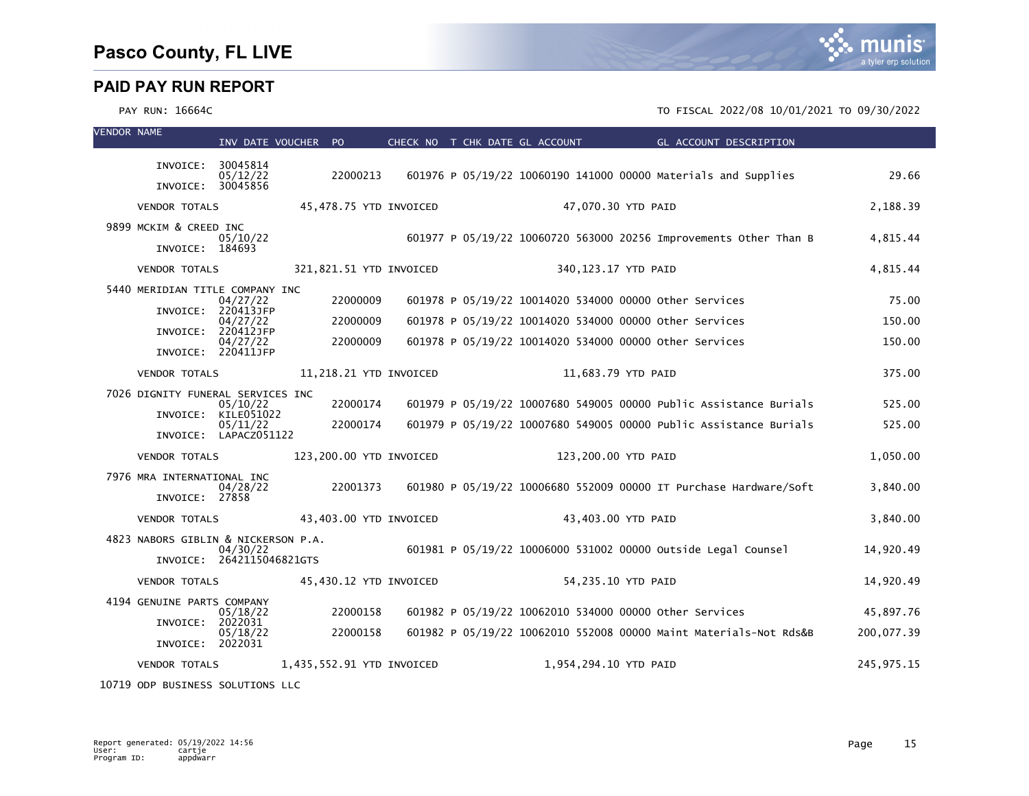

### PAY RUN: 16664C TO FISCAL 2022/08 10/01/2021 TO 09/30/2022

| <b>VENDOR NAME</b> |                                           | INV DATE VOUCHER PO                   |                           |  | CHECK NO T CHK DATE GL ACCOUNT |                    | <b>Example 2</b> GL ACCOUNT DESCRIPTION                           |              |
|--------------------|-------------------------------------------|---------------------------------------|---------------------------|--|--------------------------------|--------------------|-------------------------------------------------------------------|--------------|
|                    | INVOICE:                                  | 30045814<br>05/12/22                  | 22000213                  |  |                                |                    | 601976 P 05/19/22 10060190 141000 00000 Materials and Supplies    | 29.66        |
|                    | INVOICE:                                  | 30045856                              |                           |  |                                |                    |                                                                   |              |
|                    | <b>VENDOR TOTALS</b>                      |                                       | 45,478.75 YTD INVOICED    |  |                                | 47,070.30 YTD PAID |                                                                   | 2,188.39     |
|                    | 9899 MCKIM & CREED INC<br>INVOICE: 184693 | 05/10/22                              |                           |  |                                |                    | 601977 P 05/19/22 10060720 563000 20256 Improvements Other Than B | 4,815.44     |
|                    | <b>VENDOR TOTALS</b>                      |                                       | 321,821.51 YTD INVOICED   |  | 340,123.17 YTD PAID            |                    |                                                                   | 4.815.44     |
|                    | 5440 MERIDIAN TITLE COMPANY INC           |                                       |                           |  |                                |                    |                                                                   |              |
|                    | INVOICE:                                  | 04/27/22<br>220413JFP                 | 22000009                  |  |                                |                    | 601978 P 05/19/22 10014020 534000 00000 other Services            | 75.00        |
|                    | INVOICE:                                  | 04/27/22<br>220412JFP                 | 22000009                  |  |                                |                    | 601978 P 05/19/22 10014020 534000 00000 other Services            | 150.00       |
|                    |                                           | 04/27/22<br>INVOICE: 220411JFP        | 22000009                  |  |                                |                    | 601978 P 05/19/22 10014020 534000 00000 other Services            | 150.00       |
|                    | <b>VENDOR TOTALS</b>                      |                                       | 11,218.21 YTD INVOICED    |  |                                | 11,683.79 YTD PAID |                                                                   | 375.00       |
|                    | 7026 DIGNITY FUNERAL SERVICES INC         |                                       |                           |  |                                |                    |                                                                   |              |
|                    | INVOICE:                                  | 05/10/22<br>KILE051022                | 22000174                  |  |                                |                    | 601979 P 05/19/22 10007680 549005 00000 Public Assistance Burials | 525.00       |
|                    |                                           | 05/11/22<br>INVOICE: LAPACZ051122     | 22000174                  |  |                                |                    | 601979 P 05/19/22 10007680 549005 00000 Public Assistance Burials | 525.00       |
|                    | <b>VENDOR TOTALS</b>                      |                                       | 123,200.00 YTD INVOICED   |  | 123,200.00 YTD PAID            |                    |                                                                   | 1,050.00     |
|                    | 7976 MRA INTERNATIONAL INC                | 04/28/22                              | 22001373                  |  |                                |                    | 601980 P 05/19/22 10006680 552009 00000 IT Purchase Hardware/Soft | 3,840.00     |
|                    | INVOICE: 27858                            |                                       |                           |  |                                |                    |                                                                   |              |
|                    | <b>VENDOR TOTALS</b>                      |                                       | 43,403.00 YTD INVOICED    |  |                                | 43,403.00 YTD PAID |                                                                   | 3.840.00     |
|                    | 4823 NABORS GIBLIN & NICKERSON P.A.       |                                       |                           |  |                                |                    | 601981 P 05/19/22 10006000 531002 00000 Outside Legal Counsel     | 14,920.49    |
|                    |                                           | 04/30/22<br>INVOICE: 2642115046821GTS |                           |  |                                |                    |                                                                   |              |
|                    | <b>VENDOR TOTALS</b>                      |                                       | 45,430.12 YTD INVOICED    |  |                                | 54,235.10 YTD PAID |                                                                   | 14,920.49    |
|                    | 4194 GENUINE PARTS COMPANY                | 05/18/22                              | 22000158                  |  |                                |                    | 601982 P 05/19/22 10062010 534000 00000 Other Services            | 45,897.76    |
|                    | INVOICE:                                  | 2022031<br>05/18/22                   | 22000158                  |  |                                |                    | 601982 P 05/19/22 10062010 552008 00000 Maint Materials-Not Rds&B | 200,077.39   |
|                    | INVOICE: 2022031                          |                                       |                           |  |                                |                    |                                                                   |              |
|                    | <b>VENDOR TOTALS</b>                      |                                       | 1,435,552.91 YTD INVOICED |  | 1,954,294.10 YTD PAID          |                    |                                                                   | 245, 975. 15 |

10719 ODP BUSINESS SOLUTIONS LLC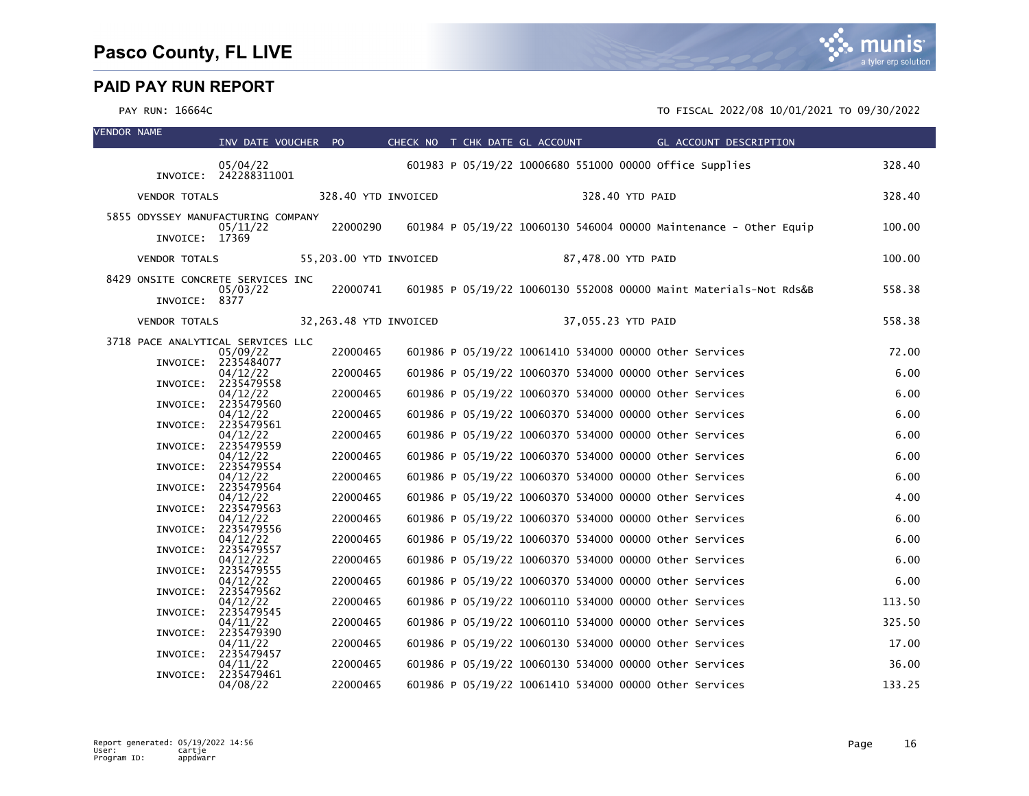| <b>VENDOR NAME</b> |                      | INV DATE VOUCHER PO                           |                        | CHECK NO T CHK DATE GL ACCOUNT |  |                    |                                                         | GL ACCOUNT DESCRIPTION                                            |        |
|--------------------|----------------------|-----------------------------------------------|------------------------|--------------------------------|--|--------------------|---------------------------------------------------------|-------------------------------------------------------------------|--------|
|                    |                      | 05/04/22<br>INVOICE: 242288311001             |                        |                                |  |                    | 601983 P 05/19/22 10006680 551000 00000 office supplies |                                                                   | 328.40 |
|                    | <b>VENDOR TOTALS</b> |                                               | 328.40 YTD INVOICED    |                                |  | 328.40 YTD PAID    |                                                         |                                                                   | 328.40 |
|                    |                      | 5855 ODYSSEY MANUFACTURING COMPANY            |                        |                                |  |                    |                                                         |                                                                   |        |
|                    | INVOICE: 17369       | 05/11/22                                      | 22000290               |                                |  |                    |                                                         | 601984 P 05/19/22 10060130 546004 00000 Maintenance - Other Equip | 100.00 |
|                    | <b>VENDOR TOTALS</b> |                                               | 55,203.00 YTD INVOICED |                                |  | 87,478.00 YTD PAID |                                                         |                                                                   | 100.00 |
|                    |                      | 8429 ONSITE CONCRETE SERVICES INC<br>05/03/22 | 22000741               |                                |  |                    |                                                         | 601985 P 05/19/22 10060130 552008 00000 Maint Materials-Not Rds&B | 558.38 |
|                    | INVOICE: 8377        |                                               |                        |                                |  |                    |                                                         |                                                                   |        |
|                    | <b>VENDOR TOTALS</b> |                                               | 32,263.48 YTD INVOICED |                                |  | 37,055.23 YTD PAID |                                                         |                                                                   | 558.38 |
|                    |                      | 3718 PACE ANALYTICAL SERVICES LLC<br>05/09/22 | 22000465               |                                |  |                    | 601986 P 05/19/22 10061410 534000 00000 other Services  |                                                                   | 72.00  |
|                    |                      | INVOICE: 2235484077<br>04/12/22               | 22000465               |                                |  |                    | 601986 P 05/19/22 10060370 534000 00000 other Services  |                                                                   | 6.00   |
|                    |                      | INVOICE: 2235479558<br>04/12/22               | 22000465               |                                |  |                    | 601986 P 05/19/22 10060370 534000 00000 other Services  |                                                                   | 6.00   |
|                    |                      | INVOICE: 2235479560<br>04/12/22               | 22000465               |                                |  |                    | 601986 P 05/19/22 10060370 534000 00000 other Services  |                                                                   | 6.00   |
|                    |                      | INVOICE: 2235479561                           |                        |                                |  |                    |                                                         |                                                                   |        |
|                    |                      | 04/12/22<br>INVOICE: 2235479559               | 22000465               |                                |  |                    | 601986 P 05/19/22 10060370 534000 00000 other Services  |                                                                   | 6.00   |
|                    |                      | 04/12/22<br>INVOICE: 2235479554               | 22000465               |                                |  |                    | 601986 P 05/19/22 10060370 534000 00000 other Services  |                                                                   | 6.00   |
|                    |                      | 04/12/22<br>INVOICE: 2235479564               | 22000465               |                                |  |                    | 601986 P 05/19/22 10060370 534000 00000 Other Services  |                                                                   | 6.00   |
|                    |                      | 04/12/22<br>INVOICE: 2235479563               | 22000465               |                                |  |                    | 601986 P 05/19/22 10060370 534000 00000 other Services  |                                                                   | 4.00   |
|                    | INVOICE:             | 04/12/22<br>2235479556                        | 22000465               |                                |  |                    | 601986 P 05/19/22 10060370 534000 00000 other Services  |                                                                   | 6.00   |
|                    |                      | 04/12/22<br>INVOICE: 2235479557               | 22000465               |                                |  |                    | 601986 P 05/19/22 10060370 534000 00000 other Services  |                                                                   | 6.00   |
|                    |                      | 04/12/22                                      | 22000465               |                                |  |                    | 601986 P 05/19/22 10060370 534000 00000 other Services  |                                                                   | 6.00   |
|                    |                      | INVOICE: 2235479555<br>04/12/22               | 22000465               |                                |  |                    | 601986 P 05/19/22 10060370 534000 00000 other Services  |                                                                   | 6.00   |
|                    | INVOICE:             | 2235479562<br>04/12/22                        | 22000465               |                                |  |                    | 601986 P 05/19/22 10060110 534000 00000 other Services  |                                                                   | 113.50 |
|                    | INVOICE:             | 2235479545<br>04/11/22                        | 22000465               |                                |  |                    | 601986 P 05/19/22 10060110 534000 00000 other Services  |                                                                   | 325.50 |
|                    |                      | INVOICE: 2235479390<br>04/11/22               | 22000465               |                                |  |                    | 601986 P 05/19/22 10060130 534000 00000 Other Services  |                                                                   | 17.00  |
|                    |                      | INVOICE: 2235479457<br>04/11/22               | 22000465               |                                |  |                    | 601986 P 05/19/22 10060130 534000 00000 other Services  |                                                                   | 36.00  |
|                    | INVOICE:             | 2235479461<br>04/08/22                        | 22000465               |                                |  |                    | 601986 P 05/19/22 10061410 534000 00000 other Services  |                                                                   | 133.25 |

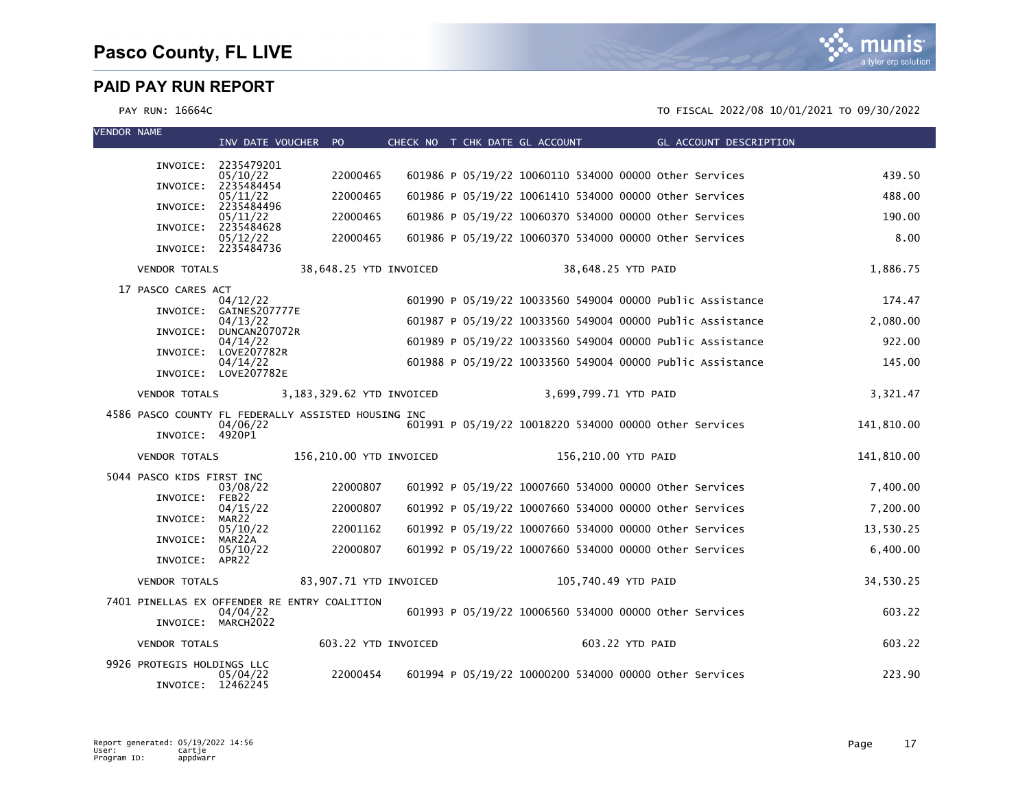

| <b>VENDOR NAME</b> |                            | INV DATE VOUCHER PO              |                                                     |  | CHECK NO T CHK DATE GL ACCOUNT | <b>GL ACCOUNT DESCRIPTION</b>                             |            |
|--------------------|----------------------------|----------------------------------|-----------------------------------------------------|--|--------------------------------|-----------------------------------------------------------|------------|
|                    | INVOICE:                   | 2235479201                       |                                                     |  |                                |                                                           |            |
|                    |                            | 05/10/22<br>2235484454           | 22000465                                            |  |                                | 601986 P 05/19/22 10060110 534000 00000 other Services    | 439.50     |
|                    | INVOICE:                   | 05/11/22                         | 22000465                                            |  |                                | 601986 P 05/19/22 10061410 534000 00000 other Services    | 488.00     |
|                    | INVOICE:                   | 2235484496<br>05/11/22           | 22000465                                            |  |                                | 601986 P 05/19/22 10060370 534000 00000 other Services    | 190.00     |
|                    | INVOICE:                   | 2235484628<br>05/12/22           | 22000465                                            |  |                                | 601986 P 05/19/22 10060370 534000 00000 Other Services    | 8.00       |
|                    |                            | INVOICE: 2235484736              |                                                     |  |                                |                                                           |            |
|                    | <b>VENDOR TOTALS</b>       |                                  | 38,648.25 YTD INVOICED                              |  |                                | 38,648.25 YTD PAID                                        | 1,886.75   |
|                    | 17 PASCO CARES ACT         | 04/12/22                         |                                                     |  |                                | 601990 P 05/19/22 10033560 549004 00000 Public Assistance | 174.47     |
|                    | INVOICE:                   | GAINES207777E<br>04/13/22        |                                                     |  |                                | 601987 P 05/19/22 10033560 549004 00000 Public Assistance | 2.080.00   |
|                    | INVOICE:                   | DUNCAN207072R<br>04/14/22        |                                                     |  |                                | 601989 P 05/19/22 10033560 549004 00000 Public Assistance | 922.00     |
|                    | INVOICE:                   | LOVE207782R                      |                                                     |  |                                |                                                           |            |
|                    |                            | 04/14/22<br>INVOICE: LOVE207782E |                                                     |  |                                | 601988 P 05/19/22 10033560 549004 00000 Public Assistance | 145.00     |
|                    | <b>VENDOR TOTALS</b>       |                                  | 3,183,329.62 YTD INVOICED                           |  | 3,699,799.71 YTD PAID          |                                                           | 3,321.47   |
|                    |                            |                                  | 4586 PASCO COUNTY FL FEDERALLY ASSISTED HOUSING INC |  |                                |                                                           |            |
|                    | INVOICE: 4920P1            | 04/06/22                         |                                                     |  |                                | 601991 P 05/19/22 10018220 534000 00000 other Services    | 141,810.00 |
|                    | <b>VENDOR TOTALS</b>       |                                  | 156,210.00 YTD INVOICED                             |  | 156,210.00 YTD PAID            |                                                           | 141,810.00 |
|                    | 5044 PASCO KIDS FIRST INC  |                                  |                                                     |  |                                |                                                           |            |
|                    | INVOICE: FEB22             | 03/08/22                         | 22000807                                            |  |                                | 601992 P 05/19/22 10007660 534000 00000 other Services    | 7,400.00   |
|                    | INVOICE:                   | 04/15/22<br>MAR22                | 22000807                                            |  |                                | 601992 P 05/19/22 10007660 534000 00000 other Services    | 7,200.00   |
|                    |                            | 05/10/22                         | 22001162                                            |  |                                | 601992 P 05/19/22 10007660 534000 00000 other Services    | 13,530.25  |
|                    | INVOICE:                   | MAR22A<br>05/10/22               | 22000807                                            |  |                                | 601992 P 05/19/22 10007660 534000 00000 Other Services    | 6,400.00   |
|                    | INVOICE: APR22             |                                  |                                                     |  |                                |                                                           |            |
|                    | <b>VENDOR TOTALS</b>       |                                  | 83,907.71 YTD INVOICED                              |  | 105,740.49 YTD PAID            |                                                           | 34,530.25  |
|                    |                            | 04/04/22                         | 7401 PINELLAS EX OFFENDER RE ENTRY COALITION        |  |                                | 601993 P 05/19/22 10006560 534000 00000 Other Services    | 603.22     |
|                    |                            | INVOICE: MARCH2022               |                                                     |  |                                |                                                           |            |
|                    | <b>VENDOR TOTALS</b>       |                                  | 603.22 YTD INVOICED                                 |  |                                | 603.22 YTD PAID                                           | 603.22     |
|                    | 9926 PROTEGIS HOLDINGS LLC | 05/04/22                         | 22000454                                            |  |                                | 601994 P 05/19/22 10000200 534000 00000 other Services    | 223.90     |
|                    | INVOICE: 12462245          |                                  |                                                     |  |                                |                                                           |            |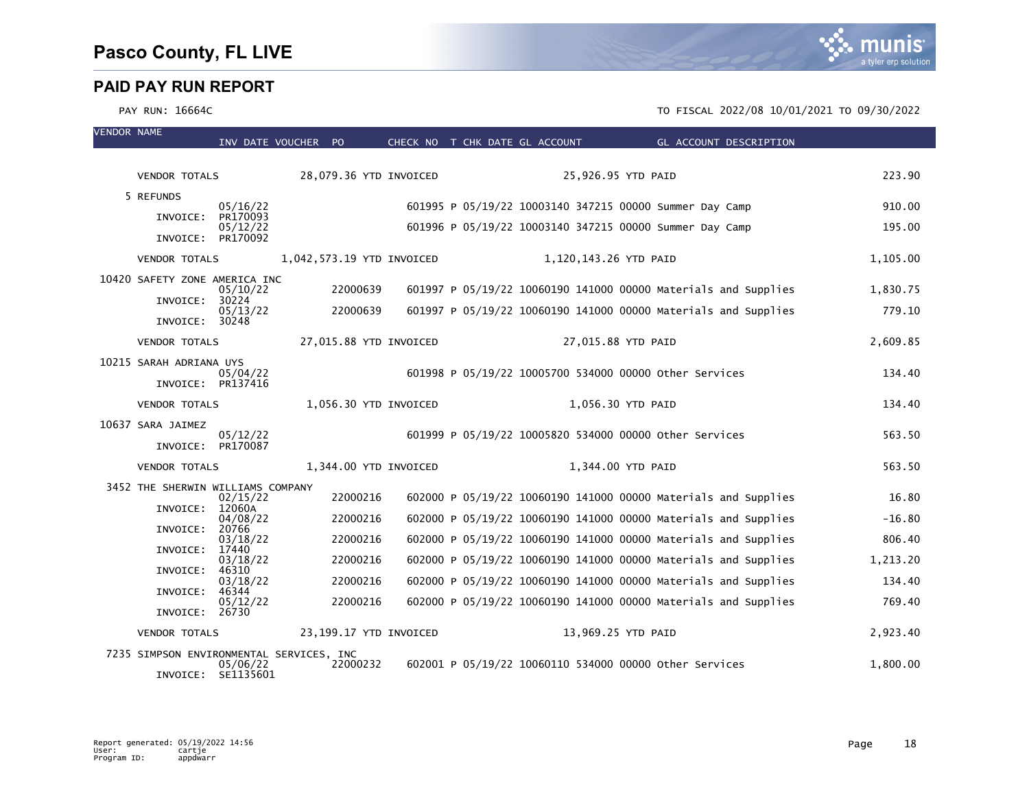| <b>VENDOR NAME</b> |                                          | INV DATE VOUCHER PO            |          | CHECK NO T CHK DATE GL ACCOUNT |  |                       | GL ACCOUNT DESCRIPTION                                         |          |
|--------------------|------------------------------------------|--------------------------------|----------|--------------------------------|--|-----------------------|----------------------------------------------------------------|----------|
|                    |                                          |                                |          |                                |  |                       |                                                                |          |
|                    | <b>VENDOR TOTALS</b>                     |                                |          | 28,079.36 YTD INVOICED         |  | 25,926.95 YTD PAID    |                                                                | 223.90   |
|                    | 5 REFUNDS                                |                                |          |                                |  |                       |                                                                | 910.00   |
|                    | INVOICE:                                 | 05/16/22<br>PR170093           |          |                                |  |                       | 601995 P 05/19/22 10003140 347215 00000 Summer Day Camp        |          |
|                    | INVOICE:                                 | 05/12/22<br>PR170092           |          |                                |  |                       | 601996 P 05/19/22 10003140 347215 00000 Summer Day Camp        | 195.00   |
|                    | <b>VENDOR TOTALS</b>                     |                                |          | 1,042,573.19 YTD INVOICED      |  | 1,120,143.26 YTD PAID |                                                                | 1,105.00 |
|                    | 10420 SAFETY ZONE AMERICA INC            |                                |          |                                |  |                       |                                                                |          |
|                    | INVOICE:                                 | 05/10/22<br>30224              | 22000639 |                                |  |                       | 601997 P 05/19/22 10060190 141000 00000 Materials and Supplies | 1,830.75 |
|                    | INVOICE: 30248                           | 05/13/22                       | 22000639 |                                |  |                       | 601997 P 05/19/22 10060190 141000 00000 Materials and Supplies | 779.10   |
|                    | <b>VENDOR TOTALS</b>                     |                                |          | 27,015.88 YTD INVOICED         |  | 27,015.88 YTD PAID    |                                                                | 2,609.85 |
|                    | 10215 SARAH ADRIANA UYS                  |                                |          |                                |  |                       |                                                                |          |
|                    | INVOICE: PR137416                        | 05/04/22                       |          |                                |  |                       | 601998 P 05/19/22 10005700 534000 00000 other Services         | 134.40   |
|                    | <b>VENDOR TOTALS</b>                     |                                |          | 1,056.30 YTD INVOICED          |  | 1,056.30 YTD PAID     |                                                                | 134.40   |
|                    | 10637 SARA JAIMEZ                        | 05/12/22                       |          |                                |  |                       | 601999 P 05/19/22 10005820 534000 00000 Other Services         | 563.50   |
|                    | INVOICE: PR170087                        |                                |          |                                |  |                       |                                                                |          |
|                    | <b>VENDOR TOTALS</b>                     |                                |          | 1,344.00 YTD INVOICED          |  | 1,344.00 YTD PAID     |                                                                | 563.50   |
|                    | 3452 THE SHERWIN WILLIAMS COMPANY        | 02/15/22                       | 22000216 |                                |  |                       | 602000 P 05/19/22 10060190 141000 00000 Materials and Supplies | 16.80    |
|                    | INVOICE:                                 | 12060A                         |          |                                |  |                       |                                                                |          |
|                    | INVOICE:                                 | 04/08/22<br>20766              | 22000216 |                                |  |                       | 602000 P 05/19/22 10060190 141000 00000 Materials and Supplies | $-16.80$ |
|                    | INVOICE:                                 | 03/18/22<br>17440              | 22000216 |                                |  |                       | 602000 P 05/19/22 10060190 141000 00000 Materials and Supplies | 806.40   |
|                    | INVOICE:                                 | 03/18/22<br>46310              | 22000216 |                                |  |                       | 602000 P 05/19/22 10060190 141000 00000 Materials and Supplies | 1,213.20 |
|                    |                                          | 03/18/22                       | 22000216 |                                |  |                       | 602000 P 05/19/22 10060190 141000 00000 Materials and Supplies | 134.40   |
|                    | INVOICE:<br>INVOICE:                     | 46344<br>05/12/22<br>26730     | 22000216 |                                |  |                       | 602000 P 05/19/22 10060190 141000 00000 Materials and Supplies | 769.40   |
|                    | <b>VENDOR TOTALS</b>                     |                                |          | 23,199.17 YTD INVOICED         |  | 13,969.25 YTD PAID    |                                                                | 2,923.40 |
|                    | 7235 SIMPSON ENVIRONMENTAL SERVICES, INC |                                |          |                                |  |                       |                                                                |          |
|                    |                                          | 05/06/22<br>INVOICE: SE1135601 | 22000232 |                                |  |                       | 602001 P 05/19/22 10060110 534000 00000 other Services         | 1,800.00 |

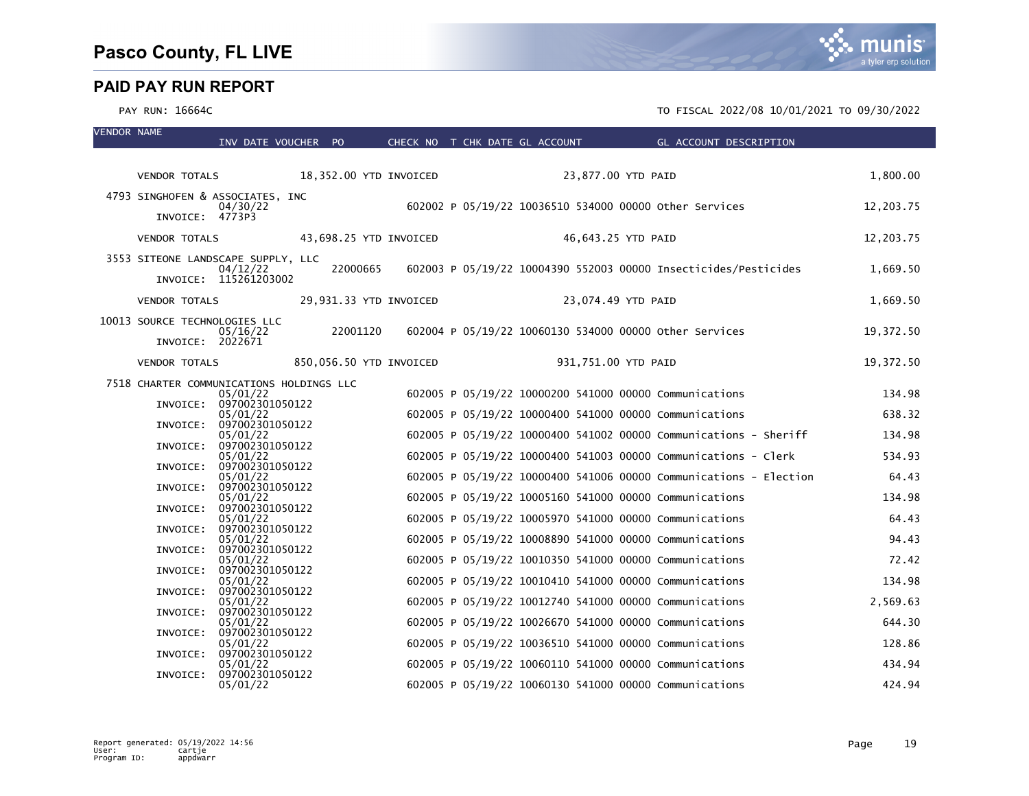VENDOR NAME

|          |                                  |                                                                                                                                                                                                                                                                                                             |                                                                                                                                                                                                                                                                                                                                                                                                          |                                                                                                       |                      |                                                                                                       |  | 1,800.00                                                                                                                                                                                                                                                                                                                                                                                                                                                                                                                                                                                                                                                                                                                                                                                                                                                                                                                                                                                                                                                                                                                                                                                                                                                                    |
|----------|----------------------------------|-------------------------------------------------------------------------------------------------------------------------------------------------------------------------------------------------------------------------------------------------------------------------------------------------------------|----------------------------------------------------------------------------------------------------------------------------------------------------------------------------------------------------------------------------------------------------------------------------------------------------------------------------------------------------------------------------------------------------------|-------------------------------------------------------------------------------------------------------|----------------------|-------------------------------------------------------------------------------------------------------|--|-----------------------------------------------------------------------------------------------------------------------------------------------------------------------------------------------------------------------------------------------------------------------------------------------------------------------------------------------------------------------------------------------------------------------------------------------------------------------------------------------------------------------------------------------------------------------------------------------------------------------------------------------------------------------------------------------------------------------------------------------------------------------------------------------------------------------------------------------------------------------------------------------------------------------------------------------------------------------------------------------------------------------------------------------------------------------------------------------------------------------------------------------------------------------------------------------------------------------------------------------------------------------------|
|          |                                  |                                                                                                                                                                                                                                                                                                             |                                                                                                                                                                                                                                                                                                                                                                                                          |                                                                                                       |                      |                                                                                                       |  |                                                                                                                                                                                                                                                                                                                                                                                                                                                                                                                                                                                                                                                                                                                                                                                                                                                                                                                                                                                                                                                                                                                                                                                                                                                                             |
|          | 04/30/22                         |                                                                                                                                                                                                                                                                                                             |                                                                                                                                                                                                                                                                                                                                                                                                          |                                                                                                       |                      |                                                                                                       |  | 12,203.75                                                                                                                                                                                                                                                                                                                                                                                                                                                                                                                                                                                                                                                                                                                                                                                                                                                                                                                                                                                                                                                                                                                                                                                                                                                                   |
|          |                                  |                                                                                                                                                                                                                                                                                                             |                                                                                                                                                                                                                                                                                                                                                                                                          |                                                                                                       |                      |                                                                                                       |  |                                                                                                                                                                                                                                                                                                                                                                                                                                                                                                                                                                                                                                                                                                                                                                                                                                                                                                                                                                                                                                                                                                                                                                                                                                                                             |
|          |                                  |                                                                                                                                                                                                                                                                                                             |                                                                                                                                                                                                                                                                                                                                                                                                          |                                                                                                       |                      |                                                                                                       |  | 12,203.75                                                                                                                                                                                                                                                                                                                                                                                                                                                                                                                                                                                                                                                                                                                                                                                                                                                                                                                                                                                                                                                                                                                                                                                                                                                                   |
|          |                                  |                                                                                                                                                                                                                                                                                                             |                                                                                                                                                                                                                                                                                                                                                                                                          |                                                                                                       |                      |                                                                                                       |  |                                                                                                                                                                                                                                                                                                                                                                                                                                                                                                                                                                                                                                                                                                                                                                                                                                                                                                                                                                                                                                                                                                                                                                                                                                                                             |
|          |                                  |                                                                                                                                                                                                                                                                                                             |                                                                                                                                                                                                                                                                                                                                                                                                          |                                                                                                       |                      |                                                                                                       |  | 1,669.50                                                                                                                                                                                                                                                                                                                                                                                                                                                                                                                                                                                                                                                                                                                                                                                                                                                                                                                                                                                                                                                                                                                                                                                                                                                                    |
|          |                                  |                                                                                                                                                                                                                                                                                                             |                                                                                                                                                                                                                                                                                                                                                                                                          |                                                                                                       |                      |                                                                                                       |  | 1,669.50                                                                                                                                                                                                                                                                                                                                                                                                                                                                                                                                                                                                                                                                                                                                                                                                                                                                                                                                                                                                                                                                                                                                                                                                                                                                    |
|          |                                  |                                                                                                                                                                                                                                                                                                             |                                                                                                                                                                                                                                                                                                                                                                                                          |                                                                                                       |                      |                                                                                                       |  |                                                                                                                                                                                                                                                                                                                                                                                                                                                                                                                                                                                                                                                                                                                                                                                                                                                                                                                                                                                                                                                                                                                                                                                                                                                                             |
|          |                                  |                                                                                                                                                                                                                                                                                                             |                                                                                                                                                                                                                                                                                                                                                                                                          |                                                                                                       |                      |                                                                                                       |  | 19,372.50                                                                                                                                                                                                                                                                                                                                                                                                                                                                                                                                                                                                                                                                                                                                                                                                                                                                                                                                                                                                                                                                                                                                                                                                                                                                   |
|          |                                  |                                                                                                                                                                                                                                                                                                             |                                                                                                                                                                                                                                                                                                                                                                                                          |                                                                                                       |                      |                                                                                                       |  | 19,372.50                                                                                                                                                                                                                                                                                                                                                                                                                                                                                                                                                                                                                                                                                                                                                                                                                                                                                                                                                                                                                                                                                                                                                                                                                                                                   |
|          | 05/01/22                         |                                                                                                                                                                                                                                                                                                             |                                                                                                                                                                                                                                                                                                                                                                                                          |                                                                                                       |                      |                                                                                                       |  | 134.98                                                                                                                                                                                                                                                                                                                                                                                                                                                                                                                                                                                                                                                                                                                                                                                                                                                                                                                                                                                                                                                                                                                                                                                                                                                                      |
| INVOICE: |                                  |                                                                                                                                                                                                                                                                                                             |                                                                                                                                                                                                                                                                                                                                                                                                          |                                                                                                       |                      |                                                                                                       |  |                                                                                                                                                                                                                                                                                                                                                                                                                                                                                                                                                                                                                                                                                                                                                                                                                                                                                                                                                                                                                                                                                                                                                                                                                                                                             |
|          |                                  |                                                                                                                                                                                                                                                                                                             |                                                                                                                                                                                                                                                                                                                                                                                                          |                                                                                                       |                      |                                                                                                       |  | 638.32                                                                                                                                                                                                                                                                                                                                                                                                                                                                                                                                                                                                                                                                                                                                                                                                                                                                                                                                                                                                                                                                                                                                                                                                                                                                      |
|          | 05/01/22                         |                                                                                                                                                                                                                                                                                                             |                                                                                                                                                                                                                                                                                                                                                                                                          |                                                                                                       |                      |                                                                                                       |  | 134.98                                                                                                                                                                                                                                                                                                                                                                                                                                                                                                                                                                                                                                                                                                                                                                                                                                                                                                                                                                                                                                                                                                                                                                                                                                                                      |
|          | 05/01/22                         |                                                                                                                                                                                                                                                                                                             |                                                                                                                                                                                                                                                                                                                                                                                                          |                                                                                                       |                      |                                                                                                       |  | 534.93                                                                                                                                                                                                                                                                                                                                                                                                                                                                                                                                                                                                                                                                                                                                                                                                                                                                                                                                                                                                                                                                                                                                                                                                                                                                      |
|          | 05/01/22                         |                                                                                                                                                                                                                                                                                                             |                                                                                                                                                                                                                                                                                                                                                                                                          |                                                                                                       |                      |                                                                                                       |  | 64.43                                                                                                                                                                                                                                                                                                                                                                                                                                                                                                                                                                                                                                                                                                                                                                                                                                                                                                                                                                                                                                                                                                                                                                                                                                                                       |
|          |                                  |                                                                                                                                                                                                                                                                                                             |                                                                                                                                                                                                                                                                                                                                                                                                          |                                                                                                       |                      |                                                                                                       |  | 134.98                                                                                                                                                                                                                                                                                                                                                                                                                                                                                                                                                                                                                                                                                                                                                                                                                                                                                                                                                                                                                                                                                                                                                                                                                                                                      |
| INVOICE: |                                  |                                                                                                                                                                                                                                                                                                             |                                                                                                                                                                                                                                                                                                                                                                                                          |                                                                                                       |                      |                                                                                                       |  |                                                                                                                                                                                                                                                                                                                                                                                                                                                                                                                                                                                                                                                                                                                                                                                                                                                                                                                                                                                                                                                                                                                                                                                                                                                                             |
|          |                                  |                                                                                                                                                                                                                                                                                                             |                                                                                                                                                                                                                                                                                                                                                                                                          |                                                                                                       |                      |                                                                                                       |  | 64.43                                                                                                                                                                                                                                                                                                                                                                                                                                                                                                                                                                                                                                                                                                                                                                                                                                                                                                                                                                                                                                                                                                                                                                                                                                                                       |
|          |                                  |                                                                                                                                                                                                                                                                                                             |                                                                                                                                                                                                                                                                                                                                                                                                          |                                                                                                       |                      |                                                                                                       |  | 94.43                                                                                                                                                                                                                                                                                                                                                                                                                                                                                                                                                                                                                                                                                                                                                                                                                                                                                                                                                                                                                                                                                                                                                                                                                                                                       |
|          |                                  |                                                                                                                                                                                                                                                                                                             |                                                                                                                                                                                                                                                                                                                                                                                                          |                                                                                                       |                      |                                                                                                       |  |                                                                                                                                                                                                                                                                                                                                                                                                                                                                                                                                                                                                                                                                                                                                                                                                                                                                                                                                                                                                                                                                                                                                                                                                                                                                             |
|          |                                  |                                                                                                                                                                                                                                                                                                             |                                                                                                                                                                                                                                                                                                                                                                                                          |                                                                                                       |                      |                                                                                                       |  | 72.42                                                                                                                                                                                                                                                                                                                                                                                                                                                                                                                                                                                                                                                                                                                                                                                                                                                                                                                                                                                                                                                                                                                                                                                                                                                                       |
|          |                                  |                                                                                                                                                                                                                                                                                                             |                                                                                                                                                                                                                                                                                                                                                                                                          |                                                                                                       |                      |                                                                                                       |  | 134.98                                                                                                                                                                                                                                                                                                                                                                                                                                                                                                                                                                                                                                                                                                                                                                                                                                                                                                                                                                                                                                                                                                                                                                                                                                                                      |
| INVOICE: |                                  |                                                                                                                                                                                                                                                                                                             |                                                                                                                                                                                                                                                                                                                                                                                                          |                                                                                                       |                      |                                                                                                       |  |                                                                                                                                                                                                                                                                                                                                                                                                                                                                                                                                                                                                                                                                                                                                                                                                                                                                                                                                                                                                                                                                                                                                                                                                                                                                             |
|          |                                  |                                                                                                                                                                                                                                                                                                             |                                                                                                                                                                                                                                                                                                                                                                                                          |                                                                                                       |                      |                                                                                                       |  | 2,569.63                                                                                                                                                                                                                                                                                                                                                                                                                                                                                                                                                                                                                                                                                                                                                                                                                                                                                                                                                                                                                                                                                                                                                                                                                                                                    |
|          |                                  |                                                                                                                                                                                                                                                                                                             |                                                                                                                                                                                                                                                                                                                                                                                                          |                                                                                                       |                      |                                                                                                       |  | 644.30                                                                                                                                                                                                                                                                                                                                                                                                                                                                                                                                                                                                                                                                                                                                                                                                                                                                                                                                                                                                                                                                                                                                                                                                                                                                      |
|          |                                  |                                                                                                                                                                                                                                                                                                             |                                                                                                                                                                                                                                                                                                                                                                                                          |                                                                                                       |                      |                                                                                                       |  |                                                                                                                                                                                                                                                                                                                                                                                                                                                                                                                                                                                                                                                                                                                                                                                                                                                                                                                                                                                                                                                                                                                                                                                                                                                                             |
|          |                                  |                                                                                                                                                                                                                                                                                                             |                                                                                                                                                                                                                                                                                                                                                                                                          |                                                                                                       |                      |                                                                                                       |  | 128.86                                                                                                                                                                                                                                                                                                                                                                                                                                                                                                                                                                                                                                                                                                                                                                                                                                                                                                                                                                                                                                                                                                                                                                                                                                                                      |
|          | 05/01/22                         |                                                                                                                                                                                                                                                                                                             |                                                                                                                                                                                                                                                                                                                                                                                                          |                                                                                                       |                      |                                                                                                       |  | 434.94                                                                                                                                                                                                                                                                                                                                                                                                                                                                                                                                                                                                                                                                                                                                                                                                                                                                                                                                                                                                                                                                                                                                                                                                                                                                      |
| INVOICE: | 05/01/22                         |                                                                                                                                                                                                                                                                                                             |                                                                                                                                                                                                                                                                                                                                                                                                          |                                                                                                       |                      |                                                                                                       |  | 424.94                                                                                                                                                                                                                                                                                                                                                                                                                                                                                                                                                                                                                                                                                                                                                                                                                                                                                                                                                                                                                                                                                                                                                                                                                                                                      |
|          | INVOICE:<br>INVOICE:<br>INVOICE: | <b>VENDOR TOTALS</b><br>INVOICE: 4773P3<br><b>VENDOR TOTALS</b><br>04/12/22<br><b>VENDOR TOTALS</b><br>05/16/22<br>INVOICE: 2022671<br><b>VENDOR TOTALS</b><br>05/01/22<br>INVOICE:<br>INVOICE:<br>05/01/22<br>05/01/22<br>05/01/22<br>05/01/22<br>05/01/22<br>05/01/22<br>05/01/22<br>05/01/22<br>INVOICE: | 4793 SINGHOFEN & ASSOCIATES, INC<br>INVOICE: 115261203002<br>10013 SOURCE TECHNOLOGIES LLC<br>097002301050122<br>INVOICE: 097002301050122<br>INVOICE: 097002301050122<br>097002301050122<br>097002301050122<br>097002301050122<br>097002301050122<br>INVOICE: 097002301050122<br>097002301050122<br>097002301050122<br>097002301050122<br>INVOICE: 097002301050122<br>097002301050122<br>097002301050122 | INV DATE VOUCHER PO<br>3553 SITEONE LANDSCAPE SUPPLY, LLC<br>7518 CHARTER COMMUNICATIONS HOLDINGS LLC | 22000665<br>22001120 | 18,352.00 YTD INVOICED<br>43,698.25 YTD INVOICED<br>29,931.33 YTD INVOICED<br>850,056.50 YTD INVOICED |  | CHECK NO T CHK DATE GL ACCOUNT<br>GL ACCOUNT DESCRIPTION<br>23,877.00 YTD PAID<br>602002 P 05/19/22 10036510 534000 00000 other Services<br>46,643.25 YTD PAID<br>602003 P 05/19/22 10004390 552003 00000 Insecticides/Pesticides<br>23,074.49 YTD PAID<br>602004 P 05/19/22 10060130 534000 00000 other Services<br>931,751.00 YTD PAID<br>602005 P 05/19/22 10000200 541000 00000 Communications<br>602005 P 05/19/22 10000400 541000 00000 Communications<br>602005 P 05/19/22 10000400 541002 00000 Communications - Sheriff<br>602005 P 05/19/22 10000400 541003 00000 Communications - Clerk<br>602005 P 05/19/22 10000400 541006 00000 Communications - Election<br>602005 P 05/19/22 10005160 541000 00000 Communications<br>602005 P 05/19/22 10005970 541000 00000 Communications<br>602005 P 05/19/22 10008890 541000 00000 Communications<br>602005 P 05/19/22 10010350 541000 00000 Communications<br>602005 P 05/19/22 10010410 541000 00000 Communications<br>602005 P 05/19/22 10012740 541000 00000 Communications<br>602005 P 05/19/22 10026670 541000 00000 Communications<br>602005 P 05/19/22 10036510 541000 00000 Communications<br>602005 P 05/19/22 10060110 541000 00000 Communications<br>602005 P 05/19/22 10060130 541000 00000 Communications |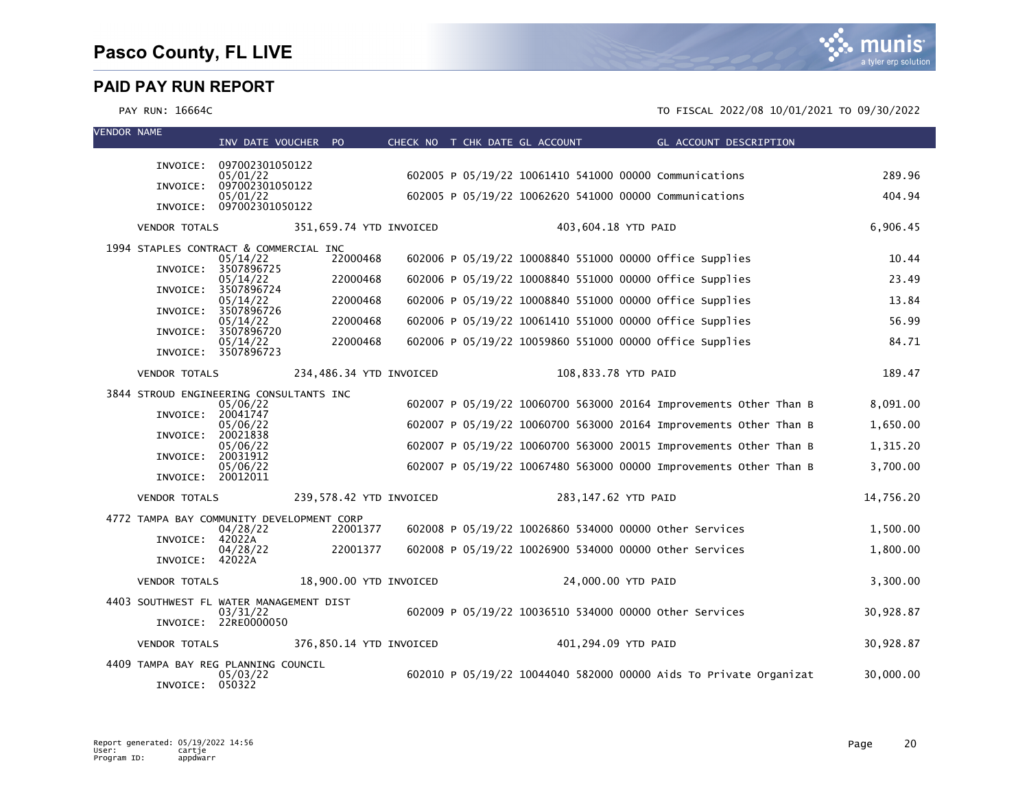| <b>VENDOR NAME</b> |                                           | INV DATE VOUCHER PO                  |                         | CHECK NO T CHK DATE GL ACCOUNT |  |                     | <b>Example 2018 GL ACCOUNT DESCRIPTION</b>                        |           |
|--------------------|-------------------------------------------|--------------------------------------|-------------------------|--------------------------------|--|---------------------|-------------------------------------------------------------------|-----------|
|                    |                                           |                                      |                         |                                |  |                     |                                                                   |           |
|                    |                                           | INVOICE: 097002301050122<br>05/01/22 |                         |                                |  |                     | 602005 P 05/19/22 10061410 541000 00000 Communications            | 289.96    |
|                    | INVOICE:                                  | 097002301050122<br>05/01/22          |                         |                                |  |                     | 602005 P 05/19/22 10062620 541000 00000 Communications            | 404.94    |
|                    |                                           | INVOICE: 097002301050122             |                         |                                |  |                     |                                                                   |           |
|                    | <b>VENDOR TOTALS</b>                      |                                      | 351,659.74 YTD INVOICED |                                |  | 403,604.18 YTD PAID |                                                                   | 6.906.45  |
|                    | 1994 STAPLES CONTRACT & COMMERCIAL INC    | 05/14/22                             | 22000468                |                                |  |                     | 602006 P 05/19/22 10008840 551000 00000 office Supplies           | 10.44     |
|                    | INVOICE:                                  | 3507896725                           | 22000468                |                                |  |                     |                                                                   | 23.49     |
|                    | INVOICE:                                  | 05/14/22<br>3507896724               |                         |                                |  |                     | 602006 P 05/19/22 10008840 551000 00000 office Supplies           |           |
|                    | INVOICE:                                  | 05/14/22<br>3507896726               | 22000468                |                                |  |                     | 602006 P 05/19/22 10008840 551000 00000 office Supplies           | 13.84     |
|                    | INVOICE:                                  | 05/14/22<br>3507896720               | 22000468                |                                |  |                     | 602006 P 05/19/22 10061410 551000 00000 office Supplies           | 56.99     |
|                    |                                           | 05/14/22<br>INVOICE: 3507896723      | 22000468                |                                |  |                     | 602006 P 05/19/22 10059860 551000 00000 office Supplies           | 84.71     |
|                    | <b>VENDOR TOTALS</b>                      |                                      | 234,486.34 YTD INVOICED |                                |  | 108,833.78 YTD PAID |                                                                   | 189.47    |
|                    | 3844 STROUD ENGINEERING CONSULTANTS INC   |                                      |                         |                                |  |                     |                                                                   |           |
|                    | INVOICE:                                  | 05/06/22<br>20041747                 |                         |                                |  |                     | 602007 P 05/19/22 10060700 563000 20164 Improvements Other Than B | 8,091.00  |
|                    | INVOICE:                                  | 05/06/22<br>20021838                 |                         |                                |  |                     | 602007 P 05/19/22 10060700 563000 20164 Improvements Other Than B | 1,650.00  |
|                    |                                           | 05/06/22                             |                         |                                |  |                     | 602007 P 05/19/22 10060700 563000 20015 Improvements Other Than B | 1,315.20  |
|                    | INVOICE:                                  | 20031912<br>05/06/22                 |                         |                                |  |                     | 602007 P 05/19/22 10067480 563000 00000 Improvements Other Than B | 3,700.00  |
|                    | INVOICE: 20012011                         |                                      |                         |                                |  |                     |                                                                   |           |
|                    | <b>VENDOR TOTALS</b>                      |                                      | 239,578.42 YTD INVOICED |                                |  | 283,147.62 YTD PAID |                                                                   | 14,756.20 |
|                    | 4772 TAMPA BAY COMMUNITY DEVELOPMENT CORP | 04/28/22                             | 22001377                |                                |  |                     | 602008 P 05/19/22 10026860 534000 00000 other Services            | 1.500.00  |
|                    | INVOICE: 42022A                           | 04/28/22                             | 22001377                |                                |  |                     | 602008 P 05/19/22 10026900 534000 00000 other Services            | 1,800.00  |
|                    | INVOICE: 42022A                           |                                      |                         |                                |  |                     |                                                                   |           |
|                    | <b>VENDOR TOTALS</b>                      |                                      | 18,900.00 YTD INVOICED  |                                |  | 24,000.00 YTD PAID  |                                                                   | 3,300.00  |
|                    | 4403 SOUTHWEST FL WATER MANAGEMENT DIST   |                                      |                         |                                |  |                     |                                                                   |           |
|                    |                                           | 03/31/22<br>INVOICE: 22RE0000050     |                         |                                |  |                     | 602009 P 05/19/22 10036510 534000 00000 other Services            | 30,928.87 |
|                    | <b>VENDOR TOTALS</b>                      |                                      | 376,850.14 YTD INVOICED |                                |  | 401,294.09 YTD PAID |                                                                   | 30,928.87 |
|                    | 4409 TAMPA BAY REG PLANNING COUNCIL       | 05/03/22                             |                         |                                |  |                     | 602010 P 05/19/22 10044040 582000 00000 Aids To Private Organizat | 30,000.00 |
|                    | INVOICE: 050322                           |                                      |                         |                                |  |                     |                                                                   |           |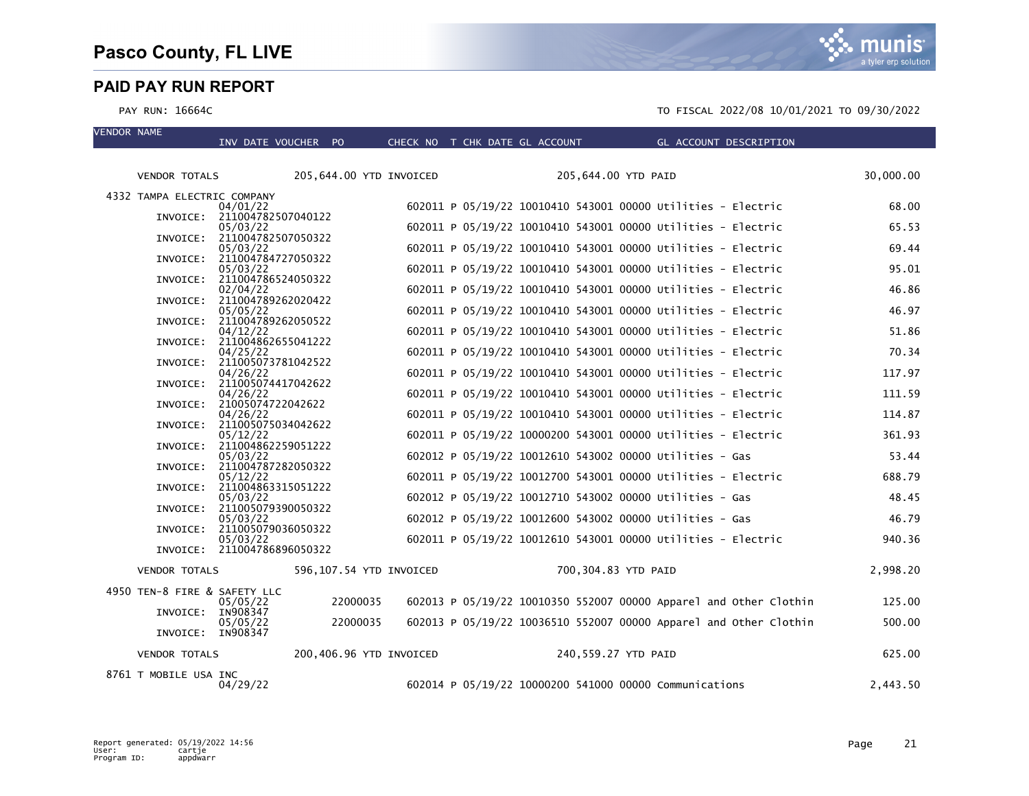VENDOR NAME



| $\mathbf{v}$ . The state is the state in the state in the state is the state in the state in the state is a state in the state in the state is a state in the state in the state in the state is a state in the state in the stat |                      |                                                                                                                                                                                                                                                                                                                                            |                                                                                                                                                                                                                                                                                                                                                                                                                                                                                                                               |                                                                                                       |  |                                |                                                                   |                                                                                                                                                                                                                                                                                                                                                                                                                                                                                                                                                                                                                                                                                                                                                                                                                                                                                                                                                                                                                                                                                                                                                                                                                                                                                                                                             |
|-----------------------------------------------------------------------------------------------------------------------------------------------------------------------------------------------------------------------------------|----------------------|--------------------------------------------------------------------------------------------------------------------------------------------------------------------------------------------------------------------------------------------------------------------------------------------------------------------------------------------|-------------------------------------------------------------------------------------------------------------------------------------------------------------------------------------------------------------------------------------------------------------------------------------------------------------------------------------------------------------------------------------------------------------------------------------------------------------------------------------------------------------------------------|-------------------------------------------------------------------------------------------------------|--|--------------------------------|-------------------------------------------------------------------|---------------------------------------------------------------------------------------------------------------------------------------------------------------------------------------------------------------------------------------------------------------------------------------------------------------------------------------------------------------------------------------------------------------------------------------------------------------------------------------------------------------------------------------------------------------------------------------------------------------------------------------------------------------------------------------------------------------------------------------------------------------------------------------------------------------------------------------------------------------------------------------------------------------------------------------------------------------------------------------------------------------------------------------------------------------------------------------------------------------------------------------------------------------------------------------------------------------------------------------------------------------------------------------------------------------------------------------------|
|                                                                                                                                                                                                                                   |                      |                                                                                                                                                                                                                                                                                                                                            |                                                                                                                                                                                                                                                                                                                                                                                                                                                                                                                               |                                                                                                       |  |                                |                                                                   | 30,000.00                                                                                                                                                                                                                                                                                                                                                                                                                                                                                                                                                                                                                                                                                                                                                                                                                                                                                                                                                                                                                                                                                                                                                                                                                                                                                                                                   |
|                                                                                                                                                                                                                                   |                      |                                                                                                                                                                                                                                                                                                                                            |                                                                                                                                                                                                                                                                                                                                                                                                                                                                                                                               |                                                                                                       |  |                                |                                                                   |                                                                                                                                                                                                                                                                                                                                                                                                                                                                                                                                                                                                                                                                                                                                                                                                                                                                                                                                                                                                                                                                                                                                                                                                                                                                                                                                             |
|                                                                                                                                                                                                                                   |                      |                                                                                                                                                                                                                                                                                                                                            |                                                                                                                                                                                                                                                                                                                                                                                                                                                                                                                               |                                                                                                       |  |                                |                                                                   | 68.00                                                                                                                                                                                                                                                                                                                                                                                                                                                                                                                                                                                                                                                                                                                                                                                                                                                                                                                                                                                                                                                                                                                                                                                                                                                                                                                                       |
|                                                                                                                                                                                                                                   |                      |                                                                                                                                                                                                                                                                                                                                            |                                                                                                                                                                                                                                                                                                                                                                                                                                                                                                                               |                                                                                                       |  |                                |                                                                   |                                                                                                                                                                                                                                                                                                                                                                                                                                                                                                                                                                                                                                                                                                                                                                                                                                                                                                                                                                                                                                                                                                                                                                                                                                                                                                                                             |
|                                                                                                                                                                                                                                   |                      |                                                                                                                                                                                                                                                                                                                                            |                                                                                                                                                                                                                                                                                                                                                                                                                                                                                                                               |                                                                                                       |  |                                |                                                                   | 65.53                                                                                                                                                                                                                                                                                                                                                                                                                                                                                                                                                                                                                                                                                                                                                                                                                                                                                                                                                                                                                                                                                                                                                                                                                                                                                                                                       |
|                                                                                                                                                                                                                                   | 05/03/22             |                                                                                                                                                                                                                                                                                                                                            |                                                                                                                                                                                                                                                                                                                                                                                                                                                                                                                               |                                                                                                       |  |                                |                                                                   | 69.44                                                                                                                                                                                                                                                                                                                                                                                                                                                                                                                                                                                                                                                                                                                                                                                                                                                                                                                                                                                                                                                                                                                                                                                                                                                                                                                                       |
|                                                                                                                                                                                                                                   |                      |                                                                                                                                                                                                                                                                                                                                            |                                                                                                                                                                                                                                                                                                                                                                                                                                                                                                                               |                                                                                                       |  |                                |                                                                   | 95.01                                                                                                                                                                                                                                                                                                                                                                                                                                                                                                                                                                                                                                                                                                                                                                                                                                                                                                                                                                                                                                                                                                                                                                                                                                                                                                                                       |
|                                                                                                                                                                                                                                   |                      |                                                                                                                                                                                                                                                                                                                                            |                                                                                                                                                                                                                                                                                                                                                                                                                                                                                                                               |                                                                                                       |  |                                |                                                                   |                                                                                                                                                                                                                                                                                                                                                                                                                                                                                                                                                                                                                                                                                                                                                                                                                                                                                                                                                                                                                                                                                                                                                                                                                                                                                                                                             |
|                                                                                                                                                                                                                                   |                      |                                                                                                                                                                                                                                                                                                                                            |                                                                                                                                                                                                                                                                                                                                                                                                                                                                                                                               |                                                                                                       |  |                                |                                                                   | 46.86                                                                                                                                                                                                                                                                                                                                                                                                                                                                                                                                                                                                                                                                                                                                                                                                                                                                                                                                                                                                                                                                                                                                                                                                                                                                                                                                       |
|                                                                                                                                                                                                                                   | 05/05/22             |                                                                                                                                                                                                                                                                                                                                            |                                                                                                                                                                                                                                                                                                                                                                                                                                                                                                                               |                                                                                                       |  |                                |                                                                   | 46.97                                                                                                                                                                                                                                                                                                                                                                                                                                                                                                                                                                                                                                                                                                                                                                                                                                                                                                                                                                                                                                                                                                                                                                                                                                                                                                                                       |
|                                                                                                                                                                                                                                   | 04/12/22             |                                                                                                                                                                                                                                                                                                                                            |                                                                                                                                                                                                                                                                                                                                                                                                                                                                                                                               |                                                                                                       |  |                                |                                                                   | 51.86                                                                                                                                                                                                                                                                                                                                                                                                                                                                                                                                                                                                                                                                                                                                                                                                                                                                                                                                                                                                                                                                                                                                                                                                                                                                                                                                       |
| INVOICE:                                                                                                                                                                                                                          |                      |                                                                                                                                                                                                                                                                                                                                            |                                                                                                                                                                                                                                                                                                                                                                                                                                                                                                                               |                                                                                                       |  |                                |                                                                   | 70.34                                                                                                                                                                                                                                                                                                                                                                                                                                                                                                                                                                                                                                                                                                                                                                                                                                                                                                                                                                                                                                                                                                                                                                                                                                                                                                                                       |
|                                                                                                                                                                                                                                   |                      |                                                                                                                                                                                                                                                                                                                                            |                                                                                                                                                                                                                                                                                                                                                                                                                                                                                                                               |                                                                                                       |  |                                |                                                                   |                                                                                                                                                                                                                                                                                                                                                                                                                                                                                                                                                                                                                                                                                                                                                                                                                                                                                                                                                                                                                                                                                                                                                                                                                                                                                                                                             |
|                                                                                                                                                                                                                                   | 04/26/22             |                                                                                                                                                                                                                                                                                                                                            |                                                                                                                                                                                                                                                                                                                                                                                                                                                                                                                               |                                                                                                       |  |                                |                                                                   | 117.97                                                                                                                                                                                                                                                                                                                                                                                                                                                                                                                                                                                                                                                                                                                                                                                                                                                                                                                                                                                                                                                                                                                                                                                                                                                                                                                                      |
|                                                                                                                                                                                                                                   | 04/26/22             |                                                                                                                                                                                                                                                                                                                                            |                                                                                                                                                                                                                                                                                                                                                                                                                                                                                                                               |                                                                                                       |  |                                |                                                                   | 111.59                                                                                                                                                                                                                                                                                                                                                                                                                                                                                                                                                                                                                                                                                                                                                                                                                                                                                                                                                                                                                                                                                                                                                                                                                                                                                                                                      |
|                                                                                                                                                                                                                                   |                      |                                                                                                                                                                                                                                                                                                                                            |                                                                                                                                                                                                                                                                                                                                                                                                                                                                                                                               |                                                                                                       |  |                                |                                                                   | 114.87                                                                                                                                                                                                                                                                                                                                                                                                                                                                                                                                                                                                                                                                                                                                                                                                                                                                                                                                                                                                                                                                                                                                                                                                                                                                                                                                      |
| INVOICE:                                                                                                                                                                                                                          |                      |                                                                                                                                                                                                                                                                                                                                            |                                                                                                                                                                                                                                                                                                                                                                                                                                                                                                                               |                                                                                                       |  |                                |                                                                   |                                                                                                                                                                                                                                                                                                                                                                                                                                                                                                                                                                                                                                                                                                                                                                                                                                                                                                                                                                                                                                                                                                                                                                                                                                                                                                                                             |
|                                                                                                                                                                                                                                   |                      |                                                                                                                                                                                                                                                                                                                                            |                                                                                                                                                                                                                                                                                                                                                                                                                                                                                                                               |                                                                                                       |  |                                |                                                                   | 361.93                                                                                                                                                                                                                                                                                                                                                                                                                                                                                                                                                                                                                                                                                                                                                                                                                                                                                                                                                                                                                                                                                                                                                                                                                                                                                                                                      |
|                                                                                                                                                                                                                                   | 05/03/22             |                                                                                                                                                                                                                                                                                                                                            |                                                                                                                                                                                                                                                                                                                                                                                                                                                                                                                               |                                                                                                       |  |                                |                                                                   | 53.44                                                                                                                                                                                                                                                                                                                                                                                                                                                                                                                                                                                                                                                                                                                                                                                                                                                                                                                                                                                                                                                                                                                                                                                                                                                                                                                                       |
|                                                                                                                                                                                                                                   |                      |                                                                                                                                                                                                                                                                                                                                            |                                                                                                                                                                                                                                                                                                                                                                                                                                                                                                                               |                                                                                                       |  |                                |                                                                   | 688.79                                                                                                                                                                                                                                                                                                                                                                                                                                                                                                                                                                                                                                                                                                                                                                                                                                                                                                                                                                                                                                                                                                                                                                                                                                                                                                                                      |
|                                                                                                                                                                                                                                   |                      |                                                                                                                                                                                                                                                                                                                                            |                                                                                                                                                                                                                                                                                                                                                                                                                                                                                                                               |                                                                                                       |  |                                |                                                                   |                                                                                                                                                                                                                                                                                                                                                                                                                                                                                                                                                                                                                                                                                                                                                                                                                                                                                                                                                                                                                                                                                                                                                                                                                                                                                                                                             |
|                                                                                                                                                                                                                                   |                      |                                                                                                                                                                                                                                                                                                                                            |                                                                                                                                                                                                                                                                                                                                                                                                                                                                                                                               |                                                                                                       |  |                                |                                                                   | 48.45                                                                                                                                                                                                                                                                                                                                                                                                                                                                                                                                                                                                                                                                                                                                                                                                                                                                                                                                                                                                                                                                                                                                                                                                                                                                                                                                       |
|                                                                                                                                                                                                                                   | 05/03/22             |                                                                                                                                                                                                                                                                                                                                            |                                                                                                                                                                                                                                                                                                                                                                                                                                                                                                                               |                                                                                                       |  |                                |                                                                   | 46.79                                                                                                                                                                                                                                                                                                                                                                                                                                                                                                                                                                                                                                                                                                                                                                                                                                                                                                                                                                                                                                                                                                                                                                                                                                                                                                                                       |
|                                                                                                                                                                                                                                   |                      |                                                                                                                                                                                                                                                                                                                                            |                                                                                                                                                                                                                                                                                                                                                                                                                                                                                                                               |                                                                                                       |  |                                |                                                                   | 940.36                                                                                                                                                                                                                                                                                                                                                                                                                                                                                                                                                                                                                                                                                                                                                                                                                                                                                                                                                                                                                                                                                                                                                                                                                                                                                                                                      |
|                                                                                                                                                                                                                                   |                      |                                                                                                                                                                                                                                                                                                                                            |                                                                                                                                                                                                                                                                                                                                                                                                                                                                                                                               |                                                                                                       |  |                                |                                                                   |                                                                                                                                                                                                                                                                                                                                                                                                                                                                                                                                                                                                                                                                                                                                                                                                                                                                                                                                                                                                                                                                                                                                                                                                                                                                                                                                             |
|                                                                                                                                                                                                                                   |                      |                                                                                                                                                                                                                                                                                                                                            |                                                                                                                                                                                                                                                                                                                                                                                                                                                                                                                               |                                                                                                       |  |                                |                                                                   | 2,998.20                                                                                                                                                                                                                                                                                                                                                                                                                                                                                                                                                                                                                                                                                                                                                                                                                                                                                                                                                                                                                                                                                                                                                                                                                                                                                                                                    |
|                                                                                                                                                                                                                                   |                      |                                                                                                                                                                                                                                                                                                                                            |                                                                                                                                                                                                                                                                                                                                                                                                                                                                                                                               |                                                                                                       |  |                                |                                                                   |                                                                                                                                                                                                                                                                                                                                                                                                                                                                                                                                                                                                                                                                                                                                                                                                                                                                                                                                                                                                                                                                                                                                                                                                                                                                                                                                             |
|                                                                                                                                                                                                                                   |                      |                                                                                                                                                                                                                                                                                                                                            |                                                                                                                                                                                                                                                                                                                                                                                                                                                                                                                               |                                                                                                       |  |                                |                                                                   | 125.00                                                                                                                                                                                                                                                                                                                                                                                                                                                                                                                                                                                                                                                                                                                                                                                                                                                                                                                                                                                                                                                                                                                                                                                                                                                                                                                                      |
|                                                                                                                                                                                                                                   | 05/05/22             |                                                                                                                                                                                                                                                                                                                                            |                                                                                                                                                                                                                                                                                                                                                                                                                                                                                                                               |                                                                                                       |  |                                |                                                                   | 500.00                                                                                                                                                                                                                                                                                                                                                                                                                                                                                                                                                                                                                                                                                                                                                                                                                                                                                                                                                                                                                                                                                                                                                                                                                                                                                                                                      |
|                                                                                                                                                                                                                                   |                      |                                                                                                                                                                                                                                                                                                                                            |                                                                                                                                                                                                                                                                                                                                                                                                                                                                                                                               |                                                                                                       |  |                                |                                                                   |                                                                                                                                                                                                                                                                                                                                                                                                                                                                                                                                                                                                                                                                                                                                                                                                                                                                                                                                                                                                                                                                                                                                                                                                                                                                                                                                             |
|                                                                                                                                                                                                                                   |                      |                                                                                                                                                                                                                                                                                                                                            |                                                                                                                                                                                                                                                                                                                                                                                                                                                                                                                               |                                                                                                       |  |                                |                                                                   | 625.00                                                                                                                                                                                                                                                                                                                                                                                                                                                                                                                                                                                                                                                                                                                                                                                                                                                                                                                                                                                                                                                                                                                                                                                                                                                                                                                                      |
|                                                                                                                                                                                                                                   | 04/29/22             |                                                                                                                                                                                                                                                                                                                                            |                                                                                                                                                                                                                                                                                                                                                                                                                                                                                                                               |                                                                                                       |  |                                |                                                                   | 2,443.50                                                                                                                                                                                                                                                                                                                                                                                                                                                                                                                                                                                                                                                                                                                                                                                                                                                                                                                                                                                                                                                                                                                                                                                                                                                                                                                                    |
|                                                                                                                                                                                                                                   | INVOICE:<br>INVOICE: | <b>VENDOR TOTALS</b><br>4332 TAMPA ELECTRIC COMPANY<br>04/01/22<br>05/03/22<br>05/03/22<br>02/04/22<br>04/25/22<br>04/26/22<br>05/12/22<br>05/12/22<br>05/03/22<br>05/03/22<br><b>VENDOR TOTALS</b><br>4950 TEN-8 FIRE & SAFETY LLC<br>05/05/22<br>INVOICE: IN908347<br>INVOICE: IN908347<br><b>VENDOR TOTALS</b><br>8761 T MOBILE USA INC | INV DATE VOUCHER PO<br>INVOICE: 211004782507040122<br>INVOICE: 211004782507050322<br>INVOICE: 211004784727050322<br>INVOICE: 211004786524050322<br>INVOICE: 211004789262020422<br>211004789262050522<br>211004862655041222<br>INVOICE: 211005073781042522<br>INVOICE: 211005074417042622<br>INVOICE: 21005074722042622<br>211005075034042622<br>INVOICE: 211004862259051222<br>INVOICE: 211004787282050322<br>INVOICE: 211004863315051222<br>211005079390050322<br>INVOICE: 211005079036050322<br>INVOICE: 211004786896050322 | 205,644.00 YTD INVOICED<br>596,107.54 YTD INVOICED<br>22000035<br>22000035<br>200,406.96 YTD INVOICED |  | CHECK NO T CHK DATE GL ACCOUNT | 205,644.00 YTD PAID<br>700,304.83 YTD PAID<br>240,559.27 YTD PAID | GL ACCOUNT DESCRIPTION<br>602011 P 05/19/22 10010410 543001 00000 Utilities - Electric<br>602011 P 05/19/22 10010410 543001 00000 Utilities - Electric<br>602011 P 05/19/22 10010410 543001 00000 Utilities - Electric<br>602011 P 05/19/22 10010410 543001 00000 Utilities - Electric<br>602011 P 05/19/22 10010410 543001 00000 Utilities - Electric<br>602011 P 05/19/22 10010410 543001 00000 Utilities - Electric<br>602011 P 05/19/22 10010410 543001 00000 Utilities - Electric<br>602011 P 05/19/22 10010410 543001 00000 Utilities - Electric<br>602011 P 05/19/22 10010410 543001 00000 Utilities - Electric<br>602011 P 05/19/22 10010410 543001 00000 Utilities - Electric<br>602011 P 05/19/22 10010410 543001 00000 Utilities - Electric<br>602011 P 05/19/22 10000200 543001 00000 Utilities - Electric<br>602012 P 05/19/22 10012610 543002 00000 Utilities - Gas<br>602011 P 05/19/22 10012700 543001 00000 Utilities - Electric<br>602012 P 05/19/22 10012710 543002 00000 Utilities - Gas<br>602012 P 05/19/22 10012600 543002 00000 Utilities - Gas<br>602011 P 05/19/22 10012610 543001 00000 Utilities - Electric<br>602013 P 05/19/22 10010350 552007 00000 Apparel and Other Clothin<br>602013 P 05/19/22 10036510 552007 00000 Apparel and Other Clothin<br>602014 P 05/19/22 10000200 541000 00000 Communications |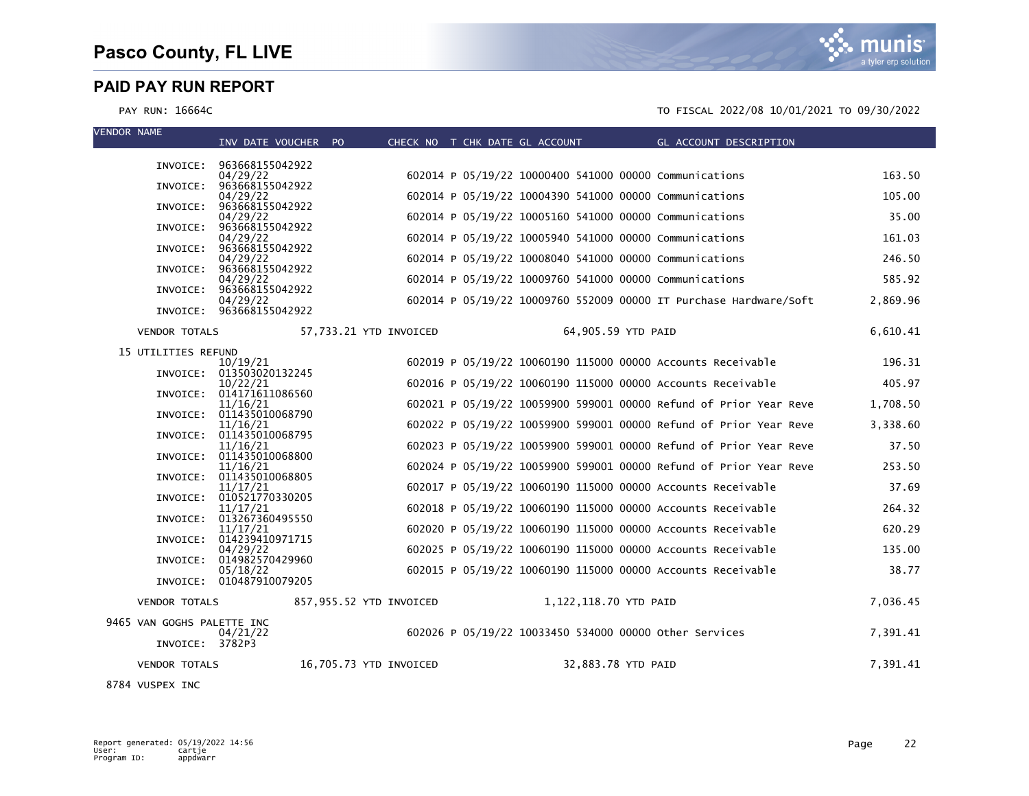m IS a tyler erp solution

### PAY RUN: 16664C TO FISCAL 2022/08 10/01/2021 TO 09/30/2022

| VENDOR NAME                | INV DATE VOUCHER PO                  |                         |  |                       |                    | CHECK NO T CHK DATE GL ACCOUNT GL ACCOUNT DESCRIPTION             |          |
|----------------------------|--------------------------------------|-------------------------|--|-----------------------|--------------------|-------------------------------------------------------------------|----------|
|                            |                                      |                         |  |                       |                    |                                                                   |          |
|                            | INVOICE: 963668155042922<br>04/29/22 |                         |  |                       |                    | 602014 P 05/19/22 10000400 541000 00000 Communications            | 163.50   |
|                            | INVOICE: 963668155042922<br>04/29/22 |                         |  |                       |                    | 602014 P 05/19/22 10004390 541000 00000 Communications            | 105.00   |
| INVOICE:                   | 963668155042922                      |                         |  |                       |                    |                                                                   |          |
| INVOICE:                   | 04/29/22<br>963668155042922          |                         |  |                       |                    | 602014 P 05/19/22 10005160 541000 00000 Communications            | 35.00    |
| INVOICE:                   | 04/29/22<br>963668155042922          |                         |  |                       |                    | 602014 P 05/19/22 10005940 541000 00000 Communications            | 161.03   |
|                            | 04/29/22<br>INVOICE: 963668155042922 |                         |  |                       |                    | 602014 P 05/19/22 10008040 541000 00000 Communications            | 246.50   |
|                            | 04/29/22                             |                         |  |                       |                    | 602014 P 05/19/22 10009760 541000 00000 Communications            | 585.92   |
|                            | INVOICE: 963668155042922<br>04/29/22 |                         |  |                       |                    | 602014 P 05/19/22 10009760 552009 00000 IT Purchase Hardware/Soft | 2,869.96 |
|                            | INVOICE: 963668155042922             |                         |  |                       |                    |                                                                   |          |
| <b>VENDOR TOTALS</b>       |                                      | 57,733.21 YTD INVOICED  |  |                       | 64,905.59 YTD PAID |                                                                   | 6,610.41 |
| 15 UTILITIES REFUND        |                                      |                         |  |                       |                    |                                                                   |          |
|                            | 10/19/21<br>INVOICE: 013503020132245 |                         |  |                       |                    | 602019 P 05/19/22 10060190 115000 00000 Accounts Receivable       | 196.31   |
|                            | 10/22/21<br>INVOICE: 014171611086560 |                         |  |                       |                    | 602016 P 05/19/22 10060190 115000 00000 Accounts Receivable       | 405.97   |
|                            | 11/16/21<br>INVOICE: 011435010068790 |                         |  |                       |                    | 602021 P 05/19/22 10059900 599001 00000 Refund of Prior Year Reve | 1,708.50 |
|                            | 11/16/21                             |                         |  |                       |                    | 602022 P 05/19/22 10059900 599001 00000 Refund of Prior Year Reve | 3,338.60 |
|                            | INVOICE: 011435010068795<br>11/16/21 |                         |  |                       |                    | 602023 P 05/19/22 10059900 599001 00000 Refund of Prior Year Reve | 37.50    |
|                            | INVOICE: 011435010068800<br>11/16/21 |                         |  |                       |                    | 602024 P 05/19/22 10059900 599001 00000 Refund of Prior Year Reve | 253.50   |
|                            | INVOICE: 011435010068805<br>11/17/21 |                         |  |                       |                    | 602017 P 05/19/22 10060190 115000 00000 Accounts Receivable       | 37.69    |
|                            | INVOICE: 010521770330205             |                         |  |                       |                    |                                                                   |          |
|                            | 11/17/21<br>INVOICE: 013267360495550 |                         |  |                       |                    | 602018 P 05/19/22 10060190 115000 00000 Accounts Receivable       | 264.32   |
|                            | 11/17/21<br>INVOICE: 014239410971715 |                         |  |                       |                    | 602020 P 05/19/22 10060190 115000 00000 Accounts Receivable       | 620.29   |
|                            | 04/29/22<br>INVOICE: 014982570429960 |                         |  |                       |                    | 602025 P 05/19/22 10060190 115000 00000 Accounts Receivable       | 135.00   |
|                            | 05/18/22                             |                         |  |                       |                    | 602015 P 05/19/22 10060190 115000 00000 Accounts Receivable       | 38.77    |
|                            | INVOICE: 010487910079205             |                         |  |                       |                    |                                                                   |          |
| <b>VENDOR TOTALS</b>       |                                      | 857,955.52 YTD INVOICED |  | 1,122,118.70 YTD PAID |                    |                                                                   | 7,036.45 |
| 9465 VAN GOGHS PALETTE INC | 04/21/22                             |                         |  |                       |                    | 602026 P 05/19/22 10033450 534000 00000 other Services            | 7,391.41 |
| INVOICE: 3782P3            |                                      |                         |  |                       |                    |                                                                   |          |
| <b>VENDOR TOTALS</b>       |                                      | 16,705.73 YTD INVOICED  |  |                       | 32,883.78 YTD PAID |                                                                   | 7,391.41 |
| $0704$ MICREY THE          |                                      |                         |  |                       |                    |                                                                   |          |

8784 VUSPEX INC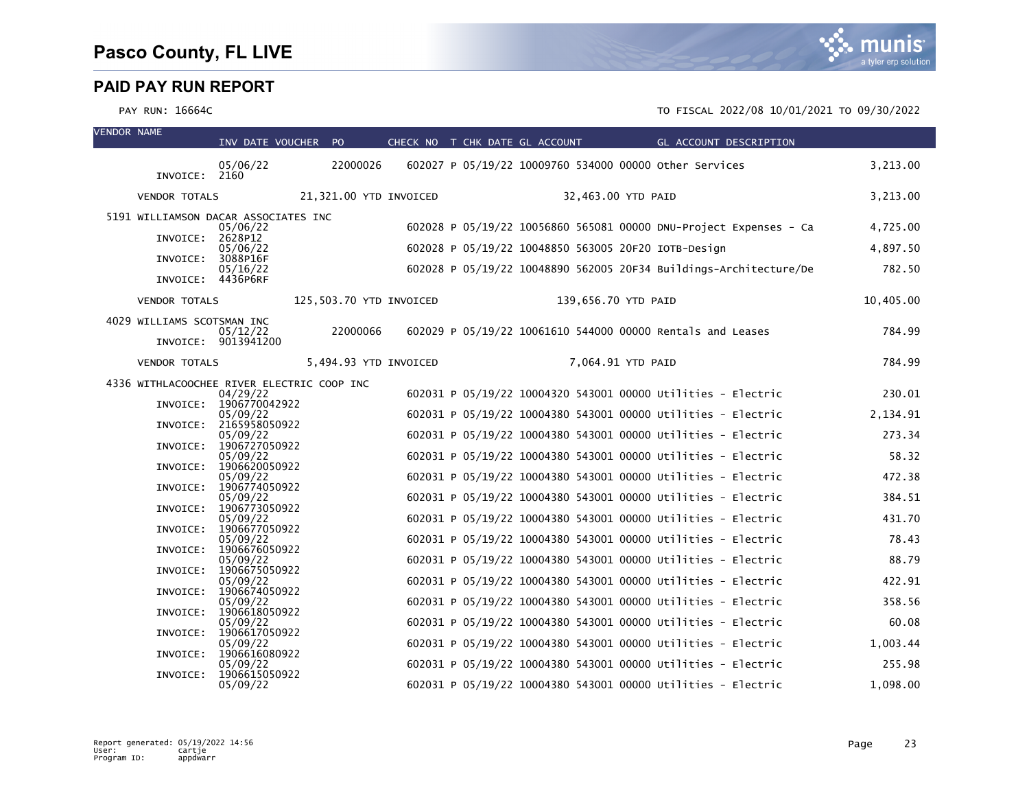| <b>VENDOR NAME</b> |                                            | INV DATE VOUCHER PO                |                         | CHECK NO T CHK DATE GL ACCOUNT |  |                     | GL ACCOUNT DESCRIPTION                                       |                                                                   |           |
|--------------------|--------------------------------------------|------------------------------------|-------------------------|--------------------------------|--|---------------------|--------------------------------------------------------------|-------------------------------------------------------------------|-----------|
|                    | INVOICE: 2160                              | 05/06/22                           | 22000026                |                                |  |                     | 602027 P 05/19/22 10009760 534000 00000 other Services       |                                                                   | 3,213.00  |
|                    | <b>VENDOR TOTALS</b>                       |                                    | 21,321.00 YTD INVOICED  |                                |  | 32,463.00 YTD PAID  |                                                              |                                                                   | 3,213.00  |
|                    | 5191 WILLIAMSON DACAR ASSOCIATES INC       | 05/06/22                           |                         |                                |  |                     |                                                              | 602028 P 05/19/22 10056860 565081 00000 DNU-Project Expenses - Ca | 4,725.00  |
|                    | INVOICE: 2628P12                           | 05/06/22                           |                         |                                |  |                     | 602028 P 05/19/22 10048850 563005 20F20 IOTB-Design          |                                                                   | 4,897.50  |
|                    | INVOICE:                                   | 3088P16F                           |                         |                                |  |                     |                                                              |                                                                   |           |
|                    | INVOICE: 4436P6RF                          | 05/16/22                           |                         |                                |  |                     |                                                              | 602028 P 05/19/22 10048890 562005 20F34 Buildings-Architecture/De | 782.50    |
|                    | <b>VENDOR TOTALS</b>                       |                                    | 125,503.70 YTD INVOICED |                                |  | 139,656.70 YTD PAID |                                                              |                                                                   | 10,405.00 |
|                    | 4029 WILLIAMS SCOTSMAN INC                 | 05/12/22                           | 22000066                |                                |  |                     | 602029 P 05/19/22 10061610 544000 00000 Rentals and Leases   |                                                                   | 784.99    |
|                    | <b>VENDOR TOTALS</b>                       | INVOICE: 9013941200                | 5,494.93 YTD INVOICED   |                                |  | 7,064.91 YTD PAID   |                                                              |                                                                   | 784.99    |
|                    |                                            |                                    |                         |                                |  |                     |                                                              |                                                                   |           |
|                    | 4336 WITHLACOOCHEE RIVER ELECTRIC COOP INC | 04/29/22<br>INVOICE: 1906770042922 |                         |                                |  |                     | 602031 P 05/19/22 10004320 543001 00000 Utilities - Electric |                                                                   | 230.01    |
|                    |                                            | 05/09/22                           |                         |                                |  |                     | 602031 P 05/19/22 10004380 543001 00000 Utilities - Electric |                                                                   | 2,134.91  |
|                    |                                            | INVOICE: 2165958050922<br>05/09/22 |                         |                                |  |                     | 602031 P 05/19/22 10004380 543001 00000 Utilities - Electric |                                                                   | 273.34    |
|                    |                                            | INVOICE: 1906727050922<br>05/09/22 |                         |                                |  |                     | 602031 P 05/19/22 10004380 543001 00000 Utilities - Electric |                                                                   | 58.32     |
|                    |                                            | INVOICE: 1906620050922             |                         |                                |  |                     |                                                              |                                                                   |           |
|                    |                                            | 05/09/22<br>INVOICE: 1906774050922 |                         |                                |  |                     | 602031 P 05/19/22 10004380 543001 00000 Utilities - Electric |                                                                   | 472.38    |
|                    |                                            | 05/09/22<br>INVOICE: 1906773050922 |                         |                                |  |                     | 602031 P 05/19/22 10004380 543001 00000 Utilities - Electric |                                                                   | 384.51    |
|                    |                                            | 05/09/22<br>INVOICE: 1906677050922 |                         |                                |  |                     | 602031 P 05/19/22 10004380 543001 00000 Utilities - Electric |                                                                   | 431.70    |
|                    |                                            | 05/09/22                           |                         |                                |  |                     | 602031 P 05/19/22 10004380 543001 00000 Utilities - Electric |                                                                   | 78.43     |
|                    |                                            | INVOICE: 1906676050922<br>05/09/22 |                         |                                |  |                     | 602031 P 05/19/22 10004380 543001 00000 Utilities - Electric |                                                                   | 88.79     |
|                    | INVOICE:                                   | 1906675050922<br>05/09/22          |                         |                                |  |                     | 602031 P 05/19/22 10004380 543001 00000 Utilities - Electric |                                                                   | 422.91    |
|                    | INVOICE:                                   | 1906674050922                      |                         |                                |  |                     |                                                              |                                                                   |           |
|                    | INVOICE:                                   | 05/09/22<br>1906618050922          |                         |                                |  |                     | 602031 P 05/19/22 10004380 543001 00000 Utilities - Electric |                                                                   | 358.56    |
|                    | INVOICE:                                   | 05/09/22<br>1906617050922          |                         |                                |  |                     | 602031 P 05/19/22 10004380 543001 00000 Utilities - Electric |                                                                   | 60.08     |
|                    | INVOICE:                                   | 05/09/22<br>1906616080922          |                         |                                |  |                     | 602031 P 05/19/22 10004380 543001 00000 Utilities - Electric |                                                                   | 1,003.44  |
|                    |                                            | 05/09/22                           |                         |                                |  |                     | 602031 P 05/19/22 10004380 543001 00000 Utilities - Electric |                                                                   | 255.98    |
|                    | INVOICE:                                   | 1906615050922<br>05/09/22          |                         |                                |  |                     | 602031 P 05/19/22 10004380 543001 00000 Utilities - Electric |                                                                   | 1,098.00  |

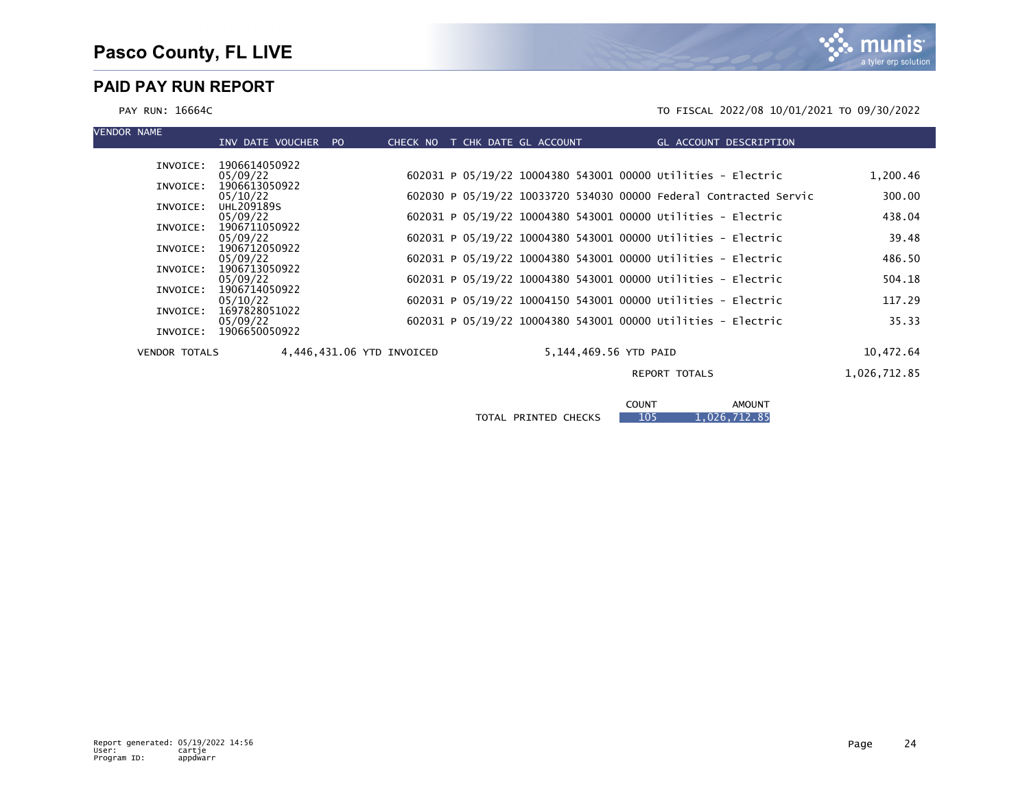

| <b>VENDOR NAME</b>   | INV DATE VOUCHER          | P <sub>O</sub><br>CHECK NO | T CHK DATE GL ACCOUNT |                       |                                                                   | GL ACCOUNT DESCRIPTION |              |
|----------------------|---------------------------|----------------------------|-----------------------|-----------------------|-------------------------------------------------------------------|------------------------|--------------|
|                      |                           |                            |                       |                       |                                                                   |                        |              |
| INVOICE:             | 1906614050922             |                            |                       |                       |                                                                   |                        |              |
|                      | 05/09/22                  |                            |                       |                       | 602031 P 05/19/22 10004380 543001 00000 Utilities - Electric      |                        | 1,200.46     |
| INVOICE:             | 1906613050922             |                            |                       |                       |                                                                   |                        |              |
|                      | 05/10/22                  |                            |                       |                       | 602030 P 05/19/22 10033720 534030 00000 Federal Contracted Servic |                        | 300.00       |
| INVOICE:             | UHL209189S                |                            |                       |                       |                                                                   |                        |              |
|                      | 05/09/22                  |                            |                       |                       | 602031 P 05/19/22 10004380 543001 00000 Utilities - Electric      |                        | 438.04       |
| INVOICE:             | 1906711050922             |                            |                       |                       |                                                                   |                        |              |
| INVOICE:             | 05/09/22<br>1906712050922 |                            |                       |                       | 602031 P 05/19/22 10004380 543001 00000 Utilities - Electric      |                        | 39.48        |
|                      | 05/09/22                  |                            |                       |                       | 602031 P 05/19/22 10004380 543001 00000 Utilities - Electric      |                        | 486.50       |
| INVOICE:             | 1906713050922             |                            |                       |                       |                                                                   |                        |              |
|                      | 05/09/22                  |                            |                       |                       | 602031 P 05/19/22 10004380 543001 00000 Utilities - Electric      |                        | 504.18       |
| INVOICE:             | 1906714050922             |                            |                       |                       |                                                                   |                        |              |
|                      | 05/10/22                  |                            |                       |                       | 602031 P 05/19/22 10004150 543001 00000 Utilities - Electric      |                        | 117.29       |
| INVOICE:             | 1697828051022             |                            |                       |                       |                                                                   |                        |              |
|                      | 05/09/22                  |                            |                       |                       | 602031 P 05/19/22 10004380 543001 00000 Utilities - Electric      |                        | 35.33        |
| INVOICE:             | 1906650050922             |                            |                       |                       |                                                                   |                        |              |
|                      |                           |                            |                       |                       |                                                                   |                        |              |
| <b>VENDOR TOTALS</b> |                           | 4,446,431.06 YTD INVOICED  |                       | 5,144,469.56 YTD PAID |                                                                   |                        | 10,472.64    |
|                      |                           |                            |                       |                       | <b>REPORT TOTALS</b>                                              |                        | 1,026,712.85 |
|                      |                           |                            |                       |                       |                                                                   |                        |              |
|                      |                           |                            |                       |                       |                                                                   |                        |              |
|                      |                           |                            |                       |                       | <b>COUNT</b>                                                      | <b>AMOUNT</b>          |              |

|                                       | <b>LUUN I</b><br>____ | <b>AMUUN I</b><br>$   -$ |
|---------------------------------------|-----------------------|--------------------------|
| <b>PRINTED CHECKS</b><br><b>TOTAL</b> | 105                   | ,712.85<br>.026.         |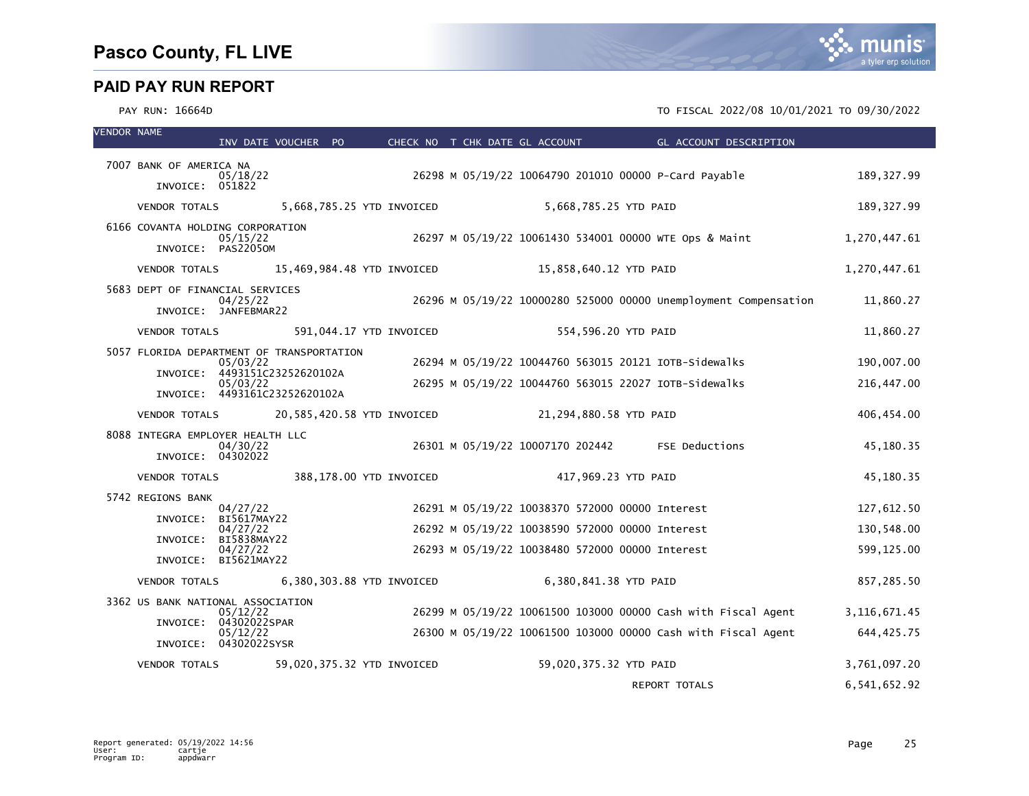| <b>VENDOR NAME</b> |                                           | INV DATE VOUCHER PO     |  |                            |  | CHECK NO T CHK DATE GL ACCOUNT                  |                        | <b>Example 20 GL ACCOUNT DESCRIPTION</b>                         |                |
|--------------------|-------------------------------------------|-------------------------|--|----------------------------|--|-------------------------------------------------|------------------------|------------------------------------------------------------------|----------------|
|                    | 7007 BANK OF AMERICA NA                   | 05/18/22                |  |                            |  |                                                 |                        | 26298 M 05/19/22 10064790 201010 00000 P-Card Payable            | 189, 327.99    |
|                    | INVOICE: 051822                           |                         |  |                            |  |                                                 |                        |                                                                  |                |
|                    | <b>VENDOR TOTALS</b>                      |                         |  | 5,668,785.25 YTD INVOICED  |  |                                                 | 5,668,785.25 YTD PAID  |                                                                  | 189, 327.99    |
|                    | 6166 COVANTA HOLDING CORPORATION          | 05/15/22                |  |                            |  |                                                 |                        | 26297 M 05/19/22 10061430 534001 00000 WTE Ops & Maint           | 1,270,447.61   |
|                    | INVOICE: PAS22050M                        |                         |  |                            |  |                                                 |                        |                                                                  |                |
|                    | <b>VENDOR TOTALS</b>                      |                         |  | 15,469,984.48 YTD INVOICED |  |                                                 | 15,858,640.12 YTD PAID |                                                                  | 1,270,447.61   |
|                    | 5683 DEPT OF FINANCIAL SERVICES           | 04/25/22                |  |                            |  |                                                 |                        | 26296 M 05/19/22 10000280 525000 00000 Unemployment Compensation | 11,860.27      |
|                    | INVOICE: JANFEBMAR22                      |                         |  |                            |  |                                                 |                        |                                                                  |                |
|                    | <b>VENDOR TOTALS</b>                      |                         |  | 591,044.17 YTD INVOICED    |  |                                                 | 554,596.20 YTD PAID    |                                                                  | 11,860.27      |
|                    | 5057 FLORIDA DEPARTMENT OF TRANSPORTATION | 05/03/22                |  |                            |  |                                                 |                        | 26294 M 05/19/22 10044760 563015 20121 IOTB-Sidewalks            | 190,007.00     |
|                    | INVOICE: 4493151C23252620102A             | 05/03/22                |  |                            |  |                                                 |                        | 26295 M 05/19/22 10044760 563015 22027 IOTB-Sidewalks            | 216,447.00     |
|                    | INVOICE: 4493161C23252620102A             |                         |  |                            |  |                                                 |                        |                                                                  |                |
|                    | <b>VENDOR TOTALS</b>                      |                         |  | 20,585,420.58 YTD INVOICED |  |                                                 | 21,294,880.58 YTD PAID |                                                                  | 406,454.00     |
|                    | 8088 INTEGRA EMPLOYER HEALTH LLC          | 04/30/22                |  |                            |  |                                                 |                        | 26301 M 05/19/22 10007170 202442 FSE Deductions                  | 45,180.35      |
|                    | INVOICE: 04302022                         |                         |  |                            |  |                                                 |                        |                                                                  |                |
|                    | VENDOR TOTALS                             |                         |  | 388,178.00 YTD INVOICED    |  |                                                 | 417,969.23 YTD PAID    |                                                                  | 45,180.35      |
|                    | 5742 REGIONS BANK                         | 04/27/22                |  |                            |  | 26291 M 05/19/22 10038370 572000 00000 Interest |                        |                                                                  | 127,612.50     |
|                    | INVOICE:                                  | BI5617MAY22<br>04/27/22 |  |                            |  | 26292 M 05/19/22 10038590 572000 00000 Interest |                        |                                                                  | 130,548.00     |
|                    | INVOICE:                                  | BI5838MAY22<br>04/27/22 |  |                            |  | 26293 M 05/19/22 10038480 572000 00000 Interest |                        |                                                                  | 599,125.00     |
|                    | INVOICE: BI5621MAY22                      |                         |  |                            |  |                                                 |                        |                                                                  |                |
|                    | <b>VENDOR TOTALS</b>                      |                         |  | 6,380,303.88 YTD INVOICED  |  |                                                 | 6,380,841.38 YTD PAID  |                                                                  | 857,285.50     |
|                    | 3362 US BANK NATIONAL ASSOCIATION         | 05/12/22                |  |                            |  |                                                 |                        | 26299 M 05/19/22 10061500 103000 00000 cash with Fiscal Agent    | 3, 116, 671.45 |
|                    | INVOICE: 04302022SPAR                     | 05/12/22                |  |                            |  |                                                 |                        | 26300 M 05/19/22 10061500 103000 00000 Cash with Fiscal Agent    | 644,425.75     |
|                    | INVOICE: 04302022SYSR                     |                         |  |                            |  |                                                 |                        |                                                                  |                |
|                    | <b>VENDOR TOTALS</b>                      |                         |  | 59,020,375.32 YTD INVOICED |  |                                                 | 59,020,375.32 YTD PAID |                                                                  | 3,761,097.20   |
|                    |                                           |                         |  |                            |  |                                                 |                        | <b>REPORT TOTALS</b>                                             | 6,541,652.92   |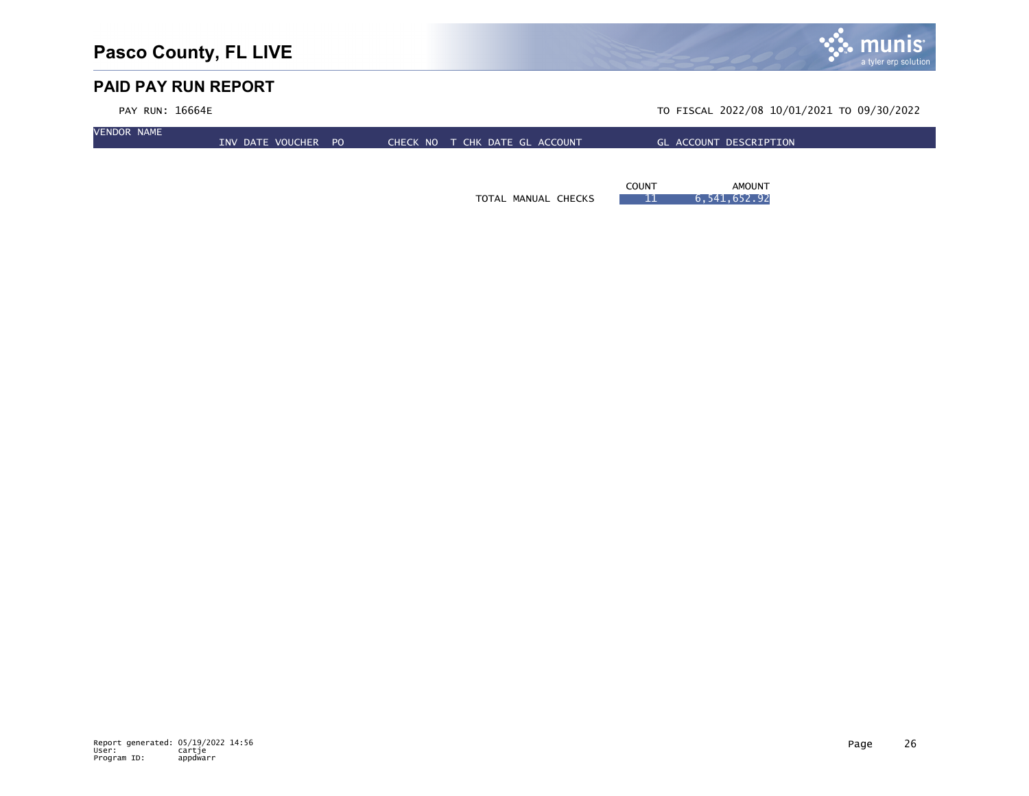

| PAY RUN: 16664E    |                     |  |                                |  |              | TO FISCAL 2022/08 10/01/2021 TO 09/30/2022 |  |
|--------------------|---------------------|--|--------------------------------|--|--------------|--------------------------------------------|--|
| <b>VENDOR NAME</b> | INV DATE VOUCHER PO |  | CHECK NO T CHK DATE GL ACCOUNT |  |              | GL ACCOUNT DESCRIPTION                     |  |
|                    |                     |  |                                |  |              |                                            |  |
|                    |                     |  |                                |  | <b>COUNT</b> | <b>AMOUNT</b>                              |  |

TOTAL MANUAL CHECKS 11 6,541,652.92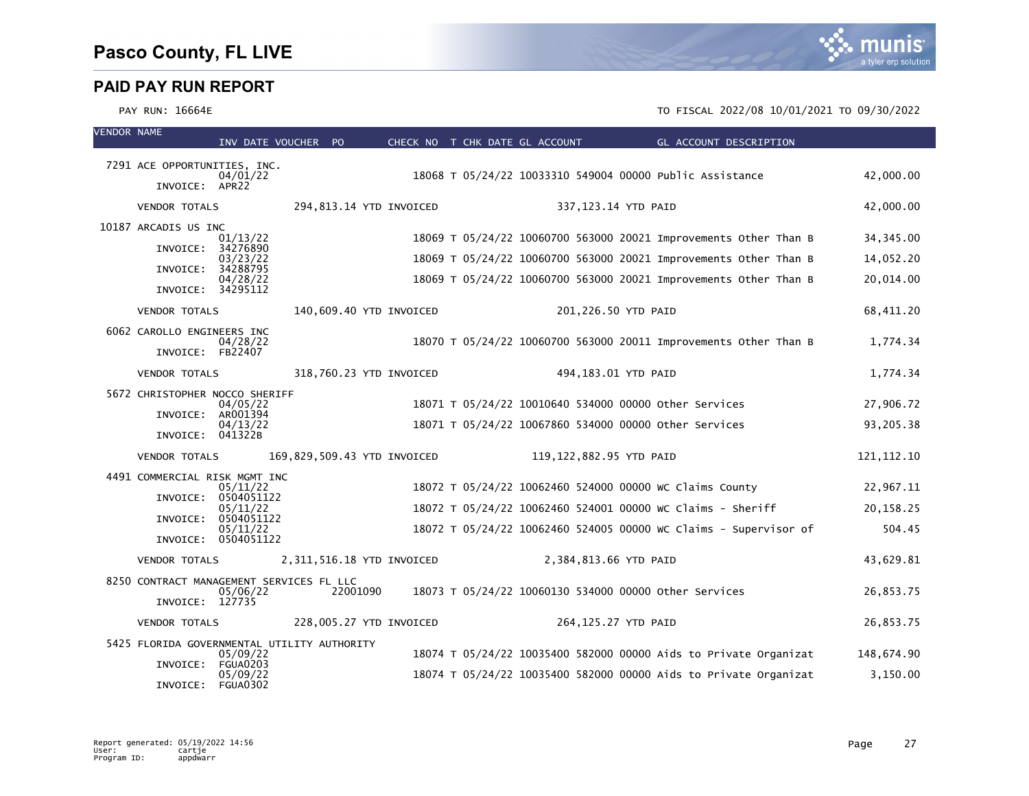VENDOR NAME

|                                                             | INV DATE VOUCHER PO                                    |                             |  | CHECK NO T CHK DATE GL ACCOUNT |                         | GL ACCOUNT DESCRIPTION                                           |              |
|-------------------------------------------------------------|--------------------------------------------------------|-----------------------------|--|--------------------------------|-------------------------|------------------------------------------------------------------|--------------|
| 7291 ACE OPPORTUNITIES, INC.<br>INVOICE: APR22              | 04/01/22                                               |                             |  |                                |                         | 18068 T 05/24/22 10033310 549004 00000 Public Assistance         | 42,000.00    |
| <b>VENDOR TOTALS</b>                                        |                                                        | 294,813.14 YTD INVOICED     |  |                                | 337,123.14 YTD PAID     |                                                                  | 42,000.00    |
| 10187 ARCADIS US INC<br>INVOICE:                            | 01/13/22<br>34276890                                   |                             |  |                                |                         | 18069 T 05/24/22 10060700 563000 20021 Improvements Other Than B | 34, 345.00   |
|                                                             | 03/23/22                                               |                             |  |                                |                         | 18069 T 05/24/22 10060700 563000 20021 Improvements Other Than B | 14,052.20    |
| INVOICE: 34288795<br>INVOICE: 34295112                      | 04/28/22                                               |                             |  |                                |                         | 18069 T 05/24/22 10060700 563000 20021 Improvements Other Than B | 20,014.00    |
| <b>VENDOR TOTALS</b>                                        |                                                        | 140,609.40 YTD INVOICED     |  |                                | 201,226.50 YTD PAID     |                                                                  | 68,411.20    |
| 6062 CAROLLO ENGINEERS INC<br>INVOICE: FB22407              | 04/28/22                                               |                             |  |                                |                         | 18070 T 05/24/22 10060700 563000 20011 Improvements Other Than B | 1.774.34     |
| <b>VENDOR TOTALS</b>                                        |                                                        | 318,760.23 YTD INVOICED     |  |                                | 494,183.01 YTD PAID     |                                                                  | 1,774.34     |
| 5672 CHRISTOPHER NOCCO SHERIFF                              | 04/05/22<br>INVOICE: AR001394                          |                             |  |                                |                         | 18071 T 05/24/22 10010640 534000 00000 other Services            | 27,906.72    |
| INVOICE: 041322B                                            | 04/13/22                                               |                             |  |                                |                         | 18071 T 05/24/22 10067860 534000 00000 other Services            | 93,205.38    |
| <b>VENDOR TOTALS</b>                                        |                                                        | 169,829,509.43 YTD INVOICED |  |                                | 119,122,882.95 YTD PAID |                                                                  | 121, 112. 10 |
| 4491 COMMERCIAL RISK MGMT INC                               | 05/11/22<br>INVOICE: 0504051122                        |                             |  |                                |                         | 18072 T 05/24/22 10062460 524000 00000 WC Claims County          | 22,967.11    |
|                                                             | 05/11/22                                               |                             |  |                                |                         | 18072 T 05/24/22 10062460 524001 00000 WC Claims - Sheriff       | 20,158.25    |
|                                                             | INVOICE: 0504051122<br>05/11/22<br>INVOICE: 0504051122 |                             |  |                                |                         | 18072 T 05/24/22 10062460 524005 00000 WC Claims - Supervisor of | 504.45       |
| <b>VENDOR TOTALS</b>                                        |                                                        | 2,311,516.18 YTD INVOICED   |  |                                | 2,384,813.66 YTD PAID   |                                                                  | 43,629.81    |
| 8250 CONTRACT MANAGEMENT SERVICES FL LLC<br>INVOICE: 127735 | 05/06/22                                               | 22001090                    |  |                                |                         | 18073 T 05/24/22 10060130 534000 00000 other Services            | 26,853.75    |
| <b>VENDOR TOTALS</b>                                        |                                                        | 228,005.27 YTD INVOICED     |  |                                | 264,125.27 YTD PAID     |                                                                  | 26,853.75    |
| 5425 FLORIDA GOVERNMENTAL UTILITY AUTHORITY<br>INVOICE:     | 05/09/22<br><b>FGUA0203</b>                            |                             |  |                                |                         | 18074 T 05/24/22 10035400 582000 00000 Aids to Private Organizat | 148,674.90   |
| INVOICE: FGUA0302                                           | 05/09/22                                               |                             |  |                                |                         | 18074 T 05/24/22 10035400 582000 00000 Aids to Private Organizat | 3,150.00     |

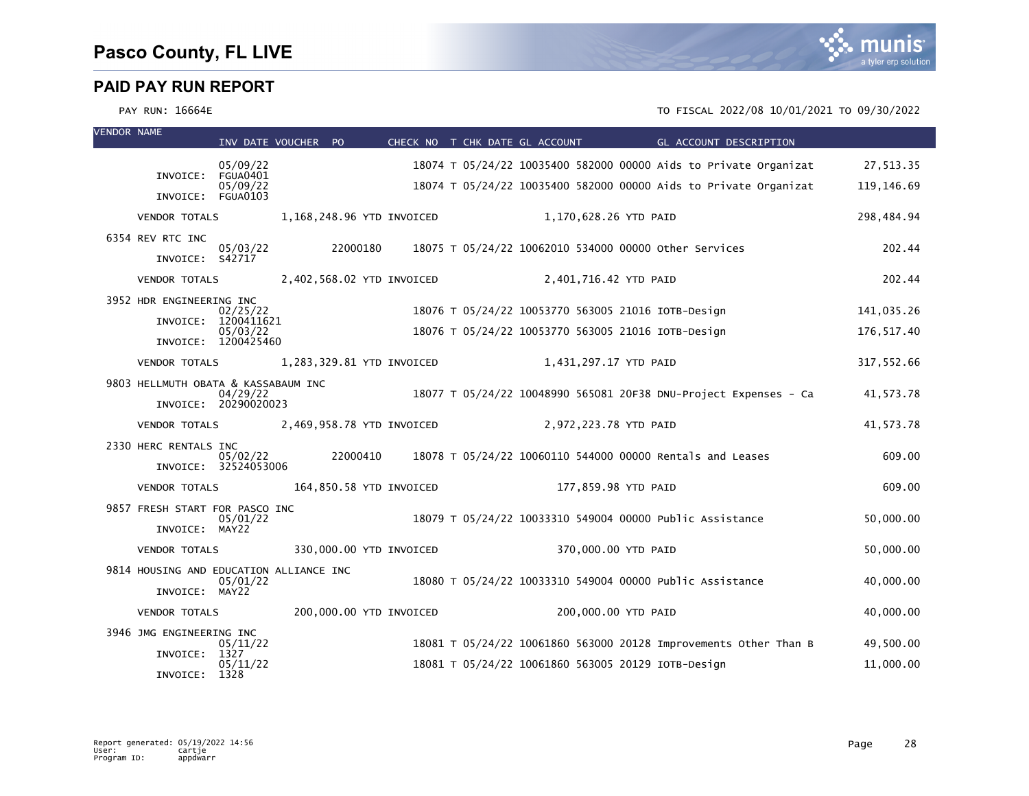

| <b>VENDOR NAME</b> |                                                           |                                                        | INV DATE VOUCHER PO                     |  | CHECK NO T CHK DATE GL ACCOUNT | <b>Example 20 GL ACCOUNT DESCRIPTION</b>                                                                               |                        |
|--------------------|-----------------------------------------------------------|--------------------------------------------------------|-----------------------------------------|--|--------------------------------|------------------------------------------------------------------------------------------------------------------------|------------------------|
|                    |                                                           | 05/09/22                                               |                                         |  |                                | 18074 T 05/24/22 10035400 582000 00000 Aids to Private Organizat                                                       | 27,513.35              |
|                    | INVOICE: FGUA0401                                         | 05/09/22                                               |                                         |  |                                | 18074 T 05/24/22 10035400 582000 00000 Aids to Private Organizat                                                       | 119, 146.69            |
|                    | INVOICE: FGUA0103                                         |                                                        |                                         |  |                                |                                                                                                                        |                        |
|                    | <b>VENDOR TOTALS</b>                                      |                                                        | 1,168,248.96 YTD INVOICED               |  | 1,170,628.26 YTD PAID          |                                                                                                                        | 298,484.94             |
|                    | 6354 REV RTC INC<br>INVOICE: S42717                       | 05/03/22                                               | 22000180                                |  |                                | 18075 T 05/24/22 10062010 534000 00000 Other Services                                                                  | 202.44                 |
|                    | <b>VENDOR TOTALS</b>                                      |                                                        | 2,402,568.02 YTD INVOICED               |  | 2,401,716.42 YTD PAID          |                                                                                                                        | 202.44                 |
|                    | 3952 HDR ENGINEERING INC                                  | 02/25/22                                               |                                         |  |                                | 18076 T 05/24/22 10053770 563005 21016 IOTB-Design                                                                     | 141,035.26             |
|                    |                                                           | INVOICE: 1200411621<br>05/03/22<br>INVOICE: 1200425460 |                                         |  |                                | 18076 T 05/24/22 10053770 563005 21016 IOTB-Design                                                                     | 176, 517.40            |
|                    | <b>VENDOR TOTALS</b>                                      |                                                        | 1,283,329.81 YTD INVOICED               |  | 1,431,297.17 YTD PAID          |                                                                                                                        | 317,552.66             |
|                    | 9803 HELLMUTH OBATA & KASSABAUM INC                       | 04/29/22<br>INVOICE: 20290020023                       |                                         |  |                                | 18077 T 05/24/22 10048990 565081 20F38 DNU-Project Expenses - Ca                                                       | 41,573.78              |
|                    |                                                           |                                                        | VENDOR TOTALS 2,469,958.78 YTD INVOICED |  | 2,972,223.78 YTD PAID          |                                                                                                                        | 41,573.78              |
|                    | 2330 HERC RENTALS INC                                     | 05/02/22<br>INVOICE: 32524053006                       | 22000410                                |  |                                | 18078 T 05/24/22 10060110 544000 00000 Rentals and Leases                                                              | 609.00                 |
|                    | <b>VENDOR TOTALS</b>                                      |                                                        | 164,850.58 YTD INVOICED                 |  |                                | 177,859.98 YTD PAID                                                                                                    | 609.00                 |
|                    | 9857 FRESH START FOR PASCO INC<br>INVOICE: MAY22          | 05/01/22                                               |                                         |  |                                | 18079 T 05/24/22 10033310 549004 00000 Public Assistance                                                               | 50,000.00              |
|                    | <b>VENDOR TOTALS</b>                                      |                                                        | 330,000.00 YTD INVOICED                 |  |                                | 370,000.00 YTD PAID                                                                                                    | 50,000.00              |
|                    | 9814 HOUSING AND EDUCATION ALLIANCE INC<br>INVOICE: MAY22 | 05/01/22                                               |                                         |  |                                | 18080 T 05/24/22 10033310 549004 00000 Public Assistance                                                               | 40,000.00              |
|                    | <b>VENDOR TOTALS</b>                                      |                                                        | 200,000.00 YTD INVOICED                 |  |                                | 200,000.00 YTD PAID                                                                                                    | 40,000.00              |
|                    | 3946 JMG ENGINEERING INC<br>INVOICE: 1327                 | 05/11/22<br>05/11/22                                   |                                         |  |                                | 18081 T 05/24/22 10061860 563000 20128 Improvements Other Than B<br>18081 T 05/24/22 10061860 563005 20129 IOTB-Design | 49,500.00<br>11,000.00 |
|                    | INVOICE: 1328                                             |                                                        |                                         |  |                                |                                                                                                                        |                        |

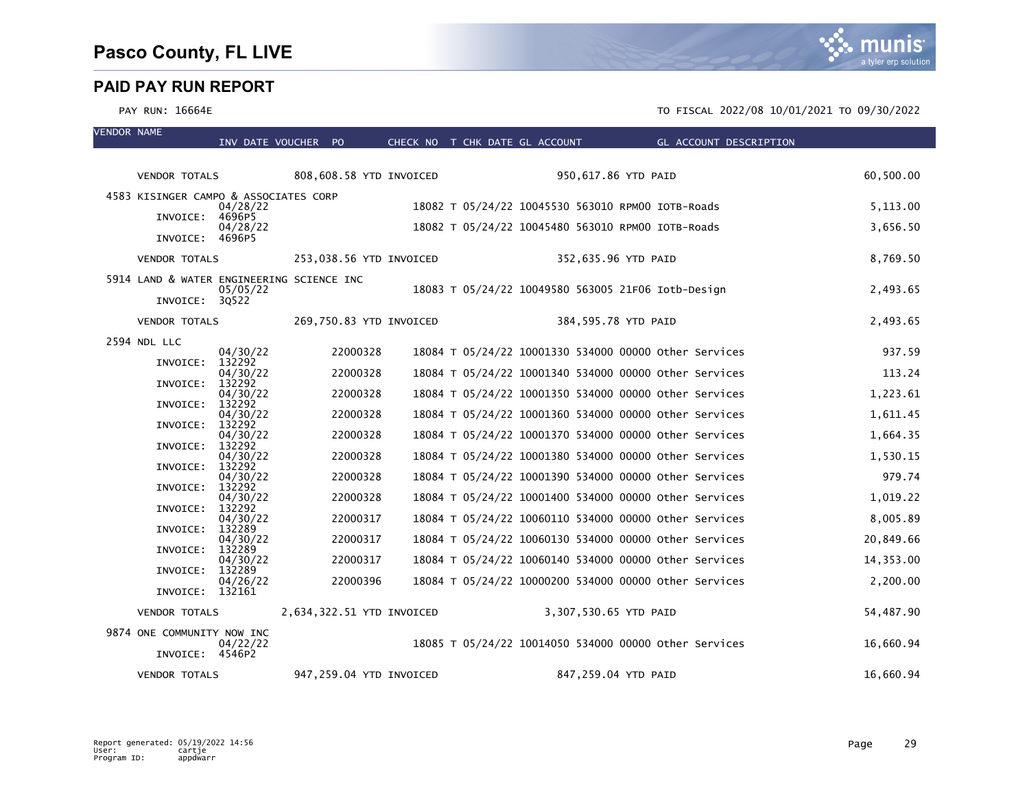munis a tyler erp solution

| <b>VENDOR NAME</b> |                                           | INV DATE VOUCHER PO |          |                           | CHECK NO T CHK DATE GL ACCOUNT                        |                       | <b>Example 2018 GL ACCOUNT DESCRIPTION</b> |           |
|--------------------|-------------------------------------------|---------------------|----------|---------------------------|-------------------------------------------------------|-----------------------|--------------------------------------------|-----------|
|                    |                                           |                     |          |                           |                                                       |                       |                                            |           |
|                    | <b>VENDOR TOTALS</b>                      |                     |          | 808,608.58 YTD INVOICED   |                                                       | 950,617.86 YTD PAID   |                                            | 60,500.00 |
|                    | 4583 KISINGER CAMPO & ASSOCIATES CORP     | 04/28/22            |          |                           | 18082 T 05/24/22 10045530 563010 RPM00 IOTB-Roads     |                       |                                            | 5,113.00  |
|                    | INVOICE: 4696P5                           | 04/28/22            |          |                           | 18082 T 05/24/22 10045480 563010 RPM00 IOTB-Roads     |                       |                                            | 3,656.50  |
|                    | INVOICE: 4696P5                           |                     |          |                           |                                                       |                       |                                            |           |
|                    | <b>VENDOR TOTALS</b>                      |                     |          | 253,038.56 YTD INVOICED   |                                                       | 352,635.96 YTD PAID   |                                            | 8,769.50  |
|                    | 5914 LAND & WATER ENGINEERING SCIENCE INC | 05/05/22            |          |                           | 18083 T 05/24/22 10049580 563005 21F06 Iotb-Design    |                       |                                            | 2,493.65  |
|                    | INVOICE: 30522                            |                     |          |                           |                                                       |                       |                                            |           |
|                    | <b>VENDOR TOTALS</b>                      |                     |          | 269,750.83 YTD INVOICED   |                                                       | 384,595.78 YTD PAID   |                                            | 2,493.65  |
|                    | 2594 NDL LLC                              | 04/30/22            | 22000328 |                           | 18084 T 05/24/22 10001330 534000 00000 other Services |                       |                                            | 937.59    |
|                    | INVOICE:                                  | 132292              |          |                           |                                                       |                       |                                            |           |
|                    | INVOICE:                                  | 04/30/22<br>132292  | 22000328 |                           | 18084 T 05/24/22 10001340 534000 00000 other Services |                       |                                            | 113.24    |
|                    | INVOICE:                                  | 04/30/22<br>132292  | 22000328 |                           | 18084 T 05/24/22 10001350 534000 00000 Other Services |                       |                                            | 1,223.61  |
|                    | INVOICE:                                  | 04/30/22<br>132292  | 22000328 |                           | 18084 T 05/24/22 10001360 534000 00000 other Services |                       |                                            | 1,611.45  |
|                    |                                           | 04/30/22            | 22000328 |                           | 18084 T 05/24/22 10001370 534000 00000 other Services |                       |                                            | 1,664.35  |
|                    | INVOICE:                                  | 132292<br>04/30/22  | 22000328 |                           | 18084 T 05/24/22 10001380 534000 00000 other Services |                       |                                            | 1,530.15  |
|                    | INVOICE:                                  | 132292<br>04/30/22  | 22000328 |                           | 18084 T 05/24/22 10001390 534000 00000 other Services |                       |                                            | 979.74    |
|                    | INVOICE:                                  | 132292<br>04/30/22  | 22000328 |                           | 18084 T 05/24/22 10001400 534000 00000 other Services |                       |                                            | 1,019.22  |
|                    | INVOICE:                                  | 132292              |          |                           |                                                       |                       |                                            |           |
|                    | INVOICE:                                  | 04/30/22<br>132289  | 22000317 |                           | 18084 T 05/24/22 10060110 534000 00000 other Services |                       |                                            | 8,005.89  |
|                    | INVOICE:                                  | 04/30/22<br>132289  | 22000317 |                           | 18084 T 05/24/22 10060130 534000 00000 other Services |                       |                                            | 20,849.66 |
|                    | INVOICE:                                  | 04/30/22<br>132289  | 22000317 |                           | 18084 T 05/24/22 10060140 534000 00000 other Services |                       |                                            | 14,353.00 |
|                    | INVOICE: 132161                           | 04/26/22            | 22000396 |                           | 18084 T 05/24/22 10000200 534000 00000 Other Services |                       |                                            | 2,200.00  |
|                    | <b>VENDOR TOTALS</b>                      |                     |          | 2,634,322.51 YTD INVOICED |                                                       | 3,307,530.65 YTD PAID |                                            | 54,487.90 |
|                    | 9874 ONE COMMUNITY NOW INC                |                     |          |                           |                                                       |                       |                                            |           |
|                    | INVOICE: 4546P2                           | 04/22/22            |          |                           | 18085 T 05/24/22 10014050 534000 00000 other Services |                       |                                            | 16,660.94 |
|                    | <b>VENDOR TOTALS</b>                      |                     |          | 947,259.04 YTD INVOICED   |                                                       | 847,259.04 YTD PAID   |                                            | 16,660.94 |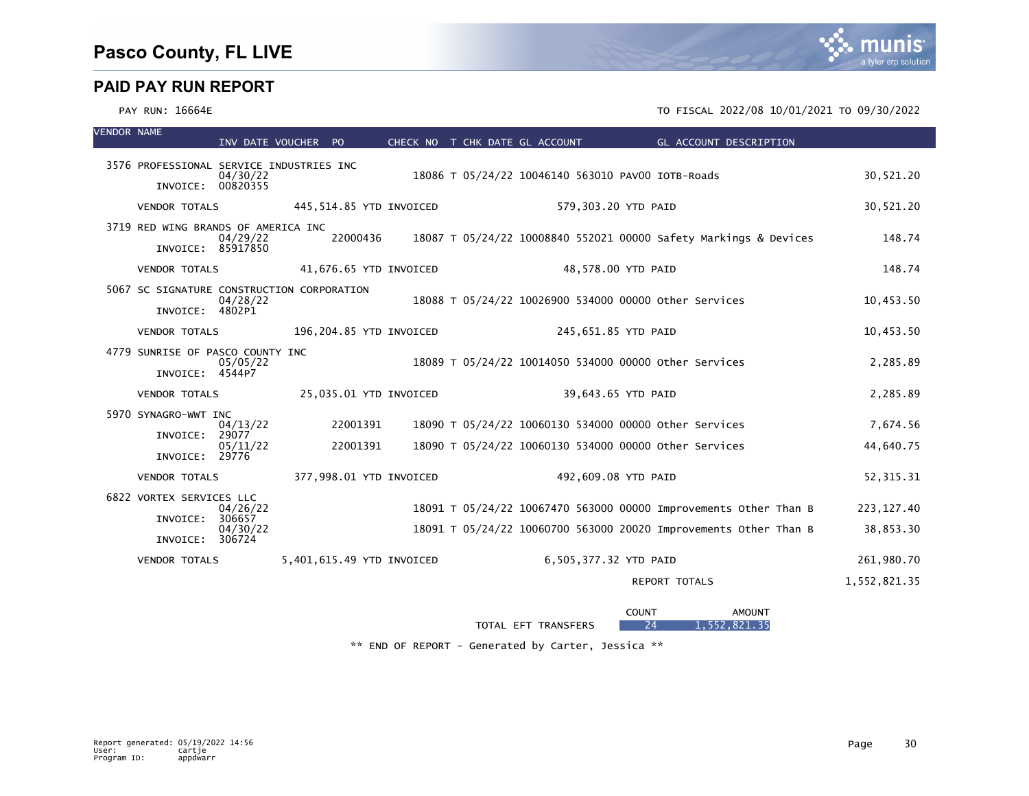#### PAY RUN: 16664E TO FISCAL 2022/08 10/01/2021 TO 09/30/2022

| <b>VENDOR NAME</b> |                                                               | INV DATE VOUCHER PO |          |                           |  | CHECK NO T CHK DATE GL ACCOUNT                        | GL ACCOUNT DESCRIPTION                                           |              |
|--------------------|---------------------------------------------------------------|---------------------|----------|---------------------------|--|-------------------------------------------------------|------------------------------------------------------------------|--------------|
|                    | 3576 PROFESSIONAL SERVICE INDUSTRIES INC<br>INVOICE: 00820355 | 04/30/22            |          |                           |  | 18086 T 05/24/22 10046140 563010 PAV00 IOTB-Roads     |                                                                  | 30,521.20    |
|                    | VENDOR TOTALS                                                 |                     |          | 445,514.85 YTD INVOICED   |  | 579,303.20 YTD PAID                                   |                                                                  | 30,521.20    |
|                    | 3719 RED WING BRANDS OF AMERICA INC<br>INVOICE: 85917850      | 04/29/22            | 22000436 |                           |  |                                                       | 18087 T 05/24/22 10008840 552021 00000 Safety Markings & Devices | 148.74       |
|                    | <b>VENDOR TOTALS</b>                                          |                     |          | 41,676.65 YTD INVOICED    |  | 48,578.00 YTD PAID                                    |                                                                  | 148.74       |
|                    | 5067 SC SIGNATURE CONSTRUCTION CORPORATION<br>INVOICE: 4802P1 | 04/28/22            |          |                           |  | 18088 T 05/24/22 10026900 534000 00000 other Services |                                                                  | 10,453.50    |
|                    | <b>VENDOR TOTALS</b>                                          |                     |          | 196,204.85 YTD INVOICED   |  | 245,651.85 YTD PAID                                   |                                                                  | 10,453.50    |
|                    | 4779 SUNRISE OF PASCO COUNTY INC<br>INVOICE: 4544P7           | 05/05/22            |          |                           |  | 18089 T 05/24/22 10014050 534000 00000 other Services |                                                                  | 2,285.89     |
|                    | <b>VENDOR TOTALS</b>                                          |                     |          | 25,035.01 YTD INVOICED    |  | 39,643.65 YTD PAID                                    |                                                                  | 2,285.89     |
|                    | 5970 SYNAGRO-WWT INC<br>INVOICE: 29077                        | 04/13/22            | 22001391 |                           |  | 18090 T 05/24/22 10060130 534000 00000 other Services |                                                                  | 7,674.56     |
|                    | INVOICE: 29776                                                | 05/11/22            | 22001391 |                           |  | 18090 T 05/24/22 10060130 534000 00000 other Services |                                                                  | 44,640.75    |
|                    | <b>VENDOR TOTALS</b>                                          |                     |          | 377,998.01 YTD INVOICED   |  | 492,609.08 YTD PAID                                   |                                                                  | 52, 315. 31  |
|                    | 6822 VORTEX SERVICES LLC                                      | 04/26/22            |          |                           |  |                                                       | 18091 T 05/24/22 10067470 563000 00000 Improvements Other Than B | 223, 127.40  |
|                    | INVOICE:<br>INVOICE: 306724                                   | 306657<br>04/30/22  |          |                           |  |                                                       | 18091 T 05/24/22 10060700 563000 20020 Improvements Other Than B | 38,853.30    |
|                    | <b>VENDOR TOTALS</b>                                          |                     |          | 5,401,615.49 YTD INVOICED |  | 6,505,377.32 YTD PAID                                 |                                                                  | 261,980.70   |
|                    |                                                               |                     |          |                           |  |                                                       | <b>REPORT TOTALS</b>                                             | 1,552,821.35 |

|                                                             | COUN1<br>. | AMOUN <sub>1</sub> |
|-------------------------------------------------------------|------------|--------------------|
| <b>TOTAL</b><br><b>TRANSFERS</b><br>EET<br>$\sim$<br>$\sim$ | 24         | 821<br>-25<br>ににつ  |

\*\* END OF REPORT - Generated by Carter, Jessica \*\*

a tyler erp solutio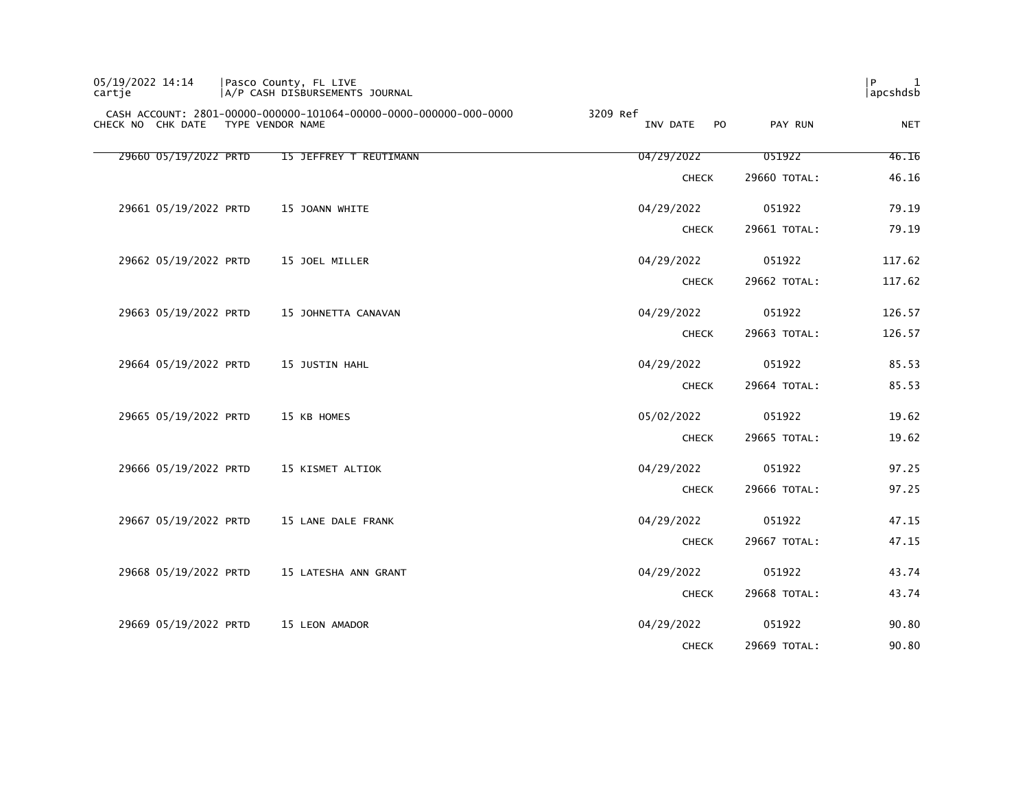| 05/19/2022 14:14<br>cartie | Pasco County, FL LIVE | A/P CASH DISBURSEMENTS JOURNAL                                    |                            |              | l P<br>1<br>apcshdsb |
|----------------------------|-----------------------|-------------------------------------------------------------------|----------------------------|--------------|----------------------|
| CHECK NO CHK DATE          | TYPE VENDOR NAME      | CASH ACCOUNT: 2801-00000-000000-101064-00000-0000-000000-000-0000 | 3209 Ref<br>INV DATE<br>PO | PAY RUN      | <b>NET</b>           |
| 29660 05/19/2022 PRTD      |                       | 15 JEFFREY T REUTIMANN                                            | 04/29/2022                 | 051922       | 46.16                |
|                            |                       |                                                                   | <b>CHECK</b>               | 29660 TOTAL: | 46.16                |
| 29661 05/19/2022 PRTD      |                       | 15 JOANN WHITE                                                    | 04/29/2022                 | 051922       | 79.19                |
|                            |                       |                                                                   | <b>CHECK</b>               | 29661 TOTAL: | 79.19                |
| 29662 05/19/2022 PRTD      |                       | 15 JOEL MILLER                                                    | 04/29/2022                 | 051922       | 117.62               |
|                            |                       |                                                                   | <b>CHECK</b>               | 29662 TOTAL: | 117.62               |
| 29663 05/19/2022 PRTD      |                       | 15 JOHNETTA CANAVAN                                               | 04/29/2022                 | 051922       | 126.57               |
|                            |                       |                                                                   | <b>CHECK</b>               | 29663 TOTAL: | 126.57               |
| 29664 05/19/2022 PRTD      |                       | 15 JUSTIN HAHL                                                    | 04/29/2022                 | 051922       | 85.53                |
|                            |                       |                                                                   | <b>CHECK</b>               | 29664 TOTAL: | 85.53                |
| 29665 05/19/2022 PRTD      |                       | 15 KB HOMES                                                       | 05/02/2022                 | 051922       | 19.62                |
|                            |                       |                                                                   | <b>CHECK</b>               | 29665 TOTAL: | 19.62                |
| 29666 05/19/2022 PRTD      |                       | 15 KISMET ALTIOK                                                  | 04/29/2022                 | 051922       | 97.25                |
|                            |                       |                                                                   | <b>CHECK</b>               | 29666 TOTAL: | 97.25                |
| 29667 05/19/2022 PRTD      |                       | 15 LANE DALE FRANK                                                | 04/29/2022                 | 051922       | 47.15                |
|                            |                       |                                                                   | <b>CHECK</b>               | 29667 TOTAL: | 47.15                |
| 29668 05/19/2022 PRTD      |                       | 15 LATESHA ANN GRANT                                              | 04/29/2022                 | 051922       | 43.74                |
|                            |                       |                                                                   | <b>CHECK</b>               | 29668 TOTAL: | 43.74                |
| 29669 05/19/2022 PRTD      |                       | 15 LEON AMADOR                                                    | 04/29/2022                 | 051922       | 90.80                |
|                            |                       |                                                                   | <b>CHECK</b>               | 29669 TOTAL: | 90.80                |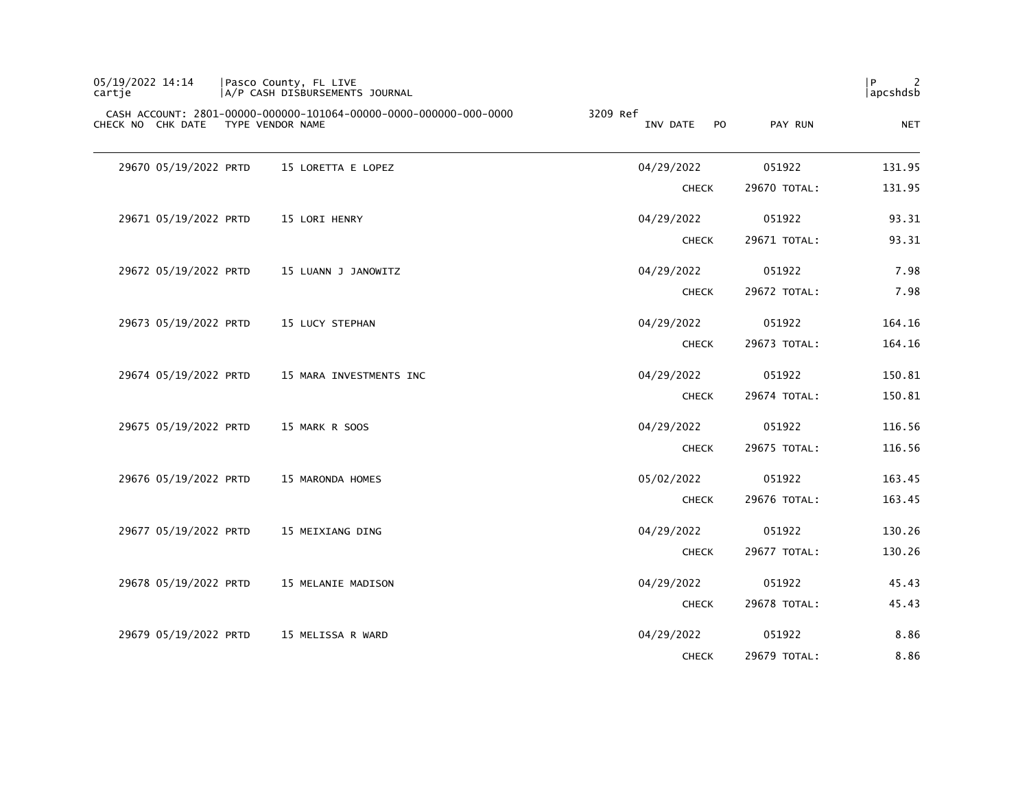| P<br>2<br> apcshdsb |              |                                        | Pasco County, FL LIVE<br> A/P CASH DISBURSEMENTS JOURNAL                              | 05/19/2022 14:14<br>cartje |
|---------------------|--------------|----------------------------------------|---------------------------------------------------------------------------------------|----------------------------|
| <b>NET</b>          | PAY RUN      | 3209 Ref<br>INV DATE<br>P <sub>O</sub> | CASH ACCOUNT: 2801-00000-000000-101064-00000-0000-000000-000-0000<br>TYPE VENDOR NAME | CHECK NO CHK DATE          |
| 131.95              | 051922       | 04/29/2022                             | 15 LORETTA E LOPEZ                                                                    | 29670 05/19/2022 PRTD      |
| 131.95              | 29670 TOTAL: | <b>CHECK</b>                           |                                                                                       |                            |
| 93.31               | 051922       | 04/29/2022                             | 15 LORI HENRY                                                                         | 29671 05/19/2022 PRTD      |
| 93.31               | 29671 TOTAL: | <b>CHECK</b>                           |                                                                                       |                            |
| 7.98                | 051922       | 04/29/2022                             | 15 LUANN J JANOWITZ                                                                   | 29672 05/19/2022 PRTD      |
| 7.98                | 29672 TOTAL: | <b>CHECK</b>                           |                                                                                       |                            |
| 164.16              | 051922       | 04/29/2022                             | 15 LUCY STEPHAN                                                                       | 29673 05/19/2022 PRTD      |
| 164.16              | 29673 TOTAL: | <b>CHECK</b>                           |                                                                                       |                            |
| 150.81              | 051922       | 04/29/2022                             | 15 MARA INVESTMENTS INC                                                               | 29674 05/19/2022 PRTD      |
| 150.81              | 29674 TOTAL: | <b>CHECK</b>                           |                                                                                       |                            |
| 116.56              | 051922       | 04/29/2022                             | 15 MARK R SOOS                                                                        | 29675 05/19/2022 PRTD      |
| 116.56              | 29675 TOTAL: | <b>CHECK</b>                           |                                                                                       |                            |
| 163.45              | 051922       | 05/02/2022                             | 15 MARONDA HOMES                                                                      | 29676 05/19/2022 PRTD      |
| 163.45              | 29676 TOTAL: | <b>CHECK</b>                           |                                                                                       |                            |
| 130.26              | 051922       | 04/29/2022                             | 15 MEIXIANG DING                                                                      | 29677 05/19/2022 PRTD      |
| 130.26              | 29677 TOTAL: | <b>CHECK</b>                           |                                                                                       |                            |
| 45.43               | 051922       | 04/29/2022                             | 15 MELANIE MADISON                                                                    | 29678 05/19/2022 PRTD      |
| 45.43               | 29678 TOTAL: | <b>CHECK</b>                           |                                                                                       |                            |
| 8.86                | 051922       | 04/29/2022                             | 15 MELISSA R WARD                                                                     | 29679 05/19/2022 PRTD      |
| 8.86                | 29679 TOTAL: | <b>CHECK</b>                           |                                                                                       |                            |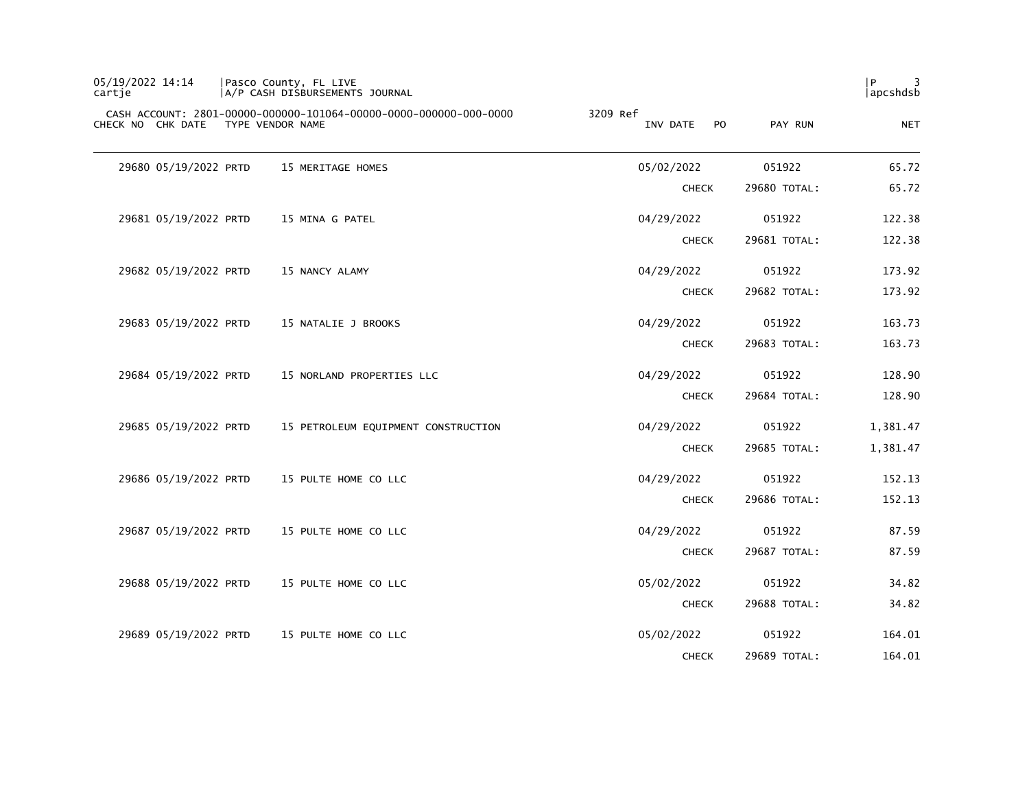| 05/19/2022 14:14<br>cartje | Pasco County, FL LIVE<br> A/P CASH DISBURSEMENTS JOURNAL                              |                                        |              | P<br> apcshdsb |
|----------------------------|---------------------------------------------------------------------------------------|----------------------------------------|--------------|----------------|
| CHECK NO CHK DATE          | CASH ACCOUNT: 2801-00000-000000-101064-00000-0000-000000-000-0000<br>TYPE VENDOR NAME | 3209 Ref<br>P <sub>0</sub><br>INV DATE | PAY RUN      | <b>NET</b>     |
| 29680 05/19/2022 PRTD      | 15 MERITAGE HOMES                                                                     | 05/02/2022                             | 051922       | 65.72          |
|                            |                                                                                       | <b>CHECK</b>                           | 29680 TOTAL: | 65.72          |
| 29681 05/19/2022 PRTD      | 15 MINA G PATEL                                                                       | 04/29/2022                             | 051922       | 122.38         |
|                            |                                                                                       | <b>CHECK</b>                           | 29681 TOTAL: | 122.38         |
| 29682 05/19/2022 PRTD      | 15 NANCY ALAMY                                                                        | 04/29/2022                             | 051922       | 173.92         |
|                            |                                                                                       | <b>CHECK</b>                           | 29682 TOTAL: | 173.92         |
| 29683 05/19/2022 PRTD      | 15 NATALIE J BROOKS                                                                   | 04/29/2022                             | 051922       | 163.73         |
|                            |                                                                                       | <b>CHECK</b>                           | 29683 TOTAL: | 163.73         |
| 29684 05/19/2022 PRTD      | 15 NORLAND PROPERTIES LLC                                                             | 04/29/2022                             | 051922       | 128.90         |
|                            |                                                                                       | <b>CHECK</b>                           | 29684 TOTAL: | 128.90         |
| 29685 05/19/2022 PRTD      | 15 PETROLEUM EQUIPMENT CONSTRUCTION                                                   | 04/29/2022                             | 051922       | 1,381.47       |
|                            |                                                                                       | <b>CHECK</b>                           | 29685 TOTAL: | 1,381.47       |
| 29686 05/19/2022 PRTD      | 15 PULTE HOME CO LLC                                                                  | 04/29/2022                             | 051922       | 152.13         |
|                            |                                                                                       | <b>CHECK</b>                           | 29686 TOTAL: | 152.13         |
| 29687 05/19/2022 PRTD      | 15 PULTE HOME CO LLC                                                                  | 04/29/2022                             | 051922       | 87.59          |
|                            |                                                                                       | <b>CHECK</b>                           | 29687 TOTAL: | 87.59          |
| 29688 05/19/2022 PRTD      | 15 PULTE HOME CO LLC                                                                  | 05/02/2022                             | 051922       | 34.82          |
|                            |                                                                                       | <b>CHECK</b>                           | 29688 TOTAL: | 34.82          |
| 29689 05/19/2022 PRTD      | 15 PULTE HOME CO LLC                                                                  | 05/02/2022                             | 051922       | 164.01         |
|                            |                                                                                       | <b>CHECK</b>                           | 29689 TOTAL: | 164.01         |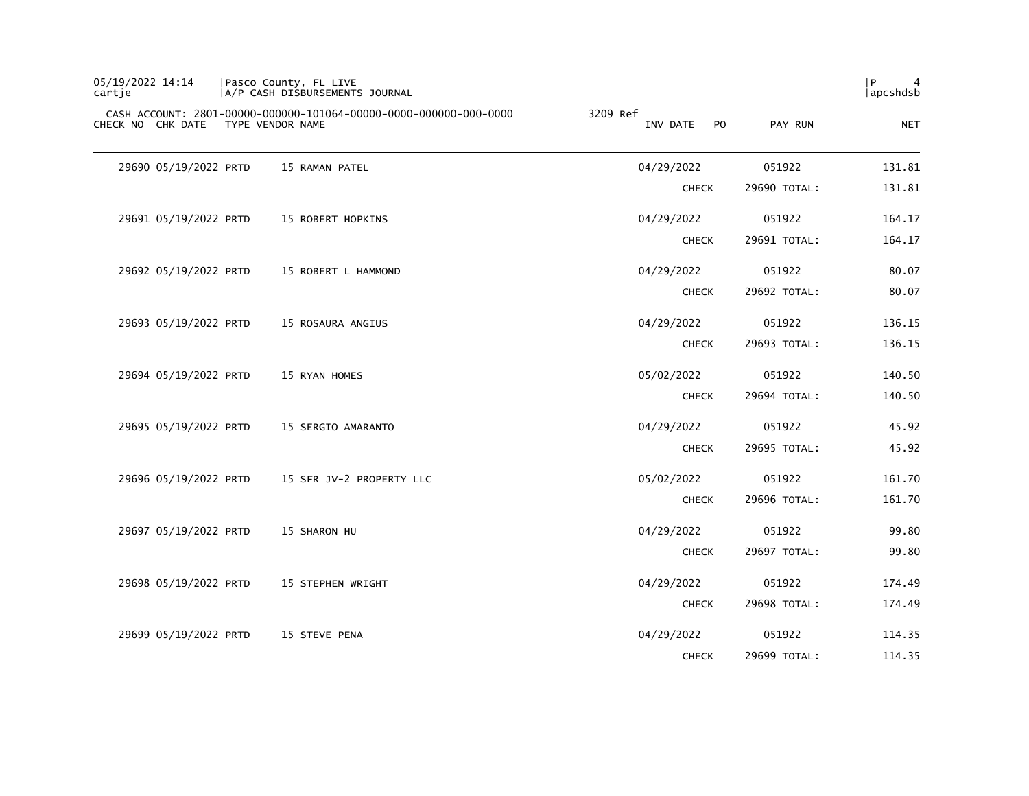| 05/19/2022 14:14<br>cartje | Pasco County, FL LIVE<br>A/P CASH DISBURSEMENTS JOURNAL                               |                                   |              | P<br>4<br> apcshdsb |
|----------------------------|---------------------------------------------------------------------------------------|-----------------------------------|--------------|---------------------|
| CHECK NO CHK DATE          | CASH ACCOUNT: 2801-00000-000000-101064-00000-0000-000000-000-0000<br>TYPE VENDOR NAME | 3209 Ref<br><b>PO</b><br>INV DATE | PAY RUN      | <b>NET</b>          |
| 29690 05/19/2022 PRTD      | 15 RAMAN PATEL                                                                        | 04/29/2022                        | 051922       | 131.81              |
|                            |                                                                                       | <b>CHECK</b>                      | 29690 TOTAL: | 131.81              |
| 29691 05/19/2022 PRTD      | 15 ROBERT HOPKINS                                                                     | 04/29/2022                        | 051922       | 164.17              |
|                            |                                                                                       | <b>CHECK</b>                      | 29691 TOTAL: | 164.17              |
| 29692 05/19/2022 PRTD      | 15 ROBERT L HAMMOND                                                                   | 04/29/2022                        | 051922       | 80.07               |
|                            |                                                                                       | <b>CHECK</b>                      | 29692 TOTAL: | 80.07               |
| 29693 05/19/2022 PRTD      | 15 ROSAURA ANGIUS                                                                     | 04/29/2022                        | 051922       | 136.15              |
|                            |                                                                                       | <b>CHECK</b>                      | 29693 TOTAL: | 136.15              |
| 29694 05/19/2022 PRTD      | 15 RYAN HOMES                                                                         | 05/02/2022                        | 051922       | 140.50              |
|                            |                                                                                       | <b>CHECK</b>                      | 29694 TOTAL: | 140.50              |
| 29695 05/19/2022 PRTD      | 15 SERGIO AMARANTO                                                                    | 04/29/2022                        | 051922       | 45.92               |
|                            |                                                                                       | <b>CHECK</b>                      | 29695 TOTAL: | 45.92               |
| 29696 05/19/2022 PRTD      | 15 SFR JV-2 PROPERTY LLC                                                              | 05/02/2022                        | 051922       | 161.70              |
|                            |                                                                                       | <b>CHECK</b>                      | 29696 TOTAL: | 161.70              |
| 29697 05/19/2022 PRTD      | 15 SHARON HU                                                                          | 04/29/2022                        | 051922       | 99.80               |
|                            |                                                                                       | <b>CHECK</b>                      | 29697 TOTAL: | 99.80               |
| 29698 05/19/2022 PRTD      | 15 STEPHEN WRIGHT                                                                     | 04/29/2022                        | 051922       | 174.49              |
|                            |                                                                                       | <b>CHECK</b>                      | 29698 TOTAL: | 174.49              |
| 29699 05/19/2022 PRTD      | 15 STEVE PENA                                                                         | 04/29/2022                        | 051922       | 114.35              |
|                            |                                                                                       | <b>CHECK</b>                      | 29699 TOTAL: | 114.35              |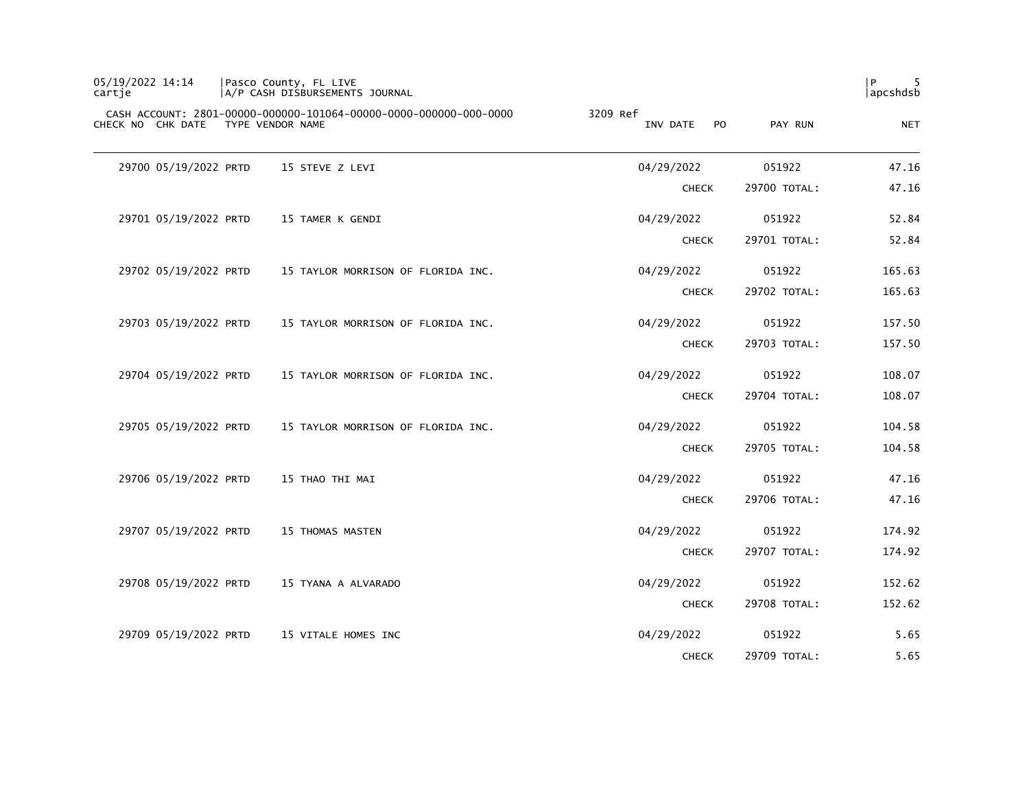| 05/19/2022 14:14<br>cartje | Pasco County, FL LIVE<br> A/P CASH DISBURSEMENTS JOURNAL                              |                                        |              | P<br> apcshdsb |
|----------------------------|---------------------------------------------------------------------------------------|----------------------------------------|--------------|----------------|
| CHECK NO CHK DATE          | CASH ACCOUNT: 2801-00000-000000-101064-00000-0000-000000-000-0000<br>TYPE VENDOR NAME | 3209 Ref<br>INV DATE<br>P <sub>O</sub> | PAY RUN      | <b>NET</b>     |
| 29700 05/19/2022 PRTD      | 15 STEVE Z LEVI                                                                       | 04/29/2022                             | 051922       | 47.16          |
|                            |                                                                                       | <b>CHECK</b>                           | 29700 TOTAL: | 47.16          |
| 29701 05/19/2022 PRTD      | 15 TAMER K GENDI                                                                      | 04/29/2022                             | 051922       | 52.84          |
|                            |                                                                                       | <b>CHECK</b>                           | 29701 TOTAL: | 52.84          |
| 29702 05/19/2022 PRTD      | 15 TAYLOR MORRISON OF FLORIDA INC.                                                    | 04/29/2022                             | 051922       | 165.63         |
|                            |                                                                                       | <b>CHECK</b>                           | 29702 TOTAL: | 165.63         |
| 29703 05/19/2022 PRTD      | 15 TAYLOR MORRISON OF FLORIDA INC.                                                    | 04/29/2022                             | 051922       | 157.50         |
|                            |                                                                                       | <b>CHECK</b>                           | 29703 TOTAL: | 157.50         |
| 29704 05/19/2022 PRTD      | 15 TAYLOR MORRISON OF FLORIDA INC.                                                    | 04/29/2022                             | 051922       | 108.07         |
|                            |                                                                                       | <b>CHECK</b>                           | 29704 TOTAL: | 108.07         |
| 29705 05/19/2022 PRTD      | 15 TAYLOR MORRISON OF FLORIDA INC.                                                    | 04/29/2022                             | 051922       | 104.58         |
|                            |                                                                                       | <b>CHECK</b>                           | 29705 TOTAL: | 104.58         |
| 29706 05/19/2022 PRTD      | 15 THAO THI MAI                                                                       | 04/29/2022                             | 051922       | 47.16          |
|                            |                                                                                       | <b>CHECK</b>                           | 29706 TOTAL: | 47.16          |
| 29707 05/19/2022 PRTD      | 15 THOMAS MASTEN                                                                      | 04/29/2022                             | 051922       | 174.92         |
|                            |                                                                                       | <b>CHECK</b>                           | 29707 TOTAL: | 174.92         |
| 29708 05/19/2022 PRTD      | 15 TYANA A ALVARADO                                                                   | 04/29/2022                             | 051922       | 152.62         |
|                            |                                                                                       | <b>CHECK</b>                           | 29708 TOTAL: | 152.62         |
| 29709 05/19/2022 PRTD      | 15 VITALE HOMES INC                                                                   | 04/29/2022                             | 051922       | 5.65           |
|                            |                                                                                       | <b>CHECK</b>                           | 29709 TOTAL: | 5.65           |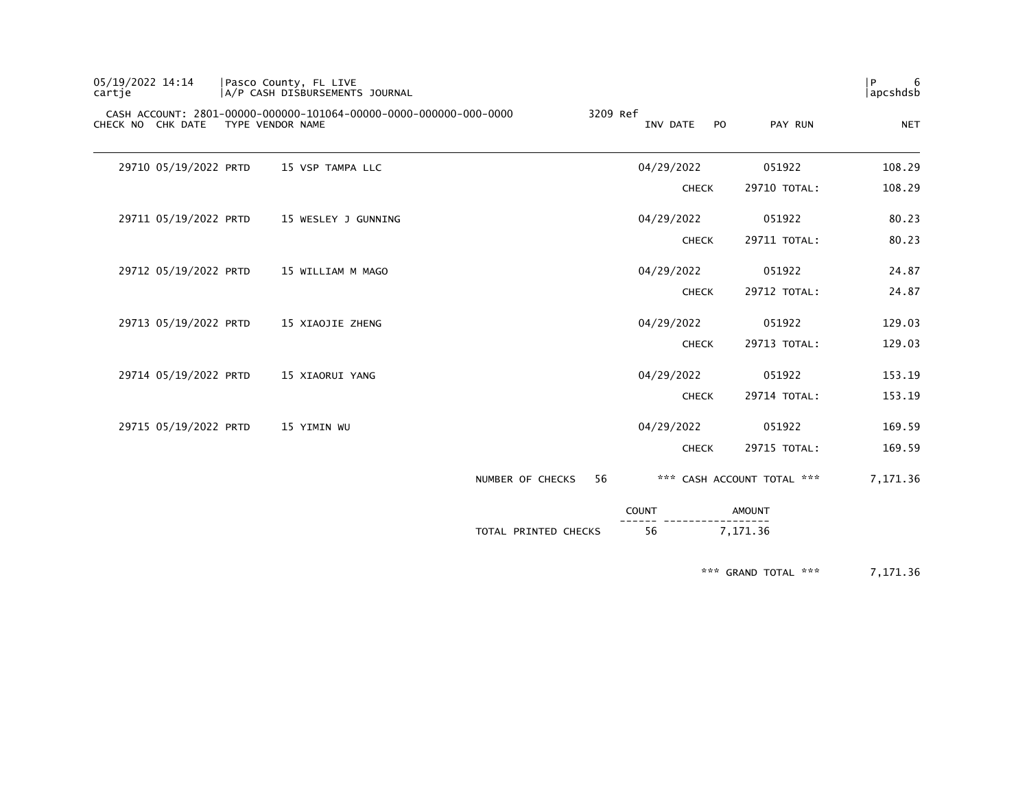| 6<br>$\mathsf{P}$<br>apcshdsb |                            |                            |          |                      | Pasco County, FL LIVE<br> A/P CASH DISBURSEMENTS JOURNAL          |                  |                       | 05/19/2022 14:14<br>cartie |
|-------------------------------|----------------------------|----------------------------|----------|----------------------|-------------------------------------------------------------------|------------------|-----------------------|----------------------------|
| <b>NET</b>                    | PAY RUN                    | INV DATE<br>P <sub>O</sub> | 3209 Ref |                      | CASH ACCOUNT: 2801-00000-000000-101064-00000-0000-000000-000-0000 | TYPE VENDOR NAME |                       | CHECK NO CHK DATE          |
| 108.29                        | 051922                     | 04/29/2022                 |          |                      | 15 VSP TAMPA LLC                                                  |                  | 29710 05/19/2022 PRTD |                            |
| 108.29                        | 29710 TOTAL:               | <b>CHECK</b>               |          |                      |                                                                   |                  |                       |                            |
| 80.23                         | 051922                     | 04/29/2022                 |          |                      | 15 WESLEY J GUNNING                                               |                  | 29711 05/19/2022 PRTD |                            |
| 80.23                         | 29711 TOTAL:               | <b>CHECK</b>               |          |                      |                                                                   |                  |                       |                            |
| 24.87                         | 051922                     | 04/29/2022                 |          |                      | 15 WILLIAM M MAGO                                                 |                  | 29712 05/19/2022 PRTD |                            |
| 24.87                         | 29712 TOTAL:               | <b>CHECK</b>               |          |                      |                                                                   |                  |                       |                            |
| 129.03                        | 051922                     | 04/29/2022                 |          |                      | 15 XIAOJIE ZHENG                                                  |                  | 29713 05/19/2022 PRTD |                            |
| 129.03                        | 29713 TOTAL:               | <b>CHECK</b>               |          |                      |                                                                   |                  |                       |                            |
| 153.19                        | 051922                     | 04/29/2022                 |          |                      | 15 XIAORUI YANG                                                   |                  | 29714 05/19/2022 PRTD |                            |
| 153.19                        | 29714 TOTAL:               | <b>CHECK</b>               |          |                      |                                                                   |                  |                       |                            |
| 169.59                        | 051922                     | 04/29/2022                 |          |                      | 15 YIMIN WU                                                       |                  | 29715 05/19/2022 PRTD |                            |
| 169.59                        | 29715 TOTAL:               | <b>CHECK</b>               |          |                      |                                                                   |                  |                       |                            |
| 7,171.36                      | *** CASH ACCOUNT TOTAL *** |                            | 56       | NUMBER OF CHECKS     |                                                                   |                  |                       |                            |
|                               | <b>AMOUNT</b>              | <b>COUNT</b>               |          |                      |                                                                   |                  |                       |                            |
|                               | 7,171.36                   | 56                         |          | TOTAL PRINTED CHECKS |                                                                   |                  |                       |                            |

\*\*\* GRAND TOTAL \*\*\* 7,171.36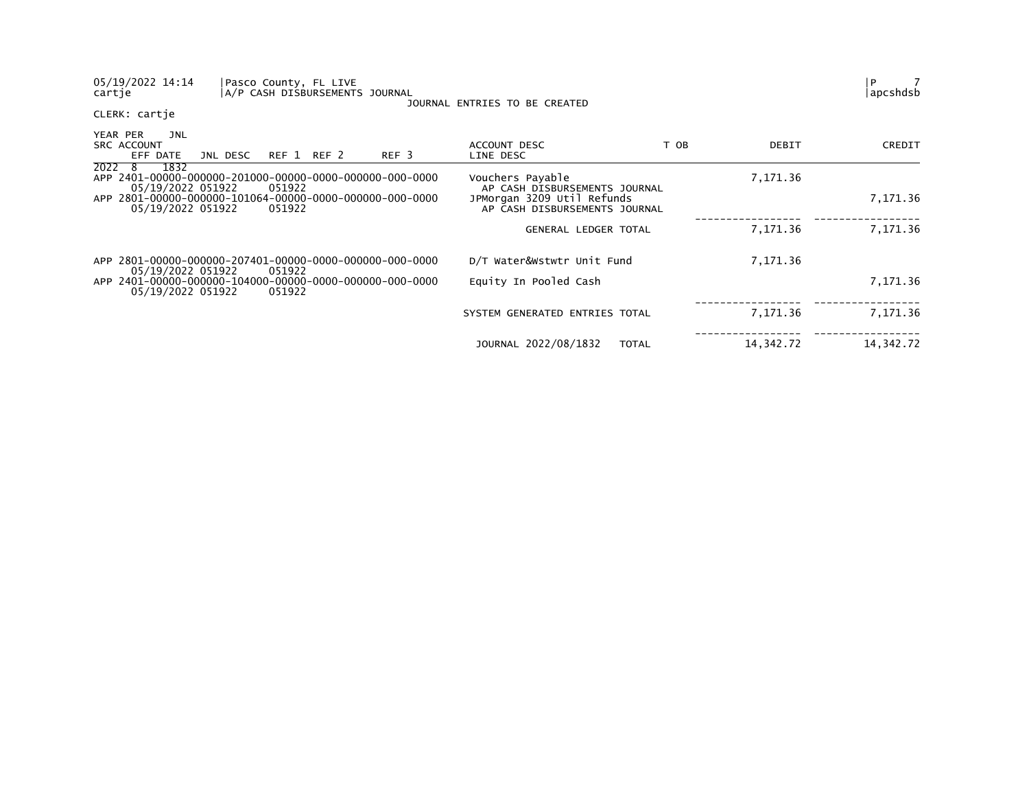| 05/19/2022 14:14<br>Pasco County, FL LIVE<br>A/P CASH DISBURSEMENTS JOURNAL<br>cartje  | JOURNAL ENTRIES TO BE CREATED                               |           | 7<br>P<br> apcshdsb |
|----------------------------------------------------------------------------------------|-------------------------------------------------------------|-----------|---------------------|
| CLERK: cartje                                                                          |                                                             |           |                     |
| YEAR PER<br>JNL<br><b>SRC ACCOUNT</b><br>REF 3<br>REF 1 REF 2<br>EFF DATE<br>JNL DESC  | T OB<br>ACCOUNT DESC<br>LINE DESC                           | DEBIT     | CREDIT              |
| 2022 8<br>1832<br>05/19/2022 051922<br>051922                                          | Vouchers Payable<br>AP CASH DISBURSEMENTS JOURNAL           | 7,171.36  |                     |
| APP 2801-00000-000000-101064-00000-0000-000000-000-0000<br>05/19/2022 051922<br>051922 | JPMorgan 3209 Util Refunds<br>AP CASH DISBURSEMENTS JOURNAL |           | 7,171.36            |
|                                                                                        | GENERAL LEDGER TOTAL                                        | 7,171.36  | 7,171.36            |
| APP 2801-00000-000000-207401-00000-0000-000000-000-0000<br>051922<br>05/19/2022 051922 | D/T Water&Wstwtr Unit Fund                                  | 7,171.36  |                     |
| 05/19/2022 051922<br>051922                                                            | Equity In Pooled Cash                                       |           | 7,171.36            |
|                                                                                        | SYSTEM GENERATED ENTRIES TOTAL                              | 7,171.36  | 7,171.36            |
|                                                                                        | JOURNAL 2022/08/1832<br><b>TOTAL</b>                        | 14,342.72 | 14,342.72           |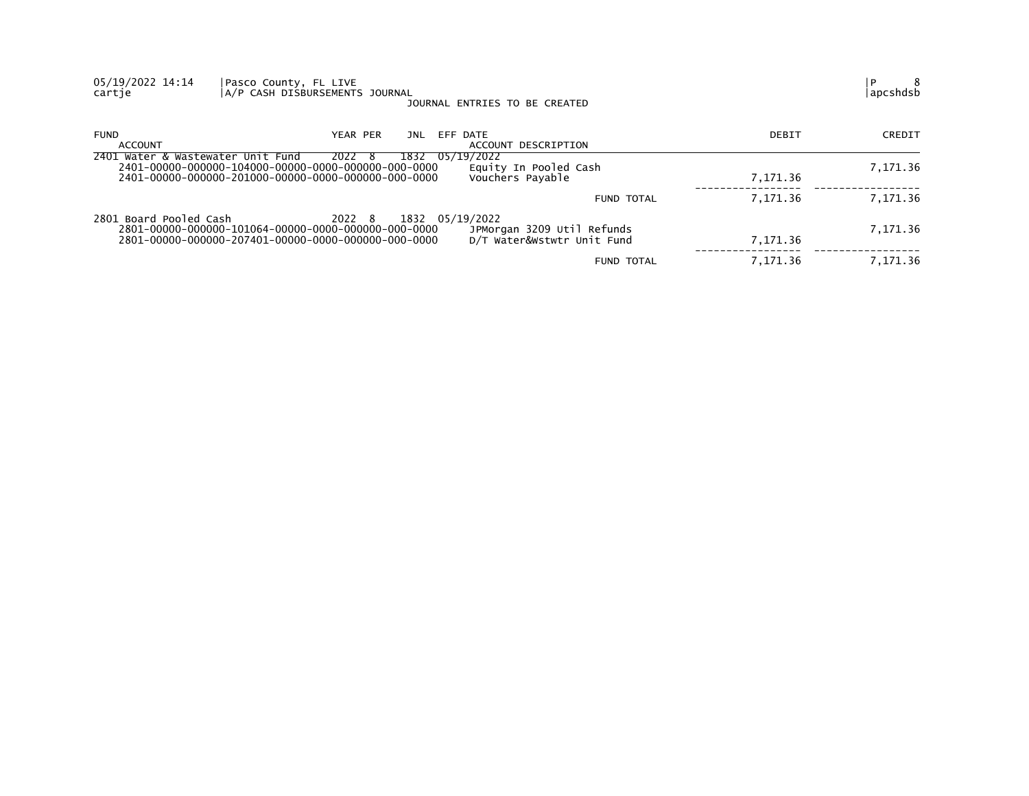| 05/19/2022 14:14<br>cartje        | Pasco County, FL LIVE<br>A/P CASH DISBURSEMENTS JOURNAL                                                                                 | JOURNAL ENTRIES TO BE CREATED                            |          | 8<br>P<br>apcshdsb |
|-----------------------------------|-----------------------------------------------------------------------------------------------------------------------------------------|----------------------------------------------------------|----------|--------------------|
| <b>FUND</b><br>ACCOUNT            | YEAR PER<br>JNL                                                                                                                         | EFF DATE<br>ACCOUNT DESCRIPTION                          | DEBIT    | CREDIT             |
| 2401 Water & Wastewater Unit Fund | 1832 05/19/2022<br>2022<br>- ১                                                                                                          | Equity In Pooled Cash<br>Vouchers Payable                | 7,171.36 | 7,171.36           |
|                                   |                                                                                                                                         | <b>FUND TOTAL</b>                                        | 7,171.36 | 7,171.36           |
| 2801 Board Pooled Cash            | 2022 8<br>1832 05/19/2022<br>2801-00000-000000-101064-00000-0000-000000-000-0000<br>2801-00000-000000-207401-00000-0000-000000-000-0000 | JPMorgan 3209 Util Refunds<br>D/T Water&Wstwtr Unit Fund | 7.171.36 | 7,171.36           |
|                                   |                                                                                                                                         | <b>FUND TOTAL</b>                                        | 7,171.36 | 7,171.36           |